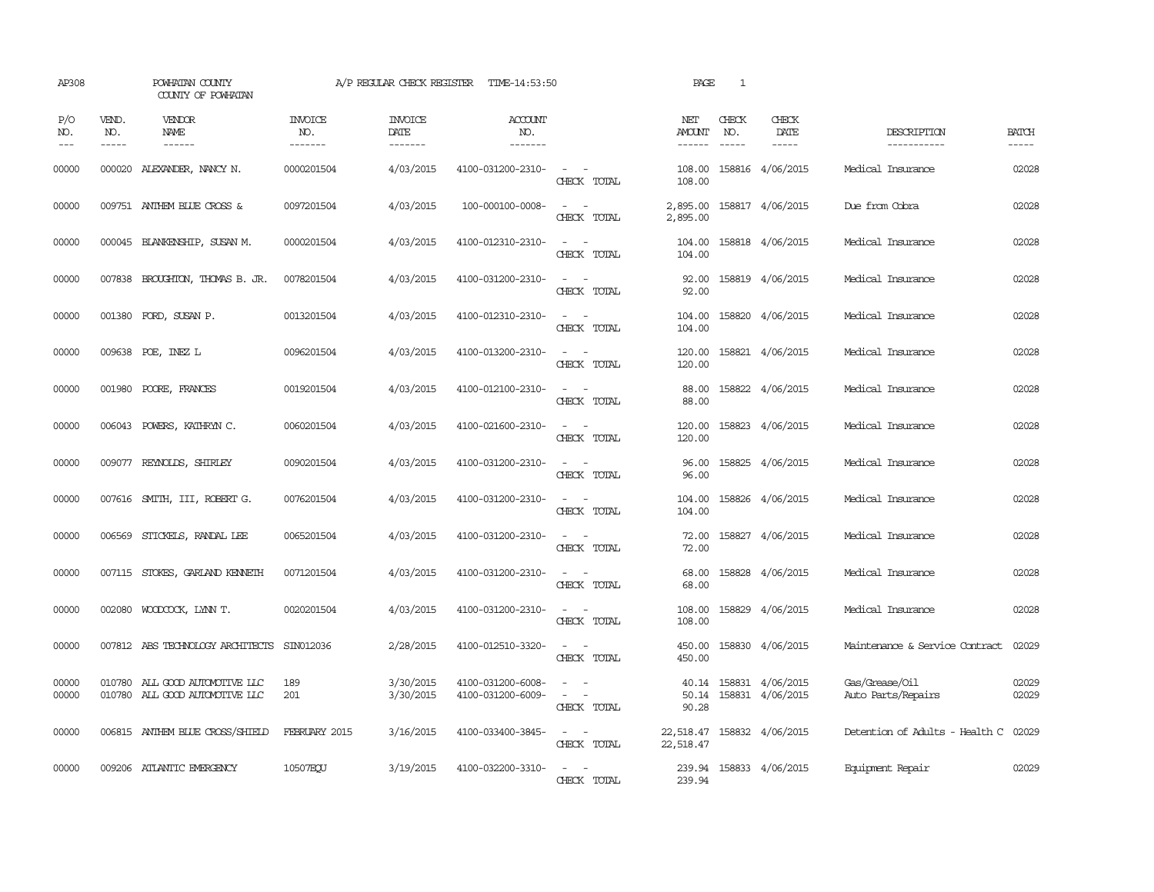| AP308               |                               | POWHATAN COUNTY<br>COUNTY OF POWHATAN                            |                                  | A/P REGULAR CHECK REGISTER               | TIME-14:53:50                          |                                                                                                                             | PAGE                           | 1                             |                                            |                                      |                             |
|---------------------|-------------------------------|------------------------------------------------------------------|----------------------------------|------------------------------------------|----------------------------------------|-----------------------------------------------------------------------------------------------------------------------------|--------------------------------|-------------------------------|--------------------------------------------|--------------------------------------|-----------------------------|
| P/O<br>NO.<br>$---$ | VEND.<br>NO.<br>$\frac{1}{2}$ | VENDOR<br><b>NAME</b><br>$- - - - - -$                           | <b>INVOICE</b><br>NO.<br>------- | <b>INVOICE</b><br><b>DATE</b><br>------- | <b>ACCOUNT</b><br>NO.<br>-------       |                                                                                                                             | NET<br>AMOUNT<br>$- - - - - -$ | CHECK<br>NO.<br>$\frac{1}{2}$ | CHECK<br>DATE<br>-----                     | DESCRIPTION<br>-----------           | <b>BATCH</b><br>$- - - - -$ |
| 00000               |                               | 000020 ALEXANDER, NANCY N.                                       | 0000201504                       | 4/03/2015                                | 4100-031200-2310-                      | $\omega_{\rm{max}}$ and $\omega_{\rm{max}}$<br>CHECK TOTAL                                                                  | 108.00<br>108.00               |                               | 158816 4/06/2015                           | Medical Insurance                    | 02028                       |
| 00000               |                               | 009751 ANTHEM BLUE CROSS &                                       | 0097201504                       | 4/03/2015                                | 100-000100-0008-                       | $\sim$ 10 $\sim$ 10 $\sim$<br>CHECK TOTAL                                                                                   | 2,895.00<br>2,895.00           |                               | 158817 4/06/2015                           | Due from Cobra                       | 02028                       |
| 00000               |                               | 000045 BLANKENSHIP, SUSAN M.                                     | 0000201504                       | 4/03/2015                                | 4100-012310-2310-                      | $\sim$ 100 $\sim$<br>CHECK TOTAL                                                                                            | 104.00<br>104.00               |                               | 158818 4/06/2015                           | Medical Insurance                    | 02028                       |
| 00000               |                               | 007838 BROUGHTON, THOMAS B. JR.                                  | 0078201504                       | 4/03/2015                                | 4100-031200-2310-                      | $\sim$ 10 $\sim$ 10 $\sim$<br>CHECK TOTAL                                                                                   | 92.00<br>92.00                 |                               | 158819 4/06/2015                           | Medical Insurance                    | 02028                       |
| 00000               |                               | 001380 FORD, SUSAN P.                                            | 0013201504                       | 4/03/2015                                | 4100-012310-2310-                      | $\sim$ 100 $\sim$<br>CHECK TOTAL                                                                                            | 104.00<br>104.00               |                               | 158820 4/06/2015                           | Medical Insurance                    | 02028                       |
| 00000               |                               | 009638 POE, INEZ L                                               | 0096201504                       | 4/03/2015                                | 4100-013200-2310-                      | $\sim$<br>$\sim$<br>CHECK TOTAL                                                                                             | 120.00<br>120.00               |                               | 158821 4/06/2015                           | Medical Insurance                    | 02028                       |
| 00000               | 001980                        | POORE, FRANCES                                                   | 0019201504                       | 4/03/2015                                | 4100-012100-2310-                      | $\sim$<br>$\sim$<br>CHECK TOTAL                                                                                             | 88.00<br>88.00                 |                               | 158822 4/06/2015                           | Medical Insurance                    | 02028                       |
| 00000               | 006043                        | POWERS, KATHRYN C.                                               | 0060201504                       | 4/03/2015                                | 4100-021600-2310-                      | $\sim$<br>$\sim$<br>CHECK TOTAL                                                                                             | 120.00<br>120.00               |                               | 158823 4/06/2015                           | Medical Insurance                    | 02028                       |
| 00000               |                               | 009077 REYNOLDS, SHIRLEY                                         | 0090201504                       | 4/03/2015                                | 4100-031200-2310-                      | $\sim$ $\sim$<br>CHECK TOTAL                                                                                                | 96.00<br>96.00                 |                               | 158825 4/06/2015                           | Medical Insurance                    | 02028                       |
| 00000               |                               | 007616 SMITH, III, ROBERT G.                                     | 0076201504                       | 4/03/2015                                | 4100-031200-2310-                      | $\frac{1}{2} \left( \frac{1}{2} \right) \left( \frac{1}{2} \right) = \frac{1}{2} \left( \frac{1}{2} \right)$<br>CHECK TOTAL | 104.00<br>104.00               |                               | 158826 4/06/2015                           | Medical Insurance                    | 02028                       |
| 00000               | 006569                        | STICKELS, RANDAL LEE                                             | 0065201504                       | 4/03/2015                                | 4100-031200-2310-                      | $\frac{1}{2} \left( \frac{1}{2} \right) \left( \frac{1}{2} \right) = \frac{1}{2} \left( \frac{1}{2} \right)$<br>CHECK TOTAL | 72.00<br>72.00                 |                               | 158827 4/06/2015                           | Medical Insurance                    | 02028                       |
| 00000               |                               | 007115 STOKES, GARLAND KENNETH                                   | 0071201504                       | 4/03/2015                                | 4100-031200-2310-                      | $\sim$ 100 $\sim$<br>CHECK TOTAL                                                                                            | 68.00<br>68.00                 |                               | 158828 4/06/2015                           | Medical Insurance                    | 02028                       |
| 00000               |                               | 002080 WOODCOCK, LYNN T.                                         | 0020201504                       | 4/03/2015                                | 4100-031200-2310-                      | CHECK TOTAL                                                                                                                 | 108.00<br>108.00               |                               | 158829 4/06/2015                           | Medical Insurance                    | 02028                       |
| 00000               |                               | 007812 ABS TECHNOLOGY ARCHITECTS                                 | SIN012036                        | 2/28/2015                                | 4100-012510-3320-                      | $\sim$<br>CHECK TOTAL                                                                                                       | 450.00<br>450.00               |                               | 158830 4/06/2015                           | Maintenance & Service Contract       | 02029                       |
| 00000<br>00000      |                               | 010780 ALL GOOD AUTOMOTTVE LLC<br>010780 ALL GOOD AUTOMOTTVE LLC | 189<br>201                       | 3/30/2015<br>3/30/2015                   | 4100-031200-6008-<br>4100-031200-6009- | $\omega_{\rm{max}}$ and $\omega_{\rm{max}}$<br>$\sim$<br>CHECK TOTAL                                                        | 40.14<br>90.28                 |                               | 158831 4/06/2015<br>50.14 158831 4/06/2015 | Gas/Grease/Oil<br>Auto Parts/Repairs | 02029<br>02029              |
| 00000               |                               | 006815 ANTHEM BLUE CROSS/SHIELD                                  | FEBRUARY 2015                    | 3/16/2015                                | 4100-033400-3845-                      | $\sim$<br>$\sim$<br>CHECK TOTAL                                                                                             | 22,518.47<br>22,518.47         |                               | 158832 4/06/2015                           | Detention of Adults - Health C 02029 |                             |
| 00000               |                               | 009206 ATLANTIC EMERGENCY                                        | 10507ECU                         | 3/19/2015                                | 4100-032200-3310-                      | $\overline{\phantom{a}}$<br>CHECK TOTAL                                                                                     | 239.94<br>239.94               |                               | 158833 4/06/2015                           | Equipment Repair                     | 02029                       |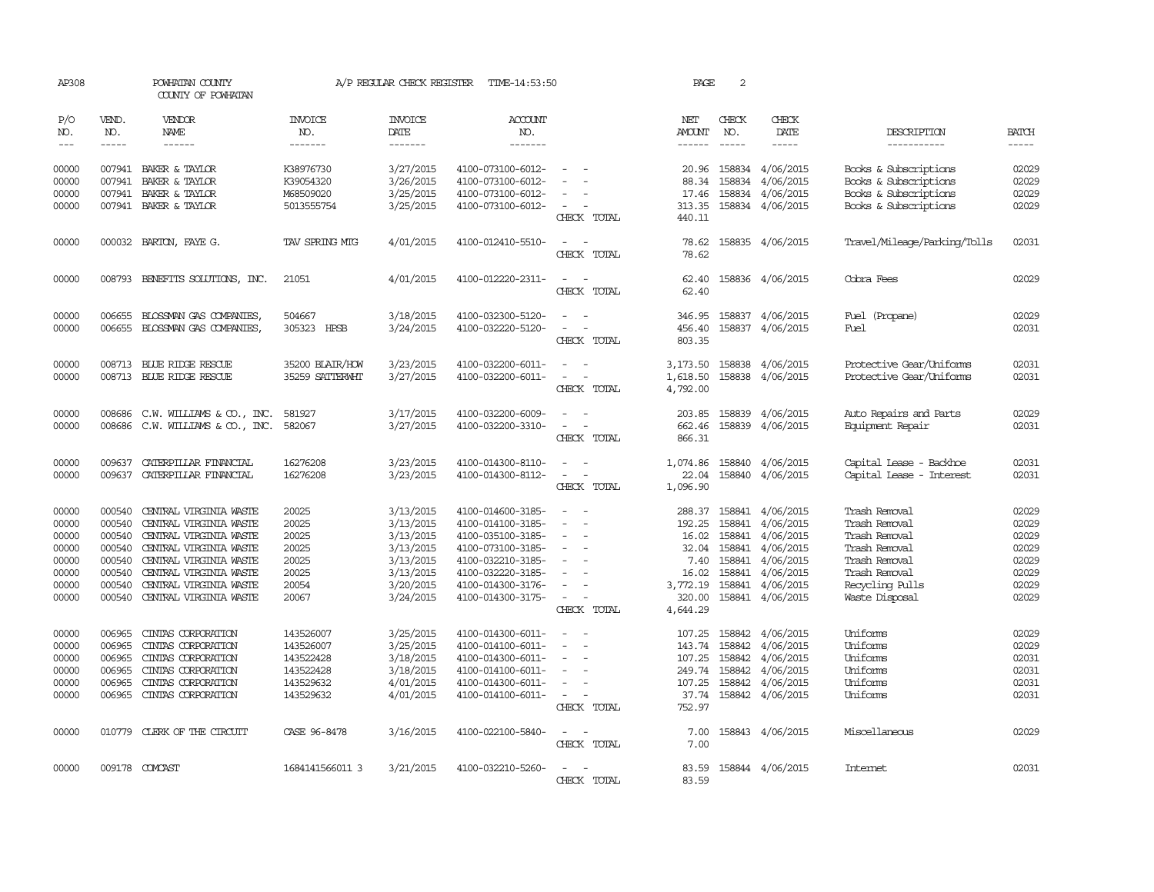| AP308                                                                |                                                                              | POWHATAN COUNTY<br>COUNTY OF POWHATAN                                                                                                                                                                        |                                                                            | A/P REGULAR CHECK REGISTER                                                                           | TIME-14:53:50                                                                                                                                                        |                                                                               | PAGE                                                                                  | 2                                              |                                                                                                                                  |                                                                                                                                         |                                                                      |
|----------------------------------------------------------------------|------------------------------------------------------------------------------|--------------------------------------------------------------------------------------------------------------------------------------------------------------------------------------------------------------|----------------------------------------------------------------------------|------------------------------------------------------------------------------------------------------|----------------------------------------------------------------------------------------------------------------------------------------------------------------------|-------------------------------------------------------------------------------|---------------------------------------------------------------------------------------|------------------------------------------------|----------------------------------------------------------------------------------------------------------------------------------|-----------------------------------------------------------------------------------------------------------------------------------------|----------------------------------------------------------------------|
| P/O<br>NO.<br>$\frac{1}{2}$                                          | VEND.<br>NO.<br>$- - - - -$                                                  | VENDOR<br>NAME<br>$- - - - - -$                                                                                                                                                                              | <b>INVOICE</b><br>NO.<br>-------                                           | <b>INVOICE</b><br>DATE<br>-------                                                                    | <b>ACCOUNT</b><br>NO.<br>-------                                                                                                                                     |                                                                               | NET<br>AMOUNT<br>$- - - - - -$                                                        | CHECK<br>NO.<br>$- - - - -$                    | CHECK<br>DATE<br>-----                                                                                                           | DESCRIPTION<br>-----------                                                                                                              | <b>BATCH</b><br>$- - - - -$                                          |
| 00000<br>00000<br>00000<br>00000                                     | 007941<br>007941                                                             | 007941 BAKER & TAYLOR<br>BAKER & TAYLOR<br>BAKER & TAYLOR<br>007941 BAKER & TAYLOR                                                                                                                           | K38976730<br>K39054320<br>M68509020<br>5013555754                          | 3/27/2015<br>3/26/2015<br>3/25/2015<br>3/25/2015                                                     | 4100-073100-6012-<br>4100-073100-6012-<br>4100-073100-6012-<br>4100-073100-6012-                                                                                     | $\sim$                                                                        | 20.96<br>88.34<br>17.46<br>313.35                                                     | 158834                                         | 158834 4/06/2015<br>4/06/2015<br>158834 4/06/2015<br>158834 4/06/2015                                                            | Books & Subscriptions<br>Books & Subscriptions<br>Books & Subscriptions<br>Books & Subscriptions                                        | 02029<br>02029<br>02029<br>02029                                     |
| 00000                                                                |                                                                              | 000032 BARTON, FAYE G.                                                                                                                                                                                       | TAV SPRING MIG                                                             | 4/01/2015                                                                                            | 4100-012410-5510-                                                                                                                                                    | CHECK TOTAL<br>CHECK TOTAL                                                    | 440.11<br>78.62<br>78.62                                                              |                                                | 158835 4/06/2015                                                                                                                 | Travel/Mileaqe/Parking/Tolls                                                                                                            | 02031                                                                |
| 00000                                                                |                                                                              | 008793 BENEFITS SOLUTIONS, INC.                                                                                                                                                                              | 21051                                                                      | 4/01/2015                                                                                            | 4100-012220-2311-                                                                                                                                                    | $\sim$ $\sim$<br>CHECK TOTAL                                                  | 62.40<br>62.40                                                                        |                                                | 158836 4/06/2015                                                                                                                 | Cobra Fees                                                                                                                              | 02029                                                                |
| 00000<br>00000                                                       | 006655<br>006655                                                             | BLOSSMAN GAS COMPANIES.<br>BLOSSMAN GAS COMPANIES,                                                                                                                                                           | 504667<br>305323 HPSB                                                      | 3/18/2015<br>3/24/2015                                                                               | 4100-032300-5120-<br>4100-032220-5120-                                                                                                                               | CHECK TOTAL                                                                   | 346.95<br>456.40<br>803.35                                                            |                                                | 158837 4/06/2015<br>158837 4/06/2015                                                                                             | Fuel (Propane)<br>Fuel                                                                                                                  | 02029<br>02031                                                       |
| 00000<br>00000                                                       | 008713                                                                       | BLUE RIDGE RESCUE<br>008713 BLUE RIDGE RESCUE                                                                                                                                                                | 35200 BLAIR/HOW<br>35259 SATTERWHT                                         | 3/23/2015<br>3/27/2015                                                                               | 4100-032200-6011-<br>4100-032200-6011-                                                                                                                               | $\overline{\phantom{a}}$<br>÷,<br>CHECK TOTAL                                 | 3,173.50<br>1,618.50<br>4,792.00                                                      |                                                | 158838 4/06/2015<br>158838 4/06/2015                                                                                             | Protective Gear/Uniforms<br>Protective Gear/Uniforms                                                                                    | 02031<br>02031                                                       |
| 00000<br>00000                                                       | 008686<br>008686                                                             | C.W. WILLIAMS & CO., INC.<br>C.W. WILLIAMS & CO., INC.                                                                                                                                                       | 581927<br>582067                                                           | 3/17/2015<br>3/27/2015                                                                               | 4100-032200-6009-<br>4100-032200-3310-                                                                                                                               | CHECK TOTAL                                                                   | 203.85<br>662.46<br>866.31                                                            |                                                | 158839 4/06/2015<br>158839 4/06/2015                                                                                             | Auto Repairs and Parts<br>Equipment Repair                                                                                              | 02029<br>02031                                                       |
| 00000<br>00000                                                       | 009637<br>009637                                                             | CATERPILLAR FINANCIAL<br>CATERPILLAR FINANCIAL                                                                                                                                                               | 16276208<br>16276208                                                       | 3/23/2015<br>3/23/2015                                                                               | 4100-014300-8110-<br>4100-014300-8112-                                                                                                                               | $\overline{\phantom{a}}$<br>CHECK TOTAL                                       | 1,074.86<br>22.04<br>1,096.90                                                         | 158840                                         | 158840 4/06/2015<br>4/06/2015                                                                                                    | Capital Lease - Backhoe<br>Capital Lease - Interest                                                                                     | 02031<br>02031                                                       |
| 00000<br>00000<br>00000<br>00000<br>00000<br>00000<br>00000<br>00000 | 000540<br>000540<br>000540<br>000540<br>000540<br>000540<br>000540<br>000540 | CENTRAL VIRGINIA WASTE<br>CENTRAL VIRGINIA WASTE<br>CENTRAL VIRGINIA WASTE<br>CENTRAL VIRGINIA WASTE<br>CENTRAL VIRGINIA WASTE<br>CENTRAL VIRGINIA WASTE<br>CENTRAL VIRGINIA WASTE<br>CENTRAL VIRGINIA WASTE | 20025<br>20025<br>20025<br>20025<br>20025<br>20025<br>20054<br>20067       | 3/13/2015<br>3/13/2015<br>3/13/2015<br>3/13/2015<br>3/13/2015<br>3/13/2015<br>3/20/2015<br>3/24/2015 | 4100-014600-3185-<br>4100-014100-3185-<br>4100-035100-3185-<br>4100-073100-3185-<br>4100-032210-3185-<br>4100-032220-3185-<br>4100-014300-3176-<br>4100-014300-3175- | $\overline{\phantom{a}}$<br>$\overline{\phantom{a}}$<br>CHECK TOTAL           | 288.37<br>192.25<br>16.02<br>32.04<br>7.40<br>16.02<br>3,772.19<br>320.00<br>4,644.29 | 158841<br>158841<br>158841<br>158841           | 158841 4/06/2015<br>4/06/2015<br>158841 4/06/2015<br>4/06/2015<br>4/06/2015<br>4/06/2015<br>158841 4/06/2015<br>158841 4/06/2015 | Trash Removal<br>Trash Removal<br>Trash Removal<br>Trash Removal<br>Trash Removal<br>Trash Removal<br>Recycling Pulls<br>Waste Disposal | 02029<br>02029<br>02029<br>02029<br>02029<br>02029<br>02029<br>02029 |
| 00000<br>00000<br>00000<br>00000<br>00000<br>00000                   | 006965<br>006965<br>006965<br>006965<br>006965<br>006965                     | CINIAS CORPORATION<br>CINIAS CORPORATION<br>CINTAS CORPORATION<br>CINIAS CORPORATION<br>CINIAS CORPORATION<br>CINIAS CORPORATION                                                                             | 143526007<br>143526007<br>143522428<br>143522428<br>143529632<br>143529632 | 3/25/2015<br>3/25/2015<br>3/18/2015<br>3/18/2015<br>4/01/2015<br>4/01/2015                           | 4100-014300-6011-<br>4100-014100-6011-<br>4100-014300-6011-<br>4100-014100-6011-<br>4100-014300-6011-<br>4100-014100-6011-                                           | $\sim$<br>$\overline{\phantom{a}}$<br>$\overline{\phantom{a}}$<br>CHECK TOTAL | 107.25<br>143.74<br>107.25<br>249.74<br>107.25<br>37.74<br>752.97                     | 158842<br>158842<br>158842<br>158842<br>158842 | 4/06/2015<br>4/06/2015<br>4/06/2015<br>4/06/2015<br>4/06/2015<br>158842 4/06/2015                                                | Uniforms<br>Uniforms<br>Uniforms<br>Uniforms<br>Uniforms<br>Uniforms                                                                    | 02029<br>02029<br>02031<br>02031<br>02031<br>02031                   |
| 00000                                                                | 010779                                                                       | CLERK OF THE CIRCUIT                                                                                                                                                                                         | CASE 96-8478                                                               | 3/16/2015                                                                                            | 4100-022100-5840-                                                                                                                                                    | $\sim$<br>CHECK TOTAL                                                         | 7.00<br>7.00                                                                          |                                                | 158843 4/06/2015                                                                                                                 | Miscellaneous                                                                                                                           | 02029                                                                |
| 00000                                                                |                                                                              | 009178 COMCAST                                                                                                                                                                                               | 1684141566011 3                                                            | 3/21/2015                                                                                            | 4100-032210-5260-                                                                                                                                                    | CHECK TOTAL                                                                   | 83.59<br>83.59                                                                        |                                                | 158844 4/06/2015                                                                                                                 | <b>Intemet</b>                                                                                                                          | 02031                                                                |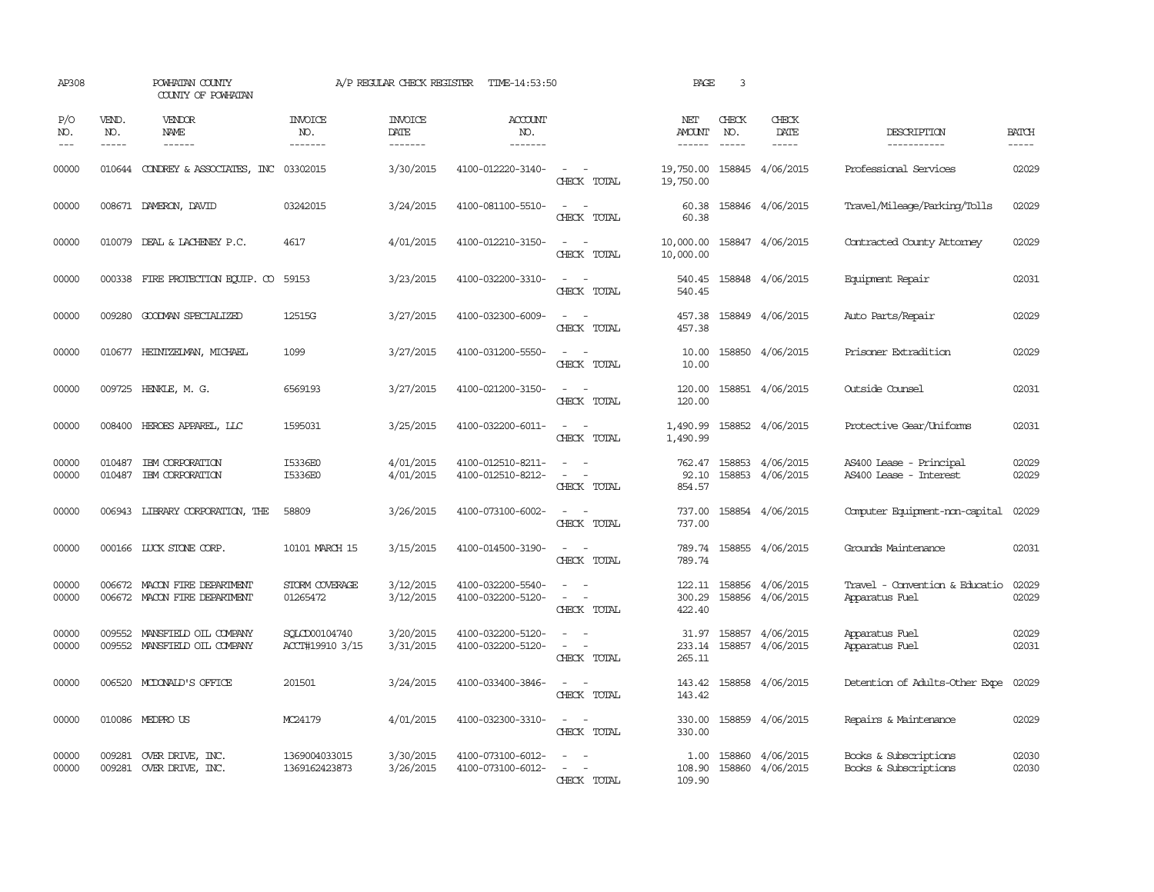| AP308                       |                             | POWHATAN COUNTY<br>COUNTY OF POWHATAN                        |                                  | A/P REGULAR CHECK REGISTER        | TIME-14:53:50                          |                                                                                                                             | PAGE                       | $\overline{3}$                |                                      |                                                   |                             |
|-----------------------------|-----------------------------|--------------------------------------------------------------|----------------------------------|-----------------------------------|----------------------------------------|-----------------------------------------------------------------------------------------------------------------------------|----------------------------|-------------------------------|--------------------------------------|---------------------------------------------------|-----------------------------|
| P/O<br>NO.<br>$\frac{1}{2}$ | VEND.<br>NO.<br>$- - - - -$ | VENDOR<br>NAME<br>------                                     | <b>INVOICE</b><br>NO.<br>------- | <b>INVOICE</b><br>DATE<br>------- | <b>ACCOUNT</b><br>NO.<br>-------       |                                                                                                                             | NET<br>AMOUNT<br>------    | CHECK<br>NO.<br>$\frac{1}{2}$ | CHECK<br>DATE<br>-----               | DESCRIPTION<br>-----------                        | <b>BATCH</b><br>$- - - - -$ |
| 00000                       |                             | 010644 CONDREY & ASSOCIATES, INC 03302015                    |                                  | 3/30/2015                         | 4100-012220-3140-                      | $\omega_{\rm{max}}$ and $\omega_{\rm{max}}$<br>CHECK TOTAL                                                                  | 19,750.00<br>19,750.00     |                               | 158845 4/06/2015                     | Professional Services                             | 02029                       |
| 00000                       |                             | 008671 DAMERON, DAVID                                        | 03242015                         | 3/24/2015                         | 4100-081100-5510-                      | $\frac{1}{2} \left( \frac{1}{2} \right) \left( \frac{1}{2} \right) = \frac{1}{2} \left( \frac{1}{2} \right)$<br>CHECK TOTAL | 60.38<br>60.38             |                               | 158846 4/06/2015                     | Travel/Mileage/Parking/Tolls                      | 02029                       |
| 00000                       |                             | 010079 DEAL & LACHENEY P.C.                                  | 4617                             | 4/01/2015                         | 4100-012210-3150-                      | $\sim$ $ \sim$<br>CHECK TOTAL                                                                                               | 10,000.00<br>10,000.00     |                               | 158847 4/06/2015                     | Contracted County Attorney                        | 02029                       |
| 00000                       |                             | 000338 FIRE PROTECTION EQUIP. CO                             | 59153                            | 3/23/2015                         | 4100-032200-3310-                      | $\frac{1}{2} \left( \frac{1}{2} \right) \left( \frac{1}{2} \right) = \frac{1}{2} \left( \frac{1}{2} \right)$<br>CHECK TOTAL | 540.45<br>540.45           |                               | 158848 4/06/2015                     | Equipment Repair                                  | 02031                       |
| 00000                       |                             | 009280 GOODMAN SPECIALIZED                                   | 12515G                           | 3/27/2015                         | 4100-032300-6009-                      | $\sim$ $ \sim$<br>CHECK TOTAL                                                                                               | 457.38<br>457.38           |                               | 158849 4/06/2015                     | Auto Parts/Repair                                 | 02029                       |
| 00000                       |                             | 010677 HEINTZEIMAN, MICHAEL                                  | 1099                             | 3/27/2015                         | 4100-031200-5550-                      | $\frac{1}{2} \left( \frac{1}{2} \right) \left( \frac{1}{2} \right) = \frac{1}{2} \left( \frac{1}{2} \right)$<br>CHECK TOTAL | 10.00<br>10.00             |                               | 158850 4/06/2015                     | Prisoner Extradition                              | 02029                       |
| 00000                       |                             | 009725 HENKLE, M. G.                                         | 6569193                          | 3/27/2015                         | 4100-021200-3150-                      | $\sim$ $ \sim$<br>CHECK TOTAL                                                                                               | 120.00<br>120.00           |                               | 158851 4/06/2015                     | Outside Counsel                                   | 02031                       |
| 00000                       |                             | 008400 HEROES APPAREL, LLC                                   | 1595031                          | 3/25/2015                         | 4100-032200-6011-                      | $\equiv$<br>$\sim$<br>CHECK TOTAL                                                                                           | 1,490.99<br>1,490.99       |                               | 158852 4/06/2015                     | Protective Gear/Uniforms                          | 02031                       |
| 00000<br>00000              | 010487<br>010487            | IBM CORPORATION<br>IBM CORPORATION                           | I5336E0<br>I5336E0               | 4/01/2015<br>4/01/2015            | 4100-012510-8211-<br>4100-012510-8212- | $\equiv$<br>CHECK TOTAL                                                                                                     | 762.47<br>92.10<br>854.57  |                               | 158853 4/06/2015<br>158853 4/06/2015 | AS400 Lease - Principal<br>AS400 Lease - Interest | 02029<br>02029              |
| 00000                       |                             | 006943 LIBRARY CORPORATION, THE                              | 58809                            | 3/26/2015                         | 4100-073100-6002-                      | CHECK TOTAL                                                                                                                 | 737.00<br>737.00           |                               | 158854 4/06/2015                     | Computer Equipment-non-capital                    | 02029                       |
| 00000                       |                             | 000166 LUCK STONE CORP.                                      | 10101 MARCH 15                   | 3/15/2015                         | 4100-014500-3190-                      | $\sim$<br>CHECK TOTAL                                                                                                       | 789.74<br>789.74           |                               | 158855 4/06/2015                     | Grounds Maintenance                               | 02031                       |
| 00000<br>00000              |                             | 006672 MACON FIRE DEPARIMENT<br>006672 MACON FIRE DEPARIMENT | STORM COVERAGE<br>01265472       | 3/12/2015<br>3/12/2015            | 4100-032200-5540-<br>4100-032200-5120- | $\omega_{\rm{max}}$ and $\omega_{\rm{max}}$<br>$\omega_{\rm{max}}$ and $\omega_{\rm{max}}$<br>CHECK TOTAL                   | 122.11<br>300.29<br>422.40 |                               | 158856 4/06/2015<br>158856 4/06/2015 | Travel - Convention & Educatio<br>Apparatus Fuel  | 02029<br>02029              |
| 00000<br>00000              | 009552                      | MANSFIELD OIL COMPANY<br>009552 MANSFIELD OIL COMPANY        | SOLCD00104740<br>ACCT#19910 3/15 | 3/20/2015<br>3/31/2015            | 4100-032200-5120-<br>4100-032200-5120- | $\equiv$<br>CHECK TOTAL                                                                                                     | 31.97<br>233.14<br>265.11  |                               | 158857 4/06/2015<br>158857 4/06/2015 | Apparatus Fuel<br>Apparatus Fuel                  | 02029<br>02031              |
| 00000                       | 006520                      | MCDONALD'S OFFICE                                            | 201501                           | 3/24/2015                         | 4100-033400-3846-                      | $\frac{1}{2} \left( \frac{1}{2} \right) \left( \frac{1}{2} \right) = \frac{1}{2} \left( \frac{1}{2} \right)$<br>CHECK TOTAL | 143.42<br>143.42           |                               | 158858 4/06/2015                     | Detention of Adults-Other Expe                    | 02029                       |
| 00000                       |                             | 010086 MEDPRO US                                             | MC24179                          | 4/01/2015                         | 4100-032300-3310-                      | $\sim$<br>CHECK TOTAL                                                                                                       | 330.00<br>330.00           |                               | 158859 4/06/2015                     | Repairs & Maintenance                             | 02029                       |
| 00000<br>00000              | 009281                      | OVER DRIVE, INC.<br>009281 OVER DRIVE, INC.                  | 1369004033015<br>1369162423873   | 3/30/2015<br>3/26/2015            | 4100-073100-6012-<br>4100-073100-6012- | $\sim$<br>CHECK TOTAL                                                                                                       | 1.00<br>108.90<br>109.90   |                               | 158860 4/06/2015<br>158860 4/06/2015 | Books & Subscriptions<br>Books & Subscriptions    | 02030<br>02030              |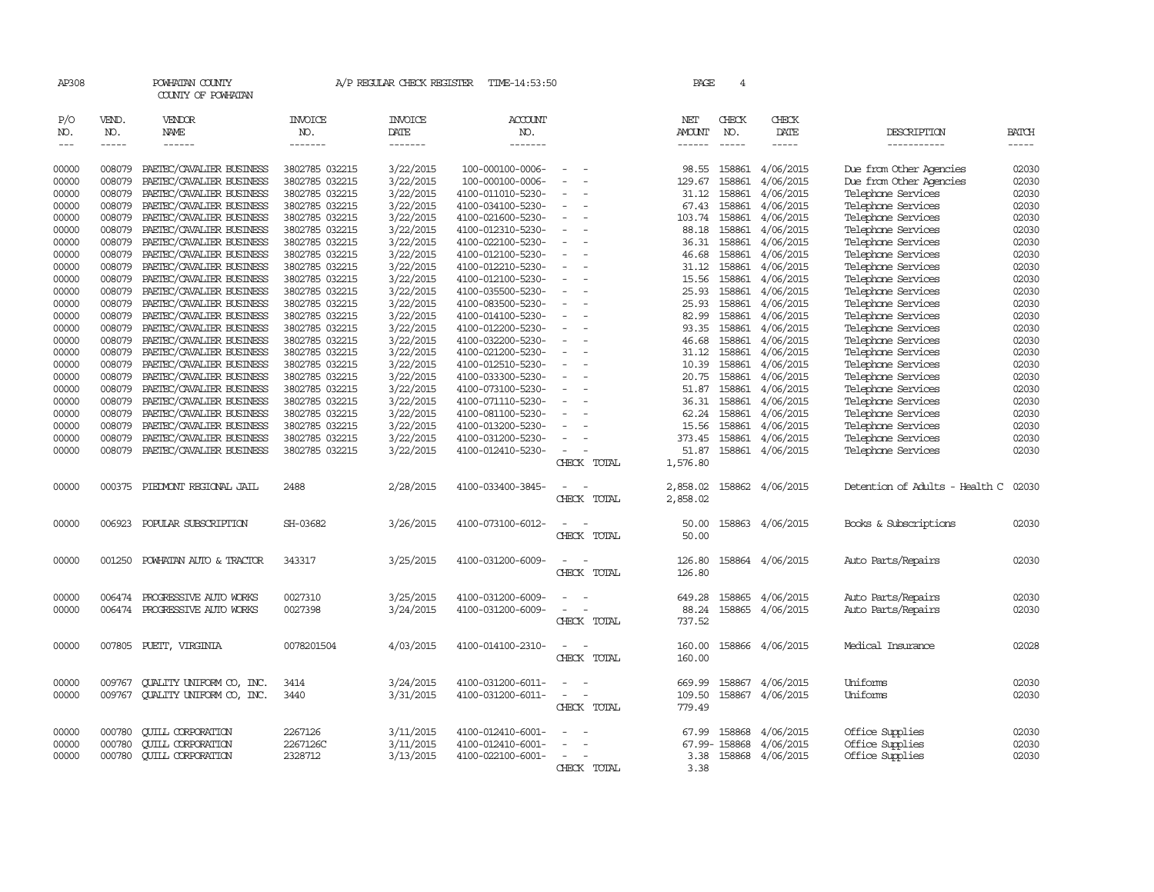| AP308                             |                             | POWHATAN COUNTY<br>COUNTY OF POWHATAN |                                  | A/P REGULAR CHECK REGISTER        | TIME-14:53:50                    |          |             | PAGE                    | 4                           |                        |                                |                      |
|-----------------------------------|-----------------------------|---------------------------------------|----------------------------------|-----------------------------------|----------------------------------|----------|-------------|-------------------------|-----------------------------|------------------------|--------------------------------|----------------------|
| P/O<br>NO.<br>$\qquad \qquad - -$ | VEND.<br>NO.<br>$- - - - -$ | VENDOR<br><b>NAME</b><br>------       | <b>INVOICE</b><br>NO.<br>------- | <b>INVOICE</b><br>DATE<br>------- | <b>ACCOUNT</b><br>NO.<br>------- |          |             | NET<br>AMOUNT<br>------ | CHECK<br>NO.<br>$- - - - -$ | CHECK<br>DATE<br>----- | DESCRIPTION<br>-----------     | BATCH<br>$- - - - -$ |
| 00000                             | 008079                      | PAETEC/CAVALIER BUSINESS              | 3802785 032215                   | 3/22/2015                         | 100-000100-0006-                 |          |             | 98.55                   |                             | 158861 4/06/2015       | Due from Other Agencies        | 02030                |
| 00000                             | 008079                      | PAETEC/CAVALIER BUSINESS              | 3802785 032215                   | 3/22/2015                         | 100-000100-0006-                 |          |             | 129.67                  | 158861                      | 4/06/2015              | Due from Other Agencies        | 02030                |
| 00000                             | 008079                      | PAETEC/CAVALIER BUSINESS              | 3802785 032215                   | 3/22/2015                         | 4100-011010-5230-                | $\sim$   |             | 31.12                   | 158861                      | 4/06/2015              | Telephone Services             | 02030                |
| 00000                             | 008079                      | PAETEC/CAVALIER BUSINESS              | 3802785 032215                   | 3/22/2015                         | 4100-034100-5230-                |          |             | 67.43                   | 158861                      | 4/06/2015              | Telephone Services             | 02030                |
| 00000                             | 008079                      | PAETEC/CAVALIER BUSINESS              | 3802785 032215                   | 3/22/2015                         | 4100-021600-5230-                |          |             | 103.74                  | 158861                      | 4/06/2015              | Telephone Services             | 02030                |
| 00000                             | 008079                      | PAETEC/CAVALIER BUSINESS              | 3802785 032215                   | 3/22/2015                         | 4100-012310-5230-                | $\equiv$ |             | 88.18                   | 158861                      | 4/06/2015              | Telephone Services             | 02030                |
| 00000                             | 008079                      | PAETEC/CAVALIER BUSINESS              | 3802785 032215                   | 3/22/2015                         | 4100-022100-5230-                |          |             | 36.31                   | 158861                      | 4/06/2015              | Telephone Services             | 02030                |
| 00000                             | 008079                      | PAETEC/CAVALIER BUSINESS              | 3802785 032215                   | 3/22/2015                         | 4100-012100-5230-                |          |             | 46.68                   | 158861                      | 4/06/2015              | Telephone Services             | 02030                |
| 00000                             | 008079                      | PAETEC/CAVALIER BUSINESS              | 3802785 032215                   | 3/22/2015                         | 4100-012210-5230-                |          |             | 31.12                   | 158861                      | 4/06/2015              | Telephone Services             | 02030                |
| 00000                             | 008079                      | PAETEC/CAVALIER BUSINESS              | 3802785 032215                   | 3/22/2015                         | 4100-012100-5230-                |          |             | 15.56                   | 158861                      | 4/06/2015              | Telephone Services             | 02030                |
| 00000                             | 008079                      | PAETEC/CAVALIER BUSINESS              | 3802785 032215                   | 3/22/2015                         | 4100-035500-5230-                |          |             | 25.93                   | 158861                      | 4/06/2015              | Telephone Services             | 02030                |
| 00000                             | 008079                      | PAETEC/CAVALIER BUSINESS              | 3802785 032215                   | 3/22/2015                         | 4100-083500-5230-                |          |             | 25.93                   | 158861                      | 4/06/2015              | Telephone Services             | 02030                |
| 00000                             | 008079                      | PAETEC/CAVALIER BUSINESS              | 3802785 032215                   | 3/22/2015                         | 4100-014100-5230-                |          |             | 82.99                   | 158861                      | 4/06/2015              | Telephone Services             | 02030                |
| 00000                             | 008079                      | PAETEC/CAVALIER BUSINESS              | 3802785 032215                   | 3/22/2015                         | 4100-012200-5230-                |          |             | 93.35                   | 158861                      | 4/06/2015              | Telephone Services             | 02030                |
| 00000                             | 008079                      | PAETEC/CAVALIER BUSINESS              | 3802785 032215                   | 3/22/2015                         | 4100-032200-5230-                |          |             | 46.68                   | 158861                      | 4/06/2015              | Telephone Services             | 02030                |
| 00000                             | 008079                      | PAETEC/CAVALIER BUSINESS              | 3802785 032215                   | 3/22/2015                         | 4100-021200-5230-                |          |             | 31.12                   | 158861                      | 4/06/2015              | Telephone Services             | 02030                |
| 00000                             | 008079                      | PAETEC/CAVALIER BUSINESS              | 3802785 032215                   | 3/22/2015                         | 4100-012510-5230-                |          |             | 10.39                   | 158861                      | 4/06/2015              | Telephone Services             | 02030                |
| 00000                             | 008079                      | PAETEC/CAVALIER BUSINESS              | 3802785 032215                   | 3/22/2015                         | 4100-033300-5230-                |          |             | 20.75                   | 158861                      | 4/06/2015              | Telephone Services             | 02030                |
| 00000                             | 008079                      | PAETEC/CAVALIER BUSINESS              | 3802785 032215                   | 3/22/2015                         | 4100-073100-5230-                |          |             | 51.87                   | 158861                      | 4/06/2015              | Telephone Services             | 02030                |
| 00000                             | 008079                      | PAETEC/CAVALIER BUSINESS              | 3802785 032215                   | 3/22/2015                         | 4100-071110-5230-                |          |             | 36.31                   | 158861                      | 4/06/2015              | Telephone Services             | 02030                |
| 00000                             | 008079                      | PAETEC/CAVALIER BUSINESS              | 3802785 032215                   | 3/22/2015                         | 4100-081100-5230-                |          |             | 62.24                   | 158861                      | 4/06/2015              | Telephone Services             | 02030                |
| 00000                             | 008079                      | PAETEC/CAVALIER BUSINESS              | 3802785 032215                   | 3/22/2015                         | 4100-013200-5230-                |          |             | 15.56                   | 158861                      | 4/06/2015              | Telephone Services             | 02030                |
| 00000                             | 008079                      | PAETEC/CAVALIER BUSINESS              | 3802785 032215                   | 3/22/2015                         | 4100-031200-5230-                |          |             | 373.45                  |                             | 158861 4/06/2015       | Telephone Services             | 02030                |
| 00000                             | 008079                      | PAETEC/CAVALIER BUSINESS              | 3802785 032215                   | 3/22/2015                         | 4100-012410-5230-                |          |             | 51.87                   |                             | 158861 4/06/2015       | Telephone Services             | 02030                |
|                                   |                             |                                       |                                  |                                   |                                  |          | CHECK TOTAL | 1,576.80                |                             |                        |                                |                      |
| 00000                             | 000375                      | PIEDMONT REGIONAL JAIL                | 2488                             | 2/28/2015                         | 4100-033400-3845-                |          |             | 2,858.02                |                             | 158862 4/06/2015       | Detention of Adults - Health C | 02030                |
|                                   |                             |                                       |                                  |                                   |                                  |          | CHECK TOTAL | 2,858.02                |                             |                        |                                |                      |
| 00000                             | 006923                      | POPULAR SUBSCRIPTION                  | SH-03682                         | 3/26/2015                         | 4100-073100-6012-                |          |             | 50.00                   |                             | 158863 4/06/2015       | Books & Subscriptions          | 02030                |
|                                   |                             |                                       |                                  |                                   |                                  |          | CHECK TOTAL | 50.00                   |                             |                        |                                |                      |
| 00000                             | 001250                      | POWHATAN AUTO & TRACTOR               | 343317                           | 3/25/2015                         | 4100-031200-6009-                |          |             | 126.80                  |                             | 158864 4/06/2015       | Auto Parts/Repairs             | 02030                |
|                                   |                             |                                       |                                  |                                   |                                  |          | CHECK TOTAL | 126.80                  |                             |                        |                                |                      |
| 00000                             | 006474                      | PROGRESSIVE AUTO WORKS                | 0027310                          | 3/25/2015                         | 4100-031200-6009-                |          |             | 649.28                  | 158865                      | 4/06/2015              | Auto Parts/Repairs             | 02030                |
| 00000                             | 006474                      | PROGRESSIVE AUTO WORKS                | 0027398                          | 3/24/2015                         | 4100-031200-6009-                |          |             | 88.24                   | 158865                      | 4/06/2015              | Auto Parts/Repairs             | 02030                |
|                                   |                             |                                       |                                  |                                   |                                  |          | CHECK TOTAL | 737.52                  |                             |                        |                                |                      |
| 00000                             |                             | 007805 PUETT, VIRGINIA                | 0078201504                       | 4/03/2015                         | 4100-014100-2310-                |          |             | 160.00                  |                             | 158866 4/06/2015       | Medical Insurance              | 02028                |
|                                   |                             |                                       |                                  |                                   |                                  |          | CHECK TOTAL | 160.00                  |                             |                        |                                |                      |
| 00000                             | 009767                      | QUALITY UNIFORM CO, INC.              | 3414                             | 3/24/2015                         | 4100-031200-6011-                |          |             | 669.99                  | 158867                      | 4/06/2015              | Uniforms                       | 02030                |
| 00000                             | 009767                      | OUALITY UNIFORM CO, INC.              | 3440                             | 3/31/2015                         | 4100-031200-6011-                |          |             | 109.50                  | 158867                      | 4/06/2015              | Uniforms                       | 02030                |
|                                   |                             |                                       |                                  |                                   |                                  |          | CHECK TOTAL | 779.49                  |                             |                        |                                |                      |
| 00000                             | 000780                      | <b>CUILL CORPORATION</b>              | 2267126                          | 3/11/2015                         | 4100-012410-6001-                |          |             | 67.99                   | 158868                      | 4/06/2015              | Office Supplies                | 02030                |
| 00000                             | 000780                      | <b>QUILL CORPORATION</b>              | 2267126C                         | 3/11/2015                         | 4100-012410-6001-                |          |             |                         | 67.99-158868                | 4/06/2015              | Office Supplies                | 02030                |
| 00000                             | 000780                      | <b>CUILL CORPORATION</b>              | 2328712                          | 3/13/2015                         | 4100-022100-6001-                | $\sim$   |             | 3.38                    |                             | 158868 4/06/2015       | Office Supplies                | 02030                |
|                                   |                             |                                       |                                  |                                   |                                  |          | CHECK TOTAL | 3.38                    |                             |                        |                                |                      |
|                                   |                             |                                       |                                  |                                   |                                  |          |             |                         |                             |                        |                                |                      |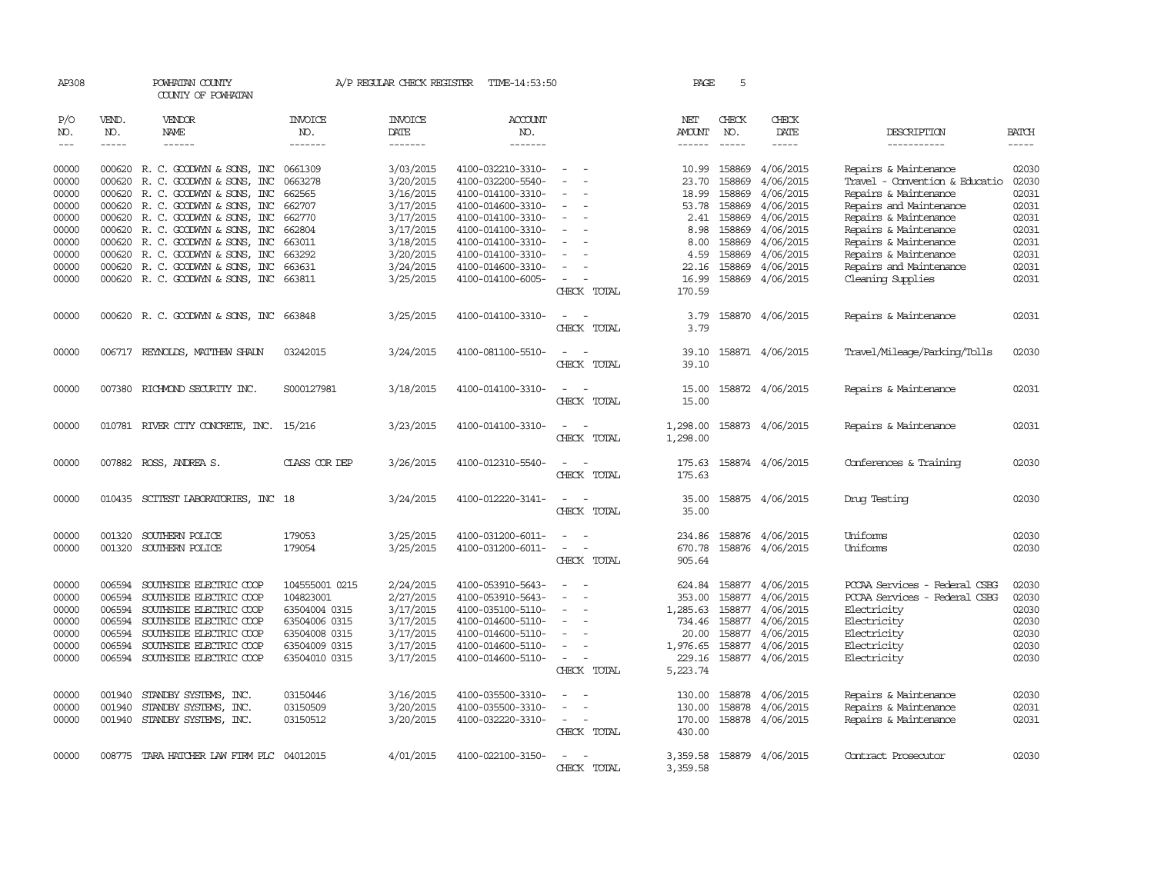| AP308                                                                         |                                                                    | POWHATAN COUNTY<br>COUNTY OF POWHATAN                                                                                                                                                                                                                                                                      |                                                                                                                  |                                                                                                                   | A/P REGULAR CHECK REGISTER TIME-14:53:50                                                                                                                                                  |                                                                     | PAGE                                                                              | 5                                                                                      |                                                                                                                                   |                                                                                                                                                                                                                                            |                                                                               |
|-------------------------------------------------------------------------------|--------------------------------------------------------------------|------------------------------------------------------------------------------------------------------------------------------------------------------------------------------------------------------------------------------------------------------------------------------------------------------------|------------------------------------------------------------------------------------------------------------------|-------------------------------------------------------------------------------------------------------------------|-------------------------------------------------------------------------------------------------------------------------------------------------------------------------------------------|---------------------------------------------------------------------|-----------------------------------------------------------------------------------|----------------------------------------------------------------------------------------|-----------------------------------------------------------------------------------------------------------------------------------|--------------------------------------------------------------------------------------------------------------------------------------------------------------------------------------------------------------------------------------------|-------------------------------------------------------------------------------|
| P/O<br>NO.<br>$---$                                                           | VEND.<br>NO.<br>$- - - - -$                                        | <b>VENDOR</b><br>NAME<br>$- - - - - -$                                                                                                                                                                                                                                                                     | <b>INVOICE</b><br>NO.<br>-------                                                                                 | <b>INVOICE</b><br>DATE<br>-------                                                                                 | <b>ACCOUNT</b><br>NO.<br>-------                                                                                                                                                          |                                                                     | NET<br>AMOUNT<br>------                                                           | CHECK<br>NO.<br>$- - - - -$                                                            | CHECK<br>DATE<br>-----                                                                                                            | DESCRIPTION<br>-----------                                                                                                                                                                                                                 | <b>BATCH</b><br>$- - - - -$                                                   |
| 00000<br>00000<br>00000<br>00000<br>00000<br>00000<br>00000<br>00000<br>00000 | 000620<br>000620<br>000620                                         | 000620 R. C. GOODWYN & SONS, INC<br>R. C. GOODWYN & SONS, INC<br>R. C. GOODWYN & SONS, INC<br>000620 R. C. GOODWYN & SONS, INC<br>000620 R. C. GOODWYN & SONS, INC<br>000620 R. C. GOODWYN & SONS, INC<br>000620 R.C. GOODWYN & SONS, INC<br>000620 R. C. GOODWYN & SONS, INC<br>R. C. GOODWYN & SONS, INC | 0661309<br>0663278<br>662565<br>662707<br>662770<br>662804<br>663011<br>663292<br>663631                         | 3/03/2015<br>3/20/2015<br>3/16/2015<br>3/17/2015<br>3/17/2015<br>3/17/2015<br>3/18/2015<br>3/20/2015<br>3/24/2015 | 4100-032210-3310-<br>4100-032200-5540-<br>4100-014100-3310-<br>4100-014600-3310-<br>4100-014100-3310-<br>4100-014100-3310-<br>4100-014100-3310-<br>4100-014100-3310-<br>4100-014600-3310- | $\sim$<br>$\equiv$<br>$\equiv$                                      | 10.99<br>23.70<br>18.99<br>53.78<br>2.41<br>8.98<br>8.00<br>4.59<br>22.16         | 158869<br>158869<br>158869<br>158869<br>158869<br>158869<br>158869<br>158869<br>158869 | 4/06/2015<br>4/06/2015<br>4/06/2015<br>4/06/2015<br>4/06/2015<br>4/06/2015<br>4/06/2015<br>4/06/2015<br>4/06/2015                 | Repairs & Maintenance<br>Travel - Convention & Educatio<br>Repairs & Maintenance<br>Repairs and Maintenance<br>Repairs & Maintenance<br>Repairs & Maintenance<br>Repairs & Maintenance<br>Repairs & Maintenance<br>Repairs and Maintenance | 02030<br>02030<br>02031<br>02031<br>02031<br>02031<br>02031<br>02031<br>02031 |
| 00000                                                                         |                                                                    | 000620 R. C. GOODWYN & SONS, INC 663811                                                                                                                                                                                                                                                                    |                                                                                                                  | 3/25/2015                                                                                                         | 4100-014100-6005-                                                                                                                                                                         | CHECK TOTAL                                                         | 16.99<br>170.59                                                                   | 158869                                                                                 | 4/06/2015                                                                                                                         | Cleaning Supplies                                                                                                                                                                                                                          | 02031                                                                         |
| 00000                                                                         |                                                                    | 000620 R. C. GOODWYN & SONS, INC 663848                                                                                                                                                                                                                                                                    |                                                                                                                  | 3/25/2015                                                                                                         | 4100-014100-3310-                                                                                                                                                                         | CHECK TOTAL                                                         | 3.79<br>3.79                                                                      |                                                                                        | 158870 4/06/2015                                                                                                                  | Repairs & Maintenance                                                                                                                                                                                                                      | 02031                                                                         |
| 00000                                                                         |                                                                    | 006717 REYNOLDS, MATTHEW SHAUN                                                                                                                                                                                                                                                                             | 03242015                                                                                                         | 3/24/2015                                                                                                         | 4100-081100-5510-                                                                                                                                                                         | CHECK TOTAL                                                         | 39.10<br>39.10                                                                    |                                                                                        | 158871 4/06/2015                                                                                                                  | Travel/Mileage/Parking/Tolls                                                                                                                                                                                                               | 02030                                                                         |
| 00000                                                                         |                                                                    | 007380 RICHMOND SECURITY INC.                                                                                                                                                                                                                                                                              | S000127981                                                                                                       | 3/18/2015                                                                                                         | 4100-014100-3310-                                                                                                                                                                         | $\equiv$<br>CHECK TOTAL                                             | 15.00<br>15.00                                                                    |                                                                                        | 158872 4/06/2015                                                                                                                  | Repairs & Maintenance                                                                                                                                                                                                                      | 02031                                                                         |
| 00000                                                                         |                                                                    | 010781 RIVER CITY CONCRETE, INC.                                                                                                                                                                                                                                                                           | 15/216                                                                                                           | 3/23/2015                                                                                                         | 4100-014100-3310-                                                                                                                                                                         | $\equiv$<br>$\sim$<br>CHECK TOTAL                                   | 1,298.00<br>1,298.00                                                              |                                                                                        | 158873 4/06/2015                                                                                                                  | Repairs & Maintenance                                                                                                                                                                                                                      | 02031                                                                         |
| 00000                                                                         |                                                                    | 007882 ROSS, ANDREA S.                                                                                                                                                                                                                                                                                     | CLASS COR DEP                                                                                                    | 3/26/2015                                                                                                         | 4100-012310-5540-                                                                                                                                                                         | CHECK TOTAL                                                         | 175.63<br>175.63                                                                  |                                                                                        | 158874 4/06/2015                                                                                                                  | Conferences & Training                                                                                                                                                                                                                     | 02030                                                                         |
| 00000                                                                         |                                                                    | 010435 SCITEST LABORATORIES, INC 18                                                                                                                                                                                                                                                                        |                                                                                                                  | 3/24/2015                                                                                                         | 4100-012220-3141-                                                                                                                                                                         | $\overline{\phantom{a}}$<br>$\sim$<br>CHECK TOTAL                   | 35.00<br>35.00                                                                    |                                                                                        | 158875 4/06/2015                                                                                                                  | Druq Testinq                                                                                                                                                                                                                               | 02030                                                                         |
| 00000<br>00000                                                                | 001320                                                             | SOUTHERN POLICE<br>001320 SOUTHERN POLICE                                                                                                                                                                                                                                                                  | 179053<br>179054                                                                                                 | 3/25/2015<br>3/25/2015                                                                                            | 4100-031200-6011-<br>4100-031200-6011-                                                                                                                                                    | $\overline{\phantom{a}}$<br>$\overline{\phantom{a}}$<br>CHECK TOTAL | 234.86<br>670.78<br>905.64                                                        |                                                                                        | 158876 4/06/2015<br>158876 4/06/2015                                                                                              | Uniforms<br>Uniforms                                                                                                                                                                                                                       | 02030<br>02030                                                                |
| 00000<br>00000<br>00000<br>00000<br>00000<br>00000<br>00000                   | 006594<br>006594<br>006594<br>006594<br>006594<br>006594<br>006594 | SOUTHSIDE ELECTRIC COOP<br>SOUTHSIDE ELECTRIC COOP<br>SOUTHSIDE ELECTRIC COOP<br>SOUTHSIDE ELECTRIC COOP<br>SOUTHSIDE ELECTRIC COOP<br>SOUTHSIDE ELECTRIC COOP<br>SOUTHSIDE ELECTRIC COOP                                                                                                                  | 104555001 0215<br>104823001<br>63504004 0315<br>63504006 0315<br>63504008 0315<br>63504009 0315<br>63504010 0315 | 2/24/2015<br>2/27/2015<br>3/17/2015<br>3/17/2015<br>3/17/2015<br>3/17/2015<br>3/17/2015                           | 4100-053910-5643-<br>4100-053910-5643-<br>4100-035100-5110-<br>4100-014600-5110-<br>4100-014600-5110-<br>4100-014600-5110-<br>4100-014600-5110-                                           | $\overline{\phantom{a}}$<br>$\sim$<br>$\equiv$<br>CHECK TOTAL       | 624.84<br>353.00<br>1,285.63<br>734.46<br>20.00<br>1,976.65<br>229.16<br>5,223.74 | 158877                                                                                 | 158877 4/06/2015<br>158877 4/06/2015<br>158877 4/06/2015<br>158877 4/06/2015<br>158877 4/06/2015<br>4/06/2015<br>158877 4/06/2015 | PCCAA Services - Federal CSBG<br>PCCAA Services - Federal CSBG<br>Electricity<br>Electricity<br>Electricity<br>Electricity<br>Electricity                                                                                                  | 02030<br>02030<br>02030<br>02030<br>02030<br>02030<br>02030                   |
| 00000<br>00000<br>00000                                                       | 001940<br>001940<br>001940                                         | STANDBY SYSTEMS, INC.<br>STANDBY SYSTEMS, INC.<br>STANDBY SYSTEMS, INC.                                                                                                                                                                                                                                    | 03150446<br>03150509<br>03150512                                                                                 | 3/16/2015<br>3/20/2015<br>3/20/2015                                                                               | 4100-035500-3310-<br>4100-035500-3310-<br>4100-032220-3310-                                                                                                                               | $\overline{\phantom{a}}$<br>CHECK TOTAL                             | 130.00<br>130.00<br>170.00<br>430.00                                              | 158878                                                                                 | 158878 4/06/2015<br>4/06/2015<br>158878 4/06/2015                                                                                 | Repairs & Maintenance<br>Repairs & Maintenance<br>Repairs & Maintenance                                                                                                                                                                    | 02030<br>02031<br>02031                                                       |
| 00000                                                                         |                                                                    | 008775 TARA HATCHER LAW FIRM PLC 04012015                                                                                                                                                                                                                                                                  |                                                                                                                  | 4/01/2015                                                                                                         | 4100-022100-3150-                                                                                                                                                                         | CHECK TOTAL                                                         | 3,359.58<br>3,359.58                                                              |                                                                                        | 158879 4/06/2015                                                                                                                  | Contract Prosecutor                                                                                                                                                                                                                        | 02030                                                                         |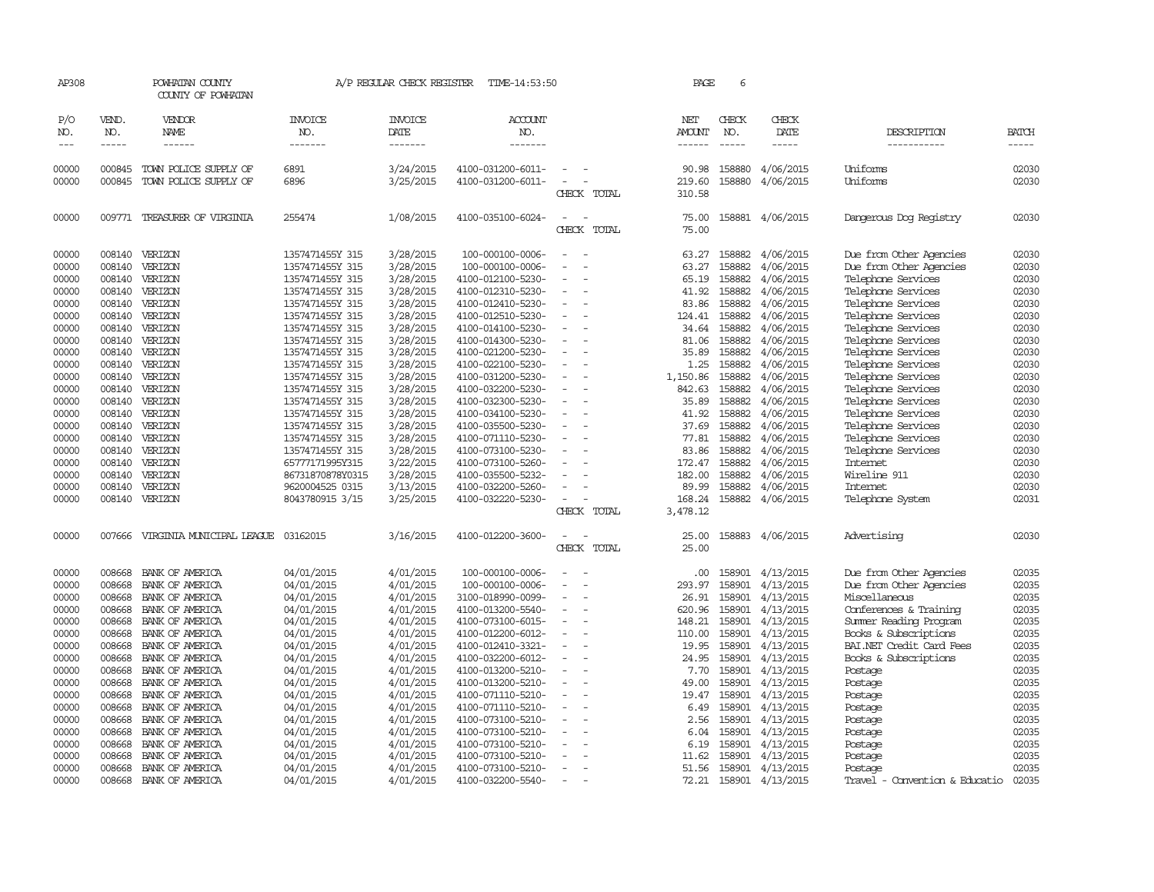| AP308               |                             | POWHATAN COUNTY<br>COUNTY OF POWHATAN |                                  | A/P REGULAR CHECK REGISTER        | TIME-14:53:50                    |                          |             | PAGE                           | 6                             |                              |                                |                       |
|---------------------|-----------------------------|---------------------------------------|----------------------------------|-----------------------------------|----------------------------------|--------------------------|-------------|--------------------------------|-------------------------------|------------------------------|--------------------------------|-----------------------|
| P/O<br>NO.<br>$---$ | VEND.<br>NO.<br>$- - - - -$ | VENDOR<br>NAME<br>$- - - - - -$       | <b>INVOICE</b><br>NO.<br>------- | <b>INVOICE</b><br>DATE<br>------- | <b>ACCOUNT</b><br>NO.<br>------- |                          |             | NET<br>AMOUNT<br>$- - - - - -$ | CHECK<br>NO.<br>$\frac{1}{2}$ | CHECK<br>DATE<br>$- - - - -$ | DESCRIPTION<br>-----------     | <b>BATCH</b><br>----- |
|                     |                             |                                       |                                  |                                   |                                  |                          |             |                                |                               |                              |                                |                       |
| 00000               | 000845                      | TOWN POLICE SUPPLY OF                 | 6891                             | 3/24/2015                         | 4100-031200-6011-                |                          |             | 90.98                          | 158880                        | 4/06/2015                    | Uniforms                       | 02030                 |
| 00000               | 000845                      | TOWN POLICE SUPPLY OF                 | 6896                             | 3/25/2015                         | 4100-031200-6011-                |                          | CHECK TOTAL | 219.60<br>310.58               | 158880                        | 4/06/2015                    | Uniforms                       | 02030                 |
| 00000               | 009771                      | TREASURER OF VIRGINIA                 | 255474                           | 1/08/2015                         | 4100-035100-6024-                |                          |             | 75.00                          | 158881                        | 4/06/2015                    | Dangerous Dog Registry         | 02030                 |
|                     |                             |                                       |                                  |                                   |                                  |                          | CHECK TOTAL | 75.00                          |                               |                              |                                |                       |
| 00000               | 008140                      | VERIZON                               | 1357471455Y 315                  | 3/28/2015                         | 100-000100-0006-                 |                          |             | 63.27                          | 158882                        | 4/06/2015                    | Due from Other Agencies        | 02030                 |
| 00000               | 008140                      | VERIZON                               | 1357471455Y 315                  | 3/28/2015                         | 100-000100-0006-                 |                          |             | 63.27                          | 158882                        | 4/06/2015                    | Due from Other Agencies        | 02030                 |
| 00000               | 008140                      | VERIZON                               | 1357471455Y 315                  | 3/28/2015                         | 4100-012100-5230-                |                          |             | 65.19                          | 158882                        | 4/06/2015                    | Telephone Services             | 02030                 |
| 00000               |                             | 008140 VERIZON                        | 1357471455Y 315                  | 3/28/2015                         | 4100-012310-5230-                |                          |             | 41.92                          | 158882                        | 4/06/2015                    | Telephone Services             | 02030                 |
| 00000               | 008140                      | VERIZON                               | 1357471455Y 315                  | 3/28/2015                         | 4100-012410-5230-                |                          |             | 83.86                          | 158882                        | 4/06/2015                    | Telephone Services             | 02030                 |
| 00000               | 008140                      | VERIZON                               | 1357471455Y 315                  | 3/28/2015                         | 4100-012510-5230-                |                          |             | 124.41                         | 158882                        | 4/06/2015                    | Telephone Services             | 02030                 |
| 00000               |                             | 008140 VERIZON                        | 1357471455Y 315                  | 3/28/2015                         | 4100-014100-5230-                |                          |             | 34.64                          | 158882                        | 4/06/2015                    | Telephone Services             | 02030                 |
| 00000               | 008140                      | VERIZON                               | 1357471455Y 315                  | 3/28/2015                         | 4100-014300-5230-                |                          |             | 81.06                          | 158882                        | 4/06/2015                    | Telephone Services             | 02030                 |
| 00000               | 008140                      | VERIZON                               | 1357471455Y 315                  | 3/28/2015                         | 4100-021200-5230-                |                          |             | 35.89                          | 158882                        | 4/06/2015                    | Telephone Services             | 02030                 |
| 00000               | 008140                      | VERIZON                               | 1357471455Y 315                  | 3/28/2015                         | 4100-022100-5230-                |                          |             | 1.25                           | 158882                        | 4/06/2015                    | Telephone Services             | 02030                 |
| 00000               | 008140                      | VERIZON                               | 1357471455Y 315                  | 3/28/2015                         | 4100-031200-5230-                |                          |             | 1,150.86                       | 158882                        | 4/06/2015                    | Telephone Services             | 02030                 |
| 00000               | 008140                      | VERIZON                               | 1357471455Y 315                  | 3/28/2015                         | 4100-032200-5230-                |                          |             | 842.63                         | 158882                        | 4/06/2015                    | Telephone Services             | 02030                 |
| 00000               | 008140                      | VERIZON                               | 1357471455Y 315                  | 3/28/2015                         | 4100-032300-5230-                |                          |             | 35.89                          | 158882                        | 4/06/2015                    | Telephone Services             | 02030                 |
| 00000               |                             | 008140 VERIZON                        | 1357471455Y 315                  | 3/28/2015                         | 4100-034100-5230-                | $\sim$                   |             | 41.92                          | 158882                        | 4/06/2015                    | Telephone Services             | 02030                 |
| 00000               | 008140                      | VERIZON                               | 1357471455Y 315                  | 3/28/2015                         | 4100-035500-5230-                |                          |             | 37.69                          | 158882                        | 4/06/2015                    | Telephone Services             | 02030                 |
| 00000               | 008140                      | VERIZON                               | 1357471455Y 315                  | 3/28/2015                         | 4100-071110-5230-                |                          |             | 77.81                          | 158882                        | 4/06/2015                    | Telephone Services             | 02030                 |
| 00000               | 008140                      | VERIZON                               | 1357471455Y 315                  | 3/28/2015                         | 4100-073100-5230-                |                          |             | 83.86                          | 158882                        | 4/06/2015                    | Telephone Services             | 02030                 |
| 00000               | 008140                      | VERIZON                               | 65777171995Y315                  | 3/22/2015                         | 4100-073100-5260-                |                          |             | 172.47                         | 158882                        | 4/06/2015                    | Internet                       | 02030                 |
| 00000               | 008140                      | VERIZON                               | 86731870878Y0315                 | 3/28/2015                         | 4100-035500-5232-                |                          |             | 182.00                         | 158882                        | 4/06/2015                    | Wireline 911                   | 02030                 |
| 00000               | 008140                      | VERIZON                               | 9620004525 0315                  | 3/13/2015                         | 4100-032200-5260-                |                          |             | 89.99                          | 158882                        | 4/06/2015                    | Internet                       | 02030                 |
|                     |                             |                                       |                                  |                                   |                                  |                          |             |                                |                               |                              |                                |                       |
| 00000               |                             | 008140 VERIZON                        | 8043780915 3/15                  | 3/25/2015                         | 4100-032220-5230-                |                          |             | 168.24                         | 158882                        | 4/06/2015                    | Telephone System               | 02031                 |
|                     |                             |                                       |                                  |                                   |                                  |                          | CHECK TOTAL | 3,478.12                       |                               |                              |                                |                       |
| 00000               |                             | 007666 VIRGINIA MUNICIPAL LEAGUE      | 03162015                         | 3/16/2015                         | 4100-012200-3600-                |                          |             | 25.00                          |                               | 158883 4/06/2015             | Advertising                    | 02030                 |
|                     |                             |                                       |                                  |                                   |                                  |                          | CHECK TOTAL | 25.00                          |                               |                              |                                |                       |
| 00000               | 008668                      | BANK OF AMERICA                       | 04/01/2015                       | 4/01/2015                         | 100-000100-0006-                 |                          |             | .00.                           | 158901                        | 4/13/2015                    | Due from Other Agencies        | 02035                 |
| 00000               | 008668                      | BANK OF AMERICA                       | 04/01/2015                       | 4/01/2015                         | 100-000100-0006-                 | $\overline{\phantom{a}}$ |             | 293.97                         | 158901                        | 4/13/2015                    | Due from Other Agencies        | 02035                 |
| 00000               | 008668                      | BANK OF AMERICA                       | 04/01/2015                       | 4/01/2015                         | 3100-018990-0099-                |                          |             | 26.91                          | 158901                        | 4/13/2015                    | Miscellaneous                  | 02035                 |
| 00000               | 008668                      | BANK OF AMERICA                       | 04/01/2015                       | 4/01/2015                         | 4100-013200-5540-                |                          |             | 620.96                         | 158901                        | 4/13/2015                    | Conferences & Training         | 02035                 |
| 00000               | 008668                      | BANK OF AMERICA                       | 04/01/2015                       | 4/01/2015                         | 4100-073100-6015-                | $\equiv$                 |             | 148.21                         |                               | 158901 4/13/2015             | Summer Reading Program         | 02035                 |
| 00000               | 008668                      | BANK OF AMERICA                       | 04/01/2015                       | 4/01/2015                         | 4100-012200-6012-                |                          |             | 110.00                         | 158901                        | 4/13/2015                    | Books & Subscriptions          | 02035                 |
| 00000               | 008668                      | BANK OF AMERICA                       | 04/01/2015                       | 4/01/2015                         | 4100-012410-3321-                |                          |             | 19.95                          | 158901                        | 4/13/2015                    | BAI.NET Credit Card Fees       | 02035                 |
| 00000               | 008668                      | BANK OF AMERICA                       | 04/01/2015                       | 4/01/2015                         | 4100-032200-6012-                | $\overline{\phantom{a}}$ |             | 24.95                          |                               | 158901 4/13/2015             | Books & Subscriptions          | 02035                 |
| 00000               | 008668                      | BANK OF AMERICA                       | 04/01/2015                       | 4/01/2015                         | 4100-013200-5210-                |                          |             | 7.70                           | 158901                        | 4/13/2015                    | Postage                        | 02035                 |
| 00000               | 008668                      | BANK OF AMERICA                       | 04/01/2015                       | 4/01/2015                         | 4100-013200-5210-                |                          |             | 49.00                          |                               | 158901 4/13/2015             | Postage                        | 02035                 |
| 00000               | 008668                      | BANK OF AMERICA                       | 04/01/2015                       | 4/01/2015                         | 4100-071110-5210-                |                          |             | 19.47                          |                               | 158901 4/13/2015             | Postage                        | 02035                 |
| 00000               | 008668                      | BANK OF AMERICA                       | 04/01/2015                       | 4/01/2015                         | 4100-071110-5210-                | $\overline{\phantom{a}}$ |             | 6.49                           |                               | 158901 4/13/2015             | Postage                        | 02035                 |
| 00000               | 008668                      | BANK OF AMERICA                       | 04/01/2015                       | 4/01/2015                         | 4100-073100-5210-                |                          |             | 2.56                           |                               | 158901 4/13/2015             | Postage                        | 02035                 |
| 00000               | 008668                      | BANK OF AMERICA                       | 04/01/2015                       | 4/01/2015                         | 4100-073100-5210-                |                          |             | 6.04                           |                               | 158901 4/13/2015             | Postage                        | 02035                 |
| 00000               | 008668                      | BANK OF AMERICA                       | 04/01/2015                       | 4/01/2015                         | 4100-073100-5210-                |                          |             | 6.19                           |                               | 158901 4/13/2015             | Postage                        | 02035                 |
| 00000               | 008668                      | BANK OF AMERICA                       | 04/01/2015                       | 4/01/2015                         | 4100-073100-5210-                |                          |             | 11.62                          | 158901                        | 4/13/2015                    | Postage                        | 02035                 |
| 00000               | 008668                      | BANK OF AMERICA                       | 04/01/2015                       | 4/01/2015                         | 4100-073100-5210-                | $\overline{a}$           |             | 51.56                          |                               | 158901 4/13/2015             | Postage                        | 02035                 |
| 00000               | 008668                      | BANK OF AMERICA                       | 04/01/2015                       | 4/01/2015                         | 4100-032200-5540-                |                          |             | 72.21                          |                               | 158901 4/13/2015             | Travel - Convention & Educatio | 02035                 |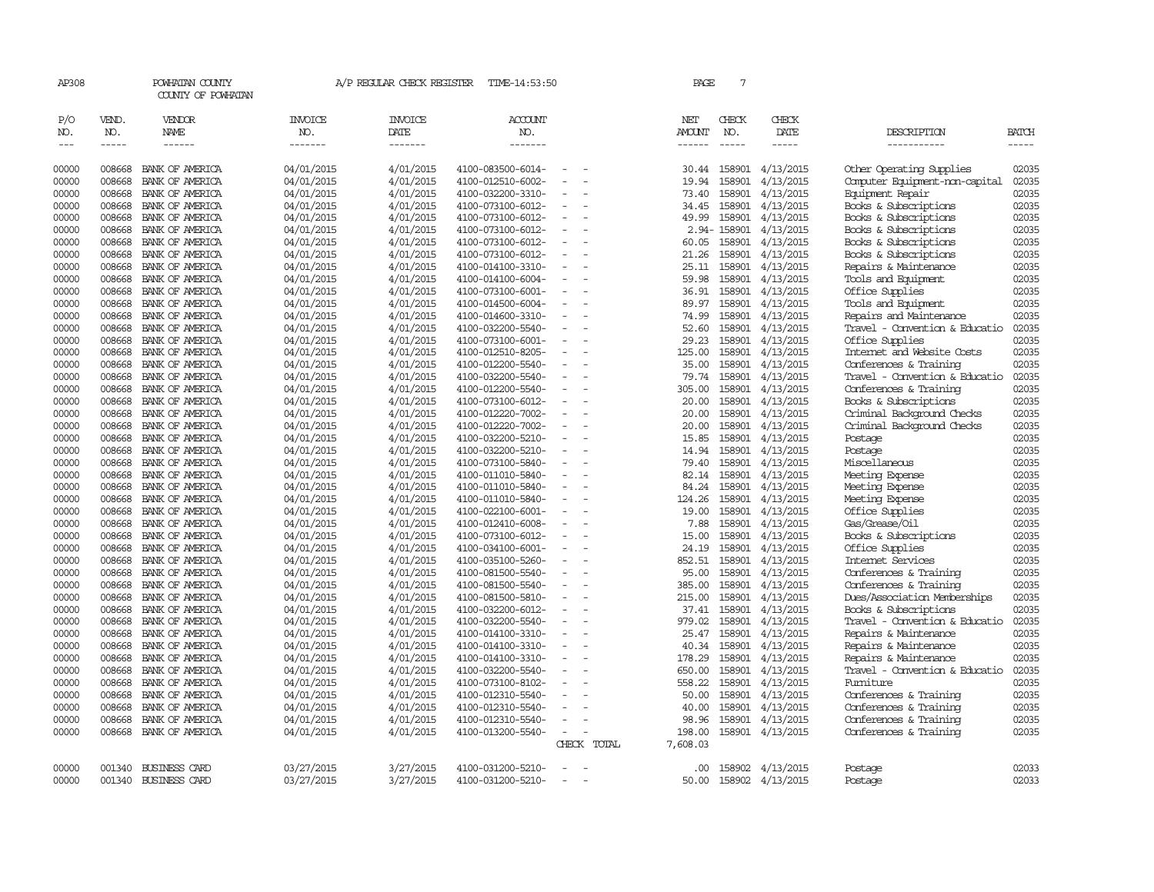|                |                  | COUNTY OF POWHATAN                 |                          |                        |                                        |                          |             |                 |                  |                        |                                                          |                |
|----------------|------------------|------------------------------------|--------------------------|------------------------|----------------------------------------|--------------------------|-------------|-----------------|------------------|------------------------|----------------------------------------------------------|----------------|
| P/O<br>NO.     | VEND.<br>NO.     | <b>VENDOR</b><br>NAME              | <b>INVOICE</b><br>NO.    | <b>INVOICE</b><br>DATE | ACCOUNT<br>NO.                         |                          |             | NET<br>AMOUNT   | CHECK<br>NO.     | CHECK<br>DATE          | DESCRIPTION                                              | <b>BATCH</b>   |
| $---$          | $- - - - -$      | ------                             | -------                  | -------                | -------                                |                          |             | ------          | $\frac{1}{2}$    | $- - - - -$            | -----------                                              | -----          |
| 00000          | 008668           | BANK OF AMERICA                    | 04/01/2015               | 4/01/2015              | 4100-083500-6014-                      |                          |             | 30.44           | 158901           | 4/13/2015              | Other Operating Supplies                                 | 02035          |
| 00000          | 008668           | BANK OF AMERICA                    | 04/01/2015               | 4/01/2015              | 4100-012510-6002-                      | $\overline{\phantom{a}}$ |             | 19.94           | 158901           | 4/13/2015              | Computer Equipment-non-capital                           | 02035          |
| 00000          | 008668           | BANK OF AMERICA                    | 04/01/2015               | 4/01/2015              | 4100-032200-3310-                      | $\equiv$                 |             | 73.40           | 158901           | 4/13/2015              | Equipment Repair                                         | 02035          |
| 00000          | 008668           | BANK OF AMERICA                    | 04/01/2015               | 4/01/2015              | 4100-073100-6012-                      |                          |             | 34.45           | 158901           | 4/13/2015              | Books & Subscriptions                                    | 02035          |
| 00000          | 008668           | BANK OF AMERICA                    | 04/01/2015               | 4/01/2015              | 4100-073100-6012-                      | $\equiv$                 |             | 49.99           | 158901           | 4/13/2015              | Books & Subscriptions                                    | 02035          |
| 00000          | 008668           | BANK OF AMERICA                    | 04/01/2015               | 4/01/2015              | 4100-073100-6012-                      |                          |             |                 | 2.94-158901      | 4/13/2015              | Books & Subscriptions                                    | 02035          |
| 00000          | 008668           | BANK OF AMERICA                    | 04/01/2015               | 4/01/2015              | 4100-073100-6012-                      |                          |             | 60.05           | 158901           | 4/13/2015              | Books & Subscriptions                                    | 02035          |
| 00000          | 008668           | BANK OF AMERICA                    | 04/01/2015               | 4/01/2015              | 4100-073100-6012-                      | $\overline{\phantom{a}}$ |             | 21.26           | 158901           | 4/13/2015              | Books & Subscriptions                                    | 02035          |
| 00000          | 008668           | BANK OF AMERICA                    | 04/01/2015               | 4/01/2015              | 4100-014100-3310-                      |                          |             | 25.11           | 158901           | 4/13/2015              | Repairs & Maintenance                                    | 02035          |
| 00000          | 008668           | BANK OF AMERICA                    | 04/01/2015               | 4/01/2015              | 4100-014100-6004-                      |                          |             | 59.98           | 158901           | 4/13/2015              | Tools and Equipment                                      | 02035          |
| 00000          | 008668           | BANK OF AMERICA                    | 04/01/2015               | 4/01/2015              | 4100-073100-6001-                      | $\overline{\phantom{a}}$ |             | 36.91           | 158901           | 4/13/2015              | Office Supplies                                          | 02035          |
| 00000          | 008668           | BANK OF AMERICA                    | 04/01/2015               | 4/01/2015              | 4100-014500-6004-                      |                          |             | 89.97           | 158901           | 4/13/2015              | Tools and Equipment                                      | 02035          |
| 00000          | 008668           | BANK OF AMERICA                    | 04/01/2015               | 4/01/2015              | 4100-014600-3310-                      |                          |             | 74.99           | 158901           | 4/13/2015              | Repairs and Maintenance                                  | 02035          |
| 00000          | 008668           | BANK OF AMERICA                    | 04/01/2015               | 4/01/2015              | 4100-032200-5540-                      | $\overline{\phantom{a}}$ |             | 52.60           | 158901           | 4/13/2015              | Travel - Convention & Educatio                           | 02035          |
| 00000          | 008668           | BANK OF AMERICA                    | 04/01/2015               | 4/01/2015              | 4100-073100-6001-                      |                          |             | 29.23           | 158901           | 4/13/2015              | Office Supplies                                          | 02035<br>02035 |
| 00000          | 008668           | BANK OF AMERICA                    | 04/01/2015               | 4/01/2015              | 4100-012510-8205-                      | $\equiv$                 |             | 125.00          | 158901           | 4/13/2015              | Internet and Website Costs                               |                |
| 00000          | 008668           | BANK OF AMERICA                    | 04/01/2015               | 4/01/2015              | 4100-012200-5540-                      |                          |             | 35.00           | 158901           | 4/13/2015              | Conferences & Training                                   | 02035          |
| 00000          | 008668<br>008668 | BANK OF AMERICA                    | 04/01/2015               | 4/01/2015<br>4/01/2015 | 4100-032200-5540-                      | $\overline{\phantom{a}}$ |             | 79.74           | 158901<br>158901 | 4/13/2015<br>4/13/2015 | Travel - Convention & Educatio<br>Conferences & Training | 02035<br>02035 |
| 00000<br>00000 | 008668           | BANK OF AMERICA<br>BANK OF AMERICA | 04/01/2015               |                        | 4100-012200-5540-                      | $\equiv$                 |             | 305.00<br>20.00 | 158901           |                        |                                                          | 02035          |
| 00000          | 008668           |                                    | 04/01/2015               | 4/01/2015              | 4100-073100-6012-<br>4100-012220-7002- | $\sim$                   |             |                 | 158901           | 4/13/2015              | Books & Subscriptions                                    | 02035          |
| 00000          | 008668           | BANK OF AMERICA<br>BANK OF AMERICA | 04/01/2015<br>04/01/2015 | 4/01/2015<br>4/01/2015 | 4100-012220-7002-                      | $\equiv$                 |             | 20.00<br>20.00  | 158901           | 4/13/2015<br>4/13/2015 | Criminal Background Checks<br>Criminal Background Checks | 02035          |
| 00000          | 008668           | BANK OF AMERICA                    |                          | 4/01/2015              | 4100-032200-5210-                      | $\overline{\phantom{a}}$ |             | 15.85           | 158901           | 4/13/2015              | Postage                                                  | 02035          |
| 00000          | 008668           | BANK OF AMERICA                    | 04/01/2015<br>04/01/2015 | 4/01/2015              | 4100-032200-5210-                      |                          |             | 14.94           | 158901           | 4/13/2015              | Postage                                                  | 02035          |
| 00000          | 008668           | BANK OF AMERICA                    | 04/01/2015               | 4/01/2015              | 4100-073100-5840-                      | $\equiv$                 |             | 79.40           | 158901           | 4/13/2015              | Miscellaneous                                            | 02035          |
| 00000          | 008668           | BANK OF AMERICA                    | 04/01/2015               | 4/01/2015              | 4100-011010-5840-                      |                          |             | 82.14           | 158901           | 4/13/2015              | Meeting Expense                                          | 02035          |
| 00000          | 008668           | BANK OF AMERICA                    | 04/01/2015               | 4/01/2015              | 4100-011010-5840-                      | $\equiv$                 |             | 84.24           | 158901           | 4/13/2015              | Meeting Expense                                          | 02035          |
| 00000          | 008668           | BANK OF AMERICA                    | 04/01/2015               | 4/01/2015              | 4100-011010-5840-                      | $\sim$                   |             | 124.26          | 158901           | 4/13/2015              | Meeting Expense                                          | 02035          |
| 00000          | 008668           | BANK OF AMERICA                    | 04/01/2015               | 4/01/2015              | 4100-022100-6001-                      |                          |             | 19.00           | 158901           | 4/13/2015              | Office Supplies                                          | 02035          |
| 00000          | 008668           | BANK OF AMERICA                    | 04/01/2015               | 4/01/2015              | 4100-012410-6008-                      | $\sim$                   |             | 7.88            | 158901           | 4/13/2015              | Gas/Grease/Oil                                           | 02035          |
| 00000          | 008668           | BANK OF AMERICA                    | 04/01/2015               | 4/01/2015              | 4100-073100-6012-                      | $\sim$                   |             | 15.00           | 158901           | 4/13/2015              | Books & Subscriptions                                    | 02035          |
| 00000          | 008668           | BANK OF AMERICA                    | 04/01/2015               | 4/01/2015              | 4100-034100-6001-                      |                          |             | 24.19           | 158901           | 4/13/2015              | Office Supplies                                          | 02035          |
| 00000          | 008668           | BANK OF AMERICA                    | 04/01/2015               | 4/01/2015              | 4100-035100-5260-                      | $\equiv$                 |             | 852.51          | 158901           | 4/13/2015              | Internet Services                                        | 02035          |
| 00000          | 008668           | BANK OF AMERICA                    | 04/01/2015               | 4/01/2015              | 4100-081500-5540-                      | $\equiv$                 |             | 95.00           | 158901           | 4/13/2015              | Conferences & Training                                   | 02035          |
| 00000          | 008668           | BANK OF AMERICA                    | 04/01/2015               | 4/01/2015              | 4100-081500-5540-                      |                          |             | 385.00          | 158901           | 4/13/2015              | Conferences & Training                                   | 02035          |
| 00000          | 008668           | BANK OF AMERICA                    | 04/01/2015               | 4/01/2015              | 4100-081500-5810-                      | $\overline{\phantom{a}}$ |             | 215.00          | 158901           | 4/13/2015              | Dues/Association Memberships                             | 02035          |
| 00000          | 008668           | BANK OF AMERICA                    | 04/01/2015               | 4/01/2015              | 4100-032200-6012-                      | $\overline{\phantom{a}}$ |             | 37.41           | 158901           | 4/13/2015              | Books & Subscriptions                                    | 02035          |
| 00000          | 008668           | BANK OF AMERICA                    | 04/01/2015               | 4/01/2015              | 4100-032200-5540-                      |                          |             | 979.02          | 158901           | 4/13/2015              | Travel - Convention & Educatio                           | 02035          |
| 00000          | 008668           | BANK OF AMERICA                    | 04/01/2015               | 4/01/2015              | 4100-014100-3310-                      | $\overline{\phantom{a}}$ |             | 25.47           | 158901           | 4/13/2015              | Repairs & Maintenance                                    | 02035          |
| 00000          | 008668           | BANK OF AMERICA                    | 04/01/2015               | 4/01/2015              | 4100-014100-3310-                      | $\sim$                   |             | 40.34           | 158901           | 4/13/2015              | Repairs & Maintenance                                    | 02035          |
| 00000          | 008668           | BANK OF AMERICA                    | 04/01/2015               | 4/01/2015              | 4100-014100-3310-                      |                          |             | 178.29          | 158901           | 4/13/2015              | Repairs & Maintenance                                    | 02035          |
| 00000          | 008668           | BANK OF AMERICA                    | 04/01/2015               | 4/01/2015              | 4100-032200-5540-                      | $\overline{\phantom{a}}$ |             | 650.00          | 158901           | 4/13/2015              | Travel - Convention & Educatio                           | 02035          |
| 00000          | 008668           | BANK OF AMERICA                    | 04/01/2015               | 4/01/2015              | 4100-073100-8102-                      | $\sim$                   |             | 558.22          | 158901           | 4/13/2015              | Fumiture                                                 | 02035          |
| 00000          | 008668           | BANK OF AMERICA                    | 04/01/2015               | 4/01/2015              | 4100-012310-5540-                      |                          |             | 50.00           | 158901           | 4/13/2015              | Conferences & Training                                   | 02035          |
| 00000          | 008668           | BANK OF AMERICA                    | 04/01/2015               | 4/01/2015              | 4100-012310-5540-                      | $\overline{\phantom{a}}$ |             | 40.00           | 158901           | 4/13/2015              | Conferences & Training                                   | 02035          |
| 00000          | 008668           | BANK OF AMERICA                    | 04/01/2015               | 4/01/2015              | 4100-012310-5540-                      | $\overline{\phantom{a}}$ |             | 98.96           | 158901           | 4/13/2015              | Conferences & Training                                   | 02035          |
| 00000          |                  | 008668 BANK OF AMERICA             | 04/01/2015               | 4/01/2015              | 4100-013200-5540-                      | $\overline{\phantom{a}}$ |             | 198.00          |                  | 158901 4/13/2015       | Conferences & Training                                   | 02035          |
|                |                  |                                    |                          |                        |                                        |                          | CHECK TOTAL | 7,608.03        |                  |                        |                                                          |                |
|                |                  |                                    |                          |                        |                                        |                          |             |                 |                  |                        |                                                          |                |
| 00000          | 001340           | <b>BUSINESS CARD</b>               | 03/27/2015               | 3/27/2015              | 4100-031200-5210-                      | $\overline{\phantom{a}}$ |             | .00             |                  | 158902 4/13/2015       | Postage                                                  | 02033          |
| 00000          | 001340           | <b>BUSINESS CARD</b>               | 03/27/2015               | 3/27/2015              | 4100-031200-5210-                      | $\sim$                   |             | 50.00           |                  | 158902 4/13/2015       | Postage                                                  | 02033          |

AP308 POWHATAN COUNTY A/P REGULAR CHECK REGISTER TIME-14:53:50 PAGE 7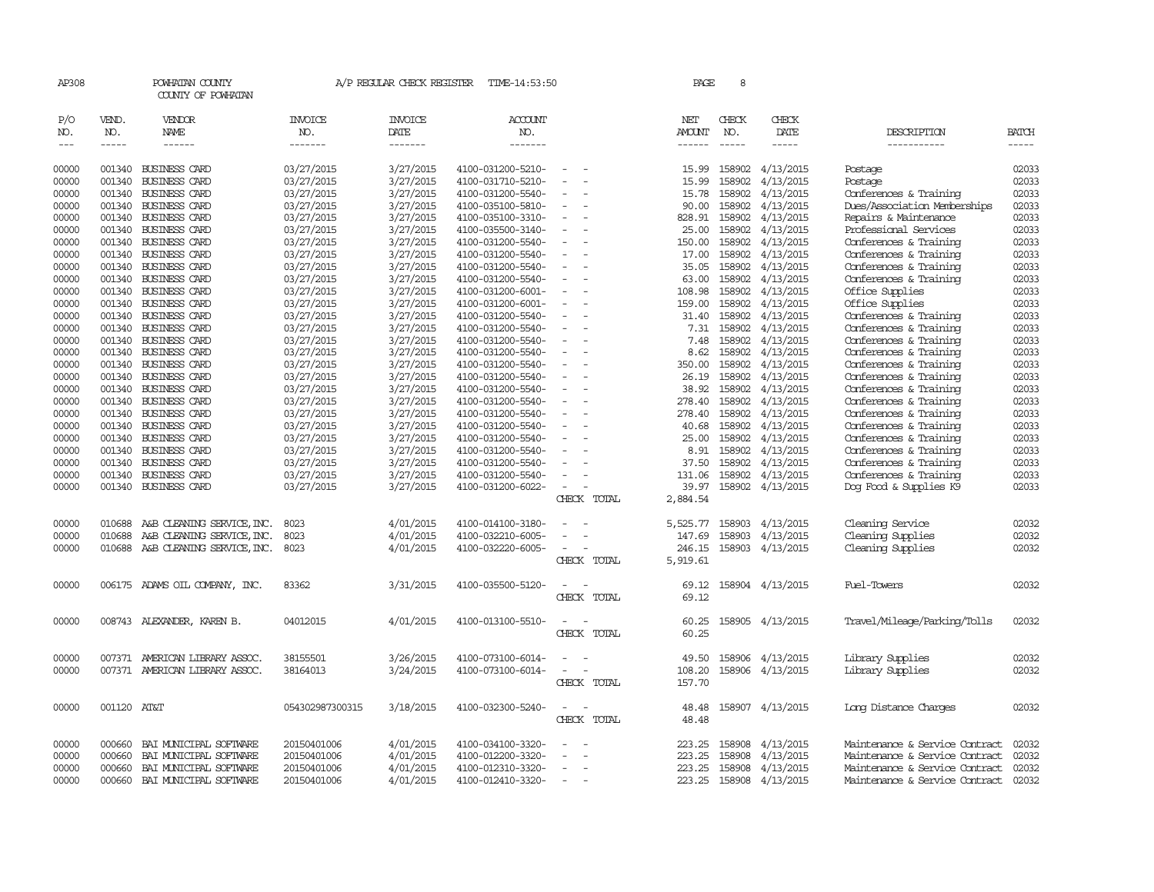| AP308                       |                             | POWHATAN COUNTY<br>COUNTY OF POWHATAN  |                                  | A/P REGULAR CHECK REGISTER        | TIME-14:53:50                    |                          | PAGE                    | 8                           |                        |                                |                       |
|-----------------------------|-----------------------------|----------------------------------------|----------------------------------|-----------------------------------|----------------------------------|--------------------------|-------------------------|-----------------------------|------------------------|--------------------------------|-----------------------|
| P/O<br>NO.<br>$\frac{1}{2}$ | VEND.<br>NO.<br>$- - - - -$ | VENDOR<br><b>NAME</b><br>$- - - - - -$ | <b>INVOICE</b><br>NO.<br>------- | <b>INVOICE</b><br>DATE<br>------- | <b>ACCOUNT</b><br>NO.<br>------- |                          | NET<br>AMOUNT<br>------ | CHECK<br>NO.<br>$- - - - -$ | CHECK<br>DATE<br>----- | DESCRIPTION<br>-----------     | <b>BATCH</b><br>----- |
| 00000                       | 001340                      | <b>BUSINESS CARD</b>                   | 03/27/2015                       | 3/27/2015                         | 4100-031200-5210-                |                          | 15.99                   | 158902                      | 4/13/2015              | Postage                        | 02033                 |
| 00000                       | 001340                      | <b>BUSINESS CARD</b>                   | 03/27/2015                       | 3/27/2015                         | 4100-031710-5210-                |                          | 15.99                   | 158902                      | 4/13/2015              | Postage                        | 02033                 |
| 00000                       | 001340                      | <b>BUSINESS CARD</b>                   | 03/27/2015                       | 3/27/2015                         | 4100-031200-5540-                |                          | 15.78                   | 158902                      | 4/13/2015              | Conferences & Training         | 02033                 |
| 00000                       | 001340                      | BUSINESS CARD                          | 03/27/2015                       | 3/27/2015                         | 4100-035100-5810-                |                          | 90.00                   | 158902                      | 4/13/2015              | Dues/Association Memberships   | 02033                 |
| 00000                       | 001340                      | BUSINESS CARD                          | 03/27/2015                       | 3/27/2015                         | 4100-035100-3310-                |                          | 828.91                  | 158902                      | 4/13/2015              | Repairs & Maintenance          | 02033                 |
| 00000                       | 001340                      | BUSINESS CARD                          | 03/27/2015                       | 3/27/2015                         | 4100-035500-3140-                | $\overline{\phantom{a}}$ | 25.00                   | 158902                      | 4/13/2015              | Professional Services          | 02033                 |
| 00000                       | 001340                      | <b>BUSINESS CARD</b>                   | 03/27/2015                       | 3/27/2015                         | 4100-031200-5540-                |                          | 150.00                  | 158902                      | 4/13/2015              | Conferences & Training         | 02033                 |
| 00000                       | 001340                      | <b>BUSINESS CARD</b>                   | 03/27/2015                       | 3/27/2015                         | 4100-031200-5540-                |                          | 17.00                   | 158902                      | 4/13/2015              | Conferences & Training         | 02033                 |
| 00000                       | 001340                      | <b>BUSINESS CARD</b>                   | 03/27/2015                       | 3/27/2015                         | 4100-031200-5540-                |                          | 35.05                   | 158902                      | 4/13/2015              | Conferences & Training         | 02033                 |
| 00000                       | 001340                      | <b>BUSINESS CARD</b>                   | 03/27/2015                       | 3/27/2015                         | 4100-031200-5540-                | $\overline{\phantom{a}}$ | 63.00                   | 158902                      | 4/13/2015              | Conferences & Training         | 02033                 |
| 00000                       | 001340                      | <b>BUSINESS CARD</b>                   | 03/27/2015                       | 3/27/2015                         | 4100-031200-6001-                |                          | 108.98                  | 158902                      | 4/13/2015              | Office Supplies                | 02033                 |
| 00000                       | 001340                      | <b>BUSINESS CARD</b>                   | 03/27/2015                       | 3/27/2015                         | 4100-031200-6001-                |                          | 159.00                  | 158902                      | 4/13/2015              | Office Supplies                | 02033                 |
| 00000                       | 001340                      | <b>BUSINESS CARD</b>                   | 03/27/2015                       | 3/27/2015                         | 4100-031200-5540-                | $\equiv$                 | 31.40                   | 158902                      | 4/13/2015              | Conferences & Training         | 02033                 |
| 00000                       | 001340                      | <b>BUSINESS CARD</b>                   | 03/27/2015                       | 3/27/2015                         | 4100-031200-5540-                |                          | 7.31                    | 158902                      | 4/13/2015              | Conferences & Training         | 02033                 |
| 00000                       | 001340                      | <b>BUSINESS CARD</b>                   | 03/27/2015                       | 3/27/2015                         | 4100-031200-5540-                |                          | 7.48                    | 158902                      | 4/13/2015              | Conferences & Training         | 02033                 |
| 00000                       | 001340                      | <b>BUSINESS CARD</b>                   | 03/27/2015                       | 3/27/2015                         | 4100-031200-5540-                |                          | 8.62                    | 158902                      | 4/13/2015              | Conferences & Training         | 02033                 |
| 00000                       | 001340                      | <b>BUSINESS CARD</b>                   | 03/27/2015                       | 3/27/2015                         | 4100-031200-5540-                | $\overline{\phantom{a}}$ | 350.00                  | 158902                      | 4/13/2015              | Conferences & Training         | 02033                 |
| 00000                       | 001340                      | <b>BUSINESS CARD</b>                   | 03/27/2015                       | 3/27/2015                         | 4100-031200-5540-                |                          | 26.19                   | 158902                      | 4/13/2015              | Conferences & Training         | 02033                 |
| 00000                       | 001340                      | <b>BUSINESS CARD</b>                   | 03/27/2015                       | 3/27/2015                         | 4100-031200-5540-                |                          | 38.92                   | 158902                      | 4/13/2015              | Conferences & Training         | 02033                 |
| 00000                       | 001340                      | <b>BUSINESS CARD</b>                   | 03/27/2015                       | 3/27/2015                         | 4100-031200-5540-                |                          | 278.40                  | 158902                      | 4/13/2015              | Conferences & Training         | 02033                 |
| 00000                       | 001340                      | <b>BUSINESS CARD</b>                   | 03/27/2015                       | 3/27/2015                         | 4100-031200-5540-                |                          | 278.40                  | 158902                      | 4/13/2015              | Conferences & Training         | 02033                 |
| 00000                       | 001340                      | <b>BUSINESS CARD</b>                   | 03/27/2015                       | 3/27/2015                         | 4100-031200-5540-                |                          | 40.68                   | 158902                      | 4/13/2015              | Conferences & Training         | 02033                 |
| 00000                       | 001340                      | <b>BUSINESS CARD</b>                   | 03/27/2015                       | 3/27/2015                         | 4100-031200-5540-                |                          | 25.00                   | 158902                      | 4/13/2015              | Conferences & Training         | 02033                 |
| 00000                       | 001340                      | <b>BUSINESS CARD</b>                   | 03/27/2015                       | 3/27/2015                         | 4100-031200-5540-                | $\overline{\phantom{a}}$ | 8.91                    | 158902                      | 4/13/2015              | Conferences & Training         | 02033                 |
| 00000                       | 001340                      | <b>BUSINESS CARD</b>                   | 03/27/2015                       | 3/27/2015                         | 4100-031200-5540-                |                          | 37.50                   | 158902                      | 4/13/2015              | Conferences & Training         | 02033                 |
| 00000                       | 001340                      | <b>BUSINESS CARD</b>                   | 03/27/2015                       | 3/27/2015                         | 4100-031200-5540-                |                          | 131.06                  | 158902                      | 4/13/2015              | Conferences & Training         | 02033                 |
| 00000                       |                             | 001340 BUSINESS CARD                   | 03/27/2015                       | 3/27/2015                         | 4100-031200-6022-                | $\equiv$                 | 39.97                   |                             | 158902 4/13/2015       | Dog Food & Supplies K9         | 02033                 |
|                             |                             |                                        |                                  |                                   |                                  | CHECK TOTAL              | 2,884.54                |                             |                        |                                |                       |
|                             |                             |                                        |                                  |                                   |                                  |                          |                         |                             |                        |                                |                       |
| 00000                       | 010688                      | A&B CLEANING SERVICE, INC.             | 8023                             | 4/01/2015                         | 4100-014100-3180-                |                          | 5,525.77                | 158903                      | 4/13/2015              | Cleaning Service               | 02032                 |
| 00000                       | 010688                      | A&B CLEANING SERVICE, INC.             | 8023                             | 4/01/2015                         | 4100-032210-6005-                |                          | 147.69                  | 158903                      | 4/13/2015              | Cleaning Supplies              | 02032                 |
| 00000                       | 010688                      | A&B CLEANING SERVICE, INC.             | 8023                             | 4/01/2015                         | 4100-032220-6005-                |                          | 246.15                  | 158903                      | 4/13/2015              | Cleaning Supplies              | 02032                 |
|                             |                             |                                        |                                  |                                   |                                  | CHECK TOTAL              | 5,919.61                |                             |                        |                                |                       |
| 00000                       |                             | 006175 ADAMS OIL COMPANY, INC.         | 83362                            | 3/31/2015                         | 4100-035500-5120-                | CHECK TOTAL              | 69.12<br>69.12          |                             | 158904 4/13/2015       | <b>Fuel-Towers</b>             | 02032                 |
| 00000                       |                             | 008743 ALEXANDER, KAREN B.             | 04012015                         | 4/01/2015                         | 4100-013100-5510-                | CHECK TOTAL              | 60.25<br>60.25          |                             | 158905 4/13/2015       | Travel/Mileaqe/Parking/Tolls   | 02032                 |
| 00000                       | 007371                      | AMERICAN LIBRARY ASSOC.                | 38155501                         | 3/26/2015                         | 4100-073100-6014-                |                          | 49.50                   |                             | 158906 4/13/2015       | Library Supplies               | 02032                 |
| 00000                       |                             | 007371 AMERICAN LIBRARY ASSOC.         | 38164013                         | 3/24/2015                         | 4100-073100-6014-                |                          | 108.20                  |                             | 158906 4/13/2015       | Library Supplies               | 02032                 |
|                             |                             |                                        |                                  |                                   |                                  | CHECK TOTAL              | 157.70                  |                             |                        |                                |                       |
| 00000                       | 001120 AT&T                 |                                        | 054302987300315                  | 3/18/2015                         | 4100-032300-5240-                |                          | 48.48                   |                             | 158907 4/13/2015       | Long Distance Charges          | 02032                 |
|                             |                             |                                        |                                  |                                   |                                  | CHECK TOTAL              | 48.48                   |                             |                        |                                |                       |
| 00000                       | 000660                      | BAI MUNICIPAL SOFTWARE                 | 20150401006                      | 4/01/2015                         | 4100-034100-3320-                |                          | 223.25                  | 158908                      | 4/13/2015              | Maintenance & Service Contract | 02032                 |
| 00000                       | 000660                      | BAI MUNICIPAL SOFTWARE                 | 20150401006                      | 4/01/2015                         | 4100-012200-3320-                |                          | 223.25                  | 158908                      | 4/13/2015              | Maintenance & Service Contract | 02032                 |
| 00000                       | 000660                      | BAI MUNICIPAL SOFTWARE                 | 20150401006                      | 4/01/2015                         | 4100-012310-3320-                |                          | 223.25                  | 158908                      | 4/13/2015              | Maintenance & Service Contract | 02032                 |
| 00000                       | 000660                      | BAI MUNICIPAL SOFTWARE                 | 20150401006                      | 4/01/2015                         | 4100-012410-3320-                | $\sim$                   | 223.25                  | 158908                      | 4/13/2015              | Maintenance & Service Contract | 02032                 |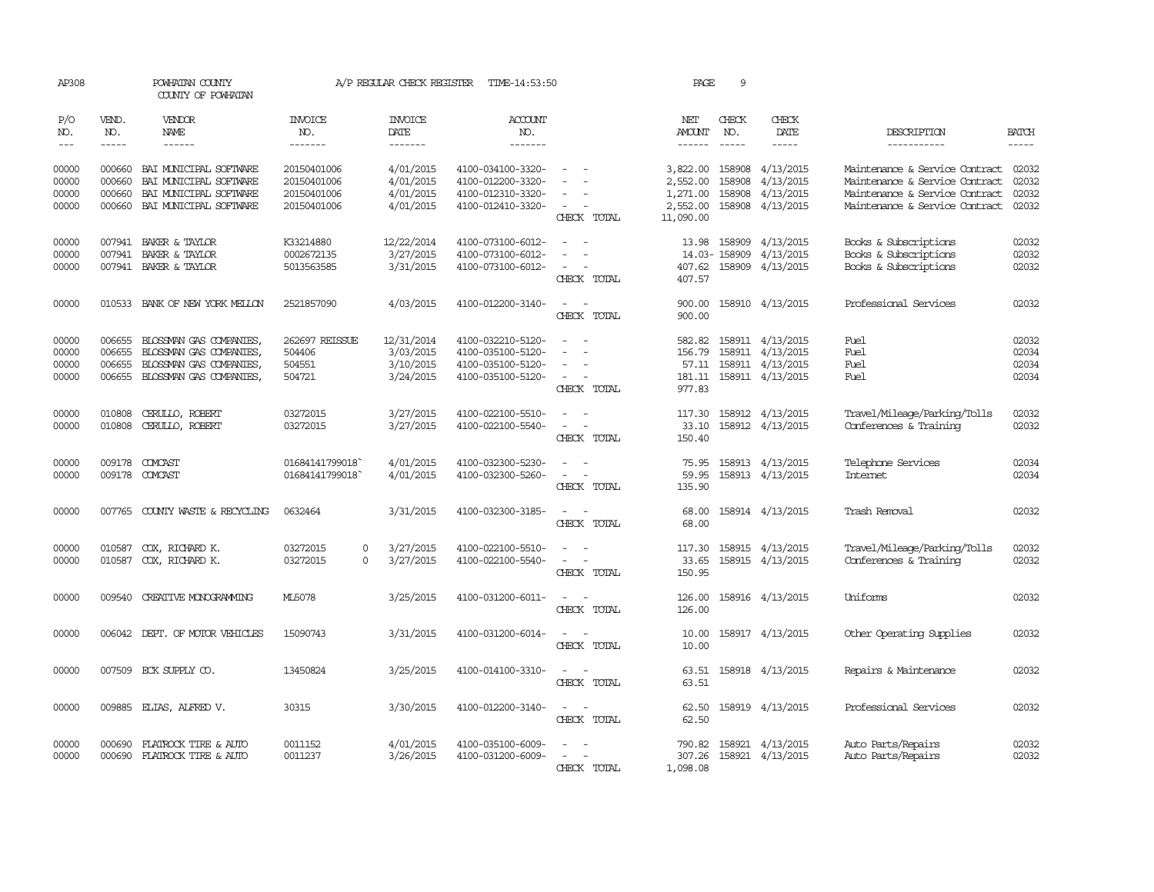| AP308                            |                                      | POWHATAN COUNTY<br>COUNTY OF POWHATAN                                                                                                                                                                                                                                                                                                                                                                                                                                                               |                                                          | A/P REGULAR CHECK REGISTER                        | TIME-14:53:50                                                                    |                                                     | PAGE                                                      | 9                                    |                                                                                    |                                                                                                                                      |                                  |
|----------------------------------|--------------------------------------|-----------------------------------------------------------------------------------------------------------------------------------------------------------------------------------------------------------------------------------------------------------------------------------------------------------------------------------------------------------------------------------------------------------------------------------------------------------------------------------------------------|----------------------------------------------------------|---------------------------------------------------|----------------------------------------------------------------------------------|-----------------------------------------------------|-----------------------------------------------------------|--------------------------------------|------------------------------------------------------------------------------------|--------------------------------------------------------------------------------------------------------------------------------------|----------------------------------|
| P/O<br>NO.<br>$---$              | VEND.<br>NO.<br>$\frac{1}{2}$        | VENDOR<br><b>NAME</b><br>$\frac{1}{2} \left( \frac{1}{2} \right) \left( \frac{1}{2} \right) \left( \frac{1}{2} \right) \left( \frac{1}{2} \right) \left( \frac{1}{2} \right) \left( \frac{1}{2} \right) \left( \frac{1}{2} \right) \left( \frac{1}{2} \right) \left( \frac{1}{2} \right) \left( \frac{1}{2} \right) \left( \frac{1}{2} \right) \left( \frac{1}{2} \right) \left( \frac{1}{2} \right) \left( \frac{1}{2} \right) \left( \frac{1}{2} \right) \left( \frac{1}{2} \right) \left( \frac$ | <b>INVOICE</b><br>NO.<br>-------                         | <b>INVOICE</b><br>DATE<br>-------                 | <b>ACCOUNT</b><br>NO.<br>-------                                                 |                                                     | NET<br><b>AMOUNT</b><br>$- - - - - -$                     | CHECK<br>NO.<br>$\frac{1}{2}$        | CHECK<br>DATE<br>-----                                                             | DESCRIPTION<br>-----------                                                                                                           | <b>BATCH</b><br>-----            |
| 00000<br>00000<br>00000<br>00000 | 000660<br>000660<br>000660<br>000660 | BAI MUNICIPAL SOFTWARE<br>BAI MUNICIPAL SOFTWARE<br>BAI MUNICIPAL SOFTWARE<br>BAI MUNICIPAL SOFTWARE                                                                                                                                                                                                                                                                                                                                                                                                | 20150401006<br>20150401006<br>20150401006<br>20150401006 | 4/01/2015<br>4/01/2015<br>4/01/2015<br>4/01/2015  | 4100-034100-3320-<br>4100-012200-3320-<br>4100-012310-3320-<br>4100-012410-3320- | $\overline{\phantom{a}}$<br>$\sim$<br>CHECK TOTAL   | 3,822.00<br>2,552.00<br>1,271.00<br>2,552.00<br>11,090.00 | 158908<br>158908<br>158908<br>158908 | 4/13/2015<br>4/13/2015<br>4/13/2015<br>4/13/2015                                   | Maintenance & Service Contract<br>Maintenance & Service Contract<br>Maintenance & Service Contract<br>Maintenance & Service Contract | 02032<br>02032<br>02032<br>02032 |
| 00000<br>00000<br>00000          | 007941                               | 007941 BAKER & TAYLOR<br>BAKER & TAYLOR<br>007941 BAKER & TAYLOR                                                                                                                                                                                                                                                                                                                                                                                                                                    | K33214880<br>0002672135<br>5013563585                    | 12/22/2014<br>3/27/2015<br>3/31/2015              | 4100-073100-6012-<br>4100-073100-6012-<br>4100-073100-6012-                      | $\overline{\phantom{a}}$<br>CHECK TOTAL             | 13.98<br>407.62<br>407.57                                 | 158909<br>14.03-158909               | 4/13/2015<br>4/13/2015<br>158909 4/13/2015                                         | Books & Subscriptions<br>Books & Subscriptions<br>Books & Subscriptions                                                              | 02032<br>02032<br>02032          |
| 00000                            | 010533                               | BANK OF NEW YORK MELLON                                                                                                                                                                                                                                                                                                                                                                                                                                                                             | 2521857090                                               | 4/03/2015                                         | 4100-012200-3140-                                                                | $\overline{\phantom{a}}$<br>CHECK TOTAL             | 900.00<br>900.00                                          |                                      | 158910 4/13/2015                                                                   | Professional Services                                                                                                                | 02032                            |
| 00000<br>00000<br>00000<br>00000 | 006655<br>006655<br>006655<br>006655 | BLOSSMAN GAS COMPANIES,<br>BLOSSMAN GAS COMPANIES,<br>BLOSSMAN GAS COMPANIES,<br>BLOSSMAN GAS COMPANIES,                                                                                                                                                                                                                                                                                                                                                                                            | 262697 REISSUE<br>504406<br>504551<br>504721             | 12/31/2014<br>3/03/2015<br>3/10/2015<br>3/24/2015 | 4100-032210-5120-<br>4100-035100-5120-<br>4100-035100-5120-<br>4100-035100-5120- | $\sim$<br>$\sim$<br>CHECK TOTAL                     | 582.82<br>156.79<br>181.11<br>977.83                      |                                      | 158911 4/13/2015<br>158911 4/13/2015<br>57.11 158911 4/13/2015<br>158911 4/13/2015 | Fuel<br>Fuel<br><b>Fuel</b><br><b>Fuel</b>                                                                                           | 02032<br>02034<br>02034<br>02034 |
| 00000<br>00000                   | 010808<br>010808                     | CERULLO, ROBERT<br>CERULLO, ROBERT                                                                                                                                                                                                                                                                                                                                                                                                                                                                  | 03272015<br>03272015                                     | 3/27/2015<br>3/27/2015                            | 4100-022100-5510-<br>4100-022100-5540-                                           | $\sim$<br>CHECK TOTAL                               | 117.30<br>33.10<br>150.40                                 |                                      | 158912 4/13/2015<br>158912 4/13/2015                                               | Travel/Mileage/Parking/Tolls<br>Conferences & Training                                                                               | 02032<br>02032                   |
| 00000<br>00000                   |                                      | 009178 COMCAST<br>009178 COMCAST                                                                                                                                                                                                                                                                                                                                                                                                                                                                    | 01684141799018<br>01684141799018                         | 4/01/2015<br>4/01/2015                            | 4100-032300-5230-<br>4100-032300-5260-                                           | CHECK TOTAL                                         | 75.95<br>59.95<br>135.90                                  |                                      | 158913 4/13/2015<br>158913 4/13/2015                                               | Telephone Services<br>Internet.                                                                                                      | 02034<br>02034                   |
| 00000                            |                                      | 007765 COUNTY WASTE & RECYCLING                                                                                                                                                                                                                                                                                                                                                                                                                                                                     | 0632464                                                  | 3/31/2015                                         | 4100-032300-3185-                                                                | CHECK TOTAL                                         | 68.00<br>68.00                                            |                                      | 158914 4/13/2015                                                                   | Trash Removal                                                                                                                        | 02032                            |
| 00000<br>00000                   | 010587<br>010587                     | COX, RICHARD K.<br>COX, RICHARD K.                                                                                                                                                                                                                                                                                                                                                                                                                                                                  | 03272015<br>$\Omega$<br>03272015<br>$\Omega$             | 3/27/2015<br>3/27/2015                            | 4100-022100-5510-<br>4100-022100-5540-                                           | $\omega$<br>$\overline{\phantom{a}}$<br>CHECK TOTAL | 117.30<br>33.65<br>150.95                                 |                                      | 158915 4/13/2015<br>158915 4/13/2015                                               | Travel/Mileage/Parking/Tolls<br>Conferences & Training                                                                               | 02032<br>02032                   |
| 00000                            |                                      | 009540 CREATTVE MONOGRAMMING                                                                                                                                                                                                                                                                                                                                                                                                                                                                        | ML5078                                                   | 3/25/2015                                         | 4100-031200-6011-                                                                | $\sim$<br>$\overline{\phantom{a}}$<br>CHECK TOTAL   | 126.00<br>126.00                                          |                                      | 158916 4/13/2015                                                                   | Uniforms                                                                                                                             | 02032                            |
| 00000                            |                                      | 006042 DEPT. OF MOTOR VEHICLES                                                                                                                                                                                                                                                                                                                                                                                                                                                                      | 15090743                                                 | 3/31/2015                                         | 4100-031200-6014-                                                                | $\sim$<br>$\sim$<br>CHECK TOTAL                     | 10.00<br>10.00                                            |                                      | 158917 4/13/2015                                                                   | Other Operating Supplies                                                                                                             | 02032                            |
| 00000                            |                                      | 007509 ECK SUPPLY CO.                                                                                                                                                                                                                                                                                                                                                                                                                                                                               | 13450824                                                 | 3/25/2015                                         | 4100-014100-3310-                                                                | $\sim$ $\sim$<br>CHECK TOTAL                        | 63.51<br>63.51                                            |                                      | 158918 4/13/2015                                                                   | Repairs & Maintenance                                                                                                                | 02032                            |
| 00000                            |                                      | 009885 ELIAS, ALFRED V.                                                                                                                                                                                                                                                                                                                                                                                                                                                                             | 30315                                                    | 3/30/2015                                         | 4100-012200-3140-                                                                | $\overline{\phantom{a}}$<br>$\sim$<br>CHECK TOTAL   | 62.50<br>62.50                                            |                                      | 158919 4/13/2015                                                                   | Professional Services                                                                                                                | 02032                            |
| 00000<br>00000                   | 000690                               | FLATROCK TIRE & AUTO<br>000690 FLATROCK TIRE & AUTO                                                                                                                                                                                                                                                                                                                                                                                                                                                 | 0011152<br>0011237                                       | 4/01/2015<br>3/26/2015                            | 4100-035100-6009-<br>4100-031200-6009-                                           | CHECK TOTAL                                         | 790.82<br>307.26<br>1,098.08                              |                                      | 158921 4/13/2015<br>158921 4/13/2015                                               | Auto Parts/Repairs<br>Auto Parts/Repairs                                                                                             | 02032<br>02032                   |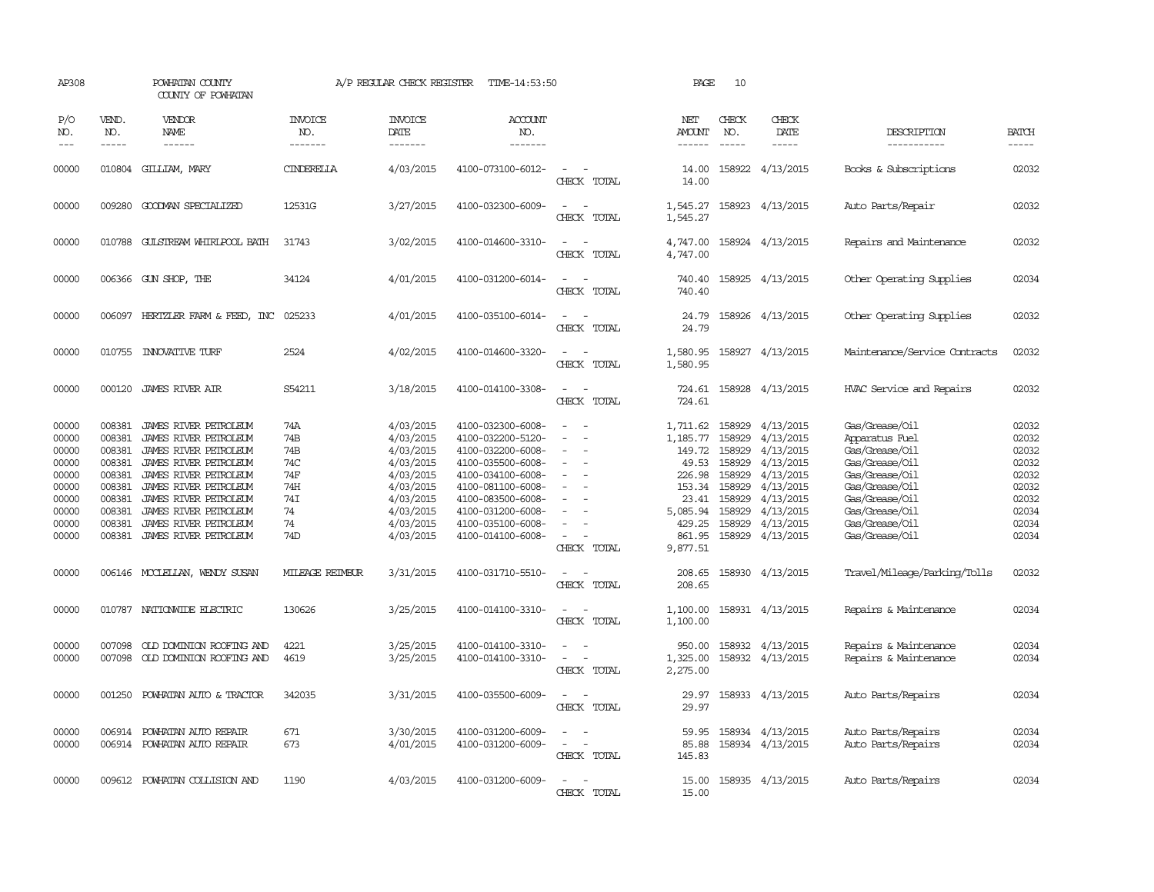| AP308                 |                             | POWHATAN COUNTY<br>COUNTY OF POWHATAN                      |                                  | A/P REGULAR CHECK REGISTER        | TIME-14:53:50                          |                                                     | PAGE                     | 10           |                                      |                                          |                             |
|-----------------------|-----------------------------|------------------------------------------------------------|----------------------------------|-----------------------------------|----------------------------------------|-----------------------------------------------------|--------------------------|--------------|--------------------------------------|------------------------------------------|-----------------------------|
| P/O<br>NO.<br>$- - -$ | VEND.<br>NO.<br>$- - - - -$ | VENDOR<br><b>NAME</b><br>------                            | <b>INVOICE</b><br>NO.<br>------- | <b>INVOICE</b><br>DATE<br>------- | <b>ACCOUNT</b><br>NO.<br>-------       |                                                     | NET<br>AMOUNT<br>------  | CHECK<br>NO. | CHECK<br>DATE<br>$- - - - -$         | DESCRIPTION<br>-----------               | <b>BATCH</b><br>$- - - - -$ |
| 00000                 |                             | 010804 GILLIAM, MARY                                       | CINDERELLA                       | 4/03/2015                         | 4100-073100-6012-                      | CHECK TOTAL                                         | 14.00<br>14.00           |              | 158922 4/13/2015                     | Books & Subscriptions                    | 02032                       |
| 00000                 | 009280                      | GOODMAN SPECIALIZED                                        | 12531G                           | 3/27/2015                         | 4100-032300-6009-                      | $\sim$<br>$\equiv$<br>CHECK TOTAL                   | 1,545.27<br>1,545.27     |              | 158923 4/13/2015                     | Auto Parts/Repair                        | 02032                       |
| 00000                 |                             | 010788 GULSTREAM WHIRLPOOL BATH                            | 31743                            | 3/02/2015                         | 4100-014600-3310-                      | $\sim$<br>$\sim$<br>CHECK TOTAL                     | 4,747.00<br>4,747.00     |              | 158924 4/13/2015                     | Repairs and Maintenance                  | 02032                       |
| 00000                 |                             | 006366 GUN SHOP, THE                                       | 34124                            | 4/01/2015                         | 4100-031200-6014-                      | CHECK TOTAL                                         | 740.40<br>740.40         |              | 158925 4/13/2015                     | Other Operating Supplies                 | 02034                       |
| 00000                 | 006097                      | HERTZLER FARM & FEED, INC                                  | 025233                           | 4/01/2015                         | 4100-035100-6014-                      | $\overline{\phantom{a}}$<br>CHECK TOTAL             | 24.79<br>24.79           |              | 158926 4/13/2015                     | Other Operating Supplies                 | 02032                       |
| 00000                 |                             | 010755 INNOVATIVE TURF                                     | 2524                             | 4/02/2015                         | 4100-014600-3320-                      | CHECK TOTAL                                         | 1,580.95<br>1,580.95     |              | 158927 4/13/2015                     | Maintenance/Service Contracts            | 02032                       |
| 00000                 | 000120                      | JAMES RIVER AIR                                            | S54211                           | 3/18/2015                         | 4100-014100-3308-                      | $\overline{\phantom{a}}$<br>CHECK TOTAL             | 724.61<br>724.61         |              | 158928 4/13/2015                     | HVAC Service and Repairs                 | 02032                       |
| 00000                 | 008381                      | JAMES RIVER PETROLEUM                                      | 74A                              | 4/03/2015                         | 4100-032300-6008-                      |                                                     | 1,711.62                 | 158929       | 4/13/2015                            | Gas/Grease/Oil                           | 02032                       |
| 00000                 | 008381                      | JAMES RIVER PETROLEUM                                      | 74B                              | 4/03/2015                         | 4100-032200-5120-                      |                                                     | 1,185.77                 | 158929       | 4/13/2015                            | Apparatus Fuel                           | 02032                       |
| 00000                 | 008381                      | JAMES RIVER PETROLEUM                                      | 74B                              | 4/03/2015                         | 4100-032200-6008-                      | $\overline{\phantom{a}}$                            | 149.72                   | 158929       | 4/13/2015                            | Gas/Grease/Oil                           | 02032                       |
| 00000                 | 008381                      | JAMES RIVER PETROLEUM                                      | 74C                              | 4/03/2015                         | 4100-035500-6008-                      |                                                     | 49.53                    | 158929       | 4/13/2015                            | Gas/Grease/Oil                           | 02032                       |
| 00000                 | 008381                      | JAMES RIVER PETROLEUM                                      | 74F                              | 4/03/2015                         | 4100-034100-6008-                      |                                                     | 226.98                   | 158929       | 4/13/2015                            | Gas/Grease/Oil                           | 02032                       |
| 00000                 | 008381                      | JAMES RIVER PETROLEUM                                      | 74H                              | 4/03/2015                         | 4100-081100-6008-                      |                                                     | 153.34                   | 158929       | 4/13/2015                            | Gas/Grease/Oil                           | 02032                       |
| 00000                 | 008381                      | JAMES RIVER PETROLEUM                                      | 74I                              | 4/03/2015                         | 4100-083500-6008-                      | $\overline{\phantom{a}}$                            | 23.41                    | 158929       | 4/13/2015                            | Gas/Grease/Oil                           | 02032                       |
| 00000                 | 008381                      | JAMES RIVER PETROLEUM                                      | 74                               | 4/03/2015                         | 4100-031200-6008-                      |                                                     | 5,085.94                 | 158929       | 4/13/2015                            | Gas/Grease/Oil                           | 02034                       |
| 00000                 | 008381                      | JAMES RIVER PETROLEUM                                      | 74                               | 4/03/2015                         | 4100-035100-6008-                      |                                                     | 429.25                   | 158929       | 4/13/2015                            | Gas/Grease/Oil                           | 02034                       |
| 00000                 |                             | 008381 JAMES RIVER PETROLEUM                               | 74D                              | 4/03/2015                         | 4100-014100-6008-                      | $\sim$<br>CHECK TOTAL                               | 861.95<br>9,877.51       |              | 158929 4/13/2015                     | Gas/Grease/Oil                           | 02034                       |
| 00000                 |                             | 006146 MCCLELLAN, WENDY SUSAN                              | MILEAGE REIMBUR                  | 3/31/2015                         | 4100-031710-5510-                      | $\sim$<br>$\sim$<br>CHECK TOTAL                     | 208.65<br>208.65         |              | 158930 4/13/2015                     | Travel/Mileage/Parking/Tolls             | 02032                       |
| 00000                 |                             | 010787 NATIONWIDE ELECTRIC                                 | 130626                           | 3/25/2015                         | 4100-014100-3310-                      | $\equiv$<br>$\overline{\phantom{a}}$<br>CHECK TOTAL | 1,100.00<br>1,100.00     |              | 158931 4/13/2015                     | Repairs & Maintenance                    | 02034                       |
| 00000                 | 007098                      | OLD DOMINION ROOFING AND                                   | 4221                             | 3/25/2015                         | 4100-014100-3310-                      | $\equiv$                                            | 950.00                   |              | 158932 4/13/2015                     | Repairs & Maintenance                    | 02034                       |
| 00000                 | 007098                      | OLD DOMINION ROOFING AND                                   | 4619                             | 3/25/2015                         | 4100-014100-3310-                      | $\equiv$<br>CHECK TOTAL                             | 1,325.00<br>2,275.00     |              | 158932 4/13/2015                     | Repairs & Maintenance                    | 02034                       |
| 00000                 | 001250                      | POWHATAN AUTO & TRACTOR                                    | 342035                           | 3/31/2015                         | 4100-035500-6009-                      | $\equiv$<br>CHECK TOTAL                             | 29.97<br>29.97           |              | 158933 4/13/2015                     | Auto Parts/Repairs                       | 02034                       |
|                       |                             |                                                            |                                  |                                   |                                        |                                                     |                          |              |                                      |                                          |                             |
| 00000<br>00000        |                             | 006914 POWHATAN AUTO REPAIR<br>006914 POWHATAN AUTO REPAIR | 671<br>673                       | 3/30/2015<br>4/01/2015            | 4100-031200-6009-<br>4100-031200-6009- | $\equiv$<br>CHECK TOTAL                             | 59.95<br>85.88<br>145.83 |              | 158934 4/13/2015<br>158934 4/13/2015 | Auto Parts/Repairs<br>Auto Parts/Repairs | 02034<br>02034              |
| 00000                 |                             | 009612 POWHATAN COLLISION AND                              | 1190                             | 4/03/2015                         | 4100-031200-6009-                      | $\sim$<br>CHECK TOTAL                               | 15.00<br>15.00           |              | 158935 4/13/2015                     | Auto Parts/Repairs                       | 02034                       |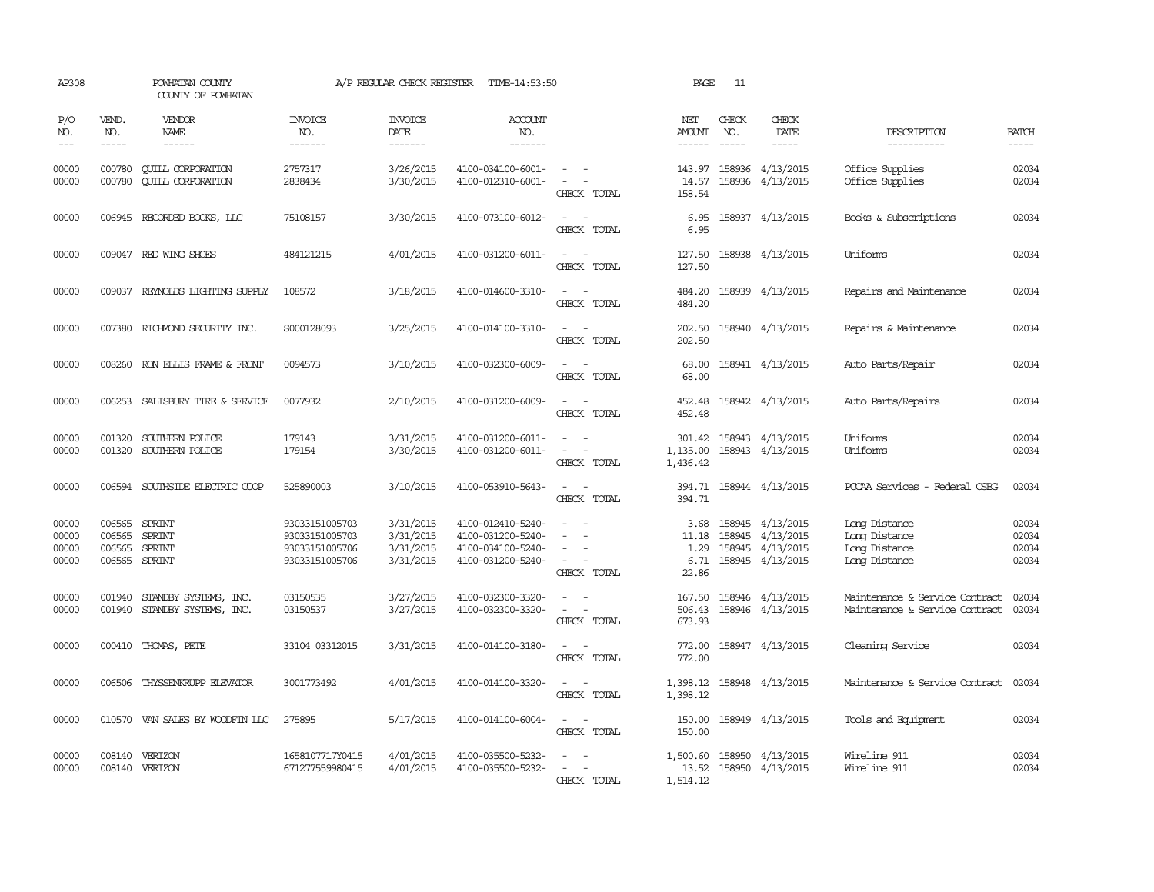| AP308                            |                                             | POWHATAN COUNTY<br>COUNTY OF POWHATAN                |                                                                      | A/P REGULAR CHECK REGISTER                       | TIME-14:53:50                                                                    |                                                                                                                             | PAGE                                   | 11            |                                                                              |                                                                  |                                  |
|----------------------------------|---------------------------------------------|------------------------------------------------------|----------------------------------------------------------------------|--------------------------------------------------|----------------------------------------------------------------------------------|-----------------------------------------------------------------------------------------------------------------------------|----------------------------------------|---------------|------------------------------------------------------------------------------|------------------------------------------------------------------|----------------------------------|
| P/O<br>NO.                       | VEND.<br>NO.                                | <b>VENDOR</b><br>NAME                                | <b>INVOICE</b><br>NO.                                                | <b>INVOICE</b><br>DATE                           | <b>ACCOUNT</b><br>NO.                                                            |                                                                                                                             | NET<br>AMOUNT                          | CHECK<br>NO.  | CHECK<br>DATE                                                                | DESCRIPTION                                                      | <b>BATCH</b>                     |
| $---$                            | $- - - - -$                                 | $- - - - - -$                                        | -------                                                              | -------                                          | $- - - - - - -$                                                                  |                                                                                                                             | ------                                 | $\frac{1}{2}$ |                                                                              | -----------                                                      | -----                            |
| 00000<br>00000                   | 000780<br>000780                            | <b>CUILL CORPORATION</b><br><b>CUILL CORPORATION</b> | 2757317<br>2838434                                                   | 3/26/2015<br>3/30/2015                           | 4100-034100-6001-<br>4100-012310-6001-                                           | $\sim$ $ -$<br>$\sim$ $-$<br>CHECK TOTAL                                                                                    | 143.97<br>14.57<br>158.54              |               | 158936 4/13/2015<br>158936 4/13/2015                                         | Office Supplies<br>Office Supplies                               | 02034<br>02034                   |
| 00000                            |                                             | 006945 RECORDED BOOKS, LLC                           | 75108157                                                             | 3/30/2015                                        | 4100-073100-6012-                                                                | $\sim$<br>CHECK TOTAL                                                                                                       | 6.95<br>6.95                           |               | 158937 4/13/2015                                                             | Books & Subscriptions                                            | 02034                            |
| 00000                            |                                             | 009047 RED WING SHOES                                | 484121215                                                            | 4/01/2015                                        | 4100-031200-6011-                                                                | $\equiv$<br>CHECK TOTAL                                                                                                     | 127.50<br>127.50                       |               | 158938 4/13/2015                                                             | Uniforms                                                         | 02034                            |
| 00000                            |                                             | 009037 REYNOLDS LIGHTING SUPPLY                      | 108572                                                               | 3/18/2015                                        | 4100-014600-3310-                                                                | $ -$<br>CHECK TOTAL                                                                                                         | 484.20<br>484.20                       |               | 158939 4/13/2015                                                             | Repairs and Maintenance                                          | 02034                            |
| 00000                            |                                             | 007380 RICHMOND SECURITY INC.                        | S000128093                                                           | 3/25/2015                                        | 4100-014100-3310-                                                                | $\overline{\phantom{a}}$<br>CHECK TOTAL                                                                                     | 202.50<br>202.50                       |               | 158940 4/13/2015                                                             | Repairs & Maintenance                                            | 02034                            |
| 00000                            |                                             | 008260 RON ELLIS FRAME & FRONT                       | 0094573                                                              | 3/10/2015                                        | 4100-032300-6009-                                                                | $\sim$ $\sim$<br>CHECK TOTAL                                                                                                | 68.00<br>68.00                         |               | 158941 4/13/2015                                                             | Auto Parts/Repair                                                | 02034                            |
| 00000                            | 006253                                      | SALISBURY TIRE & SERVICE                             | 0077932                                                              | 2/10/2015                                        | 4100-031200-6009-                                                                | $\sim$ $\sim$<br>CHECK TOTAL                                                                                                | 452.48<br>452.48                       |               | 158942 4/13/2015                                                             | Auto Parts/Repairs                                               | 02034                            |
| 00000<br>00000                   | 001320<br>001320                            | SOUTHERN POLICE<br>SOUTHERN POLICE                   | 179143<br>179154                                                     | 3/31/2015<br>3/30/2015                           | 4100-031200-6011-<br>4100-031200-6011-                                           | $\frac{1}{2} \left( \frac{1}{2} \right) \left( \frac{1}{2} \right) = \frac{1}{2} \left( \frac{1}{2} \right)$<br>CHECK TOTAL | 1,135.00<br>1,436.42                   |               | 301.42 158943 4/13/2015<br>158943 4/13/2015                                  | Uniforms<br>Uniforms                                             | 02034<br>02034                   |
| 00000                            |                                             | 006594 SOUTHSIDE ELECTRIC COOP                       | 525890003                                                            | 3/10/2015                                        | 4100-053910-5643-                                                                | $\omega_{\rm{max}}$ and $\omega_{\rm{max}}$<br>CHECK TOTAL                                                                  | 394.71                                 |               | 394.71 158944 4/13/2015                                                      | PCCAA Services - Federal CSBG                                    | 02034                            |
| 00000<br>00000<br>00000<br>00000 | 006565<br>006565<br>006565<br>006565 SPRINT | SPRINT<br><b>SPRINT</b><br>SPRINT                    | 93033151005703<br>93033151005703<br>93033151005706<br>93033151005706 | 3/31/2015<br>3/31/2015<br>3/31/2015<br>3/31/2015 | 4100-012410-5240-<br>4100-031200-5240-<br>4100-034100-5240-<br>4100-031200-5240- | $\equiv$<br>$\overline{\phantom{a}}$<br>CHECK TOTAL                                                                         | 3.68<br>11.18<br>1.29<br>6.71<br>22.86 |               | 158945 4/13/2015<br>158945 4/13/2015<br>158945 4/13/2015<br>158945 4/13/2015 | Long Distance<br>Long Distance<br>Long Distance<br>Long Distance | 02034<br>02034<br>02034<br>02034 |
| 00000<br>00000                   | 001940<br>001940                            | STANDBY SYSTEMS, INC.<br>STANDBY SYSTEMS, INC.       | 03150535<br>03150537                                                 | 3/27/2015<br>3/27/2015                           | 4100-032300-3320-<br>4100-032300-3320-                                           | $\sim$<br>CHECK TOTAL                                                                                                       | 167.50<br>506.43<br>673.93             |               | 158946 4/13/2015<br>158946 4/13/2015                                         | Maintenance & Service Contract<br>Maintenance & Service Contract | 02034<br>02034                   |
| 00000                            | 000410                                      | THOMAS, PETE                                         | 33104 03312015                                                       | 3/31/2015                                        | 4100-014100-3180-                                                                | CHECK TOTAL                                                                                                                 | 772.00<br>772.00                       |               | 158947 4/13/2015                                                             | Cleaning Service                                                 | 02034                            |
| 00000                            | 006506                                      | THYSSENKRUPP ELEVATOR                                | 3001773492                                                           | 4/01/2015                                        | 4100-014100-3320-                                                                | $\overline{\phantom{a}}$<br>CHECK TOTAL                                                                                     | 1,398.12<br>1,398.12                   |               | 158948 4/13/2015                                                             | Maintenance & Service Contract                                   | 02034                            |
| 00000                            |                                             | 010570 VAN SALES BY WOODFIN LLC                      | 275895                                                               | 5/17/2015                                        | 4100-014100-6004-                                                                | $\overline{\phantom{a}}$<br>CHECK TOTAL                                                                                     | 150.00<br>150.00                       |               | 158949 4/13/2015                                                             | Tools and Equipment                                              | 02034                            |
| 00000<br>00000                   |                                             | 008140 VERIZON<br>008140 VERIZON                     | 1658107717Y0415<br>671277559980415                                   | 4/01/2015<br>4/01/2015                           | 4100-035500-5232-<br>4100-035500-5232-                                           | $\sim$ $\sim$<br>$\sim$ $ \sim$<br>CHECK TOTAL                                                                              | 13.52<br>1,514.12                      |               | 1,500.60 158950 4/13/2015<br>158950 4/13/2015                                | Wireline 911<br>Wireline 911                                     | 02034<br>02034                   |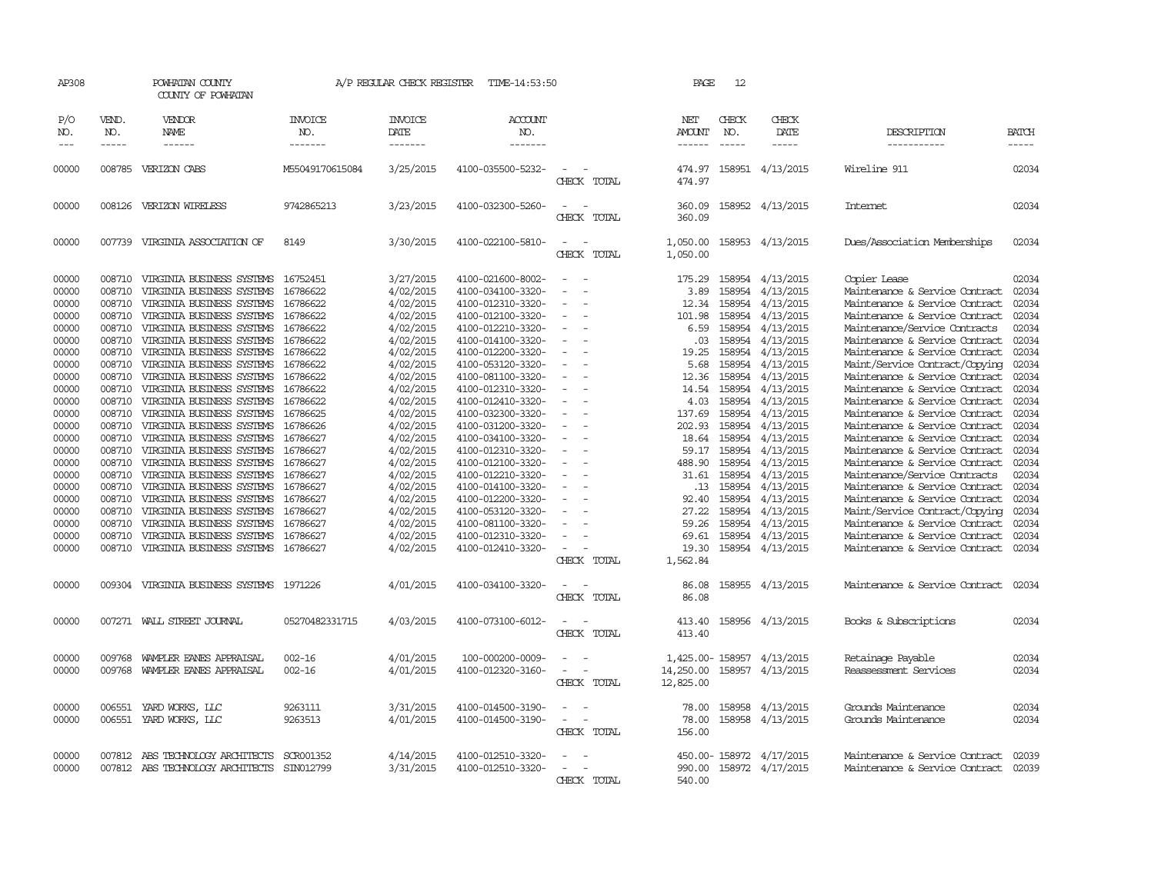| AP308                 |                             | POWHATAN COUNTY<br>COUNTY OF POWHATAN    |                                  | A/P REGULAR CHECK REGISTER               | TIME-14:53:50                    |                                         | PAGE                                  | 12           |                         |                                |                       |
|-----------------------|-----------------------------|------------------------------------------|----------------------------------|------------------------------------------|----------------------------------|-----------------------------------------|---------------------------------------|--------------|-------------------------|--------------------------------|-----------------------|
| P/O<br>NO.<br>$- - -$ | VEND.<br>NO.<br>$- - - - -$ | VENDOR<br><b>NAME</b><br>------          | <b>INVOICE</b><br>NO.<br>------- | <b>INVOICE</b><br><b>DATE</b><br>------- | <b>ACCOUNT</b><br>NO.<br>------- |                                         | NET<br><b>AMOUNT</b><br>$- - - - - -$ | CHECK<br>NO. | CHECK<br>DATE<br>-----  | DESCRIPTION<br>-----------     | <b>BATCH</b><br>----- |
| 00000                 |                             | 008785 VERIZON CABS                      | M55049170615084                  | 3/25/2015                                | 4100-035500-5232-                |                                         | 474.97                                |              | 158951 4/13/2015        | Wireline 911                   | 02034                 |
|                       |                             |                                          |                                  |                                          |                                  | CHECK TOTAL                             | 474.97                                |              |                         |                                |                       |
| 00000                 |                             | 008126 VERIZON WIRELESS                  | 9742865213                       | 3/23/2015                                | 4100-032300-5260-                | - 11<br>CHECK TOTAL                     | 360.09<br>360.09                      |              | 158952 4/13/2015        | Internet                       | 02034                 |
| 00000                 |                             | 007739 VIRGINIA ASSOCIATION OF           | 8149                             | 3/30/2015                                | 4100-022100-5810-                | CHECK TOTAL                             | 1,050.00<br>1,050.00                  |              | 158953 4/13/2015        | Dues/Association Memberships   | 02034                 |
| 00000                 | 008710                      | VIRGINIA BUSINESS SYSTEMS                | 16752451                         | 3/27/2015                                | 4100-021600-8002-                |                                         | 175.29                                | 158954       | 4/13/2015               | Copier Lease                   | 02034                 |
| 00000                 | 008710                      | VIRGINIA BUSINESS SYSTEMS                | 16786622                         | 4/02/2015                                | 4100-034100-3320-                |                                         | 3.89                                  | 158954       | 4/13/2015               | Maintenance & Service Contract | 02034                 |
| 00000                 | 008710                      | VIRGINIA BUSINESS SYSTEMS                | 16786622                         | 4/02/2015                                | 4100-012310-3320-                |                                         | 12.34                                 | 158954       | 4/13/2015               | Maintenance & Service Contract | 02034                 |
| 00000                 | 008710                      | VIRGINIA BUSINESS SYSTEMS                | 16786622                         | 4/02/2015                                | 4100-012100-3320-                |                                         | 101.98                                | 158954       | 4/13/2015               | Maintenance & Service Contract | 02034                 |
| 00000                 | 008710                      | VIRGINIA BUSINESS SYSTEMS                | 16786622                         | 4/02/2015                                | 4100-012210-3320-                |                                         | 6.59                                  | 158954       | 4/13/2015               | Maintenance/Service Contracts  | 02034                 |
| 00000                 | 008710                      | VIRGINIA BUSINESS SYSTEMS                | 16786622                         | 4/02/2015                                | 4100-014100-3320-                | $\sim$                                  | .03                                   | 158954       | 4/13/2015               | Maintenance & Service Contract | 02034                 |
| 00000                 | 008710                      | VIRGINIA BUSINESS SYSTEMS                | 16786622                         | 4/02/2015                                | 4100-012200-3320-                |                                         | 19.25                                 | 158954       | 4/13/2015               | Maintenance & Service Contract | 02034                 |
| 00000                 | 008710                      | VIRGINIA BUSINESS SYSTEMS                | 16786622                         | 4/02/2015                                | 4100-053120-3320-                |                                         | 5.68                                  | 158954       | 4/13/2015               | Maint/Service Contract/Copying | 02034                 |
| 00000                 | 008710                      | VIRGINIA BUSINESS SYSTEMS                | 16786622                         | 4/02/2015                                | 4100-081100-3320-                |                                         | 12.36                                 | 158954       | 4/13/2015               | Maintenance & Service Contract | 02034                 |
| 00000                 | 008710                      | VIRGINIA BUSINESS SYSTEMS                | 16786622                         | 4/02/2015                                | 4100-012310-3320-                |                                         | 14.54                                 | 158954       | 4/13/2015               | Maintenance & Service Contract | 02034                 |
| 00000                 | 008710                      | VIRGINIA BUSINESS SYSTEMS                | 16786622                         | 4/02/2015                                | 4100-012410-3320-                |                                         | 4.03                                  | 158954       | 4/13/2015               | Maintenance & Service Contract | 02034                 |
| 00000                 | 008710                      | VIRGINIA BUSINESS SYSTEMS                | 16786625                         | 4/02/2015                                | 4100-032300-3320-                |                                         | 137.69                                | 158954       | 4/13/2015               | Maintenance & Service Contract | 02034                 |
| 00000                 | 008710                      | VIRGINIA BUSINESS SYSTEMS                | 16786626                         | 4/02/2015                                | 4100-031200-3320-                |                                         | 202.93                                | 158954       | 4/13/2015               | Maintenance & Service Contract | 02034                 |
| 00000                 | 008710                      | VIRGINIA BUSINESS SYSTEMS                | 16786627                         | 4/02/2015                                | 4100-034100-3320-                |                                         | 18.64                                 | 158954       | 4/13/2015               | Maintenance & Service Contract | 02034                 |
| 00000                 | 008710                      | VIRGINIA BUSINESS SYSTEMS                | 16786627                         | 4/02/2015                                | 4100-012310-3320-                |                                         | 59.17                                 | 158954       | 4/13/2015               | Maintenance & Service Contract | 02034                 |
| 00000                 | 008710                      | VIRGINIA BUSINESS SYSTEMS                | 16786627                         | 4/02/2015                                | 4100-012100-3320-                |                                         | 488.90                                | 158954       | 4/13/2015               | Maintenance & Service Contract | 02034                 |
| 00000                 | 008710                      | VIRGINIA BUSINESS SYSTEMS                | 16786627                         | 4/02/2015                                | 4100-012210-3320-                |                                         | 31.61                                 | 158954       | 4/13/2015               | Maintenance/Service Contracts  | 02034                 |
| 00000                 | 008710                      | VIRGINIA BUSINESS SYSTEMS                | 16786627                         | 4/02/2015                                | 4100-014100-3320-                |                                         | .13                                   | 158954       | 4/13/2015               | Maintenance & Service Contract | 02034                 |
| 00000                 | 008710                      | VIRGINIA BUSINESS SYSTEMS                | 16786627                         | 4/02/2015                                | 4100-012200-3320-                |                                         | 92.40                                 | 158954       | 4/13/2015               | Maintenance & Service Contract | 02034                 |
| 00000                 | 008710                      | VIRGINIA BUSINESS SYSTEMS                | 16786627                         | 4/02/2015                                | 4100-053120-3320-                |                                         | 27.22                                 | 158954       | 4/13/2015               | Maint/Service Contract/Copying | 02034                 |
| 00000                 | 008710                      | VIRGINIA BUSINESS SYSTEMS                | 16786627                         | 4/02/2015                                | 4100-081100-3320-                |                                         | 59.26                                 | 158954       | 4/13/2015               | Maintenance & Service Contract | 02034                 |
| 00000                 | 008710                      | VIRGINIA BUSINESS SYSTEMS                | 16786627                         | 4/02/2015                                | 4100-012310-3320-                |                                         | 69.61                                 | 158954       | 4/13/2015               | Maintenance & Service Contract | 02034                 |
| 00000                 | 008710                      | VIRGINIA BUSINESS SYSTEMS 16786627       |                                  | 4/02/2015                                | 4100-012410-3320-                |                                         | 19.30                                 |              | 158954 4/13/2015        | Maintenance & Service Contract | 02034                 |
|                       |                             |                                          |                                  |                                          |                                  | CHECK TOTAL                             | 1,562.84                              |              |                         |                                |                       |
| 00000                 |                             | 009304 VIRGINIA BUSINESS SYSTEMS 1971226 |                                  | 4/01/2015                                | 4100-034100-3320-                | $\sim$                                  | 86.08                                 |              | 158955 4/13/2015        | Maintenance & Service Contract | 02034                 |
|                       |                             |                                          |                                  |                                          |                                  | CHECK TOTAL                             | 86.08                                 |              |                         |                                |                       |
| 00000                 |                             | 007271 WALL STREET JOURNAL               | 05270482331715                   | 4/03/2015                                | 4100-073100-6012-                | $\overline{\phantom{a}}$<br>CHECK TOTAL | 413.40<br>413.40                      |              | 158956 4/13/2015        | Books & Subscriptions          | 02034                 |
|                       |                             |                                          |                                  |                                          |                                  |                                         |                                       |              |                         |                                |                       |
| 00000                 | 009768                      | WAMPLER EANES APPRAISAL                  | $002 - 16$                       | 4/01/2015                                | 100-000200-0009-                 |                                         | 1,425.00- 158957                      |              | 4/13/2015               | Retainage Payable              | 02034                 |
| 00000                 | 009768                      | WAMPLER EANES APPRAISAL                  | $002 - 16$                       | 4/01/2015                                | 4100-012320-3160-                | CHECK TOTAL                             | 14,250.00<br>12,825.00                | 158957       | 4/13/2015               | Reassessment Services          | 02034                 |
|                       |                             |                                          |                                  |                                          |                                  |                                         |                                       |              |                         |                                |                       |
| 00000                 | 006551                      | YARD WORKS, LLC                          | 9263111                          | 3/31/2015                                | 4100-014500-3190-                |                                         | 78.00                                 | 158958       | 4/13/2015               | Grounds Maintenance            | 02034                 |
| 00000                 | 006551                      | YARD WORKS, LLC                          | 9263513                          | 4/01/2015                                | 4100-014500-3190-                | $\overline{\phantom{0}}$                | 78.00                                 |              | 158958 4/13/2015        | Grounds Maintenance            | 02034                 |
|                       |                             |                                          |                                  |                                          |                                  | CHECK TOTAL                             | 156.00                                |              |                         |                                |                       |
| 00000                 |                             | 007812 ABS TECHNOLOGY ARCHITECTS         | SCR001352                        | 4/14/2015                                | 4100-012510-3320-                |                                         |                                       |              | 450.00-158972 4/17/2015 | Maintenance & Service Contract | 02039                 |
| 00000                 |                             | 007812 ABS TECHNOLOGY ARCHITECTS         | SIN012799                        | 3/31/2015                                | 4100-012510-3320-                |                                         | 990.00                                |              | 158972 4/17/2015        | Maintenance & Service Contract | 02039                 |
|                       |                             |                                          |                                  |                                          |                                  | CHECK TOTAL                             | 540.00                                |              |                         |                                |                       |
|                       |                             |                                          |                                  |                                          |                                  |                                         |                                       |              |                         |                                |                       |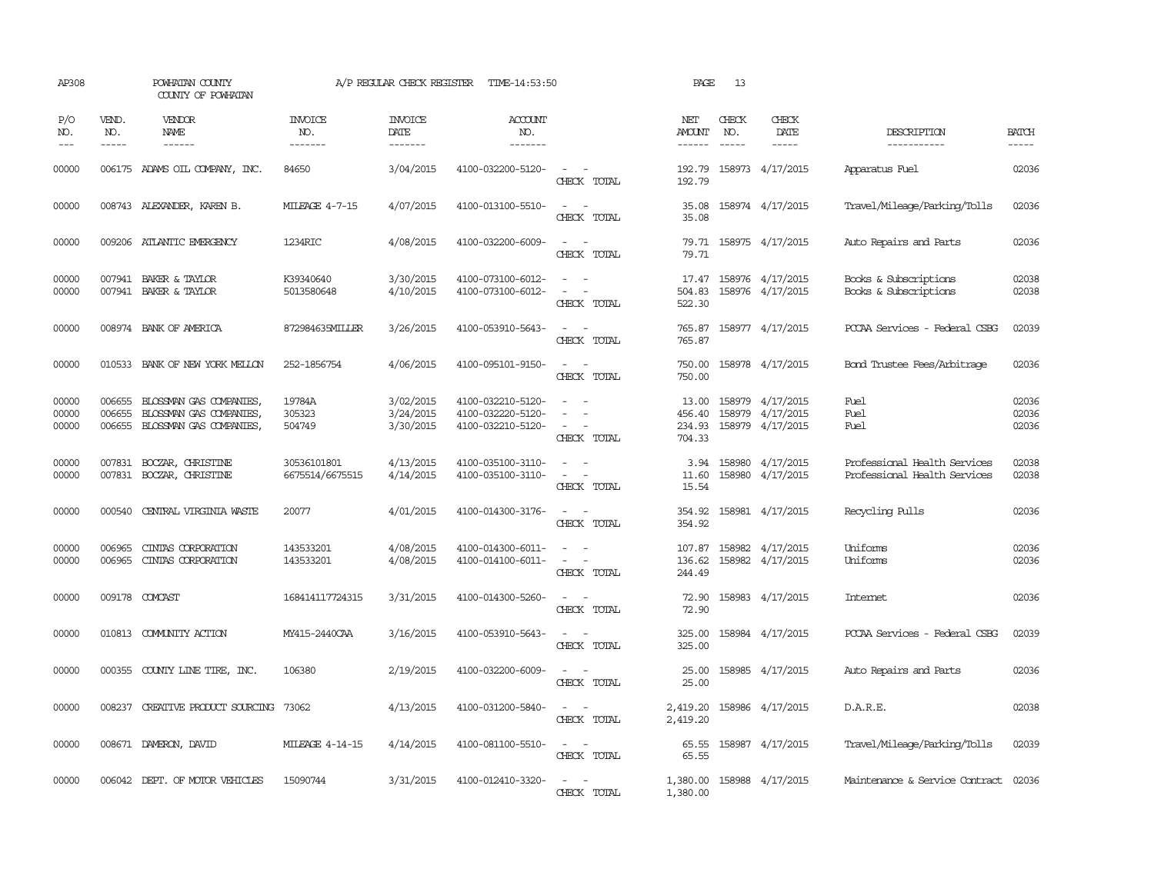| AP308                   |                             | POWHATAN COUNTY<br>COUNTY OF POWHATAN                                       |                                  | A/P REGULAR CHECK REGISTER          | TIME-14:53:50                                               |                                                                                       | PAGE                                | 13                          |                                                          |                                                              |                         |
|-------------------------|-----------------------------|-----------------------------------------------------------------------------|----------------------------------|-------------------------------------|-------------------------------------------------------------|---------------------------------------------------------------------------------------|-------------------------------------|-----------------------------|----------------------------------------------------------|--------------------------------------------------------------|-------------------------|
| P/O<br>NO.<br>$---$     | VEND.<br>NO.<br>$- - - - -$ | VENDOR<br>NAME                                                              | <b>INVOICE</b><br>NO.<br>------- | <b>INVOICE</b><br>DATE<br>-------   | <b>ACCOUNT</b><br>NO.<br>-------                            |                                                                                       | NET<br>AMOUNT<br>$- - - - - -$      | CHECK<br>NO.<br>$- - - - -$ | CHECK<br>DATE<br>$- - - - -$                             | DESCRIPTION<br>-----------                                   | <b>BATCH</b><br>-----   |
| 00000                   |                             | 006175 ADAMS OIL COMPANY, INC.                                              | 84650                            | 3/04/2015                           | 4100-032200-5120-                                           | $\overline{\phantom{a}}$<br>CHECK TOTAL                                               | 192.79<br>192.79                    |                             | 158973 4/17/2015                                         | Apparatus Fuel                                               | 02036                   |
| 00000                   |                             | 008743 ALEXANDER, KAREN B.                                                  | MILEAGE 4-7-15                   | 4/07/2015                           | 4100-013100-5510-                                           | $\equiv$<br>$\sim$<br>CHECK TOTAL                                                     | 35.08<br>35.08                      |                             | 158974 4/17/2015                                         | Travel/Mileage/Parking/Tolls                                 | 02036                   |
| 00000                   |                             | 009206 ATLANTIC EMERGENCY                                                   | 1234RIC                          | 4/08/2015                           | 4100-032200-6009-                                           | CHECK TOTAL                                                                           | 79.71<br>79.71                      |                             | 158975 4/17/2015                                         | Auto Repairs and Parts                                       | 02036                   |
| 00000<br>00000          |                             | 007941 BAKER & TAYLOR<br>007941 BAKER & TAYLOR                              | K39340640<br>5013580648          | 3/30/2015<br>4/10/2015              | 4100-073100-6012-<br>4100-073100-6012-                      | CHECK TOTAL                                                                           | 17.47<br>504.83<br>522.30           |                             | 158976 4/17/2015<br>158976 4/17/2015                     | Books & Subscriptions<br>Books & Subscriptions               | 02038<br>02038          |
| 00000                   |                             | 008974 BANK OF AMERICA                                                      | 872984635MILLER                  | 3/26/2015                           | 4100-053910-5643-                                           | $\overline{a}$<br>CHECK TOTAL                                                         | 765.87<br>765.87                    |                             | 158977 4/17/2015                                         | PCCAA Services - Federal CSBG                                | 02039                   |
| 00000                   |                             | 010533 BANK OF NEW YORK MELLON                                              | 252-1856754                      | 4/06/2015                           | 4100-095101-9150-                                           | $\sim$<br>$\overline{\phantom{a}}$<br>CHECK TOTAL                                     | 750.00<br>750.00                    |                             | 158978 4/17/2015                                         | Bond Trustee Fees/Arbitrage                                  | 02036                   |
| 00000<br>00000<br>00000 | 006655<br>006655<br>006655  | BLOSSMAN GAS COMPANIES<br>BLOSSMAN GAS COMPANIES<br>BLOSSMAN GAS COMPANIES, | 19784A<br>305323<br>504749       | 3/02/2015<br>3/24/2015<br>3/30/2015 | 4100-032210-5120-<br>4100-032220-5120-<br>4100-032210-5120- | $\equiv$<br>$\overline{\phantom{a}}$<br>$\overline{\phantom{a}}$<br>CHECK TOTAL       | 13.00<br>456.40<br>234.93<br>704.33 |                             | 158979 4/17/2015<br>158979 4/17/2015<br>158979 4/17/2015 | Fuel<br>Fuel<br>Fuel                                         | 02036<br>02036<br>02036 |
| 00000<br>00000          |                             | 007831 BOCZAR, CHRISTINE<br>007831 BOCZAR, CHRISTINE                        | 30536101801<br>6675514/6675515   | 4/13/2015<br>4/14/2015              | 4100-035100-3110-<br>4100-035100-3110-                      | $\sim$ $ \sim$<br>$\overline{\phantom{a}}$<br>$\overline{\phantom{a}}$<br>CHECK TOTAL | 11.60<br>15.54                      | 158980                      | 3.94 158980 4/17/2015<br>4/17/2015                       | Professional Health Services<br>Professional Health Services | 02038<br>02038          |
| 00000                   | 000540                      | CENTRAL VIRGINIA WASTE                                                      | 20077                            | 4/01/2015                           | 4100-014300-3176-                                           | $\overline{\phantom{a}}$<br>$\sim$<br>CHECK TOTAL                                     | 354.92<br>354.92                    |                             | 158981 4/17/2015                                         | Recycling Pulls                                              | 02036                   |
| 00000<br>00000          | 006965<br>006965            | CINIAS CORPORATION<br>CINIAS CORPORATION                                    | 143533201<br>143533201           | 4/08/2015<br>4/08/2015              | 4100-014300-6011-<br>4100-014100-6011-                      | $\equiv$<br>$\sim$<br>$\sim$<br>CHECK TOTAL                                           | 107.87<br>136.62<br>244.49          |                             | 158982 4/17/2015<br>158982 4/17/2015                     | Uniforms<br>Uniforms                                         | 02036<br>02036          |
| 00000                   |                             | 009178 COMCAST                                                              | 168414117724315                  | 3/31/2015                           | 4100-014300-5260-                                           | CHECK TOTAL                                                                           | 72.90<br>72.90                      |                             | 158983 4/17/2015                                         | <b>Internet</b>                                              | 02036                   |
| 00000                   |                             | 010813 COMUNITY ACTION                                                      | MY415-2440CAA                    | 3/16/2015                           | 4100-053910-5643-                                           | $ -$<br>CHECK TOTAL                                                                   | 325.00<br>325.00                    |                             | 158984 4/17/2015                                         | PCCAA Services - Federal CSBG                                | 02039                   |
| 00000                   |                             | 000355 COUNTY LINE TIRE, INC.                                               | 106380                           | 2/19/2015                           | 4100-032200-6009-                                           | CHECK TOTAL                                                                           | 25.00<br>25.00                      |                             | 158985 4/17/2015                                         | Auto Repairs and Parts                                       | 02036                   |
| 00000                   | 008237                      | CREATIVE PRODUCT SOURCING                                                   | 73062                            | 4/13/2015                           | 4100-031200-5840-                                           | $\sim$<br>$\sim$<br>CHECK TOTAL                                                       | 2,419.20<br>2,419.20                |                             | 158986 4/17/2015                                         | D.A.R.E.                                                     | 02038                   |
| 00000                   |                             | 008671 DAMERON, DAVID                                                       | MILEAGE 4-14-15                  | 4/14/2015                           | 4100-081100-5510-                                           | $ -$<br>CHECK TOTAL                                                                   | 65.55<br>65.55                      |                             | 158987 4/17/2015                                         | Travel/Mileage/Parking/Tolls                                 | 02039                   |
| 00000                   |                             | 006042 DEPT. OF MOTOR VEHICLES                                              | 15090744                         | 3/31/2015                           | 4100-012410-3320-                                           | $\sim$ 100 $\sim$<br>CHECK TOTAL                                                      | 1,380.00<br>1,380.00                |                             | 158988 4/17/2015                                         | Maintenance & Service Contract 02036                         |                         |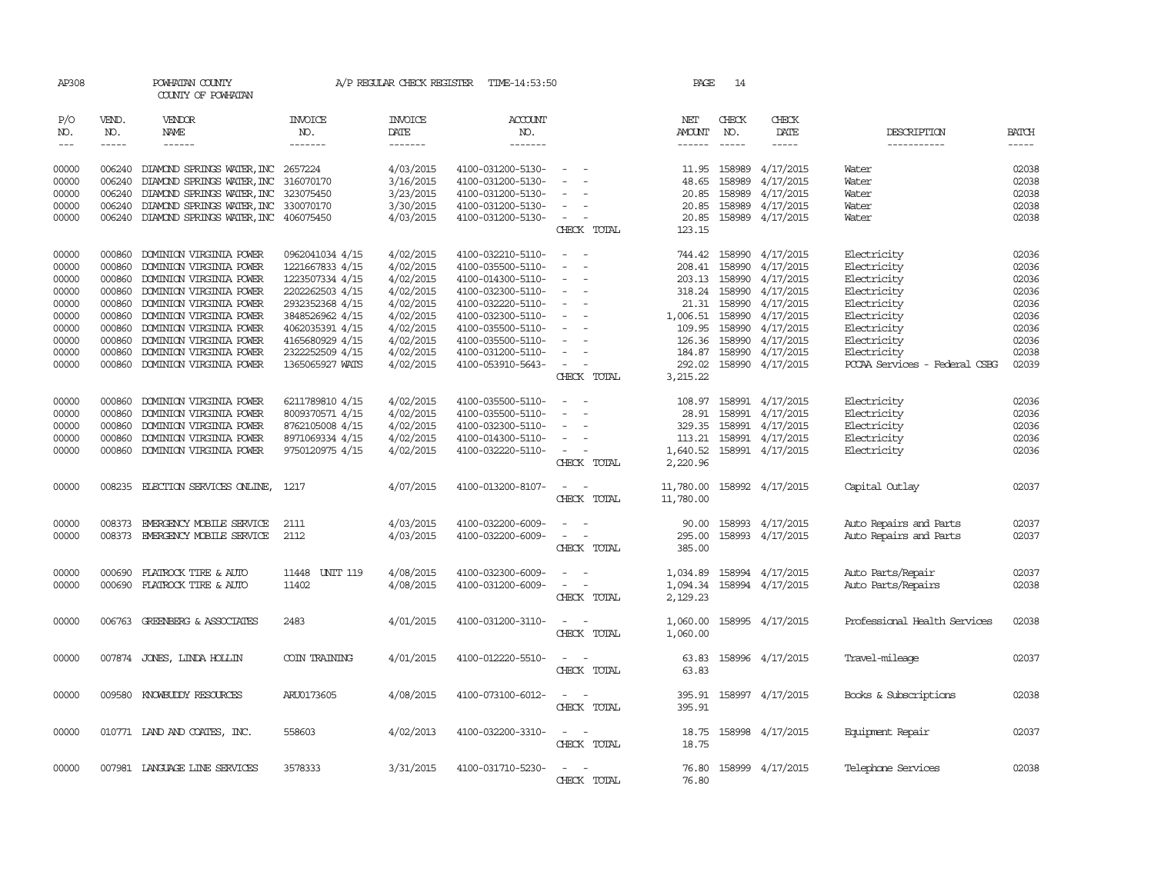| AP308                                                                                  |                                                                                                  | POWHATAN COUNTY<br>COUNTY OF POWHATAN                                                                                                                                                                                                                                      |                                                                                                                                                                                            | A/P REGULAR CHECK REGISTER                                                                                                     | TIME-14:53:50                                                                                                                                                                                                  |                                                                                                                          |             | PAGE                                                                                      | 14                                                                                                                                                                                                                                                                                                                                                                                                                                                                                                  |                                                                                                                                |                                                                                                                                                                      |                                                                                        |
|----------------------------------------------------------------------------------------|--------------------------------------------------------------------------------------------------|----------------------------------------------------------------------------------------------------------------------------------------------------------------------------------------------------------------------------------------------------------------------------|--------------------------------------------------------------------------------------------------------------------------------------------------------------------------------------------|--------------------------------------------------------------------------------------------------------------------------------|----------------------------------------------------------------------------------------------------------------------------------------------------------------------------------------------------------------|--------------------------------------------------------------------------------------------------------------------------|-------------|-------------------------------------------------------------------------------------------|-----------------------------------------------------------------------------------------------------------------------------------------------------------------------------------------------------------------------------------------------------------------------------------------------------------------------------------------------------------------------------------------------------------------------------------------------------------------------------------------------------|--------------------------------------------------------------------------------------------------------------------------------|----------------------------------------------------------------------------------------------------------------------------------------------------------------------|----------------------------------------------------------------------------------------|
| P/O<br>NO.<br>$\frac{1}{2}$                                                            | VEND.<br>NO.<br>$\cdots$                                                                         | VENDOR<br>NAME<br>------                                                                                                                                                                                                                                                   | <b>INVOICE</b><br>NO.<br>-------                                                                                                                                                           | <b>INVOICE</b><br>DATE<br>-------                                                                                              | <b>ACCOUNT</b><br>NO.<br>-------                                                                                                                                                                               |                                                                                                                          |             | NET<br>AMOUNT<br>------                                                                   | CHECK<br>NO.<br>$\begin{tabular}{ccccc} \multicolumn{2}{c}{} & \multicolumn{2}{c}{} & \multicolumn{2}{c}{} & \multicolumn{2}{c}{} & \multicolumn{2}{c}{} & \multicolumn{2}{c}{} & \multicolumn{2}{c}{} & \multicolumn{2}{c}{} & \multicolumn{2}{c}{} & \multicolumn{2}{c}{} & \multicolumn{2}{c}{} & \multicolumn{2}{c}{} & \multicolumn{2}{c}{} & \multicolumn{2}{c}{} & \multicolumn{2}{c}{} & \multicolumn{2}{c}{} & \multicolumn{2}{c}{} & \multicolumn{2}{c}{} & \multicolumn{2}{c}{} & \mult$ | CHECK<br>DATE<br>-----                                                                                                         | DESCRIPTION<br>-----------                                                                                                                                           | <b>BATCH</b><br>$- - - - -$                                                            |
| 00000<br>00000<br>00000<br>00000<br>00000                                              | 006240<br>006240<br>006240<br>006240                                                             | DIAMOND SPRINGS WATER, INC 2657224<br>DIAMOND SPRINGS WATER, INC<br>DIAMOND SPRINGS WATER, INC<br>DIAMOND SPRINGS WATER, INC<br>006240 DIAMOND SPRINGS WATER, INC 406075450                                                                                                | 316070170<br>323075450<br>330070170                                                                                                                                                        | 4/03/2015<br>3/16/2015<br>3/23/2015<br>3/30/2015<br>4/03/2015                                                                  | 4100-031200-5130-<br>4100-031200-5130-<br>4100-031200-5130-<br>4100-031200-5130-<br>4100-031200-5130-                                                                                                          | $\overline{\phantom{a}}$<br>$\overline{\phantom{a}}$                                                                     | CHECK TOTAL | 11.95<br>48.65<br>20.85<br>20.85<br>20.85<br>123.15                                       | 158989<br>158989<br>158989<br>158989                                                                                                                                                                                                                                                                                                                                                                                                                                                                | 4/17/2015<br>4/17/2015<br>4/17/2015<br>4/17/2015<br>158989 4/17/2015                                                           | Water<br>Water<br>Water<br>Water<br>Water                                                                                                                            | 02038<br>02038<br>02038<br>02038<br>02038                                              |
| 00000<br>00000<br>00000<br>00000<br>00000<br>00000<br>00000<br>00000<br>00000<br>00000 | 000860<br>000860<br>000860<br>000860<br>000860<br>000860<br>000860<br>000860<br>000860<br>000860 | DOMINION VIRGINIA POWER<br>DOMINION VIRGINIA POWER<br>DOMINION VIRGINIA POWER<br>DOMINION VIRGINIA POWER<br>DOMINION VIRGINIA POWER<br>DOMINION VIRGINIA POWER<br>DOMINION VIRGINIA POWER<br>DOMINION VIRGINIA POWER<br>DOMINION VIRGINIA POWER<br>DOMINION VIRGINIA POWER | 0962041034 4/15<br>1221667833 4/15<br>1223507334 4/15<br>2202262503 4/15<br>2932352368 4/15<br>3848526962 4/15<br>4062035391 4/15<br>4165680929 4/15<br>2322252509 4/15<br>1365065927 WATS | 4/02/2015<br>4/02/2015<br>4/02/2015<br>4/02/2015<br>4/02/2015<br>4/02/2015<br>4/02/2015<br>4/02/2015<br>4/02/2015<br>4/02/2015 | 4100-032210-5110-<br>4100-035500-5110-<br>4100-014300-5110-<br>4100-032300-5110-<br>4100-032220-5110-<br>4100-032300-5110-<br>4100-035500-5110-<br>4100-035500-5110-<br>4100-031200-5110-<br>4100-053910-5643- | $\overline{\phantom{a}}$<br>$\equiv$<br>$\overline{\phantom{a}}$<br>$\overline{\phantom{a}}$<br>$\overline{\phantom{a}}$ | CHECK TOTAL | 208.41<br>318.24<br>21.31<br>1,006.51<br>109.95<br>126.36<br>184.87<br>292.02<br>3,215.22 | 744.42 158990<br>158990<br>203.13 158990<br>158990<br>158990<br>158990<br>158990<br>158990<br>158990<br>158990                                                                                                                                                                                                                                                                                                                                                                                      | 4/17/2015<br>4/17/2015<br>4/17/2015<br>4/17/2015<br>4/17/2015<br>4/17/2015<br>4/17/2015<br>4/17/2015<br>4/17/2015<br>4/17/2015 | Electricity<br>Electricity<br>Electricity<br>Electricity<br>Electricity<br>Electricity<br>Electricity<br>Electricity<br>Electricity<br>PCCAA Services - Federal CSBG | 02036<br>02036<br>02036<br>02036<br>02036<br>02036<br>02036<br>02036<br>02038<br>02039 |
| 00000<br>00000<br>00000<br>00000<br>00000                                              | 000860<br>000860<br>000860<br>000860<br>000860                                                   | DOMINION VIRGINIA POWER<br>DOMINION VIRGINIA POWER<br>DOMINION VIRGINIA POWER<br>DOMINION VIRGINIA POWER<br>DOMINION VIRGINIA POWER                                                                                                                                        | 6211789810 4/15<br>8009370571 4/15<br>8762105008 4/15<br>8971069334 4/15<br>9750120975 4/15                                                                                                | 4/02/2015<br>4/02/2015<br>4/02/2015<br>4/02/2015<br>4/02/2015                                                                  | 4100-035500-5110-<br>4100-035500-5110-<br>4100-032300-5110-<br>4100-014300-5110-<br>4100-032220-5110-                                                                                                          | $\overline{\phantom{a}}$<br>$\sim$<br>$\overline{\phantom{a}}$                                                           | CHECK TOTAL | 108.97<br>28.91<br>113.21<br>1,640.52<br>2,220.96                                         |                                                                                                                                                                                                                                                                                                                                                                                                                                                                                                     | 158991 4/17/2015<br>158991 4/17/2015<br>329.35 158991 4/17/2015<br>158991 4/17/2015<br>158991 4/17/2015                        | Electricity<br>Electricity<br>Electricity<br>Electricity<br>Electricity                                                                                              | 02036<br>02036<br>02036<br>02036<br>02036                                              |
| 00000<br>00000                                                                         | 008373                                                                                           | 008235 ELECTION SERVICES ONLINE,<br>EMERGENCY MOBILE SERVICE                                                                                                                                                                                                               | 1217<br>2111                                                                                                                                                                               | 4/07/2015<br>4/03/2015                                                                                                         | 4100-013200-8107-<br>4100-032200-6009-                                                                                                                                                                         | $\sim$<br>$\overline{\phantom{a}}$                                                                                       | CHECK TOTAL | 11,780.00<br>11,780.00<br>90.00                                                           |                                                                                                                                                                                                                                                                                                                                                                                                                                                                                                     | 158992 4/17/2015<br>158993 4/17/2015                                                                                           | Capital Outlay<br>Auto Repairs and Parts                                                                                                                             | 02037<br>02037                                                                         |
| 00000                                                                                  | 008373                                                                                           | EMERGENCY MOBILE SERVICE                                                                                                                                                                                                                                                   | 2112                                                                                                                                                                                       | 4/03/2015                                                                                                                      | 4100-032200-6009-                                                                                                                                                                                              | $\overline{\phantom{a}}$<br>$\overline{\phantom{a}}$                                                                     | CHECK TOTAL | 295.00<br>385.00                                                                          |                                                                                                                                                                                                                                                                                                                                                                                                                                                                                                     | 158993 4/17/2015                                                                                                               | Auto Repairs and Parts                                                                                                                                               | 02037                                                                                  |
| 00000<br>00000                                                                         | 000690<br>000690                                                                                 | FLATROCK TIRE & AUTO<br>FLATROCK TIRE & AUTO                                                                                                                                                                                                                               | 11448 UNIT 119<br>11402                                                                                                                                                                    | 4/08/2015<br>4/08/2015                                                                                                         | 4100-032300-6009-<br>4100-031200-6009-                                                                                                                                                                         | $\overline{\phantom{a}}$                                                                                                 | CHECK TOTAL | 1,034.89<br>1,094.34<br>2,129.23                                                          |                                                                                                                                                                                                                                                                                                                                                                                                                                                                                                     | 158994 4/17/2015<br>158994 4/17/2015                                                                                           | Auto Parts/Repair<br>Auto Parts/Repairs                                                                                                                              | 02037<br>02038                                                                         |
| 00000                                                                                  |                                                                                                  | 006763 GREENBERG & ASSOCIATES                                                                                                                                                                                                                                              | 2483                                                                                                                                                                                       | 4/01/2015                                                                                                                      | 4100-031200-3110-                                                                                                                                                                                              | $\overline{\phantom{a}}$                                                                                                 | CHECK TOTAL | 1,060.00<br>1,060.00                                                                      |                                                                                                                                                                                                                                                                                                                                                                                                                                                                                                     | 158995 4/17/2015                                                                                                               | Professional Health Services                                                                                                                                         | 02038                                                                                  |
| 00000                                                                                  |                                                                                                  | 007874 JONES, LINDA HOLLIN                                                                                                                                                                                                                                                 | COIN TRAINING                                                                                                                                                                              | 4/01/2015                                                                                                                      | 4100-012220-5510-                                                                                                                                                                                              | $\sim$<br>$\overline{\phantom{a}}$                                                                                       | CHECK TOTAL | 63.83<br>63.83                                                                            |                                                                                                                                                                                                                                                                                                                                                                                                                                                                                                     | 158996 4/17/2015                                                                                                               | Travel-mileage                                                                                                                                                       | 02037                                                                                  |
| 00000                                                                                  |                                                                                                  | 009580 KNOWBUDDY RESOURCES                                                                                                                                                                                                                                                 | ARU0173605                                                                                                                                                                                 | 4/08/2015                                                                                                                      | 4100-073100-6012-                                                                                                                                                                                              | $\sim$                                                                                                                   | CHECK TOTAL | 395.91<br>395.91                                                                          |                                                                                                                                                                                                                                                                                                                                                                                                                                                                                                     | 158997 4/17/2015                                                                                                               | Books & Subscriptions                                                                                                                                                | 02038                                                                                  |
| 00000                                                                                  |                                                                                                  | 010771 LAND AND COATES, INC.                                                                                                                                                                                                                                               | 558603                                                                                                                                                                                     | 4/02/2013                                                                                                                      | 4100-032200-3310-                                                                                                                                                                                              | $\sim$                                                                                                                   | CHECK TOTAL | 18.75<br>18.75                                                                            |                                                                                                                                                                                                                                                                                                                                                                                                                                                                                                     | 158998 4/17/2015                                                                                                               | Equipment Repair                                                                                                                                                     | 02037                                                                                  |
| 00000                                                                                  |                                                                                                  | 007981 LANGUAGE LINE SERVICES                                                                                                                                                                                                                                              | 3578333                                                                                                                                                                                    | 3/31/2015                                                                                                                      | 4100-031710-5230-                                                                                                                                                                                              |                                                                                                                          | CHECK TOTAL | 76.80<br>76.80                                                                            |                                                                                                                                                                                                                                                                                                                                                                                                                                                                                                     | 158999 4/17/2015                                                                                                               | Telephone Services                                                                                                                                                   | 02038                                                                                  |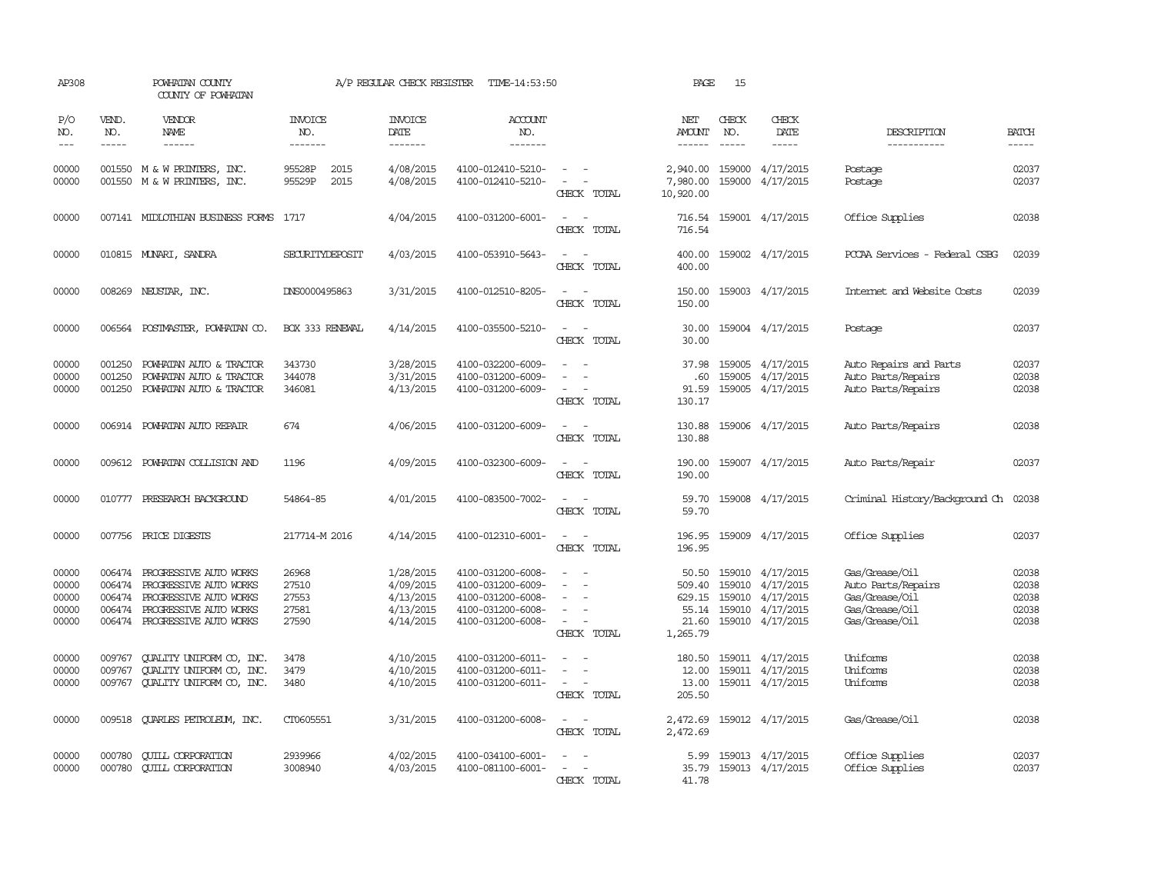| AP308                                     |                                      | POWHATAN COUNTY<br>COUNTY OF POWHATAN                                                                                                 |                                           | A/P REGULAR CHECK REGISTER                                    | TIME-14:53:50                                                                                         |                                                                                                                                                         | PAGE                                           | 15                          |                                                                                                 |                                                                                            |                                           |
|-------------------------------------------|--------------------------------------|---------------------------------------------------------------------------------------------------------------------------------------|-------------------------------------------|---------------------------------------------------------------|-------------------------------------------------------------------------------------------------------|---------------------------------------------------------------------------------------------------------------------------------------------------------|------------------------------------------------|-----------------------------|-------------------------------------------------------------------------------------------------|--------------------------------------------------------------------------------------------|-------------------------------------------|
| P/O<br>NO.<br>$\frac{1}{2}$               | VEND.<br>NO.<br>$- - - - -$          | VENDOR<br><b>NAME</b><br>------                                                                                                       | INVOICE<br>NO.<br>-------                 | <b>INVOICE</b><br>DATE<br>-------                             | ACCOUNT<br>NO.<br>-------                                                                             |                                                                                                                                                         | NET<br>AMOUNT<br>------                        | CHECK<br>NO.<br>$- - - - -$ | CHECK<br>DATE<br>$- - - - -$                                                                    | DESCRIPTION<br>-----------                                                                 | <b>BATCH</b><br>-----                     |
| 00000<br>00000                            |                                      | 001550 M & W PRINTERS, INC.<br>001550 M & W PRINTERS,<br>INC.                                                                         | 95528P<br>2015<br>95529P<br>2015          | 4/08/2015<br>4/08/2015                                        | 4100-012410-5210-<br>4100-012410-5210-                                                                | $\frac{1}{2} \left( \frac{1}{2} \right) \left( \frac{1}{2} \right) = \frac{1}{2} \left( \frac{1}{2} \right)$<br>$\overline{\phantom{a}}$<br>CHECK TOTAL | 2,940.00<br>7,980.00<br>10,920.00              | 159000                      | 159000 4/17/2015<br>4/17/2015                                                                   | Postage<br>Postage                                                                         | 02037<br>02037                            |
| 00000                                     |                                      | 007141 MIDLOTHIAN BUSINESS FORMS                                                                                                      | 1717                                      | 4/04/2015                                                     | 4100-031200-6001-                                                                                     | $\overline{\phantom{a}}$<br>CHECK TOTAL                                                                                                                 | 716.54<br>716.54                               |                             | 159001 4/17/2015                                                                                | Office Supplies                                                                            | 02038                                     |
| 00000                                     |                                      | 010815 MUNARI, SANDRA                                                                                                                 | SECURITYDEPOSIT                           | 4/03/2015                                                     | 4100-053910-5643-                                                                                     | $\sim$<br>CHECK TOTAL                                                                                                                                   | 400.00<br>400.00                               |                             | 159002 4/17/2015                                                                                | PCCAA Services - Federal CSBG                                                              | 02039                                     |
| 00000                                     |                                      | 008269 NEUSTAR, INC.                                                                                                                  | DNS0000495863                             | 3/31/2015                                                     | 4100-012510-8205-                                                                                     | CHECK TOTAL                                                                                                                                             | 150.00<br>150.00                               |                             | 159003 4/17/2015                                                                                | Internet and Website Costs                                                                 | 02039                                     |
| 00000                                     |                                      | 006564 POSTMASTER, POWHATAN CO.                                                                                                       | <b>BOX 333 RENEWAL</b>                    | 4/14/2015                                                     | 4100-035500-5210-                                                                                     | $\sim$<br>$\sim$<br>CHECK TOTAL                                                                                                                         | 30.00<br>30.00                                 |                             | 159004 4/17/2015                                                                                | Postage                                                                                    | 02037                                     |
| 00000<br>00000<br>00000                   | 001250<br>001250<br>001250           | POWHATAN AUTO & TRACTOR<br>POWHATAN AUTO & TRACTOR<br>POWHATAN AUTO & TRACTOR                                                         | 343730<br>344078<br>346081                | 3/28/2015<br>3/31/2015<br>4/13/2015                           | 4100-032200-6009-<br>4100-031200-6009-<br>4100-031200-6009-                                           | $\equiv$<br>CHECK TOTAL                                                                                                                                 | 37.98<br>.60<br>91.59<br>130.17                |                             | 159005 4/17/2015<br>159005 4/17/2015<br>159005 4/17/2015                                        | Auto Repairs and Parts<br>Auto Parts/Repairs<br>Auto Parts/Repairs                         | 02037<br>02038<br>02038                   |
| 00000                                     |                                      | 006914 POWHATAN AUTO REPAIR                                                                                                           | 674                                       | 4/06/2015                                                     | 4100-031200-6009-                                                                                     | $\sim$<br>CHECK TOTAL                                                                                                                                   | 130.88<br>130.88                               |                             | 159006 4/17/2015                                                                                | Auto Parts/Repairs                                                                         | 02038                                     |
| 00000                                     |                                      | 009612 POWHATAN COLLISION AND                                                                                                         | 1196                                      | 4/09/2015                                                     | 4100-032300-6009-                                                                                     | CHECK TOTAL                                                                                                                                             | 190.00<br>190.00                               |                             | 159007 4/17/2015                                                                                | Auto Parts/Repair                                                                          | 02037                                     |
| 00000                                     |                                      | 010777 PRESEARCH BACKGROUND                                                                                                           | 54864-85                                  | 4/01/2015                                                     | 4100-083500-7002-                                                                                     | CHECK TOTAL                                                                                                                                             | 59.70<br>59.70                                 |                             | 159008 4/17/2015                                                                                | Criminal History/Background Ch 02038                                                       |                                           |
| 00000                                     | 007756                               | PRICE DIGESTS                                                                                                                         | 217714-M 2016                             | 4/14/2015                                                     | 4100-012310-6001-                                                                                     | CHECK TOTAL                                                                                                                                             | 196.95<br>196.95                               |                             | 159009 4/17/2015                                                                                | Office Supplies                                                                            | 02037                                     |
| 00000<br>00000<br>00000<br>00000<br>00000 | 006474<br>006474<br>006474<br>006474 | PROGRESSIVE AUTO WORKS<br>PROGRESSIVE AUTO WORKS<br>PROGRESSIVE AUTO WORKS<br>PROGRESSIVE AUTO WORKS<br>006474 PROGRESSIVE AUTO WORKS | 26968<br>27510<br>27553<br>27581<br>27590 | 1/28/2015<br>4/09/2015<br>4/13/2015<br>4/13/2015<br>4/14/2015 | 4100-031200-6008-<br>4100-031200-6009-<br>4100-031200-6008-<br>4100-031200-6008-<br>4100-031200-6008- | $\equiv$<br>$\sim$<br>CHECK TOTAL                                                                                                                       | 50.50<br>509.40<br>629.15<br>21.60<br>1,265.79 | 159010                      | 159010 4/17/2015<br>4/17/2015<br>159010 4/17/2015<br>55.14 159010 4/17/2015<br>159010 4/17/2015 | Gas/Grease/Oil<br>Auto Parts/Repairs<br>Gas/Grease/Oil<br>Gas/Grease/Oil<br>Gas/Grease/Oil | 02038<br>02038<br>02038<br>02038<br>02038 |
| 00000<br>00000<br>00000                   | 009767<br>009767                     | <b>CUALITY UNIFORM CO, INC.</b><br>QUALITY UNIFORM CO, INC.<br>009767 QUALITY UNIFORM CO, INC.                                        | 3478<br>3479<br>3480                      | 4/10/2015<br>4/10/2015<br>4/10/2015                           | 4100-031200-6011-<br>4100-031200-6011-<br>4100-031200-6011-                                           | $\overline{\phantom{a}}$<br>$\sim$ 10 $\,$<br>CHECK TOTAL                                                                                               | 180.50<br>12.00<br>13.00<br>205.50             |                             | 159011 4/17/2015<br>159011 4/17/2015<br>159011 4/17/2015                                        | Uniforms<br>Uniforms<br>Uniforms                                                           | 02038<br>02038<br>02038                   |
| 00000                                     |                                      | 009518 QUARLES PETROLEUM, INC.                                                                                                        | CT0605551                                 | 3/31/2015                                                     | 4100-031200-6008-                                                                                     | $\sim$<br>CHECK TOTAL                                                                                                                                   | 2,472.69<br>2,472.69                           |                             | 159012 4/17/2015                                                                                | Gas/Grease/Oil                                                                             | 02038                                     |
| 00000<br>00000                            | 000780<br>000780                     | <b>CUILL CORPORATION</b><br><b>CUILL CORPORATION</b>                                                                                  | 2939966<br>3008940                        | 4/02/2015<br>4/03/2015                                        | 4100-034100-6001-<br>4100-081100-6001-                                                                | CHECK TOTAL                                                                                                                                             | 5.99<br>35.79<br>41.78                         |                             | 159013 4/17/2015<br>159013 4/17/2015                                                            | Office Supplies<br>Office Supplies                                                         | 02037<br>02037                            |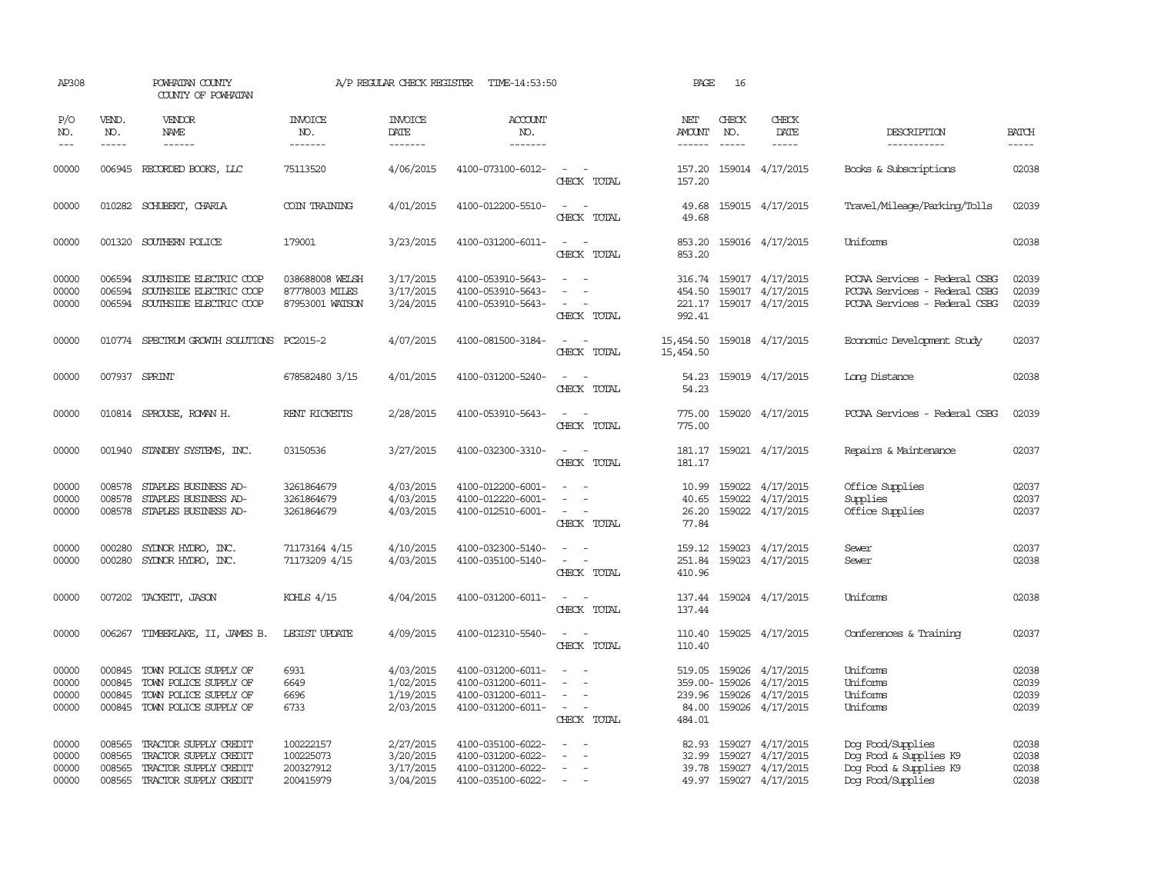| AP308                            |                                      | POWHATAN COUNTY<br>COUNTY OF POWHATAN                                                                   |                                                      | A/P REGULAR CHECK REGISTER                       | TIME-14:53:50                                                                    |                                                                                         | PAGE                                 | 16            |                                                                                     |                                                                                                 |                                  |
|----------------------------------|--------------------------------------|---------------------------------------------------------------------------------------------------------|------------------------------------------------------|--------------------------------------------------|----------------------------------------------------------------------------------|-----------------------------------------------------------------------------------------|--------------------------------------|---------------|-------------------------------------------------------------------------------------|-------------------------------------------------------------------------------------------------|----------------------------------|
| P/O<br>NO.                       | VEND.<br>NO.                         | <b>VENDOR</b><br><b>NAME</b>                                                                            | <b>INVOICE</b><br>NO.                                | <b>INVOICE</b><br><b>DATE</b>                    | <b>ACCOUNT</b><br>NO.                                                            |                                                                                         | NET<br>AMOUNT                        | CHECK<br>NO.  | CHECK<br>DATE                                                                       | DESCRIPTION                                                                                     | <b>BATCH</b>                     |
| $---$                            | $- - - - -$                          |                                                                                                         | -------                                              | -------                                          | -------                                                                          |                                                                                         | ------                               | $\frac{1}{2}$ |                                                                                     | -----------                                                                                     | -----                            |
| 00000                            |                                      | 006945 RECORDED BOOKS, LLC                                                                              | 75113520                                             | 4/06/2015                                        | 4100-073100-6012-                                                                | $\sim$<br>CHECK TOTAL                                                                   | 157.20<br>157.20                     |               | 159014 4/17/2015                                                                    | Books & Subscriptions                                                                           | 02038                            |
| 00000                            |                                      | 010282 SCHUBERT, CHARLA                                                                                 | COIN TRAINING                                        | 4/01/2015                                        | 4100-012200-5510-                                                                | $\sim$<br>CHECK TOTAL                                                                   | 49.68<br>49.68                       |               | 159015 4/17/2015                                                                    | Travel/Mileage/Parking/Tolls                                                                    | 02039                            |
| 00000                            |                                      | 001320 SOUTHERN POLICE                                                                                  | 179001                                               | 3/23/2015                                        | 4100-031200-6011-                                                                | $\overline{\phantom{a}}$<br>$\sim$<br>CHECK TOTAL                                       | 853.20<br>853.20                     |               | 159016 4/17/2015                                                                    | Uniforms                                                                                        | 02038                            |
| 00000<br>00000<br>00000          | 006594<br>006594<br>006594           | SOUTHSIDE ELECTRIC COOP<br>SOUTHSIDE ELECTRIC COOP<br>SOUTHSIDE ELECTRIC COOP                           | 038688008 WELSH<br>87778003 MILES<br>87953001 WATSON | 3/17/2015<br>3/17/2015<br>3/24/2015              | 4100-053910-5643-<br>4100-053910-5643-<br>4100-053910-5643-                      | $\sim$<br>$\overline{\phantom{a}}$<br>CHECK TOTAL                                       | 316.74<br>454.50<br>221.17<br>992.41 |               | 159017 4/17/2015<br>159017 4/17/2015<br>159017 4/17/2015                            | PCCAA Services - Federal CSBG<br>PCCAA Services - Federal CSBG<br>PCCAA Services - Federal CSBG | 02039<br>02039<br>02039          |
| 00000                            |                                      | 010774 SPECTRUM GROWTH SOLUTIONS PC2015-2                                                               |                                                      | 4/07/2015                                        | 4100-081500-3184-                                                                | CHECK TOTAL                                                                             | 15,454.50<br>15,454.50               |               | 159018 4/17/2015                                                                    | Economic Development Study                                                                      | 02037                            |
| 00000                            |                                      | 007937 SPRINT                                                                                           | 678582480 3/15                                       | 4/01/2015                                        | 4100-031200-5240-                                                                | $\overline{\phantom{a}}$<br>CHECK TOTAL                                                 | 54.23<br>54.23                       |               | 159019 4/17/2015                                                                    | Long Distance                                                                                   | 02038                            |
| 00000                            |                                      | 010814 SPROUSE, ROMAN H.                                                                                | RENT RICKETTS                                        | 2/28/2015                                        | 4100-053910-5643-                                                                | CHECK TOTAL                                                                             | 775.00                               |               | 775.00 159020 4/17/2015                                                             | PCCAA Services - Federal CSBG                                                                   | 02039                            |
| 00000                            |                                      | 001940 STANDBY SYSTEMS, INC.                                                                            | 03150536                                             | 3/27/2015                                        | 4100-032300-3310-                                                                | $\sim$ $\sim$<br>CHECK TOTAL                                                            | 181.17                               |               | 181.17 159021 4/17/2015                                                             | Repairs & Maintenance                                                                           | 02037                            |
| 00000<br>00000<br>00000          | 008578<br>008578<br>008578           | STAPLES BUSINESS AD-<br>STAPLES BUSINESS AD-<br>STAPLES BUSINESS AD-                                    | 3261864679<br>3261864679<br>3261864679               | 4/03/2015<br>4/03/2015<br>4/03/2015              | 4100-012200-6001-<br>4100-012220-6001-<br>4100-012510-6001-                      | $\overline{\phantom{a}}$<br>$\sim$<br>CHECK TOTAL                                       | 10.99<br>40.65<br>26.20<br>77.84     |               | 159022 4/17/2015<br>159022 4/17/2015<br>159022 4/17/2015                            | Office Supplies<br>Supplies<br>Office Supplies                                                  | 02037<br>02037<br>02037          |
| 00000<br>00000                   | 000280<br>000280                     | SYLNOR HYDRO, INC.<br>SYDNOR HYDRO, INC.                                                                | 71173164 4/15<br>71173209 4/15                       | 4/10/2015<br>4/03/2015                           | 4100-032300-5140-<br>4100-035100-5140-                                           | $\sim$ $ \sim$<br>$\overline{\phantom{a}}$<br>CHECK TOTAL                               | 251.84<br>410.96                     |               | 159.12 159023 4/17/2015<br>159023 4/17/2015                                         | Sewer<br>Sewer                                                                                  | 02037<br>02038                   |
| 00000                            | 007202                               | TACKETT, JASON                                                                                          | KOHLS $4/15$                                         | 4/04/2015                                        | 4100-031200-6011-                                                                | $\sim$<br>CHECK TOTAL                                                                   | 137.44<br>137.44                     |               | 159024 4/17/2015                                                                    | Uniforms                                                                                        | 02038                            |
| 00000                            | 006267                               | TIMBERLAKE, II, JAMES B.                                                                                | LEGIST UPDATE                                        | 4/09/2015                                        | 4100-012310-5540-                                                                | $\overline{\phantom{a}}$<br>- -<br>CHECK TOTAL                                          | 110.40<br>110.40                     |               | 159025 4/17/2015                                                                    | Conferences & Training                                                                          | 02037                            |
| 00000<br>00000<br>00000<br>00000 | 000845<br>000845<br>000845           | TOWN POLICE SUPPLY OF<br>TOWN POLICE SUPPLY OF<br>TOWN POLICE SUPPLY OF<br>000845 TOWN POLICE SUPPLY OF | 6931<br>6649<br>6696<br>6733                         | 4/03/2015<br>1/02/2015<br>1/19/2015<br>2/03/2015 | 4100-031200-6011-<br>4100-031200-6011-<br>4100-031200-6011-<br>4100-031200-6011- | $\overline{\phantom{a}}$<br>$\sim$<br>$\overline{\phantom{a}}$<br>$\sim$<br>CHECK TOTAL | 84.00<br>484.01                      | 359.00-159026 | 519.05 159026 4/17/2015<br>4/17/2015<br>239.96 159026 4/17/2015<br>159026 4/17/2015 | Uniforms<br>Uniforms<br>Uniforms<br>Uniforms                                                    | 02038<br>02039<br>02039<br>02039 |
| 00000<br>00000<br>00000<br>00000 | 008565<br>008565<br>008565<br>008565 | TRACTOR SUPPLY CREDIT<br>TRACTOR SUPPLY CREDIT<br>TRACTOR SUPPLY CREDIT<br>TRACTOR SUPPLY CREDIT        | 100222157<br>100225073<br>200327912<br>200415979     | 2/27/2015<br>3/20/2015<br>3/17/2015<br>3/04/2015 | 4100-035100-6022-<br>4100-031200-6022-<br>4100-031200-6022-<br>4100-035100-6022- | $\overline{\phantom{a}}$<br>$\sim$                                                      | 82.93<br>32.99<br>39.78              |               | 159027 4/17/2015<br>159027 4/17/2015<br>159027 4/17/2015<br>49.97 159027 4/17/2015  | Dog Food/Supplies<br>Dog Food & Supplies K9<br>Dog Food & Supplies K9<br>Dog Food/Supplies      | 02038<br>02038<br>02038<br>02038 |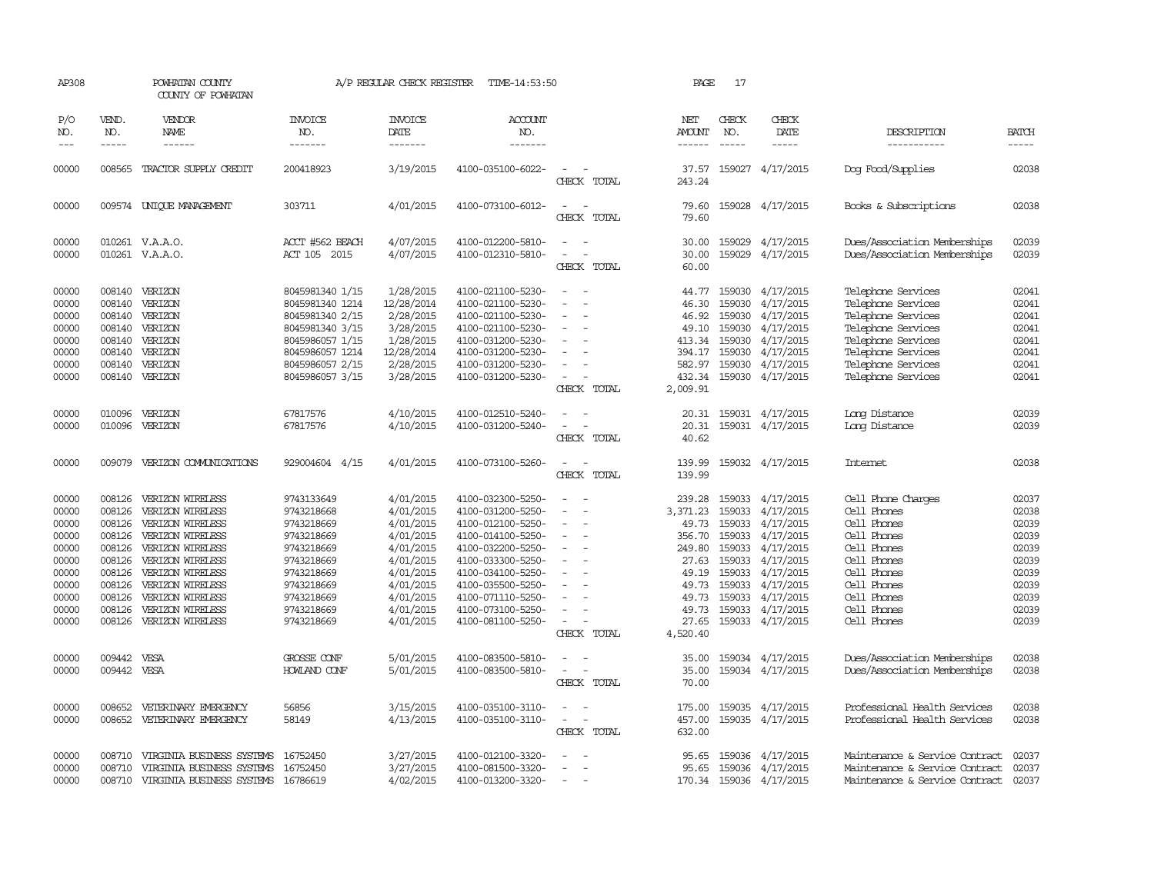| AP308                                                                                           |                                                                                                            | POWHATAN COUNTY<br>COUNTY OF POWHATAN                                                                                                                                                                                    |                                                                                                                                                        | A/P REGULAR CHECK REGISTER                                                                                                                  | TIME-14:53:50                                                                                                                                                                                                                       |                                                                                 | PAGE                                                                                                              | 17                                                                           |                                                                                                                                                                  |                                                                                                                                                                              |                                                                                                 |
|-------------------------------------------------------------------------------------------------|------------------------------------------------------------------------------------------------------------|--------------------------------------------------------------------------------------------------------------------------------------------------------------------------------------------------------------------------|--------------------------------------------------------------------------------------------------------------------------------------------------------|---------------------------------------------------------------------------------------------------------------------------------------------|-------------------------------------------------------------------------------------------------------------------------------------------------------------------------------------------------------------------------------------|---------------------------------------------------------------------------------|-------------------------------------------------------------------------------------------------------------------|------------------------------------------------------------------------------|------------------------------------------------------------------------------------------------------------------------------------------------------------------|------------------------------------------------------------------------------------------------------------------------------------------------------------------------------|-------------------------------------------------------------------------------------------------|
| P/O<br>NO.<br>$---$                                                                             | VEND.<br>NO.<br>$- - - - -$                                                                                | VENDOR<br>NAME<br>------                                                                                                                                                                                                 | <b>INVOICE</b><br>NO.<br>-------                                                                                                                       | <b>INVOICE</b><br>DATE<br>-------                                                                                                           | <b>ACCOUNT</b><br>NO.<br>-------                                                                                                                                                                                                    |                                                                                 | NET<br>AMOUNT<br>$- - - - - -$                                                                                    | CHECK<br>NO.<br>$- - - - -$                                                  | CHECK<br>DATE<br>-----                                                                                                                                           | DESCRIPTION<br>-----------                                                                                                                                                   | <b>BATCH</b><br>-----                                                                           |
| 00000                                                                                           | 008565                                                                                                     | TRACTOR SUPPLY CREDIT                                                                                                                                                                                                    | 200418923                                                                                                                                              | 3/19/2015                                                                                                                                   | 4100-035100-6022-                                                                                                                                                                                                                   | CHECK TOTAL                                                                     | 37.57<br>243.24                                                                                                   |                                                                              | 159027 4/17/2015                                                                                                                                                 | Dog Food/Supplies                                                                                                                                                            | 02038                                                                                           |
| 00000                                                                                           |                                                                                                            | 009574 UNIOUE MANAGEMENT                                                                                                                                                                                                 | 303711                                                                                                                                                 | 4/01/2015                                                                                                                                   | 4100-073100-6012-                                                                                                                                                                                                                   | $\overline{\phantom{a}}$<br>CHECK TOTAL                                         | 79.60<br>79.60                                                                                                    |                                                                              | 159028 4/17/2015                                                                                                                                                 | Books & Subscriptions                                                                                                                                                        | 02038                                                                                           |
| 00000<br>00000                                                                                  |                                                                                                            | 010261 V.A.A.O.<br>010261 V.A.A.O.                                                                                                                                                                                       | ACCT #562 BEACH<br>ACT 105 2015                                                                                                                        | 4/07/2015<br>4/07/2015                                                                                                                      | 4100-012200-5810-<br>4100-012310-5810-                                                                                                                                                                                              | CHECK TOTAL                                                                     | 30.00<br>30.00<br>60.00                                                                                           | 159029                                                                       | 159029 4/17/2015<br>4/17/2015                                                                                                                                    | Dues/Association Memberships<br>Dues/Association Memberships                                                                                                                 | 02039<br>02039                                                                                  |
| 00000<br>00000<br>00000<br>00000<br>00000<br>00000<br>00000<br>00000                            | 008140<br>008140<br>008140<br>008140<br>008140<br>008140                                                   | 008140 VERIZON<br>VERIZON<br>VERIZON<br>VERIZON<br>VERIZON<br>VERIZON<br>VERIZON<br>008140 VERIZON                                                                                                                       | 8045981340 1/15<br>8045981340 1214<br>8045981340 2/15<br>8045981340 3/15<br>8045986057 1/15<br>8045986057 1214<br>8045986057 2/15<br>8045986057 3/15   | 1/28/2015<br>12/28/2014<br>2/28/2015<br>3/28/2015<br>1/28/2015<br>12/28/2014<br>2/28/2015<br>3/28/2015                                      | 4100-021100-5230-<br>4100-021100-5230-<br>4100-021100-5230-<br>4100-021100-5230-<br>4100-031200-5230-<br>4100-031200-5230-<br>4100-031200-5230-<br>4100-031200-5230-                                                                | $\equiv$<br>$\overline{\phantom{a}}$<br>$\overline{\phantom{a}}$<br>CHECK TOTAL | 44.77<br>46.30<br>46.92<br>49.10<br>413.34<br>394.17<br>582.97<br>432.34<br>2,009.91                              | 159030<br>159030<br>159030<br>159030<br>159030                               | 4/17/2015<br>4/17/2015<br>159030 4/17/2015<br>4/17/2015<br>4/17/2015<br>4/17/2015<br>159030 4/17/2015<br>159030 4/17/2015                                        | Telephone Services<br>Telephone Services<br>Telephone Services<br>Telephone Services<br>Telephone Services<br>Telephone Services<br>Telephone Services<br>Telephone Services | 02041<br>02041<br>02041<br>02041<br>02041<br>02041<br>02041<br>02041                            |
| 00000<br>00000                                                                                  | 010096<br>010096                                                                                           | VERIZON<br>VERIZON                                                                                                                                                                                                       | 67817576<br>67817576                                                                                                                                   | 4/10/2015<br>4/10/2015                                                                                                                      | 4100-012510-5240-<br>4100-031200-5240-                                                                                                                                                                                              | CHECK TOTAL                                                                     | 20.31<br>20.31<br>40.62                                                                                           |                                                                              | 159031 4/17/2015<br>159031 4/17/2015                                                                                                                             | Long Distance<br>Long Distance                                                                                                                                               | 02039<br>02039                                                                                  |
| 00000                                                                                           |                                                                                                            | 009079 VERIZON COMUNICATIONS                                                                                                                                                                                             | 929004604 4/15                                                                                                                                         | 4/01/2015                                                                                                                                   | 4100-073100-5260-                                                                                                                                                                                                                   | $\equiv$<br>CHECK TOTAL                                                         | 139.99<br>139.99                                                                                                  |                                                                              | 159032 4/17/2015                                                                                                                                                 | Internet                                                                                                                                                                     | 02038                                                                                           |
| 00000<br>00000<br>00000<br>00000<br>00000<br>00000<br>00000<br>00000<br>00000<br>00000<br>00000 | 008126<br>008126<br>008126<br>008126<br>008126<br>008126<br>008126<br>008126<br>008126<br>008126<br>008126 | VERIZON WIRELESS<br>VERIZON WIRELESS<br>VERIZON WIRELESS<br>VERIZON WIRELESS<br>VERIZON WIRELESS<br>VERIZON WIRELESS<br>VERIZON WIRELESS<br>VERIZON WIRELESS<br>VERIZON WIRELESS<br>VERIZON WIRELESS<br>VERIZON WIRELESS | 9743133649<br>9743218668<br>9743218669<br>9743218669<br>9743218669<br>9743218669<br>9743218669<br>9743218669<br>9743218669<br>9743218669<br>9743218669 | 4/01/2015<br>4/01/2015<br>4/01/2015<br>4/01/2015<br>4/01/2015<br>4/01/2015<br>4/01/2015<br>4/01/2015<br>4/01/2015<br>4/01/2015<br>4/01/2015 | 4100-032300-5250-<br>4100-031200-5250-<br>4100-012100-5250-<br>4100-014100-5250-<br>4100-032200-5250-<br>4100-033300-5250-<br>4100-034100-5250-<br>4100-035500-5250-<br>4100-071110-5250-<br>4100-073100-5250-<br>4100-081100-5250- | $\overline{\phantom{a}}$<br>$\overline{\phantom{a}}$<br>CHECK TOTAL             | 239.28<br>3,371.23<br>49.73<br>356.70<br>249.80<br>27.63<br>49.19<br>49.73<br>49.73<br>49.73<br>27.65<br>4,520.40 | 159033<br>159033<br>159033<br>159033<br>159033<br>159033<br>159033<br>159033 | 159033 4/17/2015<br>4/17/2015<br>4/17/2015<br>4/17/2015<br>4/17/2015<br>4/17/2015<br>4/17/2015<br>159033 4/17/2015<br>4/17/2015<br>4/17/2015<br>159033 4/17/2015 | Cell Phone Charges<br>Cell Phones<br>Cell Phones<br>Cell Phones<br>Cell Phones<br>Cell Phones<br>Cell Phones<br>Cell Phones<br>Cell Phones<br>Cell Phones<br>Cell Phones     | 02037<br>02038<br>02039<br>02039<br>02039<br>02039<br>02039<br>02039<br>02039<br>02039<br>02039 |
| 00000<br>00000                                                                                  | 009442<br>009442 VESA                                                                                      | VESA                                                                                                                                                                                                                     | GROSSE CONF<br>HOWLAND CONF                                                                                                                            | 5/01/2015<br>5/01/2015                                                                                                                      | 4100-083500-5810-<br>4100-083500-5810-                                                                                                                                                                                              | CHECK TOTAL                                                                     | 35.00<br>35.00<br>70.00                                                                                           |                                                                              | 159034 4/17/2015<br>159034 4/17/2015                                                                                                                             | Dues/Association Memberships<br>Dues/Association Memberships                                                                                                                 | 02038<br>02038                                                                                  |
| 00000<br>00000                                                                                  | 008652<br>008652                                                                                           | VETERINARY EMERGENCY<br>VETERINARY EMERGENCY                                                                                                                                                                             | 56856<br>58149                                                                                                                                         | 3/15/2015<br>4/13/2015                                                                                                                      | 4100-035100-3110-<br>4100-035100-3110-                                                                                                                                                                                              | $\overline{\phantom{a}}$<br>CHECK TOTAL                                         | 175.00<br>457.00<br>632.00                                                                                        |                                                                              | 159035 4/17/2015<br>159035 4/17/2015                                                                                                                             | Professional Health Services<br>Professional Health Services                                                                                                                 | 02038<br>02038                                                                                  |
| 00000<br>00000<br>00000                                                                         | 008710<br>008710<br>008710                                                                                 | VIRGINIA BUSINESS SYSTEMS<br>VIRGINIA BUSINESS SYSTEMS<br>VIRGINIA BUSINESS SYSTEMS 16786619                                                                                                                             | 16752450<br>16752450                                                                                                                                   | 3/27/2015<br>3/27/2015<br>4/02/2015                                                                                                         | 4100-012100-3320-<br>4100-081500-3320-<br>4100-013200-3320-                                                                                                                                                                         | $\sim$                                                                          | 95.65<br>95.65                                                                                                    |                                                                              | 159036 4/17/2015<br>159036 4/17/2015<br>170.34 159036 4/17/2015                                                                                                  | Maintenance & Service Contract<br>Maintenance & Service Contract<br>Maintenance & Service Contract                                                                           | 02037<br>02037<br>02037                                                                         |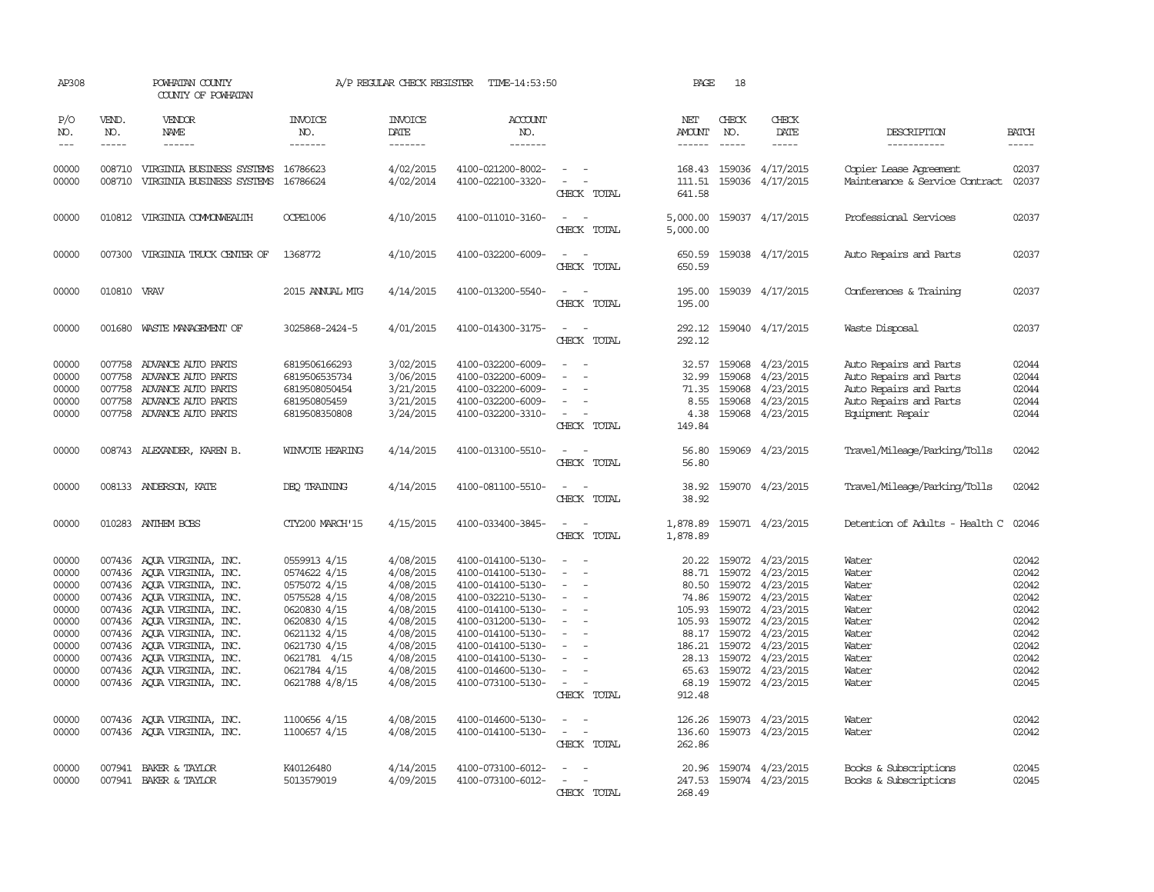| AP308                                                                                                             |                             | POWHATAN COUNTY<br>COUNTY OF POWHATAN                                                                                                                                                                                                                                                                                                                                                              |                                                                                                                                                                                                                | A/P REGULAR CHECK REGISTER                                                                                                                                            | TIME-14:53:50                                                                                                                                                                                                                                                                 |                                                                                                                                                                                                | PAGE                                                                               | 18                          |                                                                                                                                                                                                                                                                                                        |                                                                                                                          |                                                                                                                   |
|-------------------------------------------------------------------------------------------------------------------|-----------------------------|----------------------------------------------------------------------------------------------------------------------------------------------------------------------------------------------------------------------------------------------------------------------------------------------------------------------------------------------------------------------------------------------------|----------------------------------------------------------------------------------------------------------------------------------------------------------------------------------------------------------------|-----------------------------------------------------------------------------------------------------------------------------------------------------------------------|-------------------------------------------------------------------------------------------------------------------------------------------------------------------------------------------------------------------------------------------------------------------------------|------------------------------------------------------------------------------------------------------------------------------------------------------------------------------------------------|------------------------------------------------------------------------------------|-----------------------------|--------------------------------------------------------------------------------------------------------------------------------------------------------------------------------------------------------------------------------------------------------------------------------------------------------|--------------------------------------------------------------------------------------------------------------------------|-------------------------------------------------------------------------------------------------------------------|
| P/O<br>NO.<br>$---$                                                                                               | VEND.<br>NO.<br>$- - - - -$ | <b>VENDOR</b><br>NAME<br>$- - - - - -$                                                                                                                                                                                                                                                                                                                                                             | <b>INVOICE</b><br>NO.<br>-------                                                                                                                                                                               | <b>INVOICE</b><br>DATE<br>-------                                                                                                                                     | ACCOUNT<br>NO.<br>$- - - - - - -$                                                                                                                                                                                                                                             |                                                                                                                                                                                                | NET<br>AMOUNT<br>$- - - - - -$                                                     | CHECK<br>NO.<br>$- - - - -$ | CHECK<br>DATE<br>$- - - - -$                                                                                                                                                                                                                                                                           | DESCRIPTION<br>-----------                                                                                               | <b>BATCH</b><br>-----                                                                                             |
| 00000<br>00000                                                                                                    |                             | 008710 VIRGINIA BUSINESS SYSTEMS<br>008710 VIRGINIA BUSINESS SYSTEMS                                                                                                                                                                                                                                                                                                                               | 16786623<br>16786624                                                                                                                                                                                           | 4/02/2015<br>4/02/2014                                                                                                                                                | 4100-021200-8002-<br>4100-022100-3320-                                                                                                                                                                                                                                        | $\equiv$<br>CHECK TOTAL                                                                                                                                                                        | 168.43<br>111.51<br>641.58                                                         |                             | 159036 4/17/2015<br>159036 4/17/2015                                                                                                                                                                                                                                                                   | Copier Lease Agreement<br>Maintenance & Service Contract                                                                 | 02037<br>02037                                                                                                    |
| 00000                                                                                                             |                             | 010812 VIRGINIA COMONWEALTH                                                                                                                                                                                                                                                                                                                                                                        | OCPE1006                                                                                                                                                                                                       | 4/10/2015                                                                                                                                                             | 4100-011010-3160-                                                                                                                                                                                                                                                             | $\overline{\phantom{a}}$<br>CHECK TOTAL                                                                                                                                                        | 5,000.00<br>5,000.00                                                               |                             | 159037 4/17/2015                                                                                                                                                                                                                                                                                       | Professional Services                                                                                                    | 02037                                                                                                             |
| 00000                                                                                                             |                             | 007300 VIRGINIA TRUCK CENTER OF                                                                                                                                                                                                                                                                                                                                                                    | 1368772                                                                                                                                                                                                        | 4/10/2015                                                                                                                                                             | 4100-032200-6009-                                                                                                                                                                                                                                                             | CHECK TOTAL                                                                                                                                                                                    | 650.59<br>650.59                                                                   |                             | 159038 4/17/2015                                                                                                                                                                                                                                                                                       | Auto Repairs and Parts                                                                                                   | 02037                                                                                                             |
| 00000                                                                                                             | 010810 VRAV                 |                                                                                                                                                                                                                                                                                                                                                                                                    | 2015 ANNUAL MIG                                                                                                                                                                                                | 4/14/2015                                                                                                                                                             | 4100-013200-5540-                                                                                                                                                                                                                                                             | CHECK TOTAL                                                                                                                                                                                    | 195.00<br>195.00                                                                   |                             | 159039 4/17/2015                                                                                                                                                                                                                                                                                       | Conferences & Training                                                                                                   | 02037                                                                                                             |
| 00000                                                                                                             |                             | 001680 WASTE MANAGEMENT OF                                                                                                                                                                                                                                                                                                                                                                         | 3025868-2424-5                                                                                                                                                                                                 | 4/01/2015                                                                                                                                                             | 4100-014300-3175-                                                                                                                                                                                                                                                             | $\overline{\phantom{a}}$<br>CHECK TOTAL                                                                                                                                                        | 292.12<br>292.12                                                                   |                             | 159040 4/17/2015                                                                                                                                                                                                                                                                                       | Waste Disposal                                                                                                           | 02037                                                                                                             |
| 00000<br>00000<br>00000<br>00000<br>00000                                                                         | 007758<br>007758<br>007758  | 007758 ADVANCE AUTO PARTS<br>ADVANCE AUTO PARTS<br>ADVANCE AUTO PARTS<br>ADVANCE AUTO PARTS<br>007758 ADVANCE AUTO PARTS                                                                                                                                                                                                                                                                           | 6819506166293<br>6819506535734<br>6819508050454<br>681950805459<br>6819508350808                                                                                                                               | 3/02/2015<br>3/06/2015<br>3/21/2015<br>3/21/2015<br>3/24/2015                                                                                                         | 4100-032200-6009-<br>4100-032200-6009-<br>4100-032200-6009-<br>4100-032200-6009-<br>4100-032200-3310-                                                                                                                                                                         | $\overline{\phantom{a}}$<br>$\overline{\phantom{a}}$<br>$\overline{\phantom{a}}$<br>CHECK TOTAL                                                                                                | 32.57<br>32.99<br>71.35<br>8.55<br>4.38<br>149.84                                  | 159068<br>159068<br>159068  | 4/23/2015<br>4/23/2015<br>4/23/2015<br>159068 4/23/2015<br>159068 4/23/2015                                                                                                                                                                                                                            | Auto Repairs and Parts<br>Auto Repairs and Parts<br>Auto Repairs and Parts<br>Auto Repairs and Parts<br>Equipment Repair | 02044<br>02044<br>02044<br>02044<br>02044                                                                         |
| 00000                                                                                                             |                             | 008743 ALEXANDER, KAREN B.                                                                                                                                                                                                                                                                                                                                                                         | WINVOTE HEARING                                                                                                                                                                                                | 4/14/2015                                                                                                                                                             | 4100-013100-5510-                                                                                                                                                                                                                                                             | $\sim$ 100 $\mu$<br>CHECK TOTAL                                                                                                                                                                | 56.80<br>56.80                                                                     |                             | 159069 4/23/2015                                                                                                                                                                                                                                                                                       | Travel/Mileage/Parking/Tolls                                                                                             | 02042                                                                                                             |
| 00000                                                                                                             |                             | 008133 ANDERSON, KATE                                                                                                                                                                                                                                                                                                                                                                              | DEO TRAINING                                                                                                                                                                                                   | 4/14/2015                                                                                                                                                             | 4100-081100-5510-                                                                                                                                                                                                                                                             | $\sim$ 10 $\sim$<br>CHECK TOTAL                                                                                                                                                                | 38.92<br>38.92                                                                     |                             | 159070 4/23/2015                                                                                                                                                                                                                                                                                       | Travel/Mileage/Parking/Tolls                                                                                             | 02042                                                                                                             |
| 00000                                                                                                             |                             | 010283 ANTHEM BCBS                                                                                                                                                                                                                                                                                                                                                                                 | CTY200 MARCH'15                                                                                                                                                                                                | 4/15/2015                                                                                                                                                             | 4100-033400-3845-                                                                                                                                                                                                                                                             | $\sim$<br>CHECK TOTAL                                                                                                                                                                          | 1,878.89                                                                           |                             | 1,878.89 159071 4/23/2015                                                                                                                                                                                                                                                                              | Detention of Adults - Health C                                                                                           | 02046                                                                                                             |
| 00000<br>00000<br>00000<br>00000<br>00000<br>00000<br>00000<br>00000<br>00000<br>00000<br>00000<br>00000<br>00000 |                             | 007436 AQUA VIRGINIA, INC.<br>007436 AQUA VIRGINIA, INC.<br>007436 AQUA VIRGINIA, INC.<br>007436 AQUA VIRGINIA, INC.<br>007436 AQUA VIRGINIA, INC.<br>007436 AQUA VIRGINIA, INC.<br>007436 AQUA VIRGINIA, INC.<br>007436 AQUA VIRGINIA, INC.<br>007436 AQUA VIRGINIA, INC.<br>007436 AQUA VIRGINIA, INC.<br>007436 AQUA VIRGINIA, INC.<br>007436 AQUA VIRGINIA, INC.<br>007436 AQUA VIRGINIA, INC. | 0559913 4/15<br>0574622 4/15<br>0575072 4/15<br>0575528 4/15<br>0620830 4/15<br>0620830 4/15<br>0621132 4/15<br>0621730 4/15<br>0621781 4/15<br>0621784 4/15<br>0621788 4/8/15<br>1100656 4/15<br>1100657 4/15 | 4/08/2015<br>4/08/2015<br>4/08/2015<br>4/08/2015<br>4/08/2015<br>4/08/2015<br>4/08/2015<br>4/08/2015<br>4/08/2015<br>4/08/2015<br>4/08/2015<br>4/08/2015<br>4/08/2015 | 4100-014100-5130-<br>4100-014100-5130-<br>4100-014100-5130-<br>4100-032210-5130-<br>4100-014100-5130-<br>4100-031200-5130-<br>4100-014100-5130-<br>4100-014100-5130-<br>4100-014100-5130-<br>4100-014600-5130-<br>4100-073100-5130-<br>4100-014600-5130-<br>4100-014100-5130- | $\overline{\phantom{a}}$<br>$\overline{\phantom{a}}$<br>$\equiv$<br>$\overline{\phantom{a}}$<br>$\overline{\phantom{a}}$<br>$\sim$<br>CHECK TOTAL<br>$\sim$<br>$\sim$<br>$\sim$<br>CHECK TOTAL | 20.22<br>88.71<br>74.86<br>186.21<br>68.19<br>912.48<br>126.26<br>136.60<br>262.86 |                             | 159072 4/23/2015<br>159072 4/23/2015<br>80.50 159072 4/23/2015<br>159072 4/23/2015<br>105.93 159072 4/23/2015<br>105.93 159072 4/23/2015<br>88.17 159072 4/23/2015<br>159072 4/23/2015<br>28.13 159072 4/23/2015<br>65.63 159072 4/23/2015<br>159072 4/23/2015<br>159073 4/23/2015<br>159073 4/23/2015 | Water<br>Water<br>Water<br>Water<br>Water<br>Water<br>Water<br>Water<br>Water<br>Water<br>Water<br>Water<br>Water        | 02042<br>02042<br>02042<br>02042<br>02042<br>02042<br>02042<br>02042<br>02042<br>02042<br>02045<br>02042<br>02042 |
| 00000<br>00000                                                                                                    |                             | 007941 BAKER & TAYLOR<br>007941 BAKER & TAYLOR                                                                                                                                                                                                                                                                                                                                                     | K40126480<br>5013579019                                                                                                                                                                                        | 4/14/2015<br>4/09/2015                                                                                                                                                | 4100-073100-6012-<br>4100-073100-6012-                                                                                                                                                                                                                                        | $\overline{\phantom{a}}$<br>$\overline{\phantom{a}}$<br>CHECK TOTAL                                                                                                                            | 20.96<br>247.53<br>268.49                                                          |                             | 159074 4/23/2015<br>159074 4/23/2015                                                                                                                                                                                                                                                                   | Books & Subscriptions<br>Books & Subscriptions                                                                           | 02045<br>02045                                                                                                    |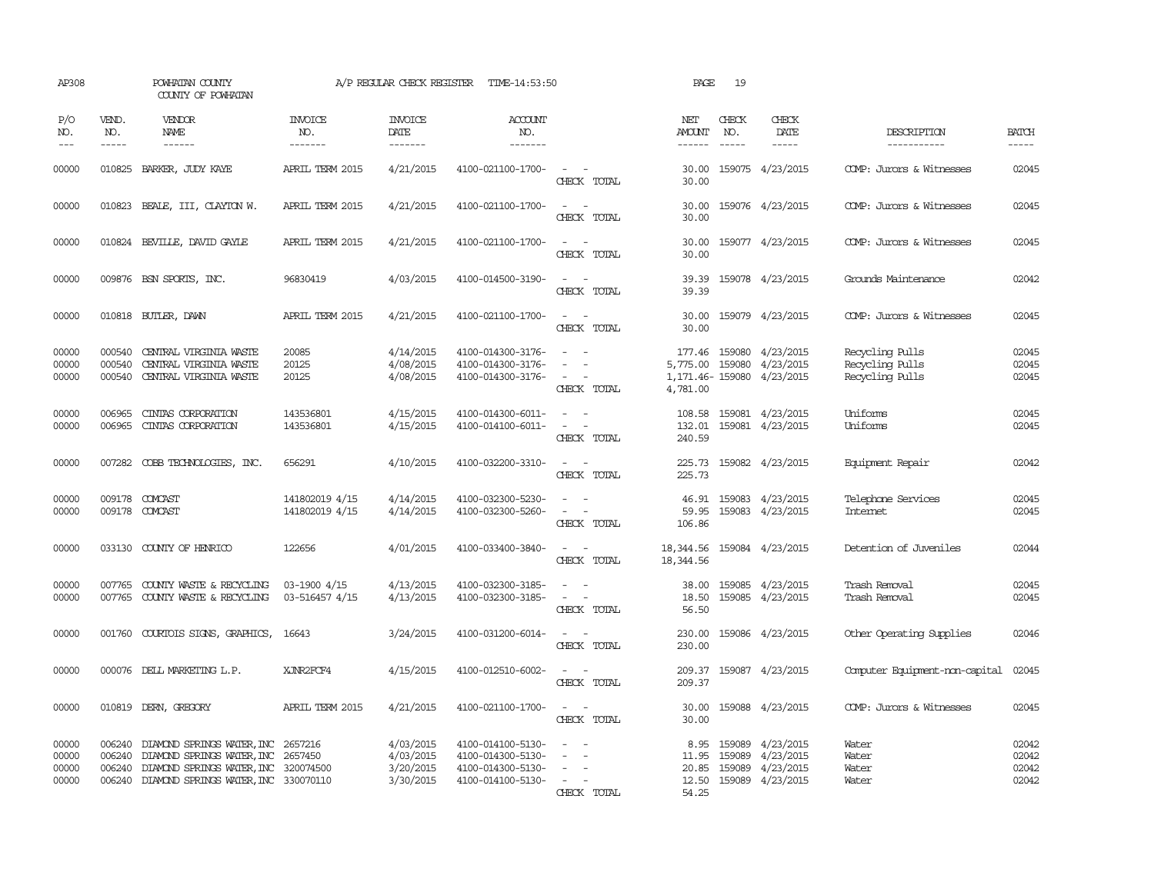| AP308                            |                               | POWHATAN COUNTY<br>COUNTY OF POWHATAN                                                                                                               |                                   | A/P REGULAR CHECK REGISTER                       | TIME-14:53:50                                                                    |                                                                                                                             | PAGE                                     | 19                          |                                                                |                                                       |                                  |
|----------------------------------|-------------------------------|-----------------------------------------------------------------------------------------------------------------------------------------------------|-----------------------------------|--------------------------------------------------|----------------------------------------------------------------------------------|-----------------------------------------------------------------------------------------------------------------------------|------------------------------------------|-----------------------------|----------------------------------------------------------------|-------------------------------------------------------|----------------------------------|
| P/O<br>NO.<br>$---$              | VEND.<br>NO.<br>$\frac{1}{2}$ | VENDOR<br>NAME<br>$- - - - - -$                                                                                                                     | <b>INVOICE</b><br>NO.<br>-------- | <b>INVOICE</b><br>DATE<br>$- - - - - - -$        | <b>ACCOUNT</b><br>NO.<br>$- - - - - - -$                                         |                                                                                                                             | NET<br>AMOUNT<br>------                  | CHECK<br>NO.<br>$- - - - -$ | CHECK<br>DATE<br>$- - - - -$                                   | DESCRIPTION<br>-----------                            | <b>BATCH</b><br>$- - - - -$      |
| 00000                            | 010825                        | BARKER, JUDY KAYE                                                                                                                                   | APRIL TERM 2015                   | 4/21/2015                                        | 4100-021100-1700-                                                                | $\sim$ $ \sim$<br>CHECK TOTAL                                                                                               | 30.00<br>30.00                           |                             | 159075 4/23/2015                                               | COMP: Jurors & Witnesses                              | 02045                            |
| 00000                            |                               | 010823 BEALE, III, CLAYTON W.                                                                                                                       | APRIL TERM 2015                   | 4/21/2015                                        | 4100-021100-1700-                                                                | $\overline{\phantom{a}}$<br>$\sim$<br>CHECK TOTAL                                                                           | 30.00<br>30.00                           |                             | 159076 4/23/2015                                               | COMP: Jurors & Witnesses                              | 02045                            |
| 00000                            |                               | 010824 BEVILLE, DAVID GAYLE                                                                                                                         | APRIL TERM 2015                   | 4/21/2015                                        | 4100-021100-1700-                                                                | $\sim$ $\sim$<br>CHECK TOTAL                                                                                                | 30.00<br>30.00                           |                             | 159077 4/23/2015                                               | COMP: Jurors & Witnesses                              | 02045                            |
| 00000                            |                               | 009876 BSN SPORTS, INC.                                                                                                                             | 96830419                          | 4/03/2015                                        | 4100-014500-3190-                                                                | $\sim$ 10 $\sim$ 10 $\sim$<br>CHECK TOTAL                                                                                   | 39.39<br>39.39                           |                             | 159078 4/23/2015                                               | Grounds Maintenance                                   | 02042                            |
| 00000                            |                               | 010818 BUTLER, DAWN                                                                                                                                 | APRIL TERM 2015                   | 4/21/2015                                        | 4100-021100-1700-                                                                | $\sim$<br>$\sim$<br>CHECK TOTAL                                                                                             | 30.00<br>30.00                           |                             | 159079 4/23/2015                                               | COMP: Jurors & Witnesses                              | 02045                            |
| 00000<br>00000<br>00000          | 000540<br>000540              | CENTRAL VIRGINIA WASTE<br>CENTRAL VIRGINIA WASTE<br>000540 CENTRAL VIRGINIA WASTE                                                                   | 20085<br>20125<br>20125           | 4/14/2015<br>4/08/2015<br>4/08/2015              | 4100-014300-3176-<br>4100-014300-3176-<br>4100-014300-3176-                      | $\omega_{\rm{max}}$ and $\omega_{\rm{max}}$<br>CHECK TOTAL                                                                  | 177.46<br>5,775.00<br>4,781.00           | 159080<br>159080            | 4/23/2015<br>4/23/2015<br>1, 171.46 - 159080 4/23/2015         | Recycling Pulls<br>Recycling Pulls<br>Recycling Pulls | 02045<br>02045<br>02045          |
| 00000<br>00000                   | 006965<br>006965              | CINIAS CORPORATION<br>CINIAS CORPORATION                                                                                                            | 143536801<br>143536801            | 4/15/2015<br>4/15/2015                           | 4100-014300-6011-<br>4100-014100-6011-                                           | $\sim$<br>CHECK TOTAL                                                                                                       | 132.01<br>240.59                         |                             | 108.58 159081 4/23/2015<br>159081 4/23/2015                    | Uniforms<br>Uniforms                                  | 02045<br>02045                   |
| 00000                            |                               | 007282 COBB TECHNOLOGIES, INC.                                                                                                                      | 656291                            | 4/10/2015                                        | 4100-032200-3310-                                                                | $\frac{1}{2} \left( \frac{1}{2} \right) \left( \frac{1}{2} \right) = \frac{1}{2} \left( \frac{1}{2} \right)$<br>CHECK TOTAL | 225.73                                   |                             | 225.73 159082 4/23/2015                                        | Equipment Repair                                      | 02042                            |
| 00000<br>00000                   |                               | 009178 COMCAST<br>009178 COMCAST                                                                                                                    | 141802019 4/15<br>141802019 4/15  | 4/14/2015<br>4/14/2015                           | 4100-032300-5230-<br>4100-032300-5260-                                           | $\frac{1}{2} \left( \frac{1}{2} \right) \left( \frac{1}{2} \right) = \frac{1}{2} \left( \frac{1}{2} \right)$<br>CHECK TOTAL | 59.95<br>106.86                          |                             | 46.91 159083 4/23/2015<br>159083 4/23/2015                     | Telephone Services<br><b>Internet</b>                 | 02045<br>02045                   |
| 00000                            |                               | 033130 COUNTY OF HENRICO                                                                                                                            | 122656                            | 4/01/2015                                        | 4100-033400-3840-                                                                | $\omega_{\rm{max}}$ and<br>CHECK TOTAL                                                                                      | 18,344.56<br>18, 344.56                  |                             | 159084 4/23/2015                                               | Detention of Juveniles                                | 02044                            |
| 00000<br>00000                   | 007765<br>007765              | COUNTY WASTE & RECYCLING<br>COUNTY WASTE & RECYCLING                                                                                                | 03-1900 4/15<br>03-516457 4/15    | 4/13/2015<br>4/13/2015                           | 4100-032300-3185-<br>4100-032300-3185-                                           | $\sim$<br>CHECK TOTAL                                                                                                       | 38.00<br>18.50<br>56.50                  |                             | 159085 4/23/2015<br>159085 4/23/2015                           | Trash Removal<br>Trash Removal                        | 02045<br>02045                   |
| 00000                            |                               | 001760 COURTOIS SIGNS, GRAPHICS,                                                                                                                    | 16643                             | 3/24/2015                                        | 4100-031200-6014-                                                                | CHECK TOTAL                                                                                                                 | 230.00<br>230.00                         |                             | 159086 4/23/2015                                               | Other Operating Supplies                              | 02046                            |
| 00000                            |                               | 000076 DELL MARKETING L.P.                                                                                                                          | XJNR2FCF4                         | 4/15/2015                                        | 4100-012510-6002-                                                                | CHECK TOTAL                                                                                                                 | 209.37<br>209.37                         |                             | 159087 4/23/2015                                               | Computer Equipment-non-capital                        | 02045                            |
| 00000                            |                               | 010819 DERN, GREGORY                                                                                                                                | APRIL TERM 2015                   | 4/21/2015                                        | 4100-021100-1700-                                                                | $\sim$<br>CHECK TOTAL                                                                                                       | 30.00<br>30.00                           |                             | 159088 4/23/2015                                               | COMP: Jurors & Witnesses                              | 02045                            |
| 00000<br>00000<br>00000<br>00000 | 006240                        | 006240 DIAMOND SPRINGS WATER, INC<br>006240 DIAMOND SPRINGS WATER, INC<br>DIAMOND SPRINGS WATER, INC<br>006240 DIAMOND SPRINGS WATER, INC 330070110 | 2657216<br>2657450<br>320074500   | 4/03/2015<br>4/03/2015<br>3/20/2015<br>3/30/2015 | 4100-014100-5130-<br>4100-014300-5130-<br>4100-014300-5130-<br>4100-014100-5130- | $\overline{\phantom{a}}$<br>$\overline{\phantom{0}}$<br>$\sim$<br>$\sim$<br>CHECK TOTAL                                     | 8.95<br>11.95<br>20.85<br>12.50<br>54.25 | 159089<br>159089            | 159089 4/23/2015<br>4/23/2015<br>4/23/2015<br>159089 4/23/2015 | Water<br>Water<br>Water<br>Water                      | 02042<br>02042<br>02042<br>02042 |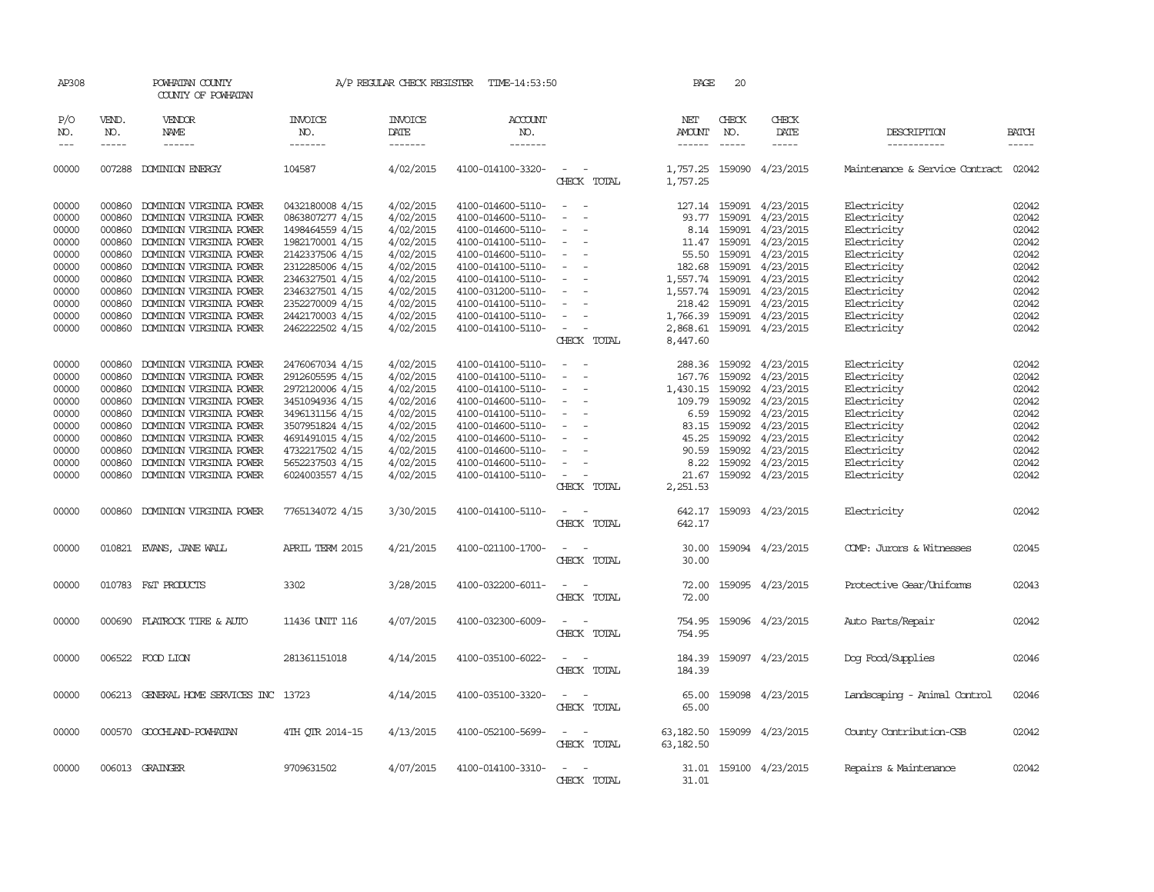| AP308               |                             | POWHATAN COUNTY<br>COUNTY OF POWHATAN  |                                  | A/P REGULAR CHECK REGISTER                | TIME-14:53:50                    |                                      | PAGE                    | 20                            |                           |                                |                             |
|---------------------|-----------------------------|----------------------------------------|----------------------------------|-------------------------------------------|----------------------------------|--------------------------------------|-------------------------|-------------------------------|---------------------------|--------------------------------|-----------------------------|
| P/O<br>NO.<br>$---$ | VEND.<br>NO.<br>$- - - - -$ | VENDOR<br>NAME<br>------               | <b>INVOICE</b><br>NO.<br>------- | <b>INVOICE</b><br>DATE<br>$- - - - - - -$ | <b>ACCOUNT</b><br>NO.<br>------- |                                      | NET<br>AMOUNT           | CHECK<br>NO.<br>$\frac{1}{2}$ | CHECK<br>DATE<br>-----    | DESCRIPTION<br>-----------     | <b>BATCH</b><br>$- - - - -$ |
| 00000               |                             | 007288 DOMINION ENERGY                 | 104587                           | 4/02/2015                                 | 4100-014100-3320-                | $\sim$<br>CHECK TOTAL                | 1,757.25                |                               | 1,757.25 159090 4/23/2015 | Maintenance & Service Contract | 02042                       |
| 00000               | 000860                      | DOMINION VIRGINIA POWER                | 0432180008 4/15                  | 4/02/2015                                 | 4100-014600-5110-                | $\sim$<br>$\sim$                     |                         |                               | 127.14 159091 4/23/2015   | Electricity                    | 02042                       |
| 00000               | 000860                      | DOMINION VIRGINIA POWER                | 0863807277 4/15                  | 4/02/2015                                 | 4100-014600-5110-                | $\sim$                               | 93.77                   |                               | 159091 4/23/2015          | Electricity                    | 02042                       |
| 00000               | 000860                      | DOMINION VIRGINIA POWER                | 1498464559 4/15                  | 4/02/2015                                 | 4100-014600-5110-                | $\overline{\phantom{a}}$             |                         |                               | 8.14 159091 4/23/2015     | Electricity                    | 02042                       |
| 00000               | 000860                      | DOMINION VIRGINIA POWER                | 1982170001 4/15                  | 4/02/2015                                 | 4100-014100-5110-                | $\equiv$                             | 11.47                   |                               | 159091 4/23/2015          | Electricity                    | 02042                       |
| 00000               | 000860                      | DOMINION VIRGINIA POWER                | 2142337506 4/15                  | 4/02/2015                                 | 4100-014600-5110-                | $\sim$                               | 55.50                   |                               | 159091 4/23/2015          | Electricity                    | 02042                       |
| 00000               | 000860                      | DOMINION VIRGINIA POWER                | 2312285006 4/15                  | 4/02/2015                                 | 4100-014100-5110-                |                                      | 182.68                  |                               | 159091 4/23/2015          | Electricity                    | 02042                       |
| 00000               | 000860                      |                                        |                                  |                                           |                                  |                                      |                         |                               |                           |                                | 02042                       |
|                     |                             | DOMINION VIRGINIA POWER                | 2346327501 4/15                  | 4/02/2015                                 | 4100-014100-5110-                |                                      | 1,557.74                |                               | 159091 4/23/2015          | Electricity                    |                             |
| 00000               | 000860                      | DOMINION VIRGINIA POWER                | 2346327501 4/15                  | 4/02/2015                                 | 4100-031200-5110-                | $\overline{\phantom{a}}$             | 1,557.74                |                               | 159091 4/23/2015          | Electricity                    | 02042                       |
| 00000               | 000860                      | DOMINION VIRGINIA POWER                | 2352270009 4/15                  | 4/02/2015                                 | 4100-014100-5110-                |                                      | 218.42                  |                               | 159091 4/23/2015          | Electricity                    | 02042                       |
| 00000               | 000860                      | DOMINION VIRGINIA POWER                | 2442170003 4/15                  | 4/02/2015                                 | 4100-014100-5110-                |                                      | 1,766.39                |                               | 159091 4/23/2015          | Electricity                    | 02042                       |
| 00000               | 000860                      | DOMINION VIRGINIA POWER                | 2462222502 4/15                  | 4/02/2015                                 | 4100-014100-5110-                |                                      | 2,868.61                |                               | 159091 4/23/2015          | Electricity                    | 02042                       |
|                     |                             |                                        |                                  |                                           |                                  | CHECK TOTAL                          | 8,447.60                |                               |                           |                                |                             |
| 00000               | 000860                      | DOMINION VIRGINIA POWER                | 2476067034 4/15                  | 4/02/2015                                 | 4100-014100-5110-                |                                      | 288.36                  |                               | 159092 4/23/2015          | Electricity                    | 02042                       |
| 00000               | 000860                      | DOMINION VIRGINIA POWER                | 2912605595 4/15                  | 4/02/2015                                 | 4100-014100-5110-                | $\equiv$<br>$\overline{\phantom{a}}$ | 167.76                  | 159092                        | 4/23/2015                 | Electricity                    | 02042                       |
| 00000               | 000860                      | DOMINION VIRGINIA POWER                | 2972120006 4/15                  | 4/02/2015                                 | 4100-014100-5110-                | $\overline{\phantom{a}}$             | 1,430.15                | 159092                        | 4/23/2015                 | Electricity                    | 02042                       |
| 00000               | 000860                      | DOMINION VIRGINIA POWER                | 3451094936 4/15                  | 4/02/2016                                 | 4100-014600-5110-                |                                      | 109.79                  | 159092                        | 4/23/2015                 | Electricity                    | 02042                       |
| 00000               | 000860                      | DOMINION VIRGINIA POWER                | 3496131156 4/15                  | 4/02/2015                                 | 4100-014100-5110-                | $\sim$                               | 6.59                    | 159092                        | 4/23/2015                 | Electricity                    | 02042                       |
| 00000               | 000860                      | DOMINION VIRGINIA POWER                | 3507951824 4/15                  | 4/02/2015                                 | 4100-014600-5110-                |                                      | 83.15                   | 159092                        | 4/23/2015                 | Electricity                    | 02042                       |
| 00000               | 000860                      | DOMINION VIRGINIA POWER                | 4691491015 4/15                  | 4/02/2015                                 | 4100-014600-5110-                |                                      | 45.25                   | 159092                        | 4/23/2015                 | Electricity                    | 02042                       |
| 00000               | 000860                      | DOMINION VIRGINIA POWER                | 4732217502 4/15                  | 4/02/2015                                 | 4100-014600-5110-                |                                      | 90.59                   |                               | 159092 4/23/2015          | Electricity                    | 02042                       |
| 00000               | 000860                      | DOMINION VIRGINIA POWER                | 5652237503 4/15                  | 4/02/2015                                 | 4100-014600-5110-                |                                      | 8.22                    |                               | 159092 4/23/2015          | Electricity                    | 02042                       |
| 00000               | 000860                      | DOMINION VIRGINIA POWER                | 6024003557 4/15                  | 4/02/2015                                 | 4100-014100-5110-                |                                      | 21.67                   |                               | 159092 4/23/2015          | Electricity                    | 02042                       |
|                     |                             |                                        |                                  |                                           |                                  | CHECK TOTAL                          | 2,251.53                |                               |                           |                                |                             |
| 00000               | 000860                      | DOMINION VIRGINIA POWER                | 7765134072 4/15                  | 3/30/2015                                 | 4100-014100-5110-                | CHECK TOTAL                          | 642.17<br>642.17        |                               | 159093 4/23/2015          | Electricity                    | 02042                       |
| 00000               |                             | 010821 EVANS, JANE WALL                | APRIL TERM 2015                  | 4/21/2015                                 | 4100-021100-1700-                |                                      | 30.00                   |                               | 159094 4/23/2015          | COMP: Jurors & Witnesses       | 02045                       |
|                     |                             |                                        |                                  |                                           |                                  | CHECK TOTAL                          | 30.00                   |                               |                           |                                |                             |
| 00000               |                             | 010783 F&T PRODUCTS                    | 3302                             | 3/28/2015                                 | 4100-032200-6011-                | $\equiv$<br>CHECK TOTAL              | 72.00<br>72.00          |                               | 159095 4/23/2015          | Protective Gear/Uniforms       | 02043                       |
| 00000               |                             | 000690 FLATROCK TIRE & AUTO            | 11436 UNIT 116                   | 4/07/2015                                 | 4100-032300-6009-                | CHECK TOTAL                          | 754.95<br>754.95        |                               | 159096 4/23/2015          | Auto Parts/Repair              | 02042                       |
| 00000               |                             | 006522 FOOD LION                       | 281361151018                     | 4/14/2015                                 | 4100-035100-6022-                | CHECK TOTAL                          | 184.39<br>184.39        |                               | 159097 4/23/2015          | Dog Food/Supplies              | 02046                       |
| 00000               |                             | 006213 GENERAL HOME SERVICES INC 13723 |                                  | 4/14/2015                                 | 4100-035100-3320-                | CHECK TOTAL                          | 65.00<br>65.00          |                               | 159098 4/23/2015          | Landscaping - Animal Control   | 02046                       |
| 00000               |                             | 000570 GOOCHLAND-POWHATAN              | 4TH QTR 2014-15                  | 4/13/2015                                 | 4100-052100-5699-                | CHECK TOTAL                          | 63,182.50<br>63, 182.50 |                               | 159099 4/23/2015          | County Contribution-CSB        | 02042                       |
| 00000               |                             | 006013 GRAINGER                        | 9709631502                       | 4/07/2015                                 | 4100-014100-3310-                | CHECK TOTAL                          | 31.01                   |                               | 31.01 159100 4/23/2015    | Repairs & Maintenance          | 02042                       |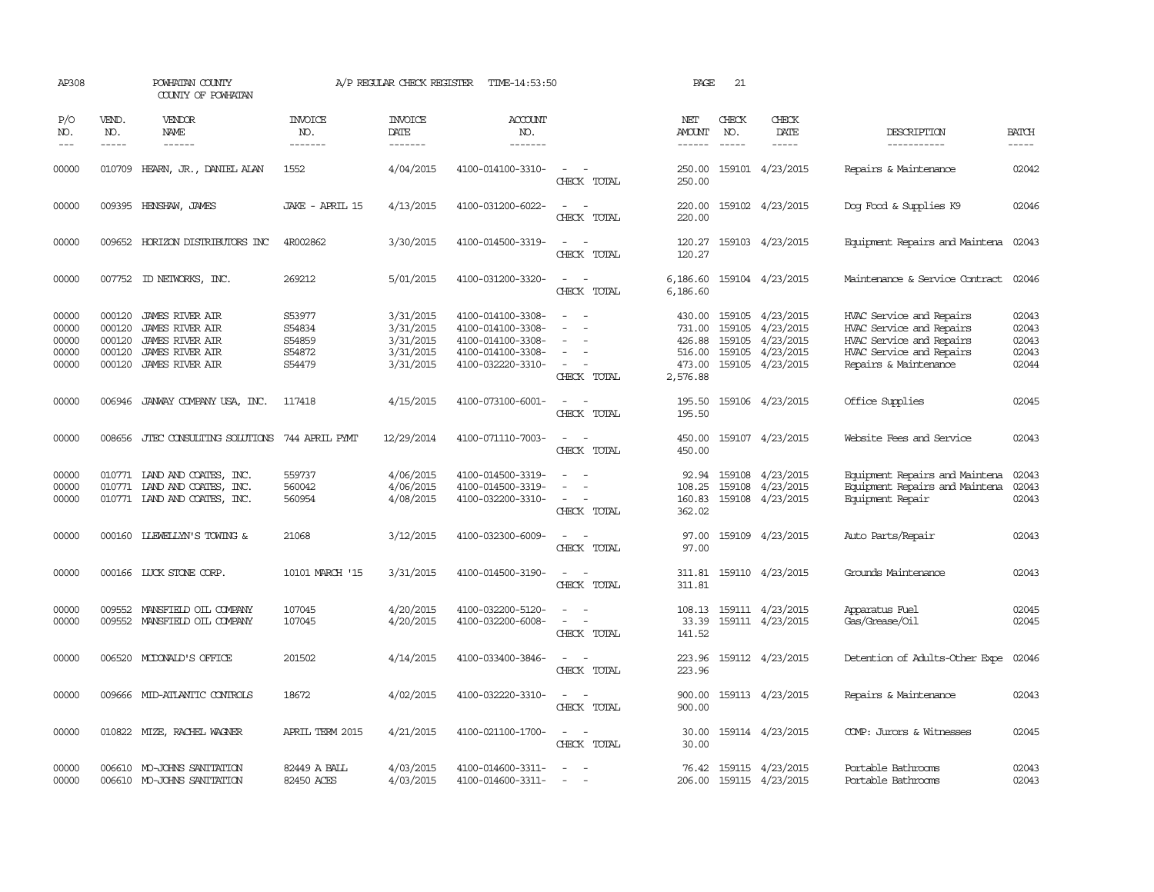| AP308                                     |                                                | POWHATAN COUNTY<br>COUNTY OF POWHATAN                                                                            |                                                | A/P REGULAR CHECK REGISTER                                    | TIME-14:53:50                                                                                         |                                                   | PAGE                                                       | 21                            |                                                                                           |                                                                                                                                       |                                           |
|-------------------------------------------|------------------------------------------------|------------------------------------------------------------------------------------------------------------------|------------------------------------------------|---------------------------------------------------------------|-------------------------------------------------------------------------------------------------------|---------------------------------------------------|------------------------------------------------------------|-------------------------------|-------------------------------------------------------------------------------------------|---------------------------------------------------------------------------------------------------------------------------------------|-------------------------------------------|
| P/O<br>NO.<br>$\frac{1}{2}$               | VEND.<br>NO.<br>$- - - - -$                    | VENDOR<br>NAME<br>------                                                                                         | <b>INVOICE</b><br>NO.<br>-------               | <b>INVOICE</b><br>DATE<br>-------                             | <b>ACCOUNT</b><br>NO.<br>-------                                                                      |                                                   | NET<br>AMOUNT<br>------                                    | CHECK<br>NO.<br>$\frac{1}{2}$ | CHECK<br>DATE<br>$- - - - -$                                                              | DESCRIPTION<br>-----------                                                                                                            | <b>BATCH</b><br>-----                     |
| 00000                                     |                                                | 010709 HEARN, JR., DANIEL ALAN                                                                                   | 1552                                           | 4/04/2015                                                     | 4100-014100-3310-                                                                                     | $\overline{\phantom{a}}$<br>CHECK TOTAL           | 250.00<br>250.00                                           |                               | 159101 4/23/2015                                                                          | Repairs & Maintenance                                                                                                                 | 02042                                     |
| 00000                                     |                                                | 009395 HENSHAW, JAMES                                                                                            | JAKE - APRIL 15                                | 4/13/2015                                                     | 4100-031200-6022-                                                                                     | $\sim$<br>CHECK TOTAL                             | 220.00<br>220.00                                           |                               | 159102 4/23/2015                                                                          | Dog Food & Supplies K9                                                                                                                | 02046                                     |
| 00000                                     |                                                | 009652 HORIZON DISTRIBUTORS INC                                                                                  | 4R002862                                       | 3/30/2015                                                     | 4100-014500-3319-                                                                                     | $\sim$ $\sim$<br>CHECK TOTAL                      | 120.27<br>120.27                                           |                               | 159103 4/23/2015                                                                          | Equipment Repairs and Maintena                                                                                                        | 02043                                     |
| 00000                                     |                                                | 007752 ID NEIWORKS, INC.                                                                                         | 269212                                         | 5/01/2015                                                     | 4100-031200-3320-                                                                                     | $\sim$<br>$\sim$<br>CHECK TOTAL                   | 6,186.60<br>6,186.60                                       |                               | 159104 4/23/2015                                                                          | Maintenance & Service Contract                                                                                                        | 02046                                     |
| 00000<br>00000<br>00000<br>00000<br>00000 | 000120<br>000120<br>000120<br>000120<br>000120 | <b>JAMES RIVER AIR</b><br><b>JAMES RIVER AIR</b><br>JAMES RIVER AIR<br>JAMES RIVER AIR<br><b>JAMES RIVER AIR</b> | S53977<br>S54834<br>S54859<br>S54872<br>S54479 | 3/31/2015<br>3/31/2015<br>3/31/2015<br>3/31/2015<br>3/31/2015 | 4100-014100-3308-<br>4100-014100-3308-<br>4100-014100-3308-<br>4100-014100-3308-<br>4100-032220-3310- | $\equiv$<br>$\sim$<br>CHECK TOTAL                 | 430.00<br>731.00<br>426.88<br>516.00<br>473.00<br>2,576.88 | 159105                        | 159105 4/23/2015<br>4/23/2015<br>159105 4/23/2015<br>159105 4/23/2015<br>159105 4/23/2015 | HVAC Service and Repairs<br>HVAC Service and Repairs<br>HVAC Service and Repairs<br>HVAC Service and Repairs<br>Repairs & Maintenance | 02043<br>02043<br>02043<br>02043<br>02044 |
| 00000                                     | 006946                                         | JANWAY COMPANY USA, INC.                                                                                         | 117418                                         | 4/15/2015                                                     | 4100-073100-6001-                                                                                     | $\sim$<br>CHECK TOTAL                             | 195.50<br>195.50                                           |                               | 159106 4/23/2015                                                                          | Office Supplies                                                                                                                       | 02045                                     |
| 00000                                     | 008656                                         | JIEC CONSULTING SOLUTIONS                                                                                        | 744 APRIL PYMT                                 | 12/29/2014                                                    | 4100-071110-7003-                                                                                     | $\equiv$<br>CHECK TOTAL                           | 450.00<br>450.00                                           |                               | 159107 4/23/2015                                                                          | Website Fees and Service                                                                                                              | 02043                                     |
| 00000<br>00000<br>00000                   |                                                | 010771 LAND AND COATES, INC.<br>010771 LAND AND COATES, INC.<br>010771 IAND AND COATES, INC.                     | 559737<br>560042<br>560954                     | 4/06/2015<br>4/06/2015<br>4/08/2015                           | 4100-014500-3319-<br>4100-014500-3319-<br>4100-032200-3310-                                           | $\overline{\phantom{a}}$<br>$\sim$<br>CHECK TOTAL | 92.94<br>108.25<br>160.83<br>362.02                        | 159108<br>159108              | 4/23/2015<br>4/23/2015<br>159108 4/23/2015                                                | Equipment Repairs and Maintena<br>Equipment Repairs and Maintena<br>Equipment Repair                                                  | 02043<br>02043<br>02043                   |
| 00000                                     | 000160                                         | <b>LLEWELLYN'S TOWING &amp;</b>                                                                                  | 21068                                          | 3/12/2015                                                     | 4100-032300-6009-                                                                                     | CHECK TOTAL                                       | 97.00<br>97.00                                             |                               | 159109 4/23/2015                                                                          | Auto Parts/Repair                                                                                                                     | 02043                                     |
| 00000                                     |                                                | 000166 LUCK STONE CORP.                                                                                          | 10101 MARCH '15                                | 3/31/2015                                                     | 4100-014500-3190-                                                                                     | $\equiv$<br>CHECK TOTAL                           | 311.81<br>311.81                                           |                               | 159110 4/23/2015                                                                          | Grounds Maintenance                                                                                                                   | 02043                                     |
| 00000<br>00000                            |                                                | 009552 MANSFIELD OIL COMPANY<br>009552 MANSFIELD OIL COMPANY                                                     | 107045<br>107045                               | 4/20/2015<br>4/20/2015                                        | 4100-032200-5120-<br>4100-032200-6008-                                                                | $\sim$<br>$\sim$ $ \sim$<br>CHECK TOTAL           | 108.13<br>33.39<br>141.52                                  |                               | 159111 4/23/2015<br>159111 4/23/2015                                                      | Apparatus Fuel<br>Gas/Grease/Oil                                                                                                      | 02045<br>02045                            |
| 00000                                     |                                                | 006520 MCDONALD'S OFFICE                                                                                         | 201502                                         | 4/14/2015                                                     | 4100-033400-3846-                                                                                     | $\sim$<br>$\sim$<br>CHECK TOTAL                   | 223.96<br>223.96                                           |                               | 159112 4/23/2015                                                                          | Detention of Adults-Other Expe                                                                                                        | 02046                                     |
| 00000                                     |                                                | 009666 MID-ATLANTIC CONTROLS                                                                                     | 18672                                          | 4/02/2015                                                     | 4100-032220-3310-                                                                                     | $\sim$<br>CHECK TOTAL                             | 900.00<br>900.00                                           |                               | 159113 4/23/2015                                                                          | Repairs & Maintenance                                                                                                                 | 02043                                     |
| 00000                                     |                                                | 010822 MIZE, RACHEL WAGNER                                                                                       | APRIL TERM 2015                                | 4/21/2015                                                     | 4100-021100-1700-                                                                                     | $\sim$ $ \sim$<br>CHECK TOTAL                     | 30.00<br>30.00                                             |                               | 159114 4/23/2015                                                                          | COMP: Jurors & Witnesses                                                                                                              | 02045                                     |
| 00000<br>00000                            |                                                | 006610 MO-JOHNS SANITATION<br>006610 MO-JOHNS SANITATION                                                         | 82449 A BALL<br>82450 ACES                     | 4/03/2015<br>4/03/2015                                        | 4100-014600-3311-<br>4100-014600-3311-                                                                | $\overline{\phantom{a}}$<br>$\sim$                | 76.42<br>206.00                                            |                               | 159115 4/23/2015<br>159115 4/23/2015                                                      | Portable Bathrooms<br>Portable Bathrooms                                                                                              | 02043<br>02043                            |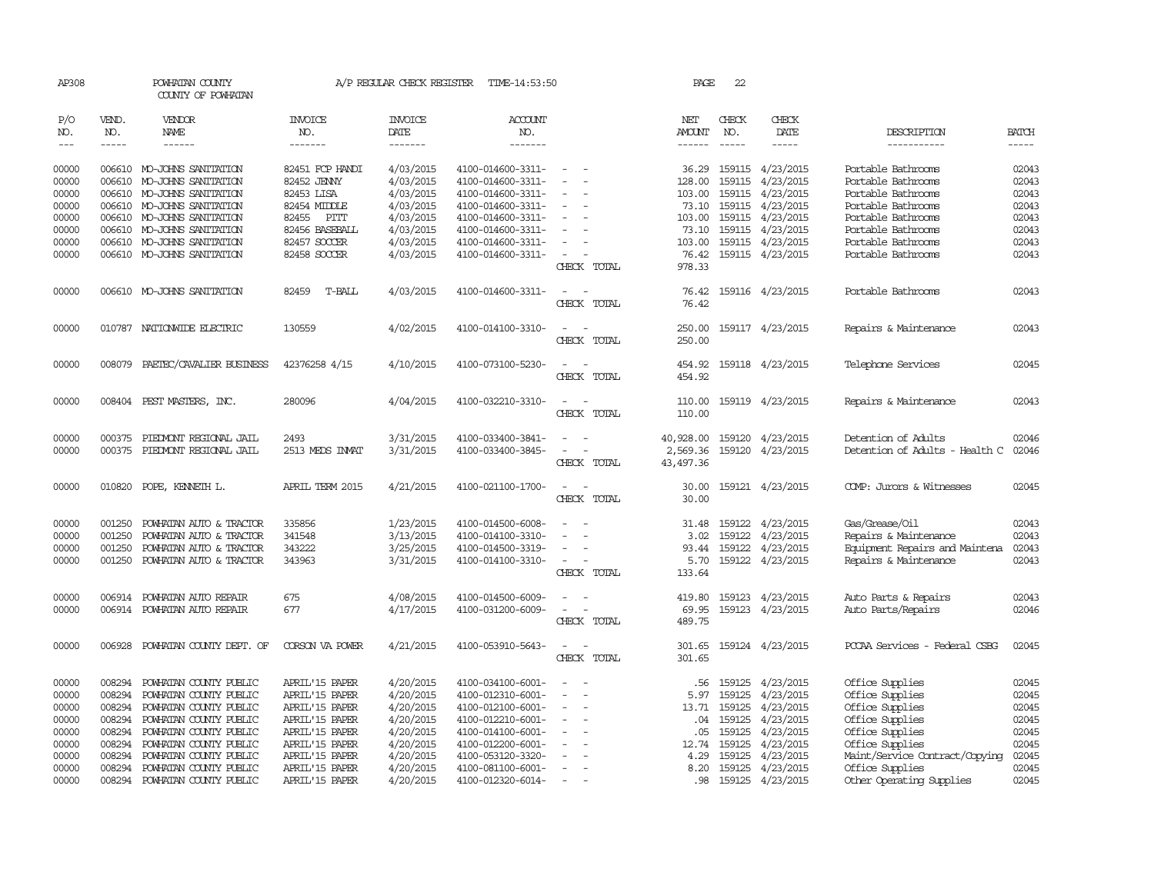| AP308          |                  | POWHATAN COUNTY<br>COUNTY OF POWHATAN             |                                  | A/P REGULAR CHECK REGISTER    | TIME-14:53:50                          |                                                      | PAGE                    | 22           |                               |                                          |                |
|----------------|------------------|---------------------------------------------------|----------------------------------|-------------------------------|----------------------------------------|------------------------------------------------------|-------------------------|--------------|-------------------------------|------------------------------------------|----------------|
| P/O<br>NO.     | VEND.<br>NO.     | VENDOR<br><b>NAME</b>                             | <b>INVOICE</b><br>NO.            | <b>INVOICE</b><br><b>DATE</b> | ACCOUNT<br>NO.                         |                                                      | NET<br>AMOUNT           | CHECK<br>NO. | CHECK<br><b>DATE</b>          | DESCRIPTION                              | <b>BATCH</b>   |
| $---$          | $- - - - -$      | ------                                            | -------                          | -------                       | -------                                |                                                      | $- - - - - -$           | $- - - - -$  | $- - - - -$                   | -----------                              | -----          |
| 00000<br>00000 | 006610           | 006610 MO-JOHNS SANITATION<br>MO-JOHNS SANITATION | 82451 FCP HANDI<br>82452 JENNY   | 4/03/2015<br>4/03/2015        | 4100-014600-3311-<br>4100-014600-3311- | $\sim$<br>$\overline{\phantom{a}}$                   | 36.29<br>128.00         | 159115       | 159115 4/23/2015<br>4/23/2015 | Portable Bathrooms<br>Portable Bathrooms | 02043<br>02043 |
| 00000          | 006610           | MO-JOHNS SANITATION                               | 82453 LISA                       | 4/03/2015                     | 4100-014600-3311-                      |                                                      | 103.00                  | 159115       | 4/23/2015                     | Portable Bathrooms                       | 02043          |
| 00000          |                  | 006610 MO-JOHNS SANITATION                        | 82454 MIDDLE                     | 4/03/2015                     | 4100-014600-3311-                      | $\sim$<br>$\sim$                                     | 73.10                   | 159115       | 4/23/2015                     | Portable Bathrooms                       | 02043          |
| 00000          |                  | 006610 MO-JOHNS SANITATION                        | 82455 PITT                       | 4/03/2015                     | 4100-014600-3311-                      | $\overline{\phantom{a}}$                             | 103.00                  | 159115       | 4/23/2015                     | Portable Bathrooms                       | 02043          |
| 00000          |                  | 006610 MO-JOHNS SANITATION                        | 82456 BASEBALL                   | 4/03/2015                     | 4100-014600-3311-                      |                                                      | 73.10                   | 159115       | 4/23/2015                     | Portable Bathrooms                       | 02043          |
| 00000          |                  | 006610 MO-JOHNS SANITATION                        | 82457 SOCCER                     | 4/03/2015                     | 4100-014600-3311-                      | $\sim$                                               | 103.00                  |              | 159115 4/23/2015              | Portable Bathrooms                       | 02043          |
| 00000          |                  | 006610 MO-JOHNS SANITATION                        | 82458 SOCCER                     | 4/03/2015                     | 4100-014600-3311-                      | $\sim$                                               | 76.42                   |              | 159115 4/23/2015              | Portable Bathrooms                       | 02043          |
|                |                  |                                                   |                                  |                               |                                        | CHECK TOTAL                                          | 978.33                  |              |                               |                                          |                |
| 00000          |                  | 006610 MO-JOHNS SANITATION                        | T-BALL<br>82459                  | 4/03/2015                     | 4100-014600-3311-                      | $\sim$<br>$\sim$<br>CHECK TOTAL                      | 76.42<br>76.42          |              | 159116 4/23/2015              | Portable Bathrooms                       | 02043          |
| 00000          |                  | 010787 NATIONWIDE ELECTRIC                        | 130559                           | 4/02/2015                     | 4100-014100-3310-                      | $\sim$<br>CHECK TOTAL                                | 250.00<br>250.00        |              | 159117 4/23/2015              | Repairs & Maintenance                    | 02043          |
| 00000          | 008079           | PAETEC/CAVALIER BUSINESS                          | 42376258 4/15                    | 4/10/2015                     | 4100-073100-5230-                      | $\sim$ $ \sim$<br>CHECK TOTAL                        | 454.92<br>454.92        |              | 159118 4/23/2015              | Telephone Services                       | 02045          |
| 00000          |                  | 008404 PEST MASTERS, INC.                         | 280096                           | 4/04/2015                     | 4100-032210-3310-                      | $\overline{\phantom{a}}$<br>CHECK TOTAL              | 110.00<br>110.00        |              | 159119 4/23/2015              | Repairs & Maintenance                    | 02043          |
| 00000          | 000375           | PIEDMONT REGIONAL JAIL                            | 2493                             | 3/31/2015                     | 4100-033400-3841-                      |                                                      | 40,928.00               |              | 159120 4/23/2015              | Detention of Adults                      | 02046          |
| 00000          | 000375           | PIEDMONT REGIONAL JAIL                            | 2513 MEDS INVAT                  | 3/31/2015                     | 4100-033400-3845-                      | $\sim$<br>$\overline{\phantom{a}}$<br>CHECK TOTAL    | 2,569.36<br>43, 497. 36 |              | 159120 4/23/2015              | Detention of Adults - Health C           | 02046          |
| 00000          |                  | 010820 POPE, KENNETH L.                           | APRIL TERM 2015                  | 4/21/2015                     | 4100-021100-1700-                      | $\sim$<br>$\sim$<br>CHECK TOTAL                      | 30.00<br>30.00          |              | 159121 4/23/2015              | COMP: Jurors & Witnesses                 | 02045          |
|                |                  |                                                   |                                  |                               |                                        |                                                      |                         |              |                               |                                          |                |
| 00000          | 001250           | POWHATAN AUTO & TRACTOR                           | 335856                           | 1/23/2015                     | 4100-014500-6008-                      |                                                      |                         | 31.48 159122 | 4/23/2015                     | Gas/Grease/Oil                           | 02043          |
| 00000          | 001250           | POWHATAN AUTO & TRACTOR                           | 341548                           | 3/13/2015                     | 4100-014100-3310-                      |                                                      | 3.02                    | 159122       | 4/23/2015                     | Repairs & Maintenance                    | 02043          |
| 00000          | 001250           | POWHATAN AUTO & TRACTOR                           | 343222                           | 3/25/2015                     | 4100-014500-3319-                      | $\sim$                                               | 93.44                   | 159122       | 4/23/2015                     | Equipment Repairs and Maintena           | 02043          |
| 00000          |                  | 001250 POWHATAN AUTO & TRACTOR                    | 343963                           | 3/31/2015                     | 4100-014100-3310-                      | $\sim$<br>$\sim$                                     |                         |              | 5.70 159122 4/23/2015         | Repairs & Maintenance                    | 02043          |
|                |                  |                                                   |                                  |                               |                                        | CHECK TOTAL                                          | 133.64                  |              |                               |                                          |                |
| 00000          |                  | 006914 POWHATAN AUTO REPAIR                       | 675                              | 4/08/2015                     | 4100-014500-6009-                      |                                                      | 419.80                  | 159123       | 4/23/2015                     | Auto Parts & Repairs                     | 02043          |
| 00000          |                  | 006914 POWHATAN AUTO REPAIR                       | 677                              | 4/17/2015                     | 4100-031200-6009-                      |                                                      | 69.95                   |              | 159123 4/23/2015              | Auto Parts/Repairs                       | 02046          |
|                |                  |                                                   |                                  |                               |                                        | CHECK TOTAL                                          | 489.75                  |              |                               |                                          |                |
| 00000          | 006928           | POWHATAN COUNTY DEPT. OF                          | CORSON VA POWER                  | 4/21/2015                     | 4100-053910-5643-                      | CHECK TOTAL                                          | 301.65                  |              | 301.65 159124 4/23/2015       | PCCAA Services - Federal CSBG            | 02045          |
|                |                  |                                                   |                                  |                               |                                        |                                                      |                         |              |                               |                                          |                |
| 00000          | 008294           | POWHATAN COUNTY PUBLIC                            | APRIL'15 PAPER                   | 4/20/2015                     | 4100-034100-6001-                      |                                                      | .56                     | 159125       | 4/23/2015                     | Office Supplies                          | 02045          |
| 00000          | 008294           | POWHATAN COUNTY PUBLIC                            | APRIL'15 PAPER                   | 4/20/2015                     | 4100-012310-6001-                      | $\equiv$                                             | 5.97                    | 159125       | 4/23/2015                     | Office Supplies                          | 02045          |
| 00000          | 008294           | POWHATAN COUNTY PUBLIC                            | APRIL'15 PAPER                   | 4/20/2015                     | 4100-012100-6001-                      | $\sim$<br>$\overline{a}$                             | 13.71                   | 159125       | 4/23/2015                     | Office Supplies                          | 02045          |
| 00000          | 008294           | POWHATAN COUNTY PUBLIC                            | APRIL'15 PAPER                   | 4/20/2015                     | 4100-012210-6001-                      | $\overline{\phantom{a}}$                             | .04                     | 159125       | 4/23/2015                     | Office Supplies                          | 02045          |
| 00000          | 008294           | POWHATAN COUNTY PUBLIC                            | APRIL'15 PAPER                   | 4/20/2015                     | 4100-014100-6001-                      | $\equiv$                                             | .05                     | 159125       | 4/23/2015                     | Office Supplies                          | 02045          |
| 00000          | 008294           | POWHATAN COUNTY PUBLIC                            | APRIL'15 PAPER                   | 4/20/2015                     | 4100-012200-6001-                      | $\overline{\phantom{a}}$<br>$\sim$                   | 12.74                   | 159125       | 4/23/2015                     | Office Supplies                          | 02045          |
| 00000          | 008294           | POWHATAN COUNTY PUBLIC                            | APRIL'15 PAPER                   | 4/20/2015                     | 4100-053120-3320-                      | $\overline{\phantom{a}}$<br>$\overline{\phantom{a}}$ | 4.29                    | 159125       | 4/23/2015                     | Maint/Service Contract/Copying           | 02045          |
| 00000<br>00000 | 008294<br>008294 | POWHATAN COUNTY PUBLIC<br>POWHATAN COUNTY PUBLIC  | APRIL'15 PAPER<br>APRIL'15 PAPER | 4/20/2015<br>4/20/2015        | 4100-081100-6001-<br>4100-012320-6014- | $\overline{\phantom{a}}$<br>$\sim$                   | 8.20<br>.98             | 159125       | 4/23/2015<br>159125 4/23/2015 | Office Supplies                          | 02045<br>02045 |
|                |                  |                                                   |                                  |                               |                                        |                                                      |                         |              |                               | Other Operating Supplies                 |                |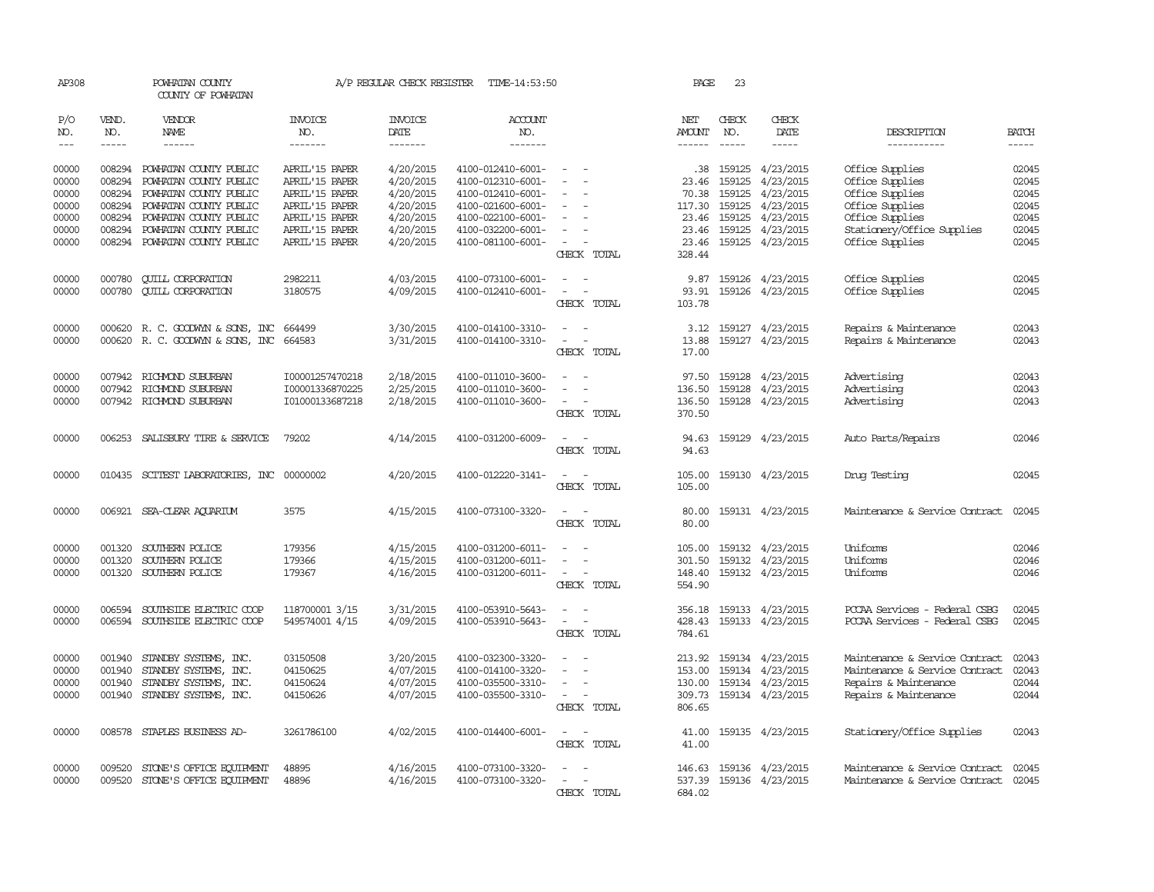| AP308          |                  | POWHATAN COUNTY<br>COUNTY OF POWHATAN            |                                  | A/P REGULAR CHECK REGISTER | TIME-14:53:50                          |                                      | PAGE             | 23               |                               |                                                         |                |
|----------------|------------------|--------------------------------------------------|----------------------------------|----------------------------|----------------------------------------|--------------------------------------|------------------|------------------|-------------------------------|---------------------------------------------------------|----------------|
| P/O<br>NO.     | VEND.<br>NO.     | VENDOR<br><b>NAME</b>                            | <b>INVOICE</b><br>NO.            | <b>INVOICE</b><br>DATE     | ACCOUNT<br>NO.                         |                                      | NET<br>AMOUNT    | CHECK<br>NO.     | CHECK<br>DATE                 | DESCRIPTION                                             | <b>BATCH</b>   |
| $---$          | $- - - - -$      | $- - - - - -$                                    | -------                          | -------                    | -------                                |                                      |                  | $\frac{1}{2}$    | $- - - - -$                   | -----------                                             | $\frac{1}{2}$  |
| 00000<br>00000 | 008294<br>008294 | POWHATAN COUNTY PUBLIC<br>POWHATAN COUNTY PUBLIC | APRIL'15 PAPER<br>APRIL'15 PAPER | 4/20/2015<br>4/20/2015     | 4100-012410-6001-<br>4100-012310-6001- | $\sim$<br>$\sim$                     | .38<br>23.46     | 159125<br>159125 | 4/23/2015<br>4/23/2015        | Office Supplies<br>Office Supplies                      | 02045<br>02045 |
| 00000          | 008294           | POWHATAN COUNTY PUBLIC                           | APRIL'15 PAPER                   | 4/20/2015                  | 4100-012410-6001-                      | $\overline{a}$                       | 70.38            | 159125           | 4/23/2015                     | Office Supplies                                         | 02045          |
| 00000          | 008294           | POWHATAN COUNTY PUBLIC                           | APRIL'15 PAPER                   | 4/20/2015                  | 4100-021600-6001-                      |                                      | 117.30           | 159125           | 4/23/2015                     | Office Supplies                                         | 02045          |
| 00000<br>00000 | 008294<br>008294 | POWHATAN COUNTY PUBLIC<br>POWHATAN COUNTY PUBLIC | APRIL'15 PAPER<br>APRIL'15 PAPER | 4/20/2015<br>4/20/2015     | 4100-022100-6001-<br>4100-032200-6001- | $\equiv$<br>$\overline{\phantom{a}}$ | 23.46<br>23.46   | 159125<br>159125 | 4/23/2015<br>4/23/2015        | Office Supplies<br>Stationery/Office Supplies           | 02045<br>02045 |
| 00000          |                  | 008294 POWHATAN COUNTY PUBLIC                    | APRIL'15 PAPER                   | 4/20/2015                  | 4100-081100-6001-                      | $\overline{\phantom{a}}$             | 23.46            | 159125           | 4/23/2015                     | Office Supplies                                         | 02045          |
|                |                  |                                                  |                                  |                            |                                        | CHECK TOTAL                          | 328.44           |                  |                               |                                                         |                |
| 00000          | 000780           | <b>CUILL CORPORATION</b>                         | 2982211                          | 4/03/2015                  | 4100-073100-6001-                      | $\overline{\phantom{a}}$             | 9.87             |                  | 159126 4/23/2015              | Office Supplies                                         | 02045          |
| 00000          | 000780           | <b>CUILL CORPORATION</b>                         | 3180575                          | 4/09/2015                  | 4100-012410-6001-                      | $\sim$<br>$\sim$<br>CHECK TOTAL      | 93.91<br>103.78  |                  | 159126 4/23/2015              | Office Supplies                                         | 02045          |
|                |                  |                                                  |                                  |                            |                                        |                                      |                  |                  |                               |                                                         |                |
| 00000          |                  | 000620 R. C. GOODWYN & SONS, INC                 | 664499                           | 3/30/2015                  | 4100-014100-3310-                      | $\sim$<br>$\sim$                     | 3.12             |                  | 159127 4/23/2015              | Repairs & Maintenance                                   | 02043          |
| 00000          |                  | 000620 R. C. GOODWYN & SONS, INC 664583          |                                  | 3/31/2015                  | 4100-014100-3310-                      | $\sim$<br>$\sim$<br>CHECK TOTAL      | 13.88<br>17.00   |                  | 159127 4/23/2015              | Repairs & Maintenance                                   | 02043          |
| 00000          |                  | 007942 RICHMOND SUBURBAN                         | I00001257470218                  | 2/18/2015                  | 4100-011010-3600-                      | $\overline{a}$                       | 97.50            | 159128           | 4/23/2015                     | Advertising                                             | 02043          |
| 00000          |                  | 007942 RICHMOND SUBURBAN                         | I00001336870225                  | 2/25/2015                  | 4100-011010-3600-                      |                                      | 136.50           | 159128           | 4/23/2015                     | Advertising                                             | 02043          |
| 00000          |                  | 007942 RICHMOND SUBURBAN                         | I01000133687218                  | 2/18/2015                  | 4100-011010-3600-                      | $\sim$<br>$\sim$<br>CHECK TOTAL      | 136.50<br>370.50 |                  | 159128 4/23/2015              | Advertising                                             | 02043          |
| 00000          |                  | 006253 SALISBURY TIRE & SERVICE                  | 79202                            | 4/14/2015                  | 4100-031200-6009-                      | $\overline{\phantom{0}}$<br>$\sim$   |                  |                  | 94.63 159129 4/23/2015        | Auto Parts/Repairs                                      | 02046          |
|                |                  |                                                  |                                  |                            |                                        | CHECK TOTAL                          | 94.63            |                  |                               |                                                         |                |
| 00000          |                  | 010435 SCITEST LABORATORIES, INC                 | 00000002                         | 4/20/2015                  | 4100-012220-3141-                      | $\sim$                               | 105.00           |                  | 159130 4/23/2015              | Drug Testing                                            | 02045          |
|                |                  |                                                  |                                  |                            |                                        | CHECK TOTAL                          | 105.00           |                  |                               |                                                         |                |
| 00000          |                  | 006921 SEA-CLEAR AQUARIUM                        | 3575                             | 4/15/2015                  | 4100-073100-3320-                      | $\sim$<br>$\sim$                     | 80.00            |                  | 159131 4/23/2015              | Maintenance & Service Contract                          | 02045          |
|                |                  |                                                  |                                  |                            |                                        | CHECK TOTAL                          | 80.00            |                  |                               |                                                         |                |
| 00000          | 001320           | SOUTHERN POLICE                                  | 179356                           | 4/15/2015                  | 4100-031200-6011-                      | $\sim$<br>$\overline{\phantom{a}}$   | 105.00           | 159132           | 4/23/2015                     | Uniforms                                                | 02046          |
| 00000<br>00000 | 001320           | SOUTHERN POLICE<br>001320 SOUTHERN POLICE        | 179366<br>179367                 | 4/15/2015<br>4/16/2015     | 4100-031200-6011-<br>4100-031200-6011- | $\sim$<br>$\sim$ $ \sim$             | 301.50<br>148.40 | 159132           | 4/23/2015<br>159132 4/23/2015 | Uniforms<br>Uniforms                                    | 02046<br>02046 |
|                |                  |                                                  |                                  |                            |                                        | CHECK TOTAL                          | 554.90           |                  |                               |                                                         |                |
| 00000          | 006594           | SOUTHSIDE ELECTRIC COOP                          | 118700001 3/15                   | 3/31/2015                  | 4100-053910-5643-                      | $\overline{a}$                       | 356.18           |                  | 159133 4/23/2015              | PCCAA Services - Federal CSBG                           | 02045          |
| 00000          |                  | 006594 SOUTHSIDE ELECTRIC COOP                   | 549574001 4/15                   | 4/09/2015                  | 4100-053910-5643-                      | $\sim$<br>$\overline{\phantom{a}}$   | 428.43           |                  | 159133 4/23/2015              | PCCAA Services - Federal CSBG                           | 02045          |
|                |                  |                                                  |                                  |                            |                                        | CHECK TOTAL                          | 784.61           |                  |                               |                                                         |                |
| 00000          | 001940           | STANDBY SYSTEMS, INC.                            | 03150508                         | 3/20/2015                  | 4100-032300-3320-                      |                                      | 213.92           | 159134           | 4/23/2015                     | Maintenance & Service Contract                          | 02043          |
| 00000<br>00000 | 001940<br>001940 | STANDBY SYSTEMS, INC.<br>STANDBY SYSTEMS, INC.   | 04150625<br>04150624             | 4/07/2015<br>4/07/2015     | 4100-014100-3320-<br>4100-035500-3310- | $\equiv$                             | 153.00<br>130.00 | 159134           | 4/23/2015<br>159134 4/23/2015 | Maintenance & Service Contract<br>Repairs & Maintenance | 02043<br>02044 |
| 00000          | 001940           | STANDBY SYSTEMS, INC.                            | 04150626                         | 4/07/2015                  | 4100-035500-3310-                      | $\overline{\phantom{a}}$             | 309.73           |                  | 159134 4/23/2015              | Repairs & Maintenance                                   | 02044          |
|                |                  |                                                  |                                  |                            |                                        | CHECK TOTAL                          | 806.65           |                  |                               |                                                         |                |
| 00000          |                  | 008578 STAPLES BUSINESS AD-                      | 3261786100                       | 4/02/2015                  | 4100-014400-6001-                      | $\sim$<br>$\sim$                     | 41.00            |                  | 159135 4/23/2015              | Stationery/Office Supplies                              | 02043          |
|                |                  |                                                  |                                  |                            |                                        | CHECK TOTAL                          | 41.00            |                  |                               |                                                         |                |
| 00000          | 009520           | STONE'S OFFICE EQUIPMENT                         | 48895                            | 4/16/2015                  | 4100-073100-3320-                      |                                      |                  |                  | 146.63 159136 4/23/2015       | Maintenance & Service Contract                          | 02045          |
| 00000          |                  | 009520 STONE'S OFFICE EQUIPMENT                  | 48896                            | 4/16/2015                  | 4100-073100-3320-                      | $\sim$<br>$\sim$                     | 537.39           |                  | 159136 4/23/2015              | Maintenance & Service Contract 02045                    |                |
|                |                  |                                                  |                                  |                            |                                        | CHECK TOTAL                          | 684.02           |                  |                               |                                                         |                |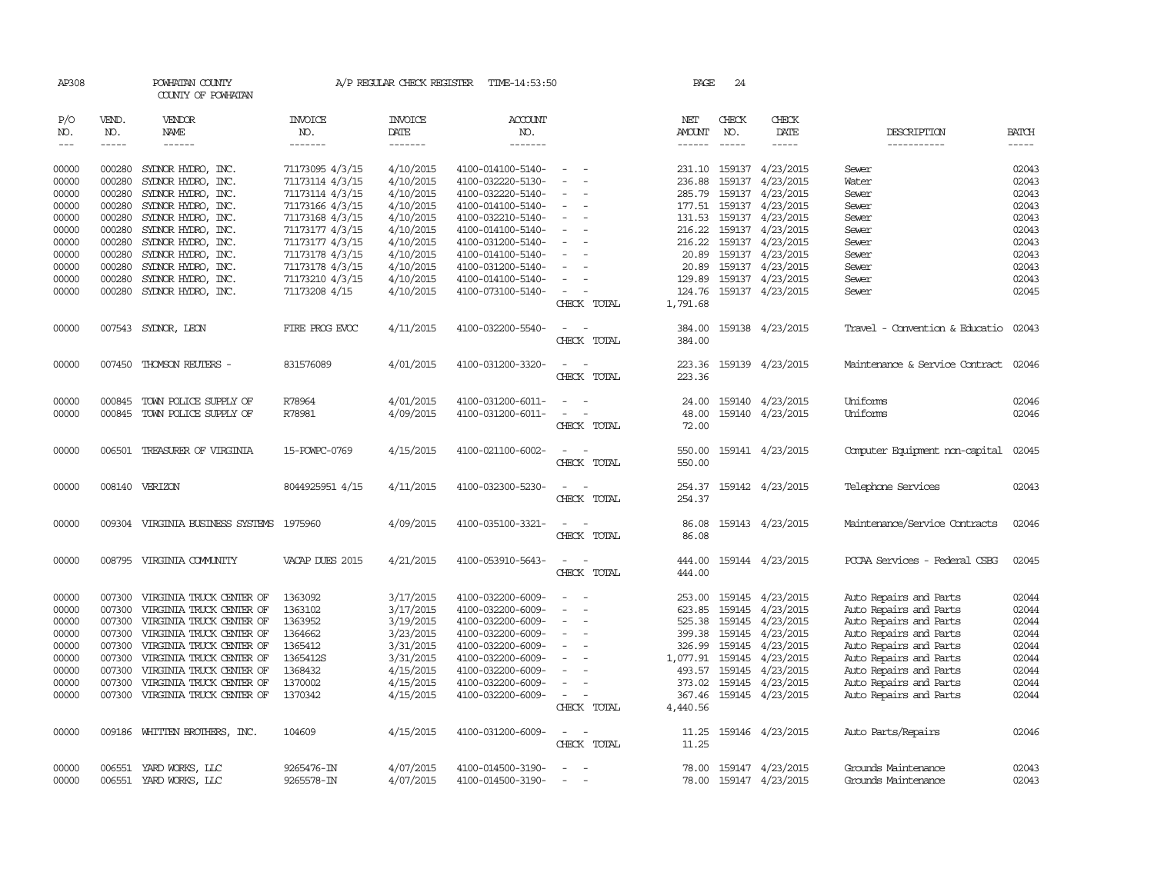| AP308          |                  | POWHATAN COUNTY<br>COUNTY OF POWHATAN    |                    | A/P REGULAR CHECK REGISTER | TIME-14:53:50         |                          | PAGE               | 24           |                         |                                |                |
|----------------|------------------|------------------------------------------|--------------------|----------------------------|-----------------------|--------------------------|--------------------|--------------|-------------------------|--------------------------------|----------------|
| P/O<br>NO.     | VEND.<br>NO.     | VENDOR<br>NAME                           | INVOICE<br>NO.     | <b>INVOICE</b><br>DATE     | <b>ACCOUNT</b><br>NO. |                          | NET<br>AMOUNT      | CHECK<br>NO. | CHECK<br>DATE           | DESCRIPTION                    | <b>BATCH</b>   |
| $---$          | $- - - - -$      | ------                                   | -------            | -------                    | -------               |                          | ------             | $- - - - -$  | -----                   | -----------                    | $- - - - -$    |
| 00000          | 000280           | SYDNOR HYDRO, INC.                       | 71173095 4/3/15    | 4/10/2015                  | 4100-014100-5140-     |                          |                    |              | 231.10 159137 4/23/2015 | Sewer                          | 02043          |
| 00000          | 000280           | SYLNOR HYDRO, INC.                       | 71173114 4/3/15    | 4/10/2015                  | 4100-032220-5130-     |                          | 236.88             | 159137       | 4/23/2015               | Water                          | 02043          |
| 00000          | 000280           | SYDNOR HYDRO, INC.                       | 71173114 4/3/15    | 4/10/2015                  | 4100-032220-5140-     |                          | 285.79             | 159137       | 4/23/2015               | Sewer                          | 02043          |
| 00000          | 000280           | SYDNOR HYDRO, INC.                       | 71173166 4/3/15    | 4/10/2015                  | 4100-014100-5140-     | $\overline{\phantom{a}}$ | 177.51             | 159137       | 4/23/2015               | Sewer                          | 02043          |
| 00000          | 000280           | SYDNOR HYDRO, INC.                       | 71173168 4/3/15    | 4/10/2015                  | 4100-032210-5140-     |                          | 131.53             | 159137       | 4/23/2015               | Sewer                          | 02043          |
| 00000          | 000280           | SYDNOR HYDRO, INC.                       | 71173177 4/3/15    | 4/10/2015                  | 4100-014100-5140-     |                          | 216.22             | 159137       | 4/23/2015               | Sewer                          | 02043          |
| 00000          | 000280           | SYDNOR HYDRO, INC.                       | 71173177 4/3/15    | 4/10/2015                  | 4100-031200-5140-     |                          | 216.22             |              | 159137 4/23/2015        | Sewer                          | 02043          |
| 00000          | 000280           | SYDNOR HYDRO, INC.                       | 71173178 4/3/15    | 4/10/2015                  | 4100-014100-5140-     |                          | 20.89              |              | 159137 4/23/2015        | Sewer                          | 02043          |
| 00000          | 000280           | SYDNOR HYDRO, INC.                       | 71173178 4/3/15    | 4/10/2015                  | 4100-031200-5140-     |                          | 20.89              |              | 159137 4/23/2015        | Sewer                          | 02043          |
| 00000          | 000280           | SYDNOR HYDRO, INC.                       | 71173210 4/3/15    | 4/10/2015                  | 4100-014100-5140-     |                          | 129.89             |              | 159137 4/23/2015        | Sewer                          | 02043          |
| 00000          | 000280           | SYDNOR HYDRO, INC.                       | 71173208 4/15      | 4/10/2015                  | 4100-073100-5140-     |                          | 124.76             |              | 159137 4/23/2015        | Sewer                          | 02045          |
|                |                  |                                          |                    |                            |                       | CHECK<br>TOTAL           | 1,791.68           |              |                         |                                |                |
|                |                  |                                          |                    |                            |                       |                          |                    |              |                         |                                |                |
| 00000          |                  | 007543 SYDNOR, LEON                      | FIRE PROG EVOC     | 4/11/2015                  | 4100-032200-5540-     |                          | 384.00             |              | 159138 4/23/2015        | Travel - Convention & Educatio | 02043          |
|                |                  |                                          |                    |                            |                       | CHECK TOTAL              | 384.00             |              |                         |                                |                |
| 00000          | 007450           | THOMSON REUTERS -                        | 831576089          | 4/01/2015                  | 4100-031200-3320-     |                          | 223.36             |              | 159139 4/23/2015        | Maintenance & Service Contract | 02046          |
|                |                  |                                          |                    |                            |                       | CHECK TOTAL              | 223.36             |              |                         |                                |                |
|                |                  |                                          |                    |                            |                       |                          |                    |              |                         |                                |                |
| 00000          | 000845           | TOWN POLICE SUPPLY OF                    | R78964             | 4/01/2015                  | 4100-031200-6011-     |                          | 24.00              |              | 159140 4/23/2015        | Uniforms                       | 02046          |
| 00000          | 000845           | TOWN POLICE SUPPLY OF                    | R78981             | 4/09/2015                  | 4100-031200-6011-     | $\overline{\phantom{a}}$ | 48.00              |              | 159140 4/23/2015        | Uniforms                       | 02046          |
|                |                  |                                          |                    |                            |                       | CHECK TOTAL              | 72.00              |              |                         |                                |                |
| 00000          |                  | 006501 TREASURER OF VIRGINIA             | 15-POWPC-0769      | 4/15/2015                  | 4100-021100-6002-     | $\sim$                   | 550.00             |              | 159141 4/23/2015        | Computer Equipment non-capital | 02045          |
|                |                  |                                          |                    |                            |                       | CHECK TOTAL              | 550.00             |              |                         |                                |                |
|                |                  |                                          |                    |                            |                       |                          |                    |              |                         |                                |                |
| 00000          |                  | 008140 VERIZON                           | 8044925951 4/15    | 4/11/2015                  | 4100-032300-5230-     | $\overline{\phantom{a}}$ | 254.37             |              | 159142 4/23/2015        | Telephone Services             | 02043          |
|                |                  |                                          |                    |                            |                       | CHECK TOTAL              | 254.37             |              |                         |                                |                |
| 00000          |                  | 009304 VIRGINIA BUSINESS SYSTEMS 1975960 |                    | 4/09/2015                  | 4100-035100-3321-     | $\overline{\phantom{a}}$ | 86.08              |              | 159143 4/23/2015        | Maintenance/Service Contracts  | 02046          |
|                |                  |                                          |                    |                            |                       | CHECK TOTAL              | 86.08              |              |                         |                                |                |
|                |                  |                                          |                    |                            |                       |                          |                    |              |                         |                                |                |
| 00000          |                  | 008795 VIRGINIA COMUNITY                 | VACAP DUES 2015    | 4/21/2015                  | 4100-053910-5643-     | $\overline{a}$           | 444.00             |              | 159144 4/23/2015        | PCCAA Services - Federal CSBG  | 02045          |
|                |                  |                                          |                    |                            |                       | CHECK TOTAL              | 444.00             |              |                         |                                |                |
|                |                  |                                          |                    |                            |                       |                          |                    |              |                         |                                |                |
| 00000          | 007300           | VIRGINIA TRUCK CENTER OF                 | 1363092            | 3/17/2015                  | 4100-032200-6009-     |                          | 253.00             | 159145       | 4/23/2015               | Auto Repairs and Parts         | 02044          |
| 00000          | 007300           | VIRGINIA TRUCK CENTER OF                 | 1363102            | 3/17/2015                  | 4100-032200-6009-     |                          | 623.85             | 159145       | 4/23/2015               | Auto Repairs and Parts         | 02044          |
| 00000          | 007300           | VIRGINIA TRUCK CENTER OF                 | 1363952            | 3/19/2015                  | 4100-032200-6009-     |                          | 525.38             | 159145       | 4/23/2015               | Auto Repairs and Parts         | 02044          |
| 00000          | 007300           | VIRGINIA TRUCK CENTER OF                 | 1364662            | 3/23/2015                  | 4100-032200-6009-     |                          | 399.38             | 159145       | 4/23/2015               | Auto Repairs and Parts         | 02044          |
| 00000          | 007300           | VIRGINIA TRUCK CENTER OF                 | 1365412            | 3/31/2015                  | 4100-032200-6009-     |                          | 326.99             | 159145       | 4/23/2015               | Auto Repairs and Parts         | 02044          |
| 00000          | 007300           | VIRGINIA TRUCK CENTER OF                 | 1365412S           | 3/31/2015                  | 4100-032200-6009-     |                          | 1,077.91           | 159145       | 4/23/2015               | Auto Repairs and Parts         | 02044          |
| 00000          | 007300           | VIRGINIA TRUCK CENTER OF                 | 1368432            | 4/15/2015                  | 4100-032200-6009-     |                          | 493.57             | 159145       | 4/23/2015               | Auto Repairs and Parts         | 02044          |
| 00000<br>00000 | 007300<br>007300 | VIRGINIA TRUCK CENTER OF                 | 1370002<br>1370342 | 4/15/2015                  | 4100-032200-6009-     |                          | 373.02             | 159145       | 4/23/2015               | Auto Repairs and Parts         | 02044<br>02044 |
|                |                  | VIRGINIA TRUCK CENTER OF                 |                    | 4/15/2015                  | 4100-032200-6009-     | CHECK TOTAL              | 367.46<br>4,440.56 |              | 159145 4/23/2015        | Auto Repairs and Parts         |                |
|                |                  |                                          |                    |                            |                       |                          |                    |              |                         |                                |                |
| 00000          | 009186           | WHITTEN BROTHERS, INC.                   | 104609             | 4/15/2015                  | 4100-031200-6009-     |                          | 11.25              |              | 159146 4/23/2015        | Auto Parts/Repairs             | 02046          |
|                |                  |                                          |                    |                            |                       | CHECK TOTAL              | 11.25              |              |                         |                                |                |
| 00000          | 006551           | YARD WORKS, LLC                          | 9265476-IN         | 4/07/2015                  | 4100-014500-3190-     |                          | 78.00              |              | 159147 4/23/2015        | Grounds Maintenance            | 02043          |
| 00000          | 006551           | YARD WORKS, LLC                          | 9265578-IN         | 4/07/2015                  | 4100-014500-3190-     |                          | 78.00              |              | 159147 4/23/2015        | Grounds Maintenance            | 02043          |
|                |                  |                                          |                    |                            |                       |                          |                    |              |                         |                                |                |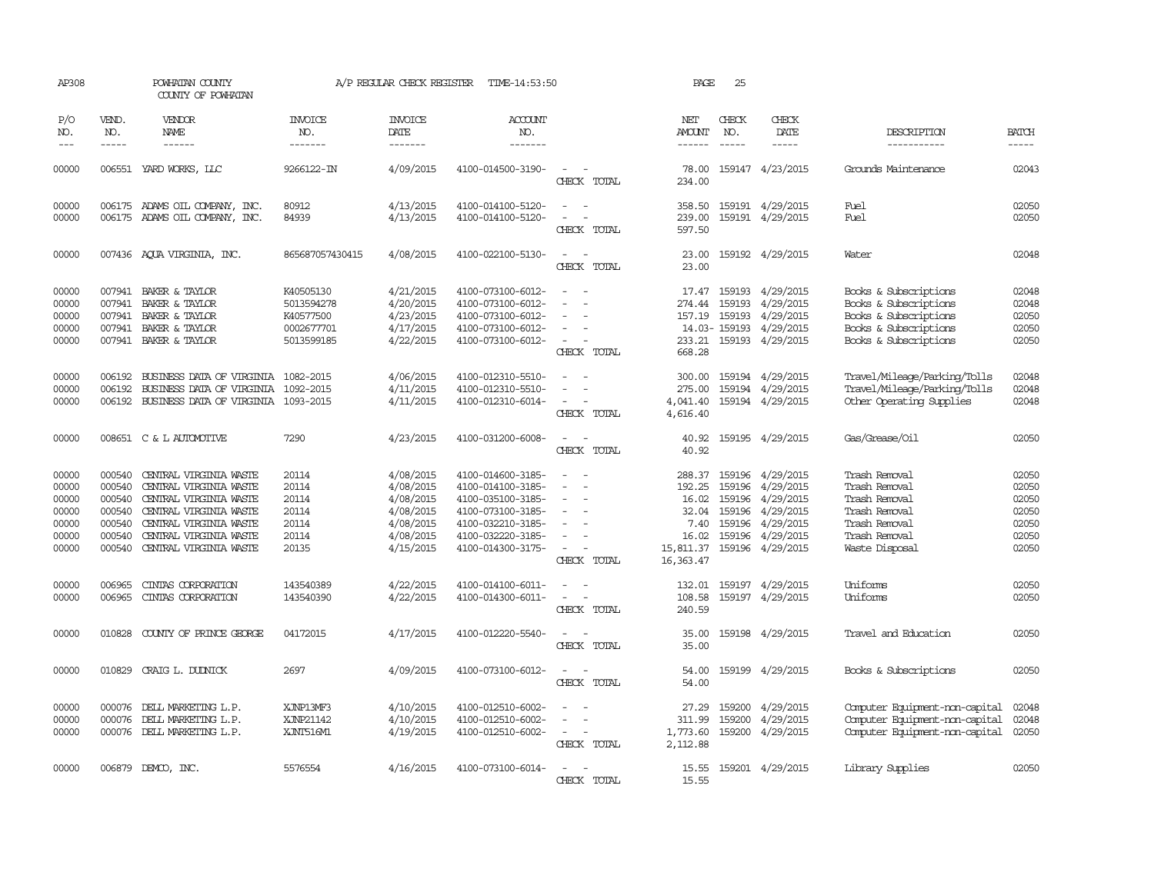| AP308                                                       |                                                                    | POWHATAN COUNTY<br>COUNTY OF POWHATAN                                                                                                                                              |                                                                  | A/P REGULAR CHECK REGISTER                                                              | TIME-14:53:50                                                                                                                                   |                                                                     | PAGE                                                                           | 25                                             |                                                                                                       |                                                                                                                           |                                                             |
|-------------------------------------------------------------|--------------------------------------------------------------------|------------------------------------------------------------------------------------------------------------------------------------------------------------------------------------|------------------------------------------------------------------|-----------------------------------------------------------------------------------------|-------------------------------------------------------------------------------------------------------------------------------------------------|---------------------------------------------------------------------|--------------------------------------------------------------------------------|------------------------------------------------|-------------------------------------------------------------------------------------------------------|---------------------------------------------------------------------------------------------------------------------------|-------------------------------------------------------------|
| P/O<br>NO.<br>$\frac{1}{2}$                                 | VEND.<br>NO.<br>$- - - - -$                                        | VENDOR<br>NAME<br>$- - - - - -$                                                                                                                                                    | <b>INVOICE</b><br>NO.<br>-------                                 | <b>INVOICE</b><br>DATE<br>-------                                                       | <b>ACCOUNT</b><br>NO.<br>-------                                                                                                                |                                                                     | NET<br><b>AMOUNT</b><br>$- - - - - -$                                          | CHECK<br>NO.<br>$- - - - -$                    | CHECK<br>DATE<br>-----                                                                                | DESCRIPTION<br>-----------                                                                                                | <b>BATCH</b><br>-----                                       |
| 00000                                                       |                                                                    | 006551 YARD WORKS, LLC                                                                                                                                                             | 9266122-IN                                                       | 4/09/2015                                                                               | 4100-014500-3190-                                                                                                                               | $\overline{\phantom{a}}$<br>CHECK TOTAL                             | 78.00<br>234.00                                                                |                                                | 159147 4/23/2015                                                                                      | Grounds Maintenance                                                                                                       | 02043                                                       |
| 00000<br>00000                                              |                                                                    | 006175 ADAMS OIL COMPANY, INC.<br>006175 ADAMS OIL COMPANY, INC.                                                                                                                   | 80912<br>84939                                                   | 4/13/2015<br>4/13/2015                                                                  | 4100-014100-5120-<br>4100-014100-5120-                                                                                                          | $\sim$<br>$\sim$<br>CHECK TOTAL                                     | 358.50<br>239.00<br>597.50                                                     | 159191                                         | 159191 4/29/2015<br>4/29/2015                                                                         | Fuel<br>Fuel                                                                                                              | 02050<br>02050                                              |
| 00000                                                       |                                                                    | 007436 AQUA VIRGINIA, INC.                                                                                                                                                         | 865687057430415                                                  | 4/08/2015                                                                               | 4100-022100-5130-                                                                                                                               | $\equiv$<br>CHECK TOTAL                                             | 23.00<br>23.00                                                                 |                                                | 159192 4/29/2015                                                                                      | Water                                                                                                                     | 02048                                                       |
| 00000<br>00000<br>00000<br>00000<br>00000                   | 007941<br>007941                                                   | 007941 BAKER & TAYLOR<br>BAKER & TAYLOR<br>007941 BAKER & TAYLOR<br>BAKER & TAYLOR<br>007941 BAKER & TAYLOR                                                                        | K40505130<br>5013594278<br>K40577500<br>0002677701<br>5013599185 | 4/21/2015<br>4/20/2015<br>4/23/2015<br>4/17/2015<br>4/22/2015                           | 4100-073100-6012-<br>4100-073100-6012-<br>4100-073100-6012-<br>4100-073100-6012-<br>4100-073100-6012-                                           | $\sim$<br>CHECK TOTAL                                               | 17.47<br>274.44<br>668.28                                                      | 159193<br>159193<br>14.03-159193               | 4/29/2015<br>4/29/2015<br>157.19 159193 4/29/2015<br>4/29/2015<br>233.21 159193 4/29/2015             | Books & Subscriptions<br>Books & Subscriptions<br>Books & Subscriptions<br>Books & Subscriptions<br>Books & Subscriptions | 02048<br>02048<br>02050<br>02050<br>02050                   |
| 00000<br>00000<br>00000                                     | 006192<br>006192<br>006192                                         | BUSINESS DATA OF VIRGINIA 1082-2015<br>BUSINESS DATA OF VIRGINIA 1092-2015<br>BUSINESS DATA OF VIRGINIA 1093-2015                                                                  |                                                                  | 4/06/2015<br>4/11/2015<br>4/11/2015                                                     | 4100-012310-5510-<br>4100-012310-5510-<br>4100-012310-6014-                                                                                     | CHECK TOTAL                                                         | 300.00<br>275.00<br>4,041.40<br>4,616.40                                       |                                                | 159194 4/29/2015<br>159194 4/29/2015<br>159194 4/29/2015                                              | Travel/Mileage/Parking/Tolls<br>Travel/Mileage/Parking/Tolls<br>Other Operating Supplies                                  | 02048<br>02048<br>02048                                     |
| 00000                                                       |                                                                    | 008651 C & L AUTOMOTTVE                                                                                                                                                            | 7290                                                             | 4/23/2015                                                                               | 4100-031200-6008-                                                                                                                               | $\overline{\phantom{a}}$<br>CHECK TOTAL                             | 40.92<br>40.92                                                                 |                                                | 159195 4/29/2015                                                                                      | Gas/Grease/Oil                                                                                                            | 02050                                                       |
| 00000<br>00000<br>00000<br>00000<br>00000<br>00000<br>00000 | 000540<br>000540<br>000540<br>000540<br>000540<br>000540<br>000540 | CENTRAL VIRGINIA WASTE<br>CENTRAL VIRGINIA WASTE<br>CENTRAL VIRGINIA WASTE<br>CENTRAL VIRGINIA WASTE<br>CENTRAL VIRGINIA WASTE<br>CENIRAL VIRGINIA WASTE<br>CENTRAL VIRGINIA WASTE | 20114<br>20114<br>20114<br>20114<br>20114<br>20114<br>20135      | 4/08/2015<br>4/08/2015<br>4/08/2015<br>4/08/2015<br>4/08/2015<br>4/08/2015<br>4/15/2015 | 4100-014600-3185-<br>4100-014100-3185-<br>4100-035100-3185-<br>4100-073100-3185-<br>4100-032210-3185-<br>4100-032220-3185-<br>4100-014300-3175- | $\overline{\phantom{a}}$<br>$\overline{\phantom{a}}$<br>CHECK TOTAL | 288.37<br>192.25<br>16.02<br>32.04<br>7.40<br>16.02<br>15,811.37<br>16, 363.47 | 159196<br>159196<br>159196<br>159196<br>159196 | 159196 4/29/2015<br>4/29/2015<br>4/29/2015<br>4/29/2015<br>4/29/2015<br>4/29/2015<br>159196 4/29/2015 | Trash Removal<br>Trash Removal<br>Trash Removal<br>Trash Removal<br>Trash Removal<br>Trash Removal<br>Waste Disposal      | 02050<br>02050<br>02050<br>02050<br>02050<br>02050<br>02050 |
| 00000<br>00000                                              | 006965<br>006965                                                   | CINIAS CORPORATION<br>CINIAS CORPORATION                                                                                                                                           | 143540389<br>143540390                                           | 4/22/2015<br>4/22/2015                                                                  | 4100-014100-6011-<br>4100-014300-6011-                                                                                                          | $\overline{\phantom{a}}$<br>CHECK TOTAL                             | 132.01<br>108.58<br>240.59                                                     |                                                | 159197 4/29/2015<br>159197 4/29/2015                                                                  | Uniforms<br>Uniforms                                                                                                      | 02050<br>02050                                              |
| 00000                                                       | 010828                                                             | COUNTY OF PRINCE GEORGE                                                                                                                                                            | 04172015                                                         | 4/17/2015                                                                               | 4100-012220-5540-                                                                                                                               | CHECK TOTAL                                                         | 35.00<br>35.00                                                                 |                                                | 159198 4/29/2015                                                                                      | Travel and Education                                                                                                      | 02050                                                       |
| 00000                                                       | 010829                                                             | CRAIG L. DUDNICK                                                                                                                                                                   | 2697                                                             | 4/09/2015                                                                               | 4100-073100-6012-                                                                                                                               | CHECK TOTAL                                                         | 54.00<br>54.00                                                                 |                                                | 159199 4/29/2015                                                                                      | Books & Subscriptions                                                                                                     | 02050                                                       |
| 00000<br>00000<br>00000                                     | 000076<br>000076                                                   | DELL MARKETING L.P.<br>DELL MARKETING L.P.<br>000076 DELL MARKETING L.P.                                                                                                           | XJNP13MF3<br><b>XJNP21142</b><br>XJNT516ML                       | 4/10/2015<br>4/10/2015<br>4/19/2015                                                     | 4100-012510-6002-<br>4100-012510-6002-<br>4100-012510-6002-                                                                                     | $\equiv$<br>CHECK TOTAL                                             | 27.29<br>311.99<br>1,773.60<br>2,112.88                                        | 159200<br>159200                               | 4/29/2015<br>4/29/2015<br>159200 4/29/2015                                                            | Computer Equipment-non-capital<br>Computer Equipment-non-capital<br>Computer Equipment-non-capital                        | 02048<br>02048<br>02050                                     |
| 00000                                                       |                                                                    | 006879 DEMCO, INC.                                                                                                                                                                 | 5576554                                                          | 4/16/2015                                                                               | 4100-073100-6014-                                                                                                                               | CHECK TOTAL                                                         | 15.55<br>15.55                                                                 |                                                | 159201 4/29/2015                                                                                      | Library Supplies                                                                                                          | 02050                                                       |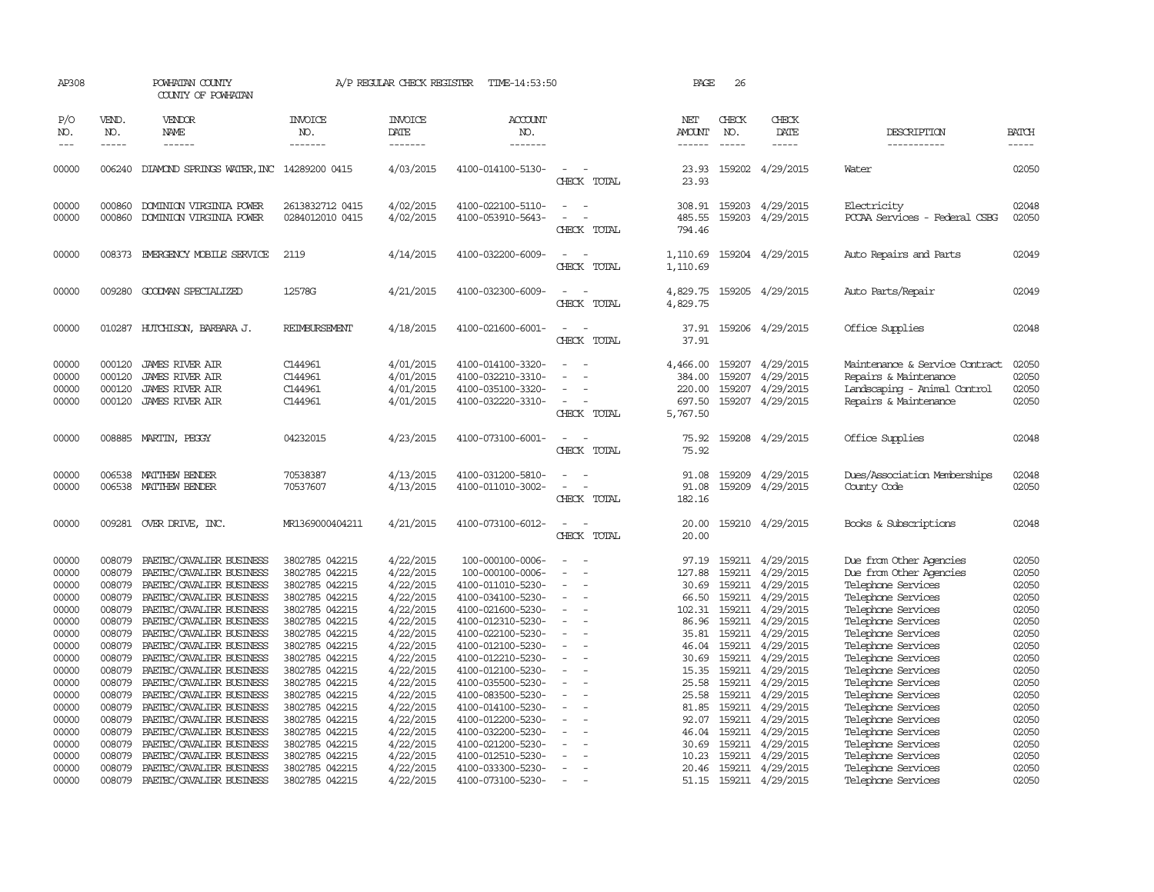| AP308               |                             | POWHATAN COUNTY<br>COUNTY OF POWHATAN                |                                  | A/P REGULAR CHECK REGISTER         | TIME-14:53:50                          |                                                      | PAGE                    | 26                            |                              |                                          |                             |
|---------------------|-----------------------------|------------------------------------------------------|----------------------------------|------------------------------------|----------------------------------------|------------------------------------------------------|-------------------------|-------------------------------|------------------------------|------------------------------------------|-----------------------------|
| P/O<br>NO.<br>$---$ | VEND.<br>NO.<br>$- - - - -$ | VENDOR<br>NAME<br>------                             | <b>INVOICE</b><br>NO.<br>------- | <b>INVOICE</b><br>DATE<br>-------- | ACCOUNT<br>NO.<br>-------              |                                                      | NET<br>AMOUNT<br>------ | CHECK<br>NO.<br>$\frac{1}{2}$ | CHECK<br>DATE<br>$- - - - -$ | DESCRIPTION<br>-----------               | <b>BATCH</b><br>$- - - - -$ |
| 00000               |                             | 006240 DIAMOND SPRINGS WATER, INC 14289200 0415      |                                  | 4/03/2015                          | 4100-014100-5130-                      | $\overline{\phantom{a}}$                             | 23.93                   |                               | 159202 4/29/2015             | Water                                    | 02050                       |
|                     |                             |                                                      |                                  |                                    |                                        | CHECK TOTAL                                          | 23.93                   |                               |                              |                                          |                             |
| 00000               | 000860                      | DOMINION VIRGINIA POWER                              | 2613832712 0415                  | 4/02/2015                          | 4100-022100-5110-                      | $\sim$                                               | 308.91                  | 159203                        | 4/29/2015                    | Electricity                              | 02048                       |
| 00000               | 000860                      | DOMINION VIRGINIA POWER                              | 0284012010 0415                  | 4/02/2015                          | 4100-053910-5643-                      | CHECK TOTAL                                          | 485.55<br>794.46        | 159203                        | 4/29/2015                    | PCCAA Services - Federal CSBG            | 02050                       |
| 00000               | 008373                      | EMERGENCY MOBILE SERVICE                             | 2119                             | 4/14/2015                          | 4100-032200-6009-                      | CHECK TOTAL                                          | 1,110.69<br>1,110.69    |                               | 159204 4/29/2015             | Auto Repairs and Parts                   | 02049                       |
|                     |                             |                                                      |                                  |                                    |                                        |                                                      |                         |                               |                              |                                          |                             |
| 00000               |                             | 009280 GOODMAN SPECIALIZED                           | 12578G                           | 4/21/2015                          | 4100-032300-6009-                      | $\equiv$<br>CHECK TOTAL                              | 4,829.75<br>4,829.75    |                               | 159205 4/29/2015             | Auto Parts/Repair                        | 02049                       |
| 00000               |                             | 010287 HUTCHISON, BARBARA J.                         | <b>REIMBURSEMENT</b>             | 4/18/2015                          | 4100-021600-6001-                      |                                                      |                         |                               | 37.91 159206 4/29/2015       | Office Supplies                          | 02048                       |
|                     |                             |                                                      |                                  |                                    |                                        | CHECK TOTAL                                          | 37.91                   |                               |                              |                                          |                             |
| 00000               | 000120                      | <b>JAMES RIVER AIR</b>                               | C144961                          | 4/01/2015                          | 4100-014100-3320-                      |                                                      | 4,466.00                | 159207                        | 4/29/2015                    | Maintenance & Service Contract           | 02050                       |
| 00000               | 000120                      | <b>JAMES RIVER AIR</b>                               | C144961                          | 4/01/2015                          | 4100-032210-3310-                      | $\sim$                                               | 384.00                  |                               | 159207 4/29/2015             | Repairs & Maintenance                    | 02050                       |
| 00000               | 000120                      | <b>JAMES RIVER AIR</b>                               | C144961                          | 4/01/2015                          | 4100-035100-3320-                      |                                                      | 220.00                  | 159207                        | 4/29/2015                    | Landscaping - Animal Control             | 02050                       |
| 00000               | 000120                      | <b>JAMES RIVER AIR</b>                               | C144961                          | 4/01/2015                          | 4100-032220-3310-                      |                                                      | 697.50                  |                               | 159207 4/29/2015             | Repairs & Maintenance                    | 02050                       |
|                     |                             |                                                      |                                  |                                    |                                        | CHECK TOTAL                                          | 5,767.50                |                               |                              |                                          |                             |
| 00000               |                             | 008885 MARTIN, PEGGY                                 | 04232015                         | 4/23/2015                          | 4100-073100-6001-                      | $\overline{\phantom{a}}$<br>CHECK TOTAL              | 75.92<br>75.92          |                               | 159208 4/29/2015             | Office Supplies                          | 02048                       |
|                     |                             |                                                      |                                  |                                    |                                        |                                                      |                         |                               |                              |                                          |                             |
| 00000               | 006538                      | MATTHEW BENDER                                       | 70538387                         | 4/13/2015                          | 4100-031200-5810-                      |                                                      | 91.08                   | 159209                        | 4/29/2015                    | Dues/Association Memberships             | 02048                       |
| 00000               |                             | 006538 MATTHEW BENDER                                | 70537607                         | 4/13/2015                          | 4100-011010-3002-                      | $\sim$<br>CHECK TOTAL                                | 91.08<br>182.16         |                               | 159209 4/29/2015             | County Code                              | 02050                       |
|                     |                             |                                                      |                                  |                                    |                                        |                                                      |                         |                               |                              |                                          |                             |
| 00000               |                             | 009281 OVER DRIVE, INC.                              | MR1369000404211                  | 4/21/2015                          | 4100-073100-6012-                      | $\overline{\phantom{a}}$<br>$\overline{\phantom{a}}$ | 20.00                   |                               | 159210 4/29/2015             | Books & Subscriptions                    | 02048                       |
|                     |                             |                                                      |                                  |                                    |                                        | CHECK TOTAL                                          | 20.00                   |                               |                              |                                          |                             |
| 00000               | 008079                      | PAETEC/CAVALIER BUSINESS                             | 3802785 042215                   | 4/22/2015                          | 100-000100-0006-                       |                                                      | 97.19                   |                               | 159211 4/29/2015             | Due from Other Agencies                  | 02050                       |
| 00000               | 008079                      | PAETEC/CAVALIER BUSINESS                             | 3802785 042215                   | 4/22/2015                          | 100-000100-0006-                       |                                                      | 127.88                  | 159211                        | 4/29/2015                    | Due from Other Agencies                  | 02050                       |
| 00000               | 008079                      | PAETEC/CAVALIER BUSINESS                             | 3802785 042215                   | 4/22/2015                          | 4100-011010-5230-                      | $\overline{\phantom{a}}$                             | 30.69                   |                               | 159211 4/29/2015             | Telephone Services                       | 02050                       |
| 00000               | 008079                      | PAETEC/CAVALIER BUSINESS                             | 3802785 042215                   | 4/22/2015                          | 4100-034100-5230-                      | $\sim$                                               | 66.50                   | 159211                        | 4/29/2015                    | Telephone Services                       | 02050                       |
| 00000               | 008079                      | PAETEC/CAVALIER BUSINESS                             | 3802785 042215                   | 4/22/2015                          | 4100-021600-5230-                      |                                                      | 102.31                  | 159211                        | 4/29/2015                    | Telephone Services                       | 02050                       |
| 00000<br>00000      | 008079<br>008079            | PAETEC/CAVALIER BUSINESS<br>PAETEC/CAVALIER BUSINESS | 3802785 042215<br>3802785 042215 | 4/22/2015<br>4/22/2015             | 4100-012310-5230-<br>4100-022100-5230- | $\overline{\phantom{a}}$<br>$\overline{\phantom{a}}$ | 86.96<br>35.81          | 159211<br>159211              | 4/29/2015<br>4/29/2015       | Telephone Services<br>Telephone Services | 02050<br>02050              |
| 00000               | 008079                      | PAETEC/CAVALIER BUSINESS                             | 3802785 042215                   | 4/22/2015                          | 4100-012100-5230-                      | $\sim$                                               | 46.04                   | 159211                        | 4/29/2015                    | Telephone Services                       | 02050                       |
| 00000               | 008079                      | PAETEC/CAVALIER BUSINESS                             | 3802785 042215                   | 4/22/2015                          | 4100-012210-5230-                      | $\equiv$                                             | 30.69                   | 159211                        | 4/29/2015                    | Telephone Services                       | 02050                       |
| 00000               | 008079                      | PAETEC/CAVALIER BUSINESS                             | 3802785 042215                   | 4/22/2015                          | 4100-012100-5230-                      | $\overline{\phantom{a}}$                             | 15.35                   | 159211                        | 4/29/2015                    | Telephone Services                       | 02050                       |
| 00000               | 008079                      | PAETEC/CAVALIER BUSINESS                             | 3802785 042215                   | 4/22/2015                          | 4100-035500-5230-                      |                                                      | 25.58                   | 159211                        | 4/29/2015                    | Telephone Services                       | 02050                       |
| 00000               | 008079                      | PAETEC/CAVALIER BUSINESS                             | 3802785 042215                   | 4/22/2015                          | 4100-083500-5230-                      |                                                      | 25.58                   | 159211                        | 4/29/2015                    | Telephone Services                       | 02050                       |
| 00000               | 008079                      | PAETEC/CAVALIER BUSINESS                             | 3802785 042215                   | 4/22/2015                          | 4100-014100-5230-                      | $\overline{\phantom{a}}$                             | 81.85                   |                               | 159211 4/29/2015             | Telephone Services                       | 02050                       |
| 00000               | 008079                      | PAETEC/CAVALIER BUSINESS                             | 3802785 042215                   | 4/22/2015                          | 4100-012200-5230-                      |                                                      | 92.07                   | 159211                        | 4/29/2015                    | Telephone Services                       | 02050                       |
| 00000               | 008079                      | PAETEC/CAVALIER BUSINESS                             | 3802785 042215                   | 4/22/2015                          | 4100-032200-5230-                      |                                                      | 46.04                   | 159211                        | 4/29/2015                    | Telephone Services                       | 02050                       |
| 00000               | 008079                      | PAETEC/CAVALIER BUSINESS                             | 3802785 042215                   | 4/22/2015                          | 4100-021200-5230-                      |                                                      | 30.69                   | 159211                        | 4/29/2015                    | Telephone Services                       | 02050                       |
| 00000               | 008079                      | PAETEC/CAVALIER BUSINESS                             | 3802785 042215                   | 4/22/2015                          | 4100-012510-5230-                      |                                                      | 10.23                   | 159211                        | 4/29/2015                    | Telephone Services                       | 02050                       |
| 00000               | 008079                      | PAETEC/CAVALIER BUSINESS                             | 3802785 042215                   | 4/22/2015                          | 4100-033300-5230-                      | $\equiv$<br>$\sim$                                   | 20.46                   | 159211                        | 4/29/2015                    | Telephone Services                       | 02050                       |
| 00000               | 008079                      | PAETEC/CAVALIER BUSINESS                             | 3802785 042215                   | 4/22/2015                          | 4100-073100-5230-                      |                                                      | 51.15                   |                               | 159211 4/29/2015             | Telephone Services                       | 02050                       |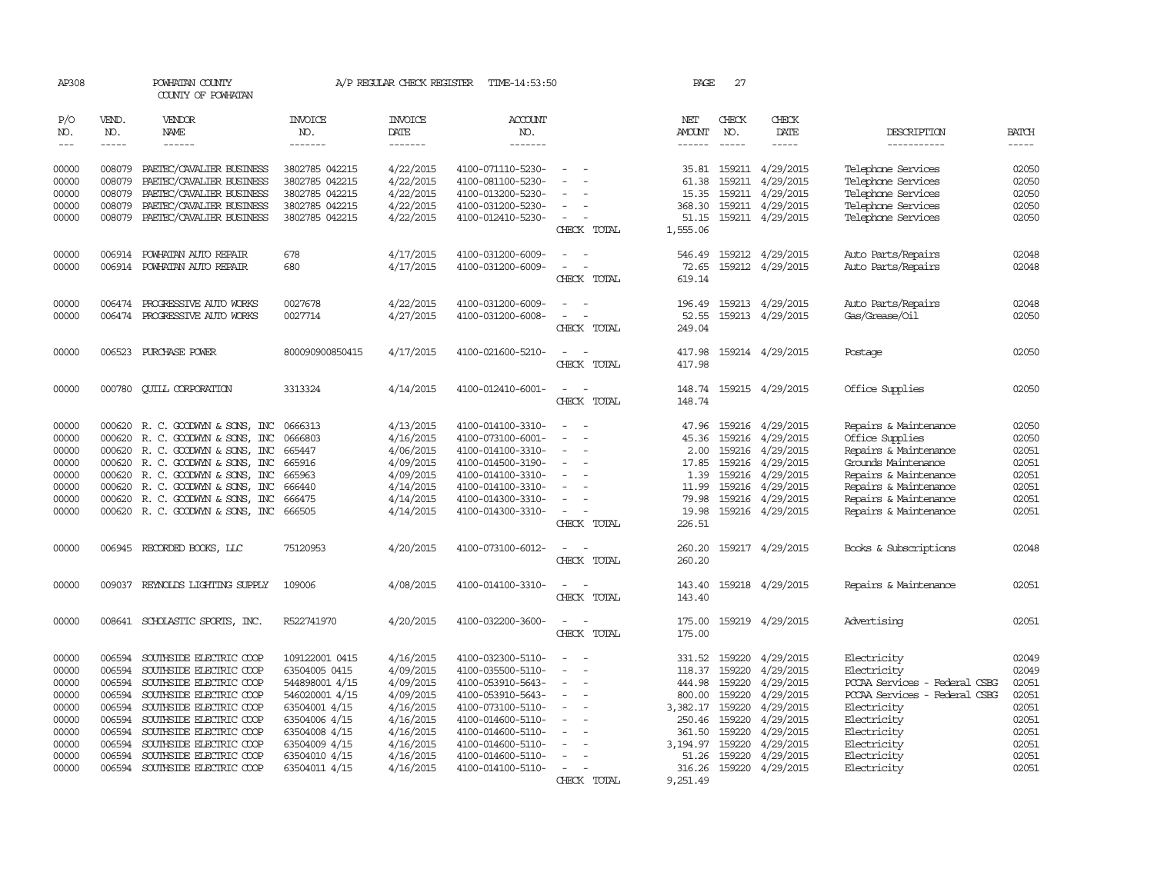| AP308                                                                                  |                                                                                        | POWHATAN COUNTY<br>COUNTY OF POWHATAN                                                                                                                                                                                                                                             |                                                                                                                                                                           | A/P REGULAR CHECK REGISTER                                                                                                     | TIME-14:53:50                                                                                                                                                                                                  |                                                                                                                         | PAGE                                                                                                            | 27                                                                                               |                                                                                                                                |                                                                                                                                                                                              |                                                                                        |
|----------------------------------------------------------------------------------------|----------------------------------------------------------------------------------------|-----------------------------------------------------------------------------------------------------------------------------------------------------------------------------------------------------------------------------------------------------------------------------------|---------------------------------------------------------------------------------------------------------------------------------------------------------------------------|--------------------------------------------------------------------------------------------------------------------------------|----------------------------------------------------------------------------------------------------------------------------------------------------------------------------------------------------------------|-------------------------------------------------------------------------------------------------------------------------|-----------------------------------------------------------------------------------------------------------------|--------------------------------------------------------------------------------------------------|--------------------------------------------------------------------------------------------------------------------------------|----------------------------------------------------------------------------------------------------------------------------------------------------------------------------------------------|----------------------------------------------------------------------------------------|
| P/O<br>NO.                                                                             | VEND.<br>NO.                                                                           | <b>VENDOR</b><br><b>NAME</b>                                                                                                                                                                                                                                                      | <b>INVOICE</b><br>NO.                                                                                                                                                     | <b>INVOICE</b><br><b>DATE</b>                                                                                                  | <b>ACCOUNT</b><br>NO.                                                                                                                                                                                          |                                                                                                                         | NET<br><b>AMOUNT</b>                                                                                            | CHECK<br>NO.                                                                                     | CHECK<br>DATE                                                                                                                  | DESCRIPTION                                                                                                                                                                                  | <b>BATCH</b>                                                                           |
| $---$                                                                                  | $- - - - -$                                                                            | $- - - - - -$                                                                                                                                                                                                                                                                     | -------                                                                                                                                                                   | -------                                                                                                                        | -------                                                                                                                                                                                                        |                                                                                                                         | $- - - - - -$                                                                                                   | $- - - - -$                                                                                      |                                                                                                                                | -----------                                                                                                                                                                                  | $- - - - -$                                                                            |
| 00000<br>00000<br>00000<br>00000<br>00000                                              | 008079<br>008079<br>008079<br>008079<br>008079                                         | PAETEC/CAVALIER BUSINESS<br>PAETEC/CAVALIER BUSINESS<br>PAETEC/CAVALIER BUSINESS<br>PAETEC/CAVALIER BUSINESS<br>PAETEC/CAVALIER BUSINESS                                                                                                                                          | 3802785 042215<br>3802785 042215<br>3802785 042215<br>3802785 042215<br>3802785 042215                                                                                    | 4/22/2015<br>4/22/2015<br>4/22/2015<br>4/22/2015<br>4/22/2015                                                                  | 4100-071110-5230-<br>4100-081100-5230-<br>4100-013200-5230-<br>4100-031200-5230-<br>4100-012410-5230-                                                                                                          | $\sim$<br>$\sim$<br>CHECK TOTAL                                                                                         | 35.81<br>61.38<br>15.35<br>368.30<br>51.15<br>1,555.06                                                          |                                                                                                  | 159211 4/29/2015<br>159211 4/29/2015<br>159211 4/29/2015<br>159211 4/29/2015<br>159211 4/29/2015                               | Telephone Services<br>Telephone Services<br>Telephone Services<br>Telephone Services<br>Telephone Services                                                                                   | 02050<br>02050<br>02050<br>02050<br>02050                                              |
| 00000<br>00000                                                                         |                                                                                        | 006914 POWHATAN AUTO REPAIR<br>006914 POWHATAN AUTO REPAIR                                                                                                                                                                                                                        | 678<br>680                                                                                                                                                                | 4/17/2015<br>4/17/2015                                                                                                         | 4100-031200-6009-<br>4100-031200-6009-                                                                                                                                                                         | $\sim$<br>$\overline{\phantom{a}}$<br>CHECK TOTAL                                                                       | 546.49<br>72.65<br>619.14                                                                                       |                                                                                                  | 159212 4/29/2015<br>159212 4/29/2015                                                                                           | Auto Parts/Repairs<br>Auto Parts/Repairs                                                                                                                                                     | 02048<br>02048                                                                         |
| 00000<br>00000                                                                         |                                                                                        | 006474 PROGRESSIVE AUTO WORKS<br>006474 PROGRESSIVE AUTO WORKS                                                                                                                                                                                                                    | 0027678<br>0027714                                                                                                                                                        | 4/22/2015<br>4/27/2015                                                                                                         | 4100-031200-6009-<br>4100-031200-6008-                                                                                                                                                                         | $\sim$<br>$\overline{\phantom{a}}$<br>CHECK TOTAL                                                                       | 196.49<br>52.55<br>249.04                                                                                       |                                                                                                  | 159213 4/29/2015<br>159213 4/29/2015                                                                                           | Auto Parts/Repairs<br>Gas/Grease/Oil                                                                                                                                                         | 02048<br>02050                                                                         |
| 00000                                                                                  |                                                                                        | 006523 PURCHASE POWER                                                                                                                                                                                                                                                             | 800090900850415                                                                                                                                                           | 4/17/2015                                                                                                                      | 4100-021600-5210-                                                                                                                                                                                              | - 11<br>CHECK TOTAL                                                                                                     | 417.98<br>417.98                                                                                                |                                                                                                  | 159214 4/29/2015                                                                                                               | Postage                                                                                                                                                                                      | 02050                                                                                  |
| 00000                                                                                  | 000780                                                                                 | <b>CUILL CORPORATION</b>                                                                                                                                                                                                                                                          | 3313324                                                                                                                                                                   | 4/14/2015                                                                                                                      | 4100-012410-6001-                                                                                                                                                                                              | $\overline{a}$<br>$\overline{\phantom{a}}$<br>CHECK TOTAL                                                               | 148.74<br>148.74                                                                                                |                                                                                                  | 159215 4/29/2015                                                                                                               | Office Supplies                                                                                                                                                                              | 02050                                                                                  |
| 00000<br>00000<br>00000<br>00000<br>00000<br>00000<br>00000<br>00000                   | 000620<br>000620<br>000620<br>000620<br>000620<br>000620<br>000620                     | R. C. GOODWYN & SONS, INC<br>R. C. GOODWYN & SONS, INC<br>R. C. GOODWYN & SONS, INC<br>R. C. GOODWYN & SONS, INC<br>R. C. GOODWYN & SONS, INC<br>R. C. GOODWYN & SONS, INC<br>R. C. GOODWYN & SONS, INC<br>000620 R.C. GOODWYN & SONS, INC                                        | 0666313<br>0666803<br>665447<br>665916<br>665963<br>666440<br>666475<br>666505                                                                                            | 4/13/2015<br>4/16/2015<br>4/06/2015<br>4/09/2015<br>4/09/2015<br>4/14/2015<br>4/14/2015<br>4/14/2015                           | 4100-014100-3310-<br>4100-073100-6001-<br>4100-014100-3310-<br>4100-014500-3190-<br>4100-014100-3310-<br>4100-014100-3310-<br>4100-014300-3310-<br>4100-014300-3310-                                           | $\overline{\phantom{a}}$<br>$\equiv$<br>$\sim$<br>CHECK TOTAL                                                           | 47.96<br>45.36<br>2.00<br>17.85<br>1.39<br>11.99<br>79.98<br>19.98<br>226.51                                    | 159216<br>159216<br>159216<br>159216<br>159216<br>159216<br>159216                               | 4/29/2015<br>4/29/2015<br>159216 4/29/2015<br>4/29/2015<br>4/29/2015<br>4/29/2015<br>4/29/2015<br>4/29/2015                    | Repairs & Maintenance<br>Office Supplies<br>Repairs & Maintenance<br>Grounds Maintenance<br>Repairs & Maintenance<br>Repairs & Maintenance<br>Repairs & Maintenance<br>Repairs & Maintenance | 02050<br>02050<br>02051<br>02051<br>02051<br>02051<br>02051<br>02051                   |
| 00000                                                                                  |                                                                                        | 006945 RECORDED BOOKS, LLC                                                                                                                                                                                                                                                        | 75120953                                                                                                                                                                  | 4/20/2015                                                                                                                      | 4100-073100-6012-                                                                                                                                                                                              | $\sim$<br>$\overline{\phantom{a}}$<br>CHECK TOTAL                                                                       | 260.20<br>260.20                                                                                                |                                                                                                  | 159217 4/29/2015                                                                                                               | Books & Subscriptions                                                                                                                                                                        | 02048                                                                                  |
| 00000                                                                                  |                                                                                        | 009037 REYNOLDS LIGHTING SUPPLY                                                                                                                                                                                                                                                   | 109006                                                                                                                                                                    | 4/08/2015                                                                                                                      | 4100-014100-3310-                                                                                                                                                                                              | CHECK TOTAL                                                                                                             | 143.40<br>143.40                                                                                                |                                                                                                  | 159218 4/29/2015                                                                                                               | Repairs & Maintenance                                                                                                                                                                        | 02051                                                                                  |
| 00000                                                                                  |                                                                                        | 008641 SCHOLASTIC SPORTS, INC.                                                                                                                                                                                                                                                    | R522741970                                                                                                                                                                | 4/20/2015                                                                                                                      | 4100-032200-3600-                                                                                                                                                                                              | $\sim$<br>$\sim$<br>CHECK TOTAL                                                                                         | 175.00<br>175.00                                                                                                |                                                                                                  | 159219 4/29/2015                                                                                                               | Advertising                                                                                                                                                                                  | 02051                                                                                  |
| 00000<br>00000<br>00000<br>00000<br>00000<br>00000<br>00000<br>00000<br>00000<br>00000 | 006594<br>006594<br>006594<br>006594<br>006594<br>006594<br>006594<br>006594<br>006594 | SOUTHSIDE ELECTRIC COOP<br>SOUTHSIDE ELECTRIC COOP<br>SOUTHSIDE ELECTRIC COOP<br>SOUTHSIDE ELECTRIC COOP<br>SOUTHSIDE ELECTRIC COOP<br>SOUTHSIDE ELECTRIC COOP<br>SOUTHSIDE ELECTRIC COOP<br>SOUTHSIDE ELECTRIC COOP<br>SOUTHSIDE ELECTRIC COOP<br>006594 SOUTHSIDE ELECTRIC COOP | 109122001 0415<br>63504005 0415<br>544898001 4/15<br>546020001 4/15<br>63504001 4/15<br>63504006 4/15<br>63504008 4/15<br>63504009 4/15<br>63504010 4/15<br>63504011 4/15 | 4/16/2015<br>4/09/2015<br>4/09/2015<br>4/09/2015<br>4/16/2015<br>4/16/2015<br>4/16/2015<br>4/16/2015<br>4/16/2015<br>4/16/2015 | 4100-032300-5110-<br>4100-035500-5110-<br>4100-053910-5643-<br>4100-053910-5643-<br>4100-073100-5110-<br>4100-014600-5110-<br>4100-014600-5110-<br>4100-014600-5110-<br>4100-014600-5110-<br>4100-014100-5110- | $\equiv$<br>$\overline{\phantom{a}}$<br>$\sim$<br>$\sim$<br>$\overline{\phantom{a}}$<br>$\sim$<br>$\sim$<br>CHECK TOTAL | 331.52<br>118.37<br>444.98<br>800.00<br>3,382.17<br>250.46<br>361.50<br>3,194.97<br>51.26<br>316.26<br>9,251.49 | 159220<br>159220<br>159220<br>159220<br>159220<br>159220<br>159220<br>159220<br>159220<br>159220 | 4/29/2015<br>4/29/2015<br>4/29/2015<br>4/29/2015<br>4/29/2015<br>4/29/2015<br>4/29/2015<br>4/29/2015<br>4/29/2015<br>4/29/2015 | Electricity<br>Electricity<br>PCCAA Services - Federal CSBG<br>PCCAA Services - Federal CSBG<br>Electricity<br>Electricity<br>Electricity<br>Electricity<br>Electricity<br>Electricity       | 02049<br>02049<br>02051<br>02051<br>02051<br>02051<br>02051<br>02051<br>02051<br>02051 |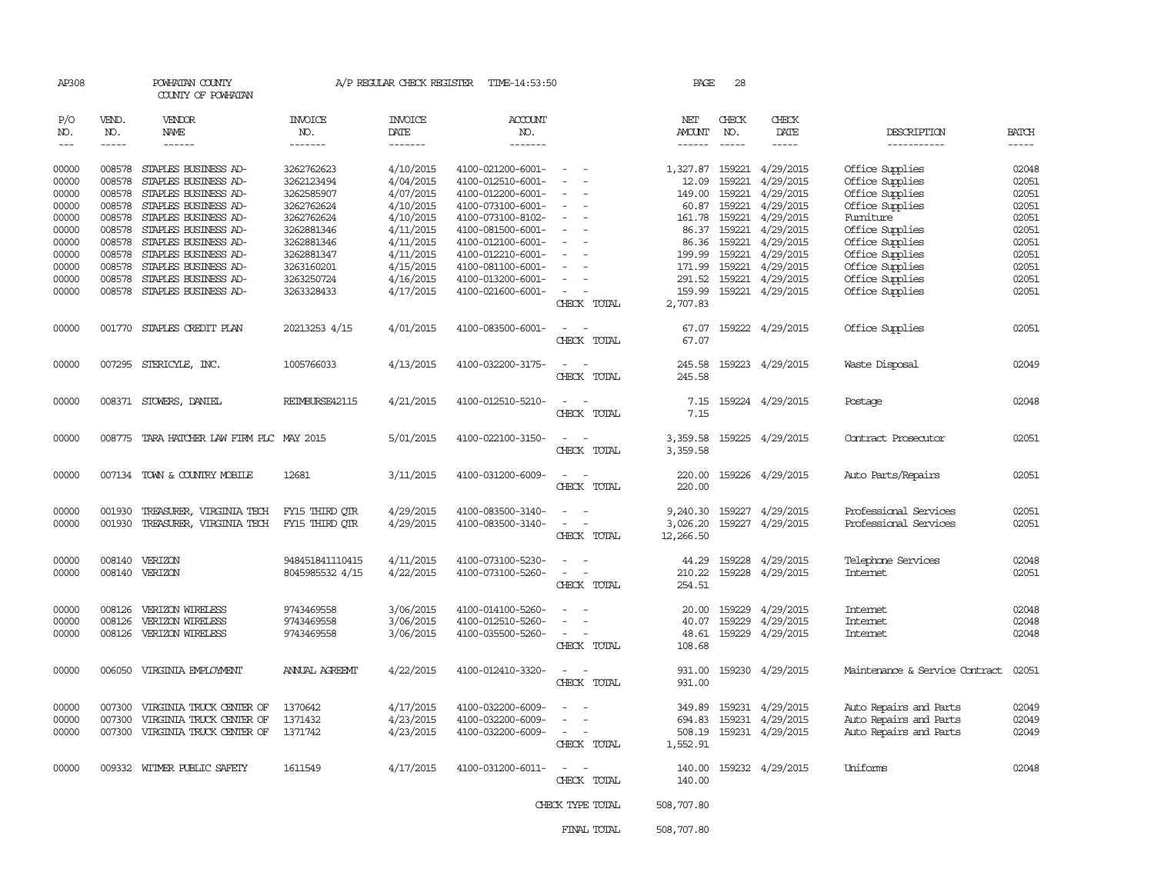| AP308                                                                         |                                                                                        | POWHATAN COUNTY<br>COUNTY OF POWHATAN                                                                                                                                                                                |                                                                                                                            | A/P REGULAR CHECK REGISTER                                                                                        | TIME-14:53:50                                                                                                                                                                             |                                                                       | PAGE                                                             | 28                                                                   |                                                                                                                                       |                                                                                                                                                                   |                                                                               |
|-------------------------------------------------------------------------------|----------------------------------------------------------------------------------------|----------------------------------------------------------------------------------------------------------------------------------------------------------------------------------------------------------------------|----------------------------------------------------------------------------------------------------------------------------|-------------------------------------------------------------------------------------------------------------------|-------------------------------------------------------------------------------------------------------------------------------------------------------------------------------------------|-----------------------------------------------------------------------|------------------------------------------------------------------|----------------------------------------------------------------------|---------------------------------------------------------------------------------------------------------------------------------------|-------------------------------------------------------------------------------------------------------------------------------------------------------------------|-------------------------------------------------------------------------------|
| P/O<br>NO.<br>$\frac{1}{2}$                                                   | VEND.<br>NO.<br>$- - - - -$                                                            | VENDOR<br>NAME<br>------                                                                                                                                                                                             | <b>INVOICE</b><br>NO.<br>-------                                                                                           | <b>INVOICE</b><br>DATE<br>-------                                                                                 | ACCOUNT<br>NO.<br>-------                                                                                                                                                                 |                                                                       | NET<br><b>AMOUNT</b><br>$- - - - - -$                            | CHECK<br>NO.<br>$\frac{1}{2}$                                        | CHECK<br>DATE<br>-----                                                                                                                | DESCRIPTION<br>-----------                                                                                                                                        | <b>BATCH</b><br>-----                                                         |
| 00000<br>00000<br>00000<br>00000<br>00000<br>00000<br>00000<br>00000<br>00000 | 008578<br>008578<br>008578<br>008578<br>008578<br>008578<br>008578<br>008578<br>008578 | STAPLES BUSINESS AD-<br>STAPLES BUSINESS AD-<br>STAPLES BUSINESS AD-<br>STAPLES BUSINESS AD-<br>STAPLES BUSINESS AD-<br>STAPLES BUSINESS AD-<br>STAPLES BUSINESS AD-<br>STAPLES BUSINESS AD-<br>STAPLES BUSINESS AD- | 3262762623<br>3262123494<br>3262585907<br>3262762624<br>3262762624<br>3262881346<br>3262881346<br>3262881347<br>3263160201 | 4/10/2015<br>4/04/2015<br>4/07/2015<br>4/10/2015<br>4/10/2015<br>4/11/2015<br>4/11/2015<br>4/11/2015<br>4/15/2015 | 4100-021200-6001-<br>4100-012510-6001-<br>4100-012200-6001-<br>4100-073100-6001-<br>4100-073100-8102-<br>4100-081500-6001-<br>4100-012100-6001-<br>4100-012210-6001-<br>4100-081100-6001- | $\sim$<br>$\sim$                                                      | 1,327.87 159221<br>12.09<br>149.00<br>161.78<br>199.99<br>171.99 | 159221<br>60.87 159221<br>159221<br>86.37 159221<br>159221<br>159221 | 4/29/2015<br>4/29/2015<br>159221 4/29/2015<br>4/29/2015<br>4/29/2015<br>4/29/2015<br>86.36 159221 4/29/2015<br>4/29/2015<br>4/29/2015 | Office Supplies<br>Office Supplies<br>Office Supplies<br>Office Supplies<br>Furniture<br>Office Supplies<br>Office Supplies<br>Office Supplies<br>Office Supplies | 02048<br>02051<br>02051<br>02051<br>02051<br>02051<br>02051<br>02051<br>02051 |
| 00000<br>00000                                                                | 008578                                                                                 | STAPLES BUSINESS AD-<br>008578 STAPLES BUSINESS AD-                                                                                                                                                                  | 3263250724<br>3263328433                                                                                                   | 4/16/2015<br>4/17/2015                                                                                            | 4100-013200-6001-<br>4100-021600-6001-                                                                                                                                                    | $\overline{a}$<br>CHECK TOTAL                                         | 291.52<br>159.99<br>2,707.83                                     | 159221                                                               | 4/29/2015<br>159221 4/29/2015                                                                                                         | Office Supplies<br>Office Supplies                                                                                                                                | 02051<br>02051                                                                |
| 00000                                                                         |                                                                                        | 001770 STAPLES CREDIT PLAN                                                                                                                                                                                           | 20213253 4/15                                                                                                              | 4/01/2015                                                                                                         | 4100-083500-6001-                                                                                                                                                                         | CHECK TOTAL                                                           | 67.07<br>67.07                                                   |                                                                      | 159222 4/29/2015                                                                                                                      | Office Supplies                                                                                                                                                   | 02051                                                                         |
| 00000                                                                         |                                                                                        | 007295 STERICYLE, INC.                                                                                                                                                                                               | 1005766033                                                                                                                 | 4/13/2015                                                                                                         | 4100-032200-3175-                                                                                                                                                                         | $\sim$<br>CHECK TOTAL                                                 | 245.58<br>245.58                                                 |                                                                      | 159223 4/29/2015                                                                                                                      | Waste Disposal                                                                                                                                                    | 02049                                                                         |
| 00000                                                                         |                                                                                        | 008371 STOWERS, DANIEL                                                                                                                                                                                               | REIMBURSE42115                                                                                                             | 4/21/2015                                                                                                         | 4100-012510-5210-                                                                                                                                                                         | CHECK TOTAL                                                           | 7.15<br>7.15                                                     |                                                                      | 159224 4/29/2015                                                                                                                      | Postage                                                                                                                                                           | 02048                                                                         |
| 00000                                                                         |                                                                                        | 008775 TARA HATCHER LAW FIRM PLC MAY 2015                                                                                                                                                                            |                                                                                                                            | 5/01/2015                                                                                                         | 4100-022100-3150-                                                                                                                                                                         | $\overline{\phantom{a}}$<br>$\overline{\phantom{a}}$<br>CHECK TOTAL   | 3,359.58<br>3,359.58                                             |                                                                      | 159225 4/29/2015                                                                                                                      | Contract Prosecutor                                                                                                                                               | 02051                                                                         |
| 00000                                                                         |                                                                                        | 007134 TOWN & COUNTRY MOBILE                                                                                                                                                                                         | 12681                                                                                                                      | 3/11/2015                                                                                                         | 4100-031200-6009-                                                                                                                                                                         | $\sim$<br>CHECK TOTAL                                                 | 220.00<br>220.00                                                 |                                                                      | 159226 4/29/2015                                                                                                                      | Auto Parts/Repairs                                                                                                                                                | 02051                                                                         |
| 00000<br>00000                                                                | 001930<br>001930                                                                       | TREASURER, VIRGINIA TECH<br>TREASURER, VIRGINIA TECH                                                                                                                                                                 | FY15 THIRD OTR<br>FY15 THIRD QTR                                                                                           | 4/29/2015<br>4/29/2015                                                                                            | 4100-083500-3140-<br>4100-083500-3140-                                                                                                                                                    | $\sim$<br>CHECK TOTAL                                                 | 9,240.30<br>3,026.20<br>12,266.50                                | 159227                                                               | 159227 4/29/2015<br>4/29/2015                                                                                                         | Professional Services<br>Professional Services                                                                                                                    | 02051<br>02051                                                                |
| 00000<br>00000                                                                |                                                                                        | 008140 VERIZON<br>008140 VERIZON                                                                                                                                                                                     | 948451841110415<br>8045985532 4/15                                                                                         | 4/11/2015<br>4/22/2015                                                                                            | 4100-073100-5230-<br>4100-073100-5260-                                                                                                                                                    | $\equiv$<br>- 11<br>$\sim$<br>CHECK TOTAL                             | 44.29<br>210.22<br>254.51                                        | 159228<br>159228                                                     | 4/29/2015<br>4/29/2015                                                                                                                | Telephone Services<br><b>Internet</b>                                                                                                                             | 02048<br>02051                                                                |
| 00000<br>00000<br>00000                                                       | 008126<br>008126<br>008126                                                             | VERIZON WIRELESS<br>VERIZON WIRELESS<br>VERIZON WIRELESS                                                                                                                                                             | 9743469558<br>9743469558<br>9743469558                                                                                     | 3/06/2015<br>3/06/2015<br>3/06/2015                                                                               | 4100-014100-5260-<br>4100-012510-5260-<br>4100-035500-5260-                                                                                                                               | $\equiv$<br>$\sim$<br>CHECK TOTAL                                     | 20.00<br>40.07<br>48.61<br>108.68                                | 159229<br>159229<br>159229                                           | 4/29/2015<br>4/29/2015<br>4/29/2015                                                                                                   | Internet<br>Intemet<br>Intemet                                                                                                                                    | 02048<br>02048<br>02048                                                       |
| 00000                                                                         | 006050                                                                                 | VIRGINIA EMPLOYMENT                                                                                                                                                                                                  | <b>ANNUAL AGREEMT</b>                                                                                                      | 4/22/2015                                                                                                         | 4100-012410-3320-                                                                                                                                                                         | $\sim$<br>CHECK TOTAL                                                 | 931.00<br>931.00                                                 | 159230                                                               | 4/29/2015                                                                                                                             | Maintenance & Service Contract                                                                                                                                    | 02051                                                                         |
| 00000<br>00000<br>00000                                                       | 007300<br>007300<br>007300                                                             | VIRGINIA TRUCK CENTER OF<br>VIRGINIA TRUCK CENTER OF<br>VIRGINIA TRUCK CENTER OF                                                                                                                                     | 1370642<br>1371432<br>1371742                                                                                              | 4/17/2015<br>4/23/2015<br>4/23/2015                                                                               | 4100-032200-6009-<br>4100-032200-6009-<br>4100-032200-6009-                                                                                                                               | $\sim$<br>$\overline{\phantom{a}}$<br>$\sim$<br>$\sim$<br>CHECK TOTAL | 349.89<br>694.83<br>508.19<br>1,552.91                           |                                                                      | 159231 4/29/2015<br>159231 4/29/2015<br>159231 4/29/2015                                                                              | Auto Repairs and Parts<br>Auto Repairs and Parts<br>Auto Repairs and Parts                                                                                        | 02049<br>02049<br>02049                                                       |
| 00000                                                                         |                                                                                        | 009332 WITMER PUBLIC SAFETY                                                                                                                                                                                          | 1611549                                                                                                                    | 4/17/2015                                                                                                         | 4100-031200-6011-                                                                                                                                                                         | $\overline{\phantom{a}}$<br>$\sim$<br>CHECK TOTAL                     | 140.00<br>140.00                                                 |                                                                      | 159232 4/29/2015                                                                                                                      | Uniforms                                                                                                                                                          | 02048                                                                         |
|                                                                               |                                                                                        |                                                                                                                                                                                                                      |                                                                                                                            |                                                                                                                   |                                                                                                                                                                                           | CHECK TYPE TOTAL                                                      | 508,707.80                                                       |                                                                      |                                                                                                                                       |                                                                                                                                                                   |                                                                               |
|                                                                               |                                                                                        |                                                                                                                                                                                                                      |                                                                                                                            |                                                                                                                   |                                                                                                                                                                                           | FINAL TOTAL                                                           | 508,707.80                                                       |                                                                      |                                                                                                                                       |                                                                                                                                                                   |                                                                               |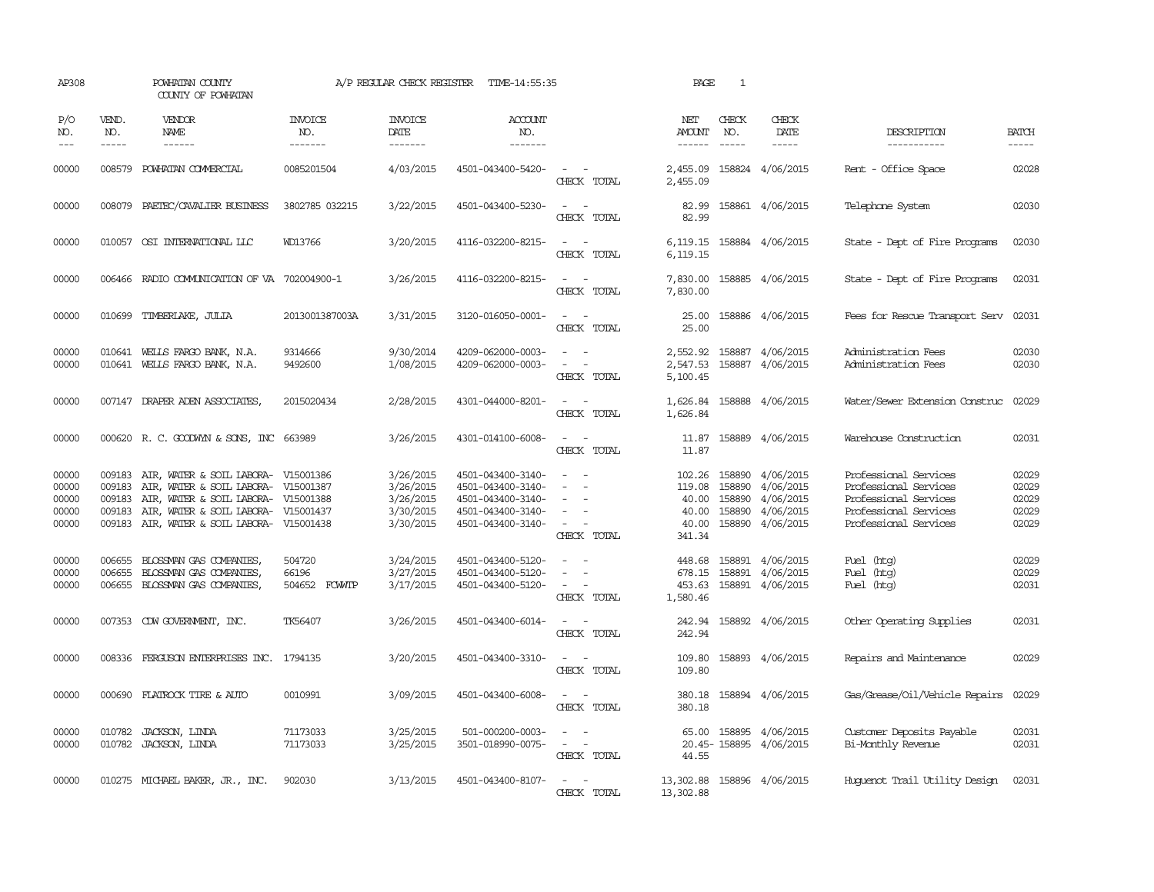| AP308                                     |                                      | POWHATAN COUNTY<br>COUNTY OF POWHATAN                                                                                                                                                                  |                                  | A/P REGULAR CHECK REGISTER                                    | TIME-14:55:35                                                                                         |                                                                                                                             | PAGE                                                  | $\mathbf{1}$                         |                                                                      |                                                                                                                           |                                           |
|-------------------------------------------|--------------------------------------|--------------------------------------------------------------------------------------------------------------------------------------------------------------------------------------------------------|----------------------------------|---------------------------------------------------------------|-------------------------------------------------------------------------------------------------------|-----------------------------------------------------------------------------------------------------------------------------|-------------------------------------------------------|--------------------------------------|----------------------------------------------------------------------|---------------------------------------------------------------------------------------------------------------------------|-------------------------------------------|
| P/O<br>NO.<br>$ -$                        | VEND.<br>NO.<br>$- - - - -$          | VENDOR<br>NAME<br>$- - - - - -$                                                                                                                                                                        | <b>INVOICE</b><br>NO.<br>------- | <b>INVOICE</b><br>DATE<br>--------                            | <b>ACCOUNT</b><br>NO.<br>-------                                                                      |                                                                                                                             | NET<br>AMOUNT<br>$- - - - - -$                        | CHECK<br>NO.                         | CHECK<br>DATE<br>$- - - - -$                                         | DESCRIPTION<br>-----------                                                                                                | <b>BATCH</b><br>$- - - - -$               |
| 00000                                     | 008579                               | POWHATAN COMMERCIAL                                                                                                                                                                                    | 0085201504                       | 4/03/2015                                                     | 4501-043400-5420-                                                                                     | $\frac{1}{2} \left( \frac{1}{2} \right) \left( \frac{1}{2} \right) = \frac{1}{2} \left( \frac{1}{2} \right)$<br>CHECK TOTAL | 2,455.09<br>2,455.09                                  |                                      | 158824 4/06/2015                                                     | Rent - Office Space                                                                                                       | 02028                                     |
| 00000                                     | 008079                               | PAETEC/CAVALIER BUSINESS                                                                                                                                                                               | 3802785 032215                   | 3/22/2015                                                     | 4501-043400-5230-                                                                                     | $\sim$<br>$\sim$<br>CHECK TOTAL                                                                                             | 82.99<br>82.99                                        |                                      | 158861 4/06/2015                                                     | Telephone System                                                                                                          | 02030                                     |
| 00000                                     |                                      | 010057 OSI INTERNATIONAL LLC                                                                                                                                                                           | WD13766                          | 3/20/2015                                                     | 4116-032200-8215-                                                                                     | $\frac{1}{2} \left( \frac{1}{2} \right) \left( \frac{1}{2} \right) = \frac{1}{2} \left( \frac{1}{2} \right)$<br>CHECK TOTAL | 6,119.15<br>6,119.15                                  |                                      | 158884 4/06/2015                                                     | State - Dept of Fire Programs                                                                                             | 02030                                     |
| 00000                                     |                                      | 006466 RADIO COMMUNICATION OF VA 702004900-1                                                                                                                                                           |                                  | 3/26/2015                                                     | 4116-032200-8215-                                                                                     | CHECK TOTAL                                                                                                                 | 7,830.00<br>7,830.00                                  |                                      | 158885 4/06/2015                                                     | State - Dept of Fire Programs                                                                                             | 02031                                     |
| 00000                                     | 010699                               | TIMBERLAKE, JULIA                                                                                                                                                                                      | 2013001387003A                   | 3/31/2015                                                     | 3120-016050-0001-                                                                                     | $\sim$<br>CHECK TOTAL                                                                                                       | 25.00<br>25.00                                        |                                      | 158886 4/06/2015                                                     | Fees for Rescue Transport Serv                                                                                            | 02031                                     |
| 00000<br>00000                            | 010641                               | WELLS FARGO BANK, N.A.<br>010641 WELLS FARGO BANK, N.A.                                                                                                                                                | 9314666<br>9492600               | 9/30/2014<br>1/08/2015                                        | 4209-062000-0003-<br>4209-062000-0003-                                                                | $\sim$ $\sim$<br>$\overline{\phantom{a}}$<br>CHECK TOTAL                                                                    | 2,552.92<br>2,547.53<br>5,100.45                      | 158887<br>158887                     | 4/06/2015<br>4/06/2015                                               | Administration Fees<br>Administration Fees                                                                                | 02030<br>02030                            |
| 00000                                     |                                      | 007147 DRAPER ADEN ASSOCIATES                                                                                                                                                                          | 2015020434                       | 2/28/2015                                                     | 4301-044000-8201-                                                                                     | $\sim$ $ \sim$<br>CHECK TOTAL                                                                                               | 1,626.84<br>1,626.84                                  |                                      | 158888 4/06/2015                                                     | Water/Sewer Extension Construc                                                                                            | 02029                                     |
| 00000                                     |                                      | 000620 R. C. GOODWYN & SONS, INC 663989                                                                                                                                                                |                                  | 3/26/2015                                                     | 4301-014100-6008-                                                                                     | $ -$<br>CHECK TOTAL                                                                                                         | 11.87<br>11.87                                        |                                      | 158889 4/06/2015                                                     | Warehouse Construction                                                                                                    | 02031                                     |
| 00000<br>00000<br>00000<br>00000<br>00000 | 009183<br>009183<br>009183<br>009183 | AIR, WATER & SOIL LABORA- V15001386<br>AIR, WATER & SOIL LABORA- V15001387<br>AIR, WATER & SOIL LABORA- V15001388<br>AIR, WATER & SOIL LABORA- V15001437<br>009183 AIR, WATER & SOIL LABORA- V15001438 |                                  | 3/26/2015<br>3/26/2015<br>3/26/2015<br>3/30/2015<br>3/30/2015 | 4501-043400-3140-<br>4501-043400-3140-<br>4501-043400-3140-<br>4501-043400-3140-<br>4501-043400-3140- | $\equiv$<br>$\equiv$<br>$\sim$ $-$<br>CHECK TOTAL                                                                           | 102.26<br>119.08<br>40.00<br>40.00<br>40.00<br>341.34 | 158890<br>158890<br>158890<br>158890 | 4/06/2015<br>4/06/2015<br>4/06/2015<br>4/06/2015<br>158890 4/06/2015 | Professional Services<br>Professional Services<br>Professional Services<br>Professional Services<br>Professional Services | 02029<br>02029<br>02029<br>02029<br>02029 |
| 00000<br>00000<br>00000                   | 006655<br>006655<br>006655           | BLOSSMAN GAS COMPANIES,<br>BLOSSMAN GAS COMPANIES,<br>BLOSSMAN GAS COMPANIES,                                                                                                                          | 504720<br>66196<br>504652 FCWVIP | 3/24/2015<br>3/27/2015<br>3/17/2015                           | 4501-043400-5120-<br>4501-043400-5120-<br>4501-043400-5120-                                           | $\equiv$<br>$\sim$<br>CHECK TOTAL                                                                                           | 448.68<br>678.15<br>453.63<br>1,580.46                | 158891<br>158891                     | 4/06/2015<br>4/06/2015<br>158891 4/06/2015                           | Fuel (htg)<br>Fuel (htg)<br>Fuel (htg)                                                                                    | 02029<br>02029<br>02031                   |
| 00000                                     |                                      | 007353 CDW GOVERNMENT, INC.                                                                                                                                                                            | TK56407                          | 3/26/2015                                                     | 4501-043400-6014-                                                                                     | $\sim$<br>CHECK TOTAL                                                                                                       | 242.94<br>242.94                                      |                                      | 158892 4/06/2015                                                     | Other Operating Supplies                                                                                                  | 02031                                     |
| 00000                                     |                                      | 008336 FERGUSON ENTERPRISES INC. 1794135                                                                                                                                                               |                                  | 3/20/2015                                                     | 4501-043400-3310-                                                                                     | $\frac{1}{2} \left( \frac{1}{2} \right) \left( \frac{1}{2} \right) = \frac{1}{2} \left( \frac{1}{2} \right)$<br>CHECK TOTAL | 109.80<br>109.80                                      |                                      | 158893 4/06/2015                                                     | Repairs and Maintenance                                                                                                   | 02029                                     |
| 00000                                     | 000690                               | FLATROCK TIRE & AUTO                                                                                                                                                                                   | 0010991                          | 3/09/2015                                                     | 4501-043400-6008-                                                                                     | $ -$<br>CHECK TOTAL                                                                                                         | 380.18                                                |                                      | 380.18 158894 4/06/2015                                              | Gas/Grease/Oil/Vehicle Repairs                                                                                            | 02029                                     |
| 00000<br>00000                            | 010782                               | JACKSON, LINDA<br>010782 JACKSON, LINDA                                                                                                                                                                | 71173033<br>71173033             | 3/25/2015<br>3/25/2015                                        | 501-000200-0003-<br>3501-018990-0075-                                                                 | $\sim$<br>$\sim$ 100 $\sim$<br>CHECK TOTAL                                                                                  | 65.00<br>44.55                                        |                                      | 158895 4/06/2015<br>20.45-158895 4/06/2015                           | Customer Deposits Payable<br>Bi-Monthly Revenue                                                                           | 02031<br>02031                            |
| 00000                                     |                                      | 010275 MICHAEL BAKER, JR., INC.                                                                                                                                                                        | 902030                           | 3/13/2015                                                     | 4501-043400-8107-                                                                                     | $\overline{\phantom{a}}$<br>CHECK TOTAL                                                                                     | 13,302.88<br>13,302.88                                |                                      | 158896 4/06/2015                                                     | Huquenot Trail Utility Design                                                                                             | 02031                                     |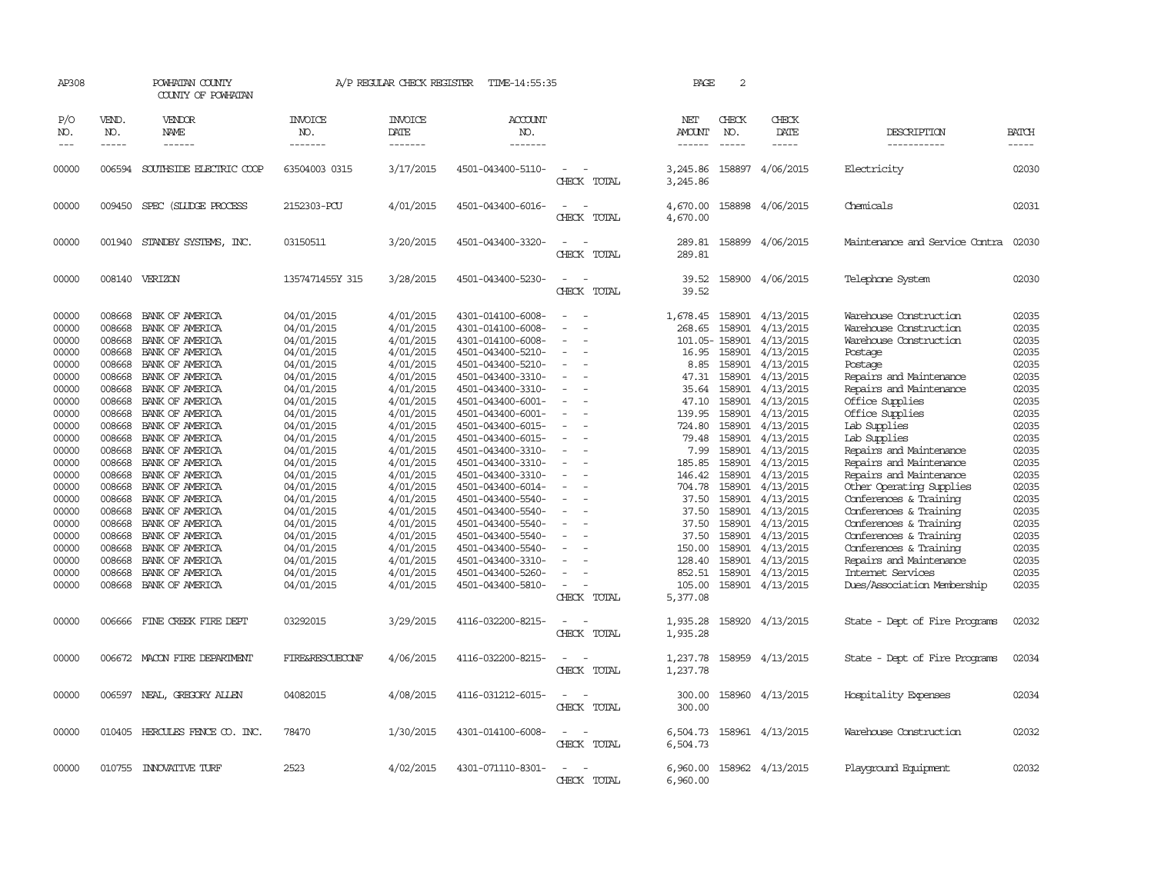| AP308                                                                                                                                                                                                       |                                                                                                                                                                                                                          | POWHATAN COUNTY<br>COUNTY OF POWHATAN                                                                                                                                                                                                                                                                                                                                                                                                                    |                                                                                                                                                                                                                                                                                                                                | A/P REGULAR CHECK REGISTER                                                                                                                                                                                                                                                                              | TIME-14:55:35                                                                                                                                                                                                                                                                                                                                                                                                                                                                                   |                                                                                                                                                                    | PAGE                                                                                                                                                                                                          | 2                                                                                                                                                         |                                                                                                                                                                                                                                                                                                                                                                 |                                                                                                                                                                                                                                                                                                                                                                                                                                                                                                                                                            |                                                                                                                                                                                                             |
|-------------------------------------------------------------------------------------------------------------------------------------------------------------------------------------------------------------|--------------------------------------------------------------------------------------------------------------------------------------------------------------------------------------------------------------------------|----------------------------------------------------------------------------------------------------------------------------------------------------------------------------------------------------------------------------------------------------------------------------------------------------------------------------------------------------------------------------------------------------------------------------------------------------------|--------------------------------------------------------------------------------------------------------------------------------------------------------------------------------------------------------------------------------------------------------------------------------------------------------------------------------|---------------------------------------------------------------------------------------------------------------------------------------------------------------------------------------------------------------------------------------------------------------------------------------------------------|-------------------------------------------------------------------------------------------------------------------------------------------------------------------------------------------------------------------------------------------------------------------------------------------------------------------------------------------------------------------------------------------------------------------------------------------------------------------------------------------------|--------------------------------------------------------------------------------------------------------------------------------------------------------------------|---------------------------------------------------------------------------------------------------------------------------------------------------------------------------------------------------------------|-----------------------------------------------------------------------------------------------------------------------------------------------------------|-----------------------------------------------------------------------------------------------------------------------------------------------------------------------------------------------------------------------------------------------------------------------------------------------------------------------------------------------------------------|------------------------------------------------------------------------------------------------------------------------------------------------------------------------------------------------------------------------------------------------------------------------------------------------------------------------------------------------------------------------------------------------------------------------------------------------------------------------------------------------------------------------------------------------------------|-------------------------------------------------------------------------------------------------------------------------------------------------------------------------------------------------------------|
| P/O<br>NO.                                                                                                                                                                                                  | VEND.<br>NO.                                                                                                                                                                                                             | VENDOR<br><b>NAME</b><br>$- - - - - -$                                                                                                                                                                                                                                                                                                                                                                                                                   | <b>INVOICE</b><br>NO.<br>-------                                                                                                                                                                                                                                                                                               | <b>INVOICE</b><br><b>DATE</b><br>-------                                                                                                                                                                                                                                                                | <b>ACCOUNT</b><br>NO.<br>-------                                                                                                                                                                                                                                                                                                                                                                                                                                                                |                                                                                                                                                                    | NET<br>AMOUNT<br>$- - - - - -$                                                                                                                                                                                | CHECK<br>NO.                                                                                                                                              | CHECK<br>DATE<br>$- - - - -$                                                                                                                                                                                                                                                                                                                                    | DESCRIPTION<br>-----------                                                                                                                                                                                                                                                                                                                                                                                                                                                                                                                                 | <b>BATCH</b><br>-----                                                                                                                                                                                       |
| 00000                                                                                                                                                                                                       | 006594                                                                                                                                                                                                                   | SOUTHSIDE ELECTRIC COOP                                                                                                                                                                                                                                                                                                                                                                                                                                  | 63504003 0315                                                                                                                                                                                                                                                                                                                  | 3/17/2015                                                                                                                                                                                                                                                                                               | 4501-043400-5110-                                                                                                                                                                                                                                                                                                                                                                                                                                                                               | $\equiv$<br>CHECK TOTAL                                                                                                                                            | 3,245.86<br>3,245.86                                                                                                                                                                                          | 158897                                                                                                                                                    | 4/06/2015                                                                                                                                                                                                                                                                                                                                                       | Electricity                                                                                                                                                                                                                                                                                                                                                                                                                                                                                                                                                | 02030                                                                                                                                                                                                       |
| 00000                                                                                                                                                                                                       | 009450                                                                                                                                                                                                                   | SPEC (SLUDGE PROCESS                                                                                                                                                                                                                                                                                                                                                                                                                                     | 2152303-PCU                                                                                                                                                                                                                                                                                                                    | 4/01/2015                                                                                                                                                                                                                                                                                               | 4501-043400-6016-                                                                                                                                                                                                                                                                                                                                                                                                                                                                               | $\equiv$<br>CHECK TOTAL                                                                                                                                            | 4,670.00<br>4,670.00                                                                                                                                                                                          |                                                                                                                                                           | 158898 4/06/2015                                                                                                                                                                                                                                                                                                                                                | Chemicals                                                                                                                                                                                                                                                                                                                                                                                                                                                                                                                                                  | 02031                                                                                                                                                                                                       |
| 00000                                                                                                                                                                                                       |                                                                                                                                                                                                                          | 001940 STANDBY SYSTEMS, INC.                                                                                                                                                                                                                                                                                                                                                                                                                             | 03150511                                                                                                                                                                                                                                                                                                                       | 3/20/2015                                                                                                                                                                                                                                                                                               | 4501-043400-3320-                                                                                                                                                                                                                                                                                                                                                                                                                                                                               | CHECK TOTAL                                                                                                                                                        | 289.81<br>289.81                                                                                                                                                                                              |                                                                                                                                                           | 158899 4/06/2015                                                                                                                                                                                                                                                                                                                                                | Maintenance and Service Contra                                                                                                                                                                                                                                                                                                                                                                                                                                                                                                                             | 02030                                                                                                                                                                                                       |
| 00000                                                                                                                                                                                                       |                                                                                                                                                                                                                          | 008140 VERIZON                                                                                                                                                                                                                                                                                                                                                                                                                                           | 1357471455Y 315                                                                                                                                                                                                                                                                                                                | 3/28/2015                                                                                                                                                                                                                                                                                               | 4501-043400-5230-                                                                                                                                                                                                                                                                                                                                                                                                                                                                               | $\equiv$<br>CHECK TOTAL                                                                                                                                            | 39.52<br>39.52                                                                                                                                                                                                |                                                                                                                                                           | 158900 4/06/2015                                                                                                                                                                                                                                                                                                                                                | Telephone System                                                                                                                                                                                                                                                                                                                                                                                                                                                                                                                                           | 02030                                                                                                                                                                                                       |
| 00000<br>00000<br>00000<br>00000<br>00000<br>00000<br>00000<br>00000<br>00000<br>00000<br>00000<br>00000<br>00000<br>00000<br>00000<br>00000<br>00000<br>00000<br>00000<br>00000<br>00000<br>00000<br>00000 | 008668<br>008668<br>008668<br>008668<br>008668<br>008668<br>008668<br>008668<br>008668<br>008668<br>008668<br>008668<br>008668<br>008668<br>008668<br>008668<br>008668<br>008668<br>008668<br>008668<br>008668<br>008668 | BANK OF AMERICA<br>BANK OF AMERICA<br>BANK OF AMERICA<br>BANK OF AMERICA<br>BANK OF AMERICA<br>BANK OF AMERICA<br>BANK OF AMERICA<br>BANK OF AMERICA<br>BANK OF AMERICA<br>BANK OF AMERICA<br>BANK OF AMERICA<br>BANK OF AMERICA<br>BANK OF AMERICA<br>BANK OF AMERICA<br>BANK OF AMERICA<br>BANK OF AMERICA<br>BANK OF AMERICA<br>BANK OF AMERICA<br>BANK OF AMERICA<br>BANK OF AMERICA<br>BANK OF AMERICA<br>BANK OF AMERICA<br>008668 BANK OF AMERICA | 04/01/2015<br>04/01/2015<br>04/01/2015<br>04/01/2015<br>04/01/2015<br>04/01/2015<br>04/01/2015<br>04/01/2015<br>04/01/2015<br>04/01/2015<br>04/01/2015<br>04/01/2015<br>04/01/2015<br>04/01/2015<br>04/01/2015<br>04/01/2015<br>04/01/2015<br>04/01/2015<br>04/01/2015<br>04/01/2015<br>04/01/2015<br>04/01/2015<br>04/01/2015 | 4/01/2015<br>4/01/2015<br>4/01/2015<br>4/01/2015<br>4/01/2015<br>4/01/2015<br>4/01/2015<br>4/01/2015<br>4/01/2015<br>4/01/2015<br>4/01/2015<br>4/01/2015<br>4/01/2015<br>4/01/2015<br>4/01/2015<br>4/01/2015<br>4/01/2015<br>4/01/2015<br>4/01/2015<br>4/01/2015<br>4/01/2015<br>4/01/2015<br>4/01/2015 | 4301-014100-6008-<br>4301-014100-6008-<br>4301-014100-6008-<br>4501-043400-5210-<br>4501-043400-5210-<br>4501-043400-3310-<br>4501-043400-3310-<br>4501-043400-6001-<br>4501-043400-6001-<br>4501-043400-6015-<br>4501-043400-6015-<br>4501-043400-3310-<br>4501-043400-3310-<br>4501-043400-3310-<br>4501-043400-6014-<br>4501-043400-5540-<br>4501-043400-5540-<br>4501-043400-5540-<br>4501-043400-5540-<br>4501-043400-5540-<br>4501-043400-3310-<br>4501-043400-5260-<br>4501-043400-5810- | $\overline{\phantom{a}}$<br>$\overline{\phantom{a}}$<br>$\equiv$<br>$\equiv$<br>$\overline{\phantom{a}}$<br>$\equiv$<br>$\overline{\phantom{a}}$<br>$\overline{a}$ | 1,678.45<br>268.65<br>16.95<br>8.85<br>47.31<br>35.64<br>47.10<br>139.95<br>724.80<br>79.48<br>7.99<br>185.85<br>146.42<br>704.78<br>37.50<br>37.50<br>37.50<br>37.50<br>150.00<br>128.40<br>852.51<br>105.00 | 158901<br>158901<br>101.05-158901<br>158901<br>158901<br>158901<br>158901<br>158901<br>158901<br>158901<br>158901<br>158901<br>158901<br>158901<br>158901 | 4/13/2015<br>4/13/2015<br>4/13/2015<br>4/13/2015<br>4/13/2015<br>4/13/2015<br>4/13/2015<br>4/13/2015<br>158901 4/13/2015<br>4/13/2015<br>4/13/2015<br>4/13/2015<br>158901 4/13/2015<br>4/13/2015<br>4/13/2015<br>158901 4/13/2015<br>4/13/2015<br>158901 4/13/2015<br>158901 4/13/2015<br>4/13/2015<br>158901 4/13/2015<br>158901 4/13/2015<br>158901 4/13/2015 | Warehouse Construction<br>Warehouse Construction<br>Warehouse Construction<br>Postage<br>Postage<br>Repairs and Maintenance<br>Repairs and Maintenance<br>Office Supplies<br>Office Supplies<br>Lab Supplies<br>Lab Supplies<br>Repairs and Maintenance<br>Repairs and Maintenance<br>Repairs and Maintenance<br>Other Operating Supplies<br>Conferences & Training<br>Conferences & Training<br>Conferences & Training<br>Conferences & Training<br>Conferences & Training<br>Repairs and Maintenance<br>Internet Services<br>Dues/Association Membership | 02035<br>02035<br>02035<br>02035<br>02035<br>02035<br>02035<br>02035<br>02035<br>02035<br>02035<br>02035<br>02035<br>02035<br>02035<br>02035<br>02035<br>02035<br>02035<br>02035<br>02035<br>02035<br>02035 |
| 00000                                                                                                                                                                                                       |                                                                                                                                                                                                                          | 006666 FINE CREEK FIRE DEPT                                                                                                                                                                                                                                                                                                                                                                                                                              | 03292015                                                                                                                                                                                                                                                                                                                       | 3/29/2015                                                                                                                                                                                                                                                                                               | 4116-032200-8215-                                                                                                                                                                                                                                                                                                                                                                                                                                                                               | CHECK TOTAL<br>$\sim$<br>CHECK TOTAL                                                                                                                               | 5,377.08<br>1,935.28<br>1,935.28                                                                                                                                                                              |                                                                                                                                                           | 158920 4/13/2015                                                                                                                                                                                                                                                                                                                                                | State - Dept of Fire Programs                                                                                                                                                                                                                                                                                                                                                                                                                                                                                                                              | 02032                                                                                                                                                                                                       |
| 00000                                                                                                                                                                                                       |                                                                                                                                                                                                                          | 006672 MACON FIRE DEPARTMENT                                                                                                                                                                                                                                                                                                                                                                                                                             | FIRE&RESCUECONF                                                                                                                                                                                                                                                                                                                | 4/06/2015                                                                                                                                                                                                                                                                                               | 4116-032200-8215-                                                                                                                                                                                                                                                                                                                                                                                                                                                                               | CHECK TOTAL                                                                                                                                                        | 1,237.78<br>1,237.78                                                                                                                                                                                          |                                                                                                                                                           | 158959 4/13/2015                                                                                                                                                                                                                                                                                                                                                | State - Dept of Fire Programs                                                                                                                                                                                                                                                                                                                                                                                                                                                                                                                              | 02034                                                                                                                                                                                                       |
| 00000                                                                                                                                                                                                       |                                                                                                                                                                                                                          | 006597 NEAL, GREGORY ALLEN                                                                                                                                                                                                                                                                                                                                                                                                                               | 04082015                                                                                                                                                                                                                                                                                                                       | 4/08/2015                                                                                                                                                                                                                                                                                               | 4116-031212-6015-                                                                                                                                                                                                                                                                                                                                                                                                                                                                               | CHECK TOTAL                                                                                                                                                        | 300.00<br>300.00                                                                                                                                                                                              |                                                                                                                                                           | 158960 4/13/2015                                                                                                                                                                                                                                                                                                                                                | Hospitality Expenses                                                                                                                                                                                                                                                                                                                                                                                                                                                                                                                                       | 02034                                                                                                                                                                                                       |
| 00000                                                                                                                                                                                                       |                                                                                                                                                                                                                          | 010405 HERCULES FENCE CO. INC.                                                                                                                                                                                                                                                                                                                                                                                                                           | 78470                                                                                                                                                                                                                                                                                                                          | 1/30/2015                                                                                                                                                                                                                                                                                               | 4301-014100-6008-                                                                                                                                                                                                                                                                                                                                                                                                                                                                               | $\equiv$<br>CHECK TOTAL                                                                                                                                            | 6,504.73<br>6,504.73                                                                                                                                                                                          |                                                                                                                                                           | 158961 4/13/2015                                                                                                                                                                                                                                                                                                                                                | Warehouse Construction                                                                                                                                                                                                                                                                                                                                                                                                                                                                                                                                     | 02032                                                                                                                                                                                                       |
| 00000                                                                                                                                                                                                       |                                                                                                                                                                                                                          | 010755 INNOVATIVE TURF                                                                                                                                                                                                                                                                                                                                                                                                                                   | 2523                                                                                                                                                                                                                                                                                                                           | 4/02/2015                                                                                                                                                                                                                                                                                               | 4301-071110-8301-                                                                                                                                                                                                                                                                                                                                                                                                                                                                               | CHECK TOTAL                                                                                                                                                        | 6,960,00<br>6,960.00                                                                                                                                                                                          |                                                                                                                                                           | 158962 4/13/2015                                                                                                                                                                                                                                                                                                                                                | Playground Equipment                                                                                                                                                                                                                                                                                                                                                                                                                                                                                                                                       | 02032                                                                                                                                                                                                       |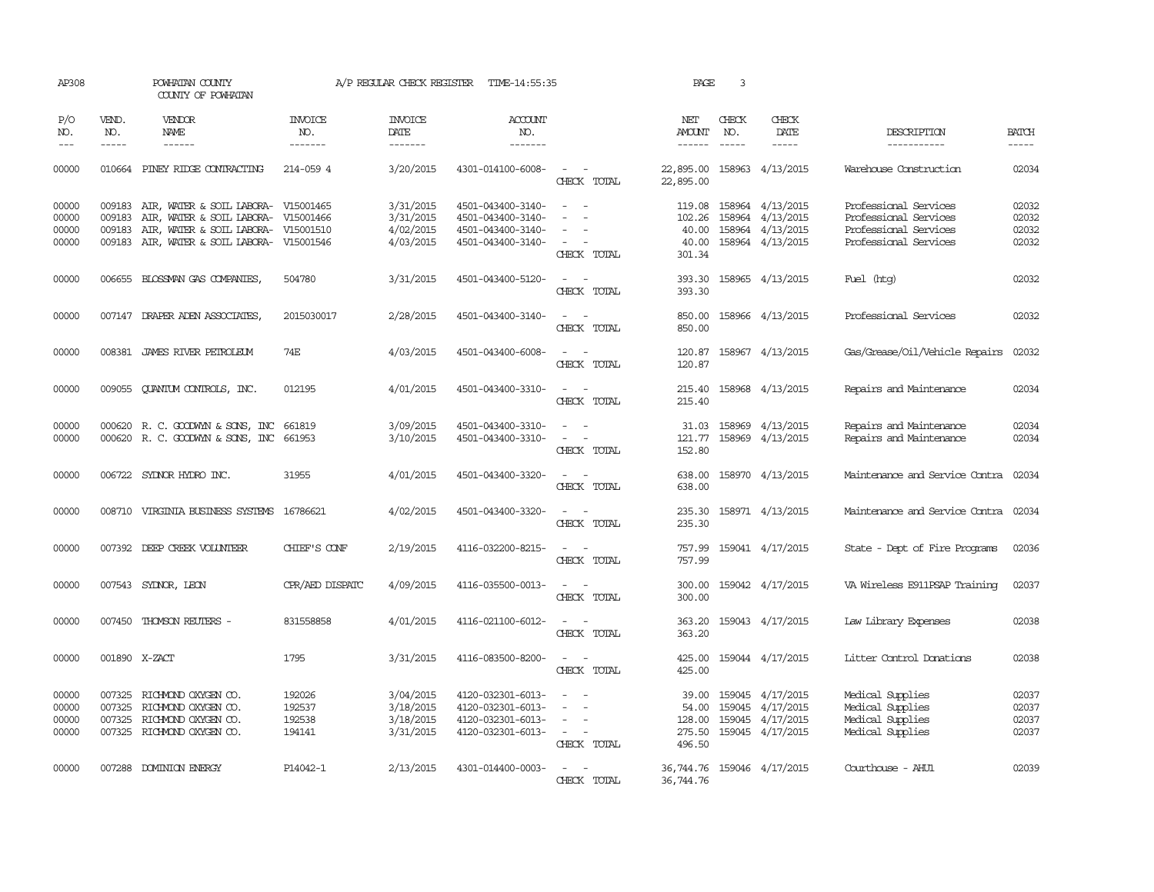| AP308                            |                             | POWHATAN COUNTY<br>COUNTY OF POWHATAN                                                                                                                           |                                      | A/P REGULAR CHECK REGISTER                       | TIME-14:55:35                                                                    |                                                                                                           | PAGE                                         | 3                             |                                                                                    |                                                                                                  |                                  |
|----------------------------------|-----------------------------|-----------------------------------------------------------------------------------------------------------------------------------------------------------------|--------------------------------------|--------------------------------------------------|----------------------------------------------------------------------------------|-----------------------------------------------------------------------------------------------------------|----------------------------------------------|-------------------------------|------------------------------------------------------------------------------------|--------------------------------------------------------------------------------------------------|----------------------------------|
| P/O<br>NO.<br>$---$              | VEND.<br>NO.<br>$- - - - -$ | <b>VENDOR</b><br><b>NAME</b><br>------                                                                                                                          | <b>INVOICE</b><br>NO.<br>-------     | <b>INVOICE</b><br>DATE<br>-------                | <b>ACCOUNT</b><br>NO.<br>-------                                                 |                                                                                                           | NET<br>AMOUNT<br>$- - - - - -$               | CHECK<br>NO.<br>$\frac{1}{2}$ | CHECK<br>DATE<br>-----                                                             | DESCRIPTION<br>-----------                                                                       | <b>BATCH</b><br>$- - - - -$      |
| 00000                            |                             | 010664 PINEY RIDGE CONTRACTING                                                                                                                                  | 214-059 4                            | 3/20/2015                                        | 4301-014100-6008-                                                                | $\sim$ $ \sim$<br>CHECK TOTAL                                                                             | 22,895.00<br>22,895.00                       |                               | 158963 4/13/2015                                                                   | Warehouse Construction                                                                           | 02034                            |
| 00000<br>00000<br>00000<br>00000 | 009183<br>009183<br>009183  | AIR, WATER & SOIL LABORA- V15001465<br>AIR, WATER & SOIL LABORA- V15001466<br>AIR, WATER & SOIL LABORA- V15001510<br>009183 AIR, WATER & SOIL LABORA- V15001546 |                                      | 3/31/2015<br>3/31/2015<br>4/02/2015<br>4/03/2015 | 4501-043400-3140-<br>4501-043400-3140-<br>4501-043400-3140-<br>4501-043400-3140- | $\overline{\phantom{a}}$<br>$\overline{\phantom{a}}$<br>$\sim$ 10 $\pm$<br>CHECK TOTAL                    | 119.08<br>102.26<br>40.00<br>40.00<br>301.34 | 158964                        | 158964 4/13/2015<br>158964 4/13/2015<br>4/13/2015<br>158964 4/13/2015              | Professional Services<br>Professional Services<br>Professional Services<br>Professional Services | 02032<br>02032<br>02032<br>02032 |
| 00000                            |                             | 006655 BLOSSMAN GAS COMPANIES,                                                                                                                                  | 504780                               | 3/31/2015                                        | 4501-043400-5120-                                                                | $\sim$ $ \sim$<br>CHECK TOTAL                                                                             | 393.30<br>393.30                             |                               | 158965 4/13/2015                                                                   | Fuel (htg)                                                                                       | 02032                            |
| 00000                            |                             | 007147 DRAPER ADEN ASSOCIATES,                                                                                                                                  | 2015030017                           | 2/28/2015                                        | 4501-043400-3140-                                                                | $\sim$<br>CHECK TOTAL                                                                                     | 850.00<br>850.00                             |                               | 158966 4/13/2015                                                                   | Professional Services                                                                            | 02032                            |
| 00000                            |                             | 008381 JAMES RIVER PETROLEUM                                                                                                                                    | 74E                                  | 4/03/2015                                        | 4501-043400-6008-                                                                | $\sim$<br>$\sim$<br>CHECK TOTAL                                                                           | 120.87<br>120.87                             |                               | 158967 4/13/2015                                                                   | Gas/Grease/Oil/Vehicle Repairs                                                                   | 02032                            |
| 00000                            |                             | 009055 QUANTUM CONTROLS, INC.                                                                                                                                   | 012195                               | 4/01/2015                                        | 4501-043400-3310-                                                                | CHECK TOTAL                                                                                               | 215.40<br>215.40                             |                               | 158968 4/13/2015                                                                   | Repairs and Maintenance                                                                          | 02034                            |
| 00000<br>00000                   |                             | 000620 R. C. GOODWYN & SONS, INC<br>000620 R. C. GOODWYN & SONS, INC                                                                                            | 661819<br>661953                     | 3/09/2015<br>3/10/2015                           | 4501-043400-3310-<br>4501-043400-3310-                                           | $\sim$<br>$\overline{\phantom{a}}$<br>$\overline{\phantom{a}}$<br>CHECK TOTAL                             | 31.03<br>121.77<br>152.80                    | 158969                        | 158969 4/13/2015<br>4/13/2015                                                      | Repairs and Maintenance<br>Repairs and Maintenance                                               | 02034<br>02034                   |
| 00000                            |                             | 006722 SYDNOR HYDRO INC.                                                                                                                                        | 31955                                | 4/01/2015                                        | 4501-043400-3320-                                                                | CHECK TOTAL                                                                                               | 638.00<br>638.00                             |                               | 158970 4/13/2015                                                                   | Maintenance and Service Contra                                                                   | 02034                            |
| 00000                            |                             | 008710 VIRGINIA BUSINESS SYSTEMS 16786621                                                                                                                       |                                      | 4/02/2015                                        | 4501-043400-3320-                                                                | $\sim$ $\sim$<br>CHECK TOTAL                                                                              | 235.30                                       |                               | 235.30 158971 4/13/2015                                                            | Maintenance and Service Contra 02034                                                             |                                  |
| 00000                            |                             | 007392 DEEP CREEK VOLUNTEER                                                                                                                                     | CHIEF'S CONF                         | 2/19/2015                                        | 4116-032200-8215-                                                                | $\sim$<br>CHECK TOTAL                                                                                     | 757.99<br>757.99                             |                               | 159041 4/17/2015                                                                   | State - Dept of Fire Programs                                                                    | 02036                            |
| 00000                            |                             | 007543 SYDNOR, LEON                                                                                                                                             | CPR/AED DISPATC                      | 4/09/2015                                        | 4116-035500-0013-                                                                | $\sim$ $\sim$<br>CHECK TOTAL                                                                              | 300.00<br>300.00                             |                               | 159042 4/17/2015                                                                   | VA Wireless E911PSAP Training                                                                    | 02037                            |
| 00000                            |                             | 007450 THOMSON REUTERS -                                                                                                                                        | 831558858                            | 4/01/2015                                        | 4116-021100-6012-                                                                | $\sim$<br>CHECK TOTAL                                                                                     | 363.20<br>363.20                             |                               | 159043 4/17/2015                                                                   | Law Library Expenses                                                                             | 02038                            |
| 00000                            |                             | 001890 X-ZACT                                                                                                                                                   | 1795                                 | 3/31/2015                                        | 4116-083500-8200-                                                                | CHECK TOTAL                                                                                               | 425.00<br>425.00                             |                               | 159044 4/17/2015                                                                   | Litter Control Donations                                                                         | 02038                            |
| 00000<br>00000<br>00000<br>00000 | 007325<br>007325            | RICHMOND OXYGEN CO.<br>007325 RICHMOND OXYGEN CO.<br>RICHMOND OXYGEN CO.<br>007325 RICHMOND OXYGEN CO.                                                          | 192026<br>192537<br>192538<br>194141 | 3/04/2015<br>3/18/2015<br>3/18/2015<br>3/31/2015 | 4120-032301-6013-<br>4120-032301-6013-<br>4120-032301-6013-<br>4120-032301-6013- | $\overline{\phantom{a}}$<br>$\sim$<br>$\overline{\phantom{a}}$<br>$\overline{\phantom{a}}$<br>CHECK TOTAL | 39.00<br>128.00<br>275.50<br>496.50          |                               | 159045 4/17/2015<br>54.00 159045 4/17/2015<br>159045 4/17/2015<br>159045 4/17/2015 | Medical Supplies<br>Medical Supplies<br>Medical Supplies<br>Medical Supplies                     | 02037<br>02037<br>02037<br>02037 |
| 00000                            |                             | 007288 DOMINION ENERGY                                                                                                                                          | P14042-1                             | 2/13/2015                                        | 4301-014400-0003-                                                                | CHECK TOTAL                                                                                               | 36, 744. 76 159046 4/17/2015<br>36,744.76    |                               |                                                                                    | Courthouse - AHUL                                                                                | 02039                            |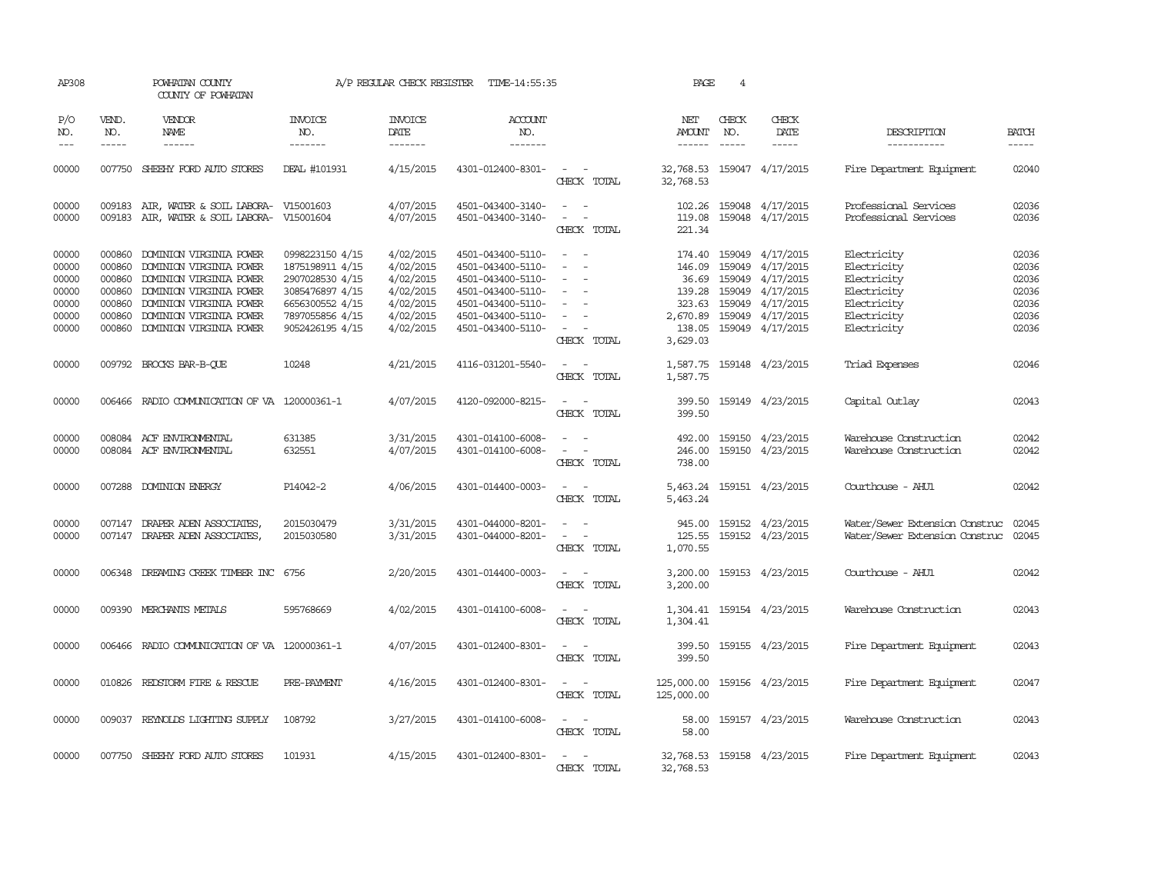| AP308                                                       |                                                                    | POWHATAN COUNTY<br>COUNTY OF POWHATAN                                                                                                                                                     |                                                                                                                                   | A/P REGULAR CHECK REGISTER                                                              | TIME-14:55:35                                                                                                                                   |                                                                                                                                                                                                                                             | PAGE                                             | 4                             |                                                                                                                                                                |                                                                                                       |                                                             |
|-------------------------------------------------------------|--------------------------------------------------------------------|-------------------------------------------------------------------------------------------------------------------------------------------------------------------------------------------|-----------------------------------------------------------------------------------------------------------------------------------|-----------------------------------------------------------------------------------------|-------------------------------------------------------------------------------------------------------------------------------------------------|---------------------------------------------------------------------------------------------------------------------------------------------------------------------------------------------------------------------------------------------|--------------------------------------------------|-------------------------------|----------------------------------------------------------------------------------------------------------------------------------------------------------------|-------------------------------------------------------------------------------------------------------|-------------------------------------------------------------|
| P/O<br>NO.<br>$ -$                                          | VEND.<br>NO.<br>$\frac{1}{2}$                                      | <b>VENDOR</b><br>NAME<br>$- - - - - -$                                                                                                                                                    | <b>INVOICE</b><br>NO.<br>-------                                                                                                  | <b>INVOICE</b><br>DATE<br>-------                                                       | <b>ACCOUNT</b><br>NO.<br>-------                                                                                                                |                                                                                                                                                                                                                                             | NET<br>AMOUNT<br>$- - - - - -$                   | CHECK<br>NO.<br>$\frac{1}{2}$ | CHECK<br>DATE<br>$- - - - -$                                                                                                                                   | DESCRIPTION<br>-----------                                                                            | <b>BATCH</b><br>-----                                       |
| 00000                                                       | 007750                                                             | SHEEHY FORD AUTO STORES                                                                                                                                                                   | DEAL #101931                                                                                                                      | 4/15/2015                                                                               | 4301-012400-8301-                                                                                                                               | CHECK TOTAL                                                                                                                                                                                                                                 | 32,768.53 159047 4/17/2015<br>32,768.53          |                               |                                                                                                                                                                | Fire Department Equipment                                                                             | 02040                                                       |
| 00000<br>00000                                              | 009183                                                             | AIR, WATER & SOIL LABORA- V15001603<br>009183 AIR, WATER & SOIL LABORA- V15001604                                                                                                         |                                                                                                                                   | 4/07/2015<br>4/07/2015                                                                  | 4501-043400-3140-<br>4501-043400-3140-                                                                                                          | $\sim$ $\sim$<br>$\sim$ $ -$<br>CHECK TOTAL                                                                                                                                                                                                 | 119.08<br>221.34                                 |                               | 102.26 159048 4/17/2015<br>159048 4/17/2015                                                                                                                    | Professional Services<br>Professional Services                                                        | 02036<br>02036                                              |
| 00000<br>00000<br>00000<br>00000<br>00000<br>00000<br>00000 | 000860<br>000860<br>000860<br>000860<br>000860<br>000860<br>000860 | DOMINION VIRGINIA POWER<br>DOMINION VIRGINIA POWER<br>DOMINION VIRGINIA POWER<br>DOMINION VIRGINIA POWER<br>DOMINION VIRGINIA POWER<br>DOMINION VIRGINIA POWER<br>DOMINION VIRGINIA POWER | 0998223150 4/15<br>1875198911 4/15<br>2907028530 4/15<br>3085476897 4/15<br>6656300552 4/15<br>7897055856 4/15<br>9052426195 4/15 | 4/02/2015<br>4/02/2015<br>4/02/2015<br>4/02/2015<br>4/02/2015<br>4/02/2015<br>4/02/2015 | 4501-043400-5110-<br>4501-043400-5110-<br>4501-043400-5110-<br>4501-043400-5110-<br>4501-043400-5110-<br>4501-043400-5110-<br>4501-043400-5110- | $\sim$<br>$\overline{\phantom{a}}$<br>CHECK TOTAL                                                                                                                                                                                           | 146.09<br>139.28<br>323.63<br>138.05<br>3,629.03 |                               | 174.40 159049 4/17/2015<br>159049 4/17/2015<br>36.69 159049 4/17/2015<br>159049 4/17/2015<br>159049 4/17/2015<br>2,670.89 159049 4/17/2015<br>159049 4/17/2015 | Electricity<br>Electricity<br>Electricity<br>Electricity<br>Electricity<br>Electricity<br>Electricity | 02036<br>02036<br>02036<br>02036<br>02036<br>02036<br>02036 |
| 00000                                                       | 009792                                                             | BROCKS BAR-B-QUE                                                                                                                                                                          | 10248                                                                                                                             | 4/21/2015                                                                               | 4116-031201-5540-                                                                                                                               | $\sim$ $ \sim$<br>CHECK TOTAL                                                                                                                                                                                                               | 1,587.75<br>1,587.75                             |                               | 159148 4/23/2015                                                                                                                                               | Triad Expenses                                                                                        | 02046                                                       |
| 00000                                                       | 006466                                                             | RADIO COMMUNICATION OF VA 120000361-1                                                                                                                                                     |                                                                                                                                   | 4/07/2015                                                                               | 4120-092000-8215-                                                                                                                               | $\equiv$<br>$\sim$<br>CHECK TOTAL                                                                                                                                                                                                           | 399.50<br>399.50                                 |                               | 159149 4/23/2015                                                                                                                                               | Capital Outlay                                                                                        | 02043                                                       |
| 00000<br>00000                                              | 008084<br>008084                                                   | ACF ENVIRONMENTAL<br>ACF ENVIRONMENTAL                                                                                                                                                    | 631385<br>632551                                                                                                                  | 3/31/2015<br>4/07/2015                                                                  | 4301-014100-6008-<br>4301-014100-6008-                                                                                                          | CHECK TOTAL                                                                                                                                                                                                                                 | 492.00<br>246.00<br>738.00                       |                               | 159150 4/23/2015<br>159150 4/23/2015                                                                                                                           | Warehouse Construction<br>Warehouse Construction                                                      | 02042<br>02042                                              |
| 00000                                                       |                                                                    | 007288 DOMINION ENERGY                                                                                                                                                                    | P14042-2                                                                                                                          | 4/06/2015                                                                               | 4301-014400-0003-                                                                                                                               | $\sim$<br>CHECK TOTAL                                                                                                                                                                                                                       | 5,463.24<br>5,463.24                             |                               | 159151 4/23/2015                                                                                                                                               | Courthouse - AHU1                                                                                     | 02042                                                       |
| 00000<br>00000                                              | 007147                                                             | DRAPER ADEN ASSOCIATES,<br>007147 DRAPER ADEN ASSOCIATES,                                                                                                                                 | 2015030479<br>2015030580                                                                                                          | 3/31/2015<br>3/31/2015                                                                  | 4301-044000-8201-<br>4301-044000-8201-                                                                                                          | $\frac{1}{2} \left( \frac{1}{2} \right) \left( \frac{1}{2} \right) = \frac{1}{2} \left( \frac{1}{2} \right)$<br>$\frac{1}{2} \left( \frac{1}{2} \right) \left( \frac{1}{2} \right) = \frac{1}{2} \left( \frac{1}{2} \right)$<br>CHECK TOTAL | 945.00<br>125.55<br>1,070.55                     |                               | 159152 4/23/2015<br>159152 4/23/2015                                                                                                                           | Water/Sewer Extension Construc<br>Water/Sewer Extension Construc                                      | 02045<br>02045                                              |
| 00000                                                       |                                                                    | 006348 DREAMING CREEK TIMBER INC 6756                                                                                                                                                     |                                                                                                                                   | 2/20/2015                                                                               | 4301-014400-0003-                                                                                                                               | CHECK TOTAL                                                                                                                                                                                                                                 | 3,200.00<br>3,200.00                             |                               | 159153 4/23/2015                                                                                                                                               | Courthouse - AHU1                                                                                     | 02042                                                       |
| 00000                                                       |                                                                    | 009390 MERCHANTS METALS                                                                                                                                                                   | 595768669                                                                                                                         | 4/02/2015                                                                               | 4301-014100-6008-                                                                                                                               | $\sim$<br>$\sim$<br>CHECK TOTAL                                                                                                                                                                                                             | 1,304.41<br>1,304.41                             |                               | 159154 4/23/2015                                                                                                                                               | Warehouse Construction                                                                                | 02043                                                       |
| 00000                                                       | 006466                                                             | RADIO COMMUNICATION OF VA 120000361-1                                                                                                                                                     |                                                                                                                                   | 4/07/2015                                                                               | 4301-012400-8301-                                                                                                                               | $\frac{1}{2} \left( \frac{1}{2} \right) \left( \frac{1}{2} \right) = \frac{1}{2} \left( \frac{1}{2} \right)$<br>CHECK TOTAL                                                                                                                 | 399.50<br>399.50                                 |                               | 159155 4/23/2015                                                                                                                                               | Fire Department Equipment                                                                             | 02043                                                       |
| 00000                                                       | 010826                                                             | REDSTORM FIRE & RESCUE                                                                                                                                                                    | PRE-PAYMENT                                                                                                                       | 4/16/2015                                                                               | 4301-012400-8301-                                                                                                                               | $\sim$<br>CHECK TOTAL                                                                                                                                                                                                                       | 125,000.00<br>125,000.00                         |                               | 159156 4/23/2015                                                                                                                                               | Fire Department Equipment                                                                             | 02047                                                       |
| 00000                                                       | 009037                                                             | REYNOLDS LIGHTING SUPPLY                                                                                                                                                                  | 108792                                                                                                                            | 3/27/2015                                                                               | 4301-014100-6008-                                                                                                                               | $\sim$<br>- -<br>CHECK TOTAL                                                                                                                                                                                                                | 58.00<br>58.00                                   |                               | 159157 4/23/2015                                                                                                                                               | Warehouse Construction                                                                                | 02043                                                       |
| 00000                                                       |                                                                    | 007750 SHEEHY FORD AUTO STORES                                                                                                                                                            | 101931                                                                                                                            | 4/15/2015                                                                               | 4301-012400-8301-                                                                                                                               | $ -$<br>CHECK TOTAL                                                                                                                                                                                                                         | 32,768.53 159158 4/23/2015<br>32,768.53          |                               |                                                                                                                                                                | Fire Department Equipment                                                                             | 02043                                                       |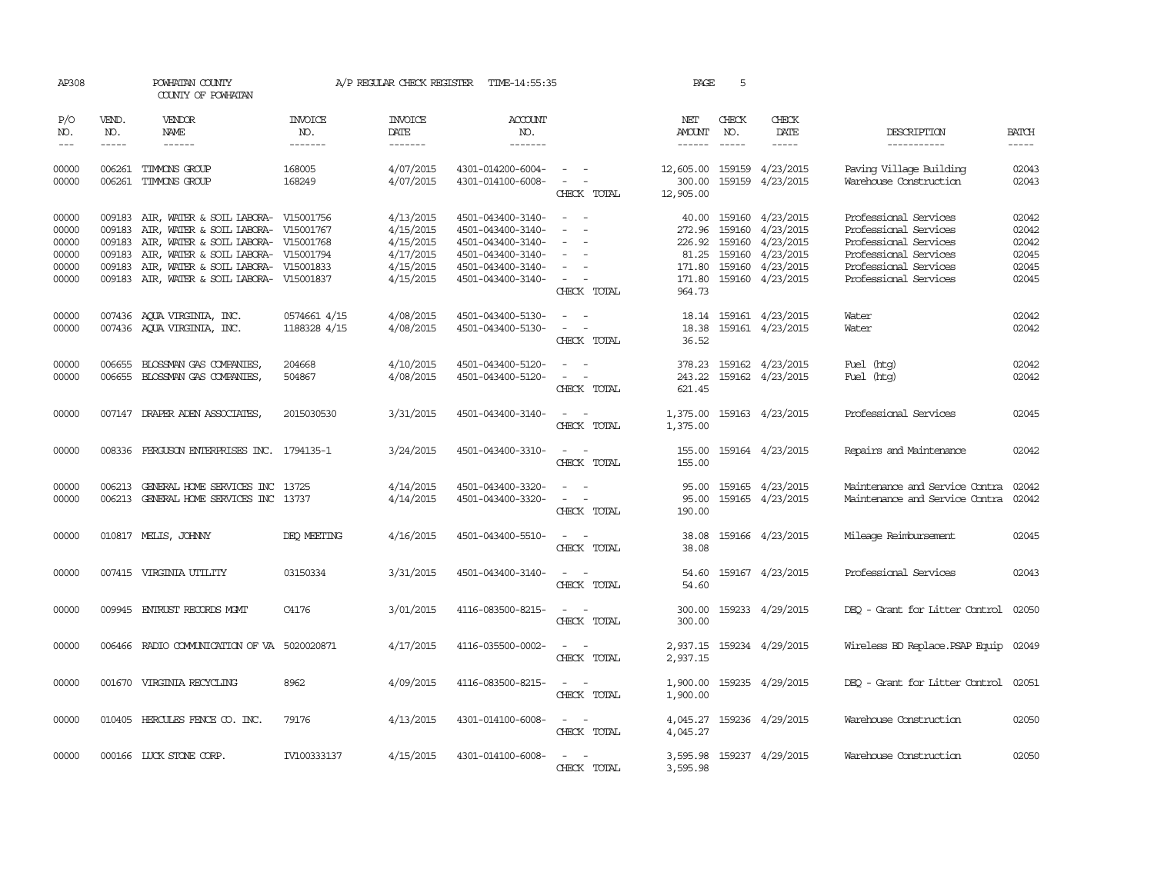| AP308                                              |                                                | POWHATAN COUNTY<br>COUNTY OF POWHATAN                                                                                                                                                                                                                                             |                                  | A/P REGULAR CHECK REGISTER                                                 | TIME-14:55:35                                                                                                              |                                                                                                                             | PAGE                                 | 5                                       |                                                                                                       |                                                                                                                                                    |                                                    |
|----------------------------------------------------|------------------------------------------------|-----------------------------------------------------------------------------------------------------------------------------------------------------------------------------------------------------------------------------------------------------------------------------------|----------------------------------|----------------------------------------------------------------------------|----------------------------------------------------------------------------------------------------------------------------|-----------------------------------------------------------------------------------------------------------------------------|--------------------------------------|-----------------------------------------|-------------------------------------------------------------------------------------------------------|----------------------------------------------------------------------------------------------------------------------------------------------------|----------------------------------------------------|
| P/O<br>NO.<br>$---$                                | VEND.<br>NO.<br>$- - - - -$                    | VENDOR<br>NAME<br>$\begin{tabular}{ccccc} \multicolumn{2}{c }{\multicolumn{2}{c }{\multicolumn{2}{c }{\multicolumn{2}{c}}}{\multicolumn{2}{c }{\multicolumn{2}{c}}}{\multicolumn{2}{c }{\multicolumn{2}{c}}}{\multicolumn{2}{c }{\multicolumn{2}{c}}}\end{tabular} \end{tabular}$ | <b>INVOICE</b><br>NO.<br>------- | <b>INVOICE</b><br><b>DATE</b><br>-------                                   | <b>ACCOUNT</b><br>NO.<br>-------                                                                                           |                                                                                                                             | NET<br>AMOUNT<br>------              | CHECK<br>NO.<br>$\frac{1}{2}$           | CHECK<br>DATE<br>-----                                                                                | DESCRIPTION<br>-----------                                                                                                                         | <b>BATCH</b><br>-----                              |
| 00000<br>00000                                     |                                                | 006261 TIMMONS GROUP<br>006261 TIMMONS GROUP                                                                                                                                                                                                                                      | 168005<br>168249                 | 4/07/2015<br>4/07/2015                                                     | 4301-014200-6004-<br>4301-014100-6008-                                                                                     | $\sim$ $ -$<br>$\sim$ 100 $\sim$ 100 $\sim$<br>CHECK TOTAL                                                                  | 12,605.00<br>300.00<br>12,905.00     |                                         | 159159 4/23/2015<br>159159 4/23/2015                                                                  | Paving Village Building<br>Warehouse Construction                                                                                                  | 02043<br>02043                                     |
| 00000<br>00000<br>00000<br>00000<br>00000<br>00000 | 009183<br>009183<br>009183<br>009183<br>009183 | AIR, WATER & SOIL LABORA- V15001756<br>AIR, WATER & SOIL LABORA- V15001767<br>AIR, WATER & SOIL LABORA- V15001768<br>AIR, WATER & SOIL LABORA- V15001794<br>AIR, WATER & SOIL LABORA- V15001833<br>009183 AIR, WATER & SOIL LABORA- V15001837                                     |                                  | 4/13/2015<br>4/15/2015<br>4/15/2015<br>4/17/2015<br>4/15/2015<br>4/15/2015 | 4501-043400-3140-<br>4501-043400-3140-<br>4501-043400-3140-<br>4501-043400-3140-<br>4501-043400-3140-<br>4501-043400-3140- | $\sim$<br>$\sim$<br>$\overline{\phantom{a}}$<br>CHECK TOTAL                                                                 | 272.96<br>171.80<br>171.80<br>964.73 | 159160<br>226.92 159160<br>81.25 159160 | 40.00 159160 4/23/2015<br>4/23/2015<br>4/23/2015<br>4/23/2015<br>159160 4/23/2015<br>159160 4/23/2015 | Professional Services<br>Professional Services<br>Professional Services<br>Professional Services<br>Professional Services<br>Professional Services | 02042<br>02042<br>02042<br>02045<br>02045<br>02045 |
| 00000<br>00000                                     |                                                | 007436 AQUA VIRGINIA, INC.<br>007436 AQUA VIRGINIA, INC.                                                                                                                                                                                                                          | 0574661 4/15<br>1188328 4/15     | 4/08/2015<br>4/08/2015                                                     | 4501-043400-5130-<br>4501-043400-5130-                                                                                     | $\omega_{\rm{max}}$ and $\omega_{\rm{max}}$<br>$\overline{\phantom{a}}$<br>$\sim$<br>CHECK TOTAL                            | 18.38<br>36.52                       |                                         | 18.14 159161 4/23/2015<br>159161 4/23/2015                                                            | Water<br>Water                                                                                                                                     | 02042<br>02042                                     |
| 00000<br>00000                                     | 006655                                         | BLOSSMAN GAS COMPANIES,<br>006655 BLOSSMAN GAS COMPANIES,                                                                                                                                                                                                                         | 204668<br>504867                 | 4/10/2015<br>4/08/2015                                                     | 4501-043400-5120-<br>4501-043400-5120-                                                                                     | $\equiv$<br>$\overline{\phantom{a}}$<br>CHECK TOTAL                                                                         | 378.23<br>243.22<br>621.45           |                                         | 159162 4/23/2015<br>159162 4/23/2015                                                                  | Fuel (htg)<br>Fuel (htg)                                                                                                                           | 02042<br>02042                                     |
| 00000                                              |                                                | 007147 DRAPER ADEN ASSOCIATES,                                                                                                                                                                                                                                                    | 2015030530                       | 3/31/2015                                                                  | 4501-043400-3140-                                                                                                          | $\frac{1}{2} \left( \frac{1}{2} \right) \left( \frac{1}{2} \right) = \frac{1}{2} \left( \frac{1}{2} \right)$<br>CHECK TOTAL | 1,375.00                             |                                         | 1,375.00 159163 4/23/2015                                                                             | Professional Services                                                                                                                              | 02045                                              |
| 00000                                              |                                                | 008336 FERGUSON ENTERPRISES INC. 1794135-1                                                                                                                                                                                                                                        |                                  | 3/24/2015                                                                  | 4501-043400-3310-                                                                                                          | $\sim$ $ \sim$<br>CHECK TOTAL                                                                                               | 155.00<br>155.00                     |                                         | 159164 4/23/2015                                                                                      | Repairs and Maintenance                                                                                                                            | 02042                                              |
| 00000<br>00000                                     |                                                | 006213 GENERAL HOME SERVICES INC 13725<br>006213 GENERAL HOME SERVICES INC 13737                                                                                                                                                                                                  |                                  | 4/14/2015<br>4/14/2015                                                     | 4501-043400-3320-<br>4501-043400-3320-                                                                                     | $\omega_{\rm{max}}$ and $\omega_{\rm{max}}$<br>CHECK TOTAL                                                                  | 95.00<br>95.00<br>190.00             |                                         | 159165 4/23/2015<br>159165 4/23/2015                                                                  | Maintenance and Service Contra<br>Maintenance and Service Contra                                                                                   | 02042<br>02042                                     |
| 00000                                              |                                                | 010817 MELIS, JOHNNY                                                                                                                                                                                                                                                              | DEO MEETING                      | 4/16/2015                                                                  | 4501-043400-5510-                                                                                                          | $\sim$ $ \sim$<br>CHECK TOTAL                                                                                               | 38.08<br>38.08                       |                                         | 159166 4/23/2015                                                                                      | Mileage Reimbursement                                                                                                                              | 02045                                              |
| 00000                                              |                                                | 007415 VIRGINIA UTILITY                                                                                                                                                                                                                                                           | 03150334                         | 3/31/2015                                                                  | 4501-043400-3140-                                                                                                          | $ -$<br>CHECK TOTAL                                                                                                         | 54.60                                |                                         | 54.60 159167 4/23/2015                                                                                | Professional Services                                                                                                                              | 02043                                              |
| 00000                                              |                                                | 009945 ENTRUST RECORDS MOMT                                                                                                                                                                                                                                                       | C4176                            | 3/01/2015                                                                  | 4116-083500-8215-                                                                                                          | $\sim$ $ \sim$<br>CHECK TOTAL                                                                                               | 300.00<br>300.00                     |                                         | 159233 4/29/2015                                                                                      | DEQ - Grant for Litter Control 02050                                                                                                               |                                                    |
| 00000                                              |                                                | 006466 RADIO COMMUNICATION OF VA 5020020871                                                                                                                                                                                                                                       |                                  | 4/17/2015                                                                  | 4116-035500-0002-                                                                                                          | CHECK TOTAL                                                                                                                 | 2,937.15                             |                                         | 2,937.15 159234 4/29/2015                                                                             | Wireless BD Replace. PSAP Equip                                                                                                                    | 02049                                              |
| 00000                                              |                                                | 001670 VIRGINIA RECYCLING                                                                                                                                                                                                                                                         | 8962                             | 4/09/2015                                                                  | 4116-083500-8215-                                                                                                          | CHECK TOTAL                                                                                                                 | 1,900.00<br>1,900.00                 |                                         | 159235 4/29/2015                                                                                      | DEO - Grant for Litter Control 02051                                                                                                               |                                                    |
| 00000                                              |                                                | 010405 HERCULES FENCE CO. INC.                                                                                                                                                                                                                                                    | 79176                            | 4/13/2015                                                                  | 4301-014100-6008-                                                                                                          | $\overline{\phantom{a}}$<br>$\sim$<br>CHECK TOTAL                                                                           | 4,045.27<br>4,045.27                 |                                         | 159236 4/29/2015                                                                                      | Warehouse Construction                                                                                                                             | 02050                                              |
| 00000                                              |                                                | 000166 LUCK STONE CORP.                                                                                                                                                                                                                                                           | IV100333137                      | 4/15/2015                                                                  | 4301-014100-6008-                                                                                                          | $\sim$<br>CHECK TOTAL                                                                                                       | 3,595.98<br>3,595.98                 |                                         | 159237 4/29/2015                                                                                      | Warehouse Construction                                                                                                                             | 02050                                              |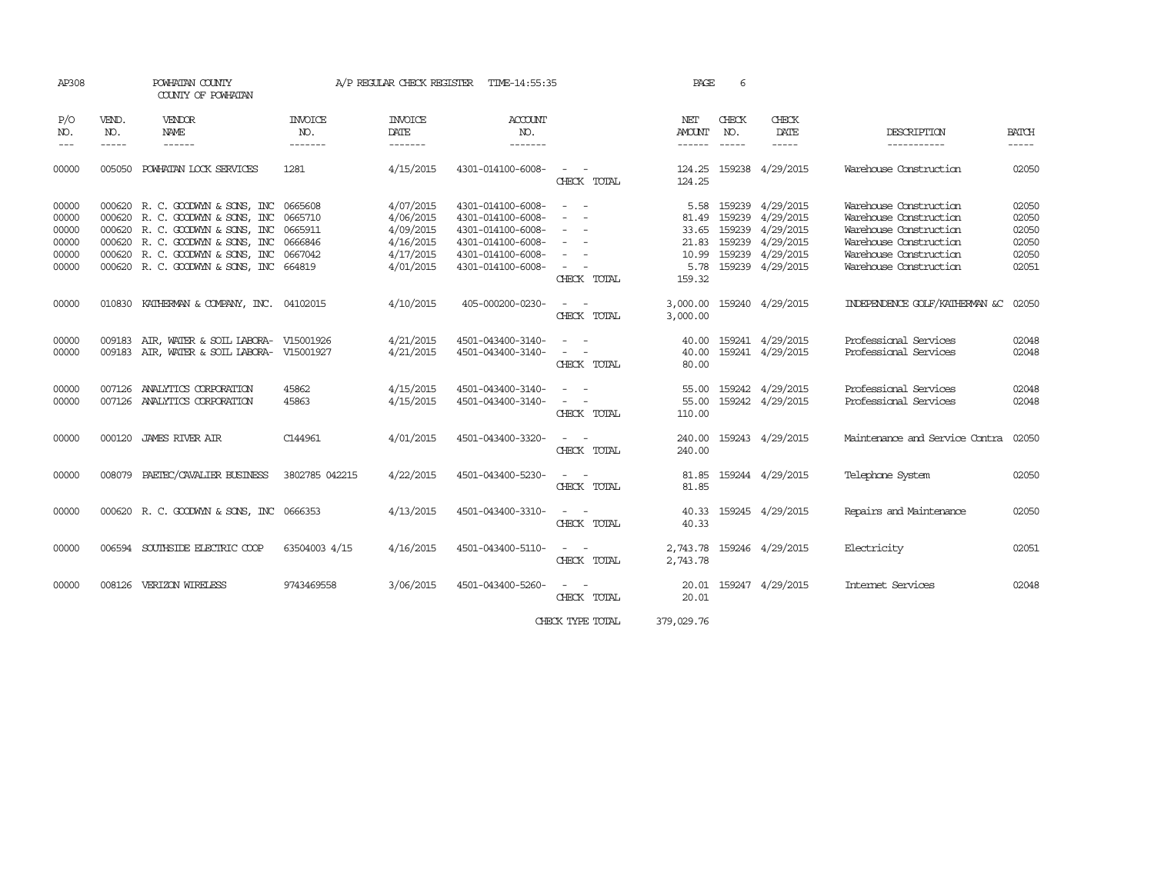| AP308                                              |                             | POWHATAN COUNTY<br>COUNTY OF POWHATAN                                                                                                                                                                                       |                                                     | A/P REGULAR CHECK REGISTER                                                 | TIME-14:55:35                                                                                                              |                                                                                                                             | PAGE                                                       | 6                           |                                                                                                                      |                                                                                                                                                          |                                                    |
|----------------------------------------------------|-----------------------------|-----------------------------------------------------------------------------------------------------------------------------------------------------------------------------------------------------------------------------|-----------------------------------------------------|----------------------------------------------------------------------------|----------------------------------------------------------------------------------------------------------------------------|-----------------------------------------------------------------------------------------------------------------------------|------------------------------------------------------------|-----------------------------|----------------------------------------------------------------------------------------------------------------------|----------------------------------------------------------------------------------------------------------------------------------------------------------|----------------------------------------------------|
| P/O<br>NO.<br>$- - -$                              | VEND.<br>NO.<br>$- - - - -$ | VENDOR<br>NAME<br>$- - - - - -$                                                                                                                                                                                             | INVOICE<br>NO.<br>-------                           | <b>INVOICE</b><br>DATE<br>-------                                          | <b>ACCOUNT</b><br>NO.<br>-------                                                                                           |                                                                                                                             | NET<br>AMOUNT<br>------                                    | CHECK<br>NO.<br>$- - - - -$ | CHECK<br>DATE                                                                                                        | DESCRIPTION<br>-----------                                                                                                                               | <b>BATCH</b><br>$- - - - -$                        |
| 00000                                              | 005050                      | POWHATAN LOCK SERVICES                                                                                                                                                                                                      | 1281                                                | 4/15/2015                                                                  | 4301-014100-6008-                                                                                                          | $\sim$ 100 $\sim$<br>CHECK TOTAL                                                                                            | 124.25<br>124.25                                           |                             | 159238 4/29/2015                                                                                                     | Warehouse Construction                                                                                                                                   | 02050                                              |
| 00000<br>00000<br>00000<br>00000<br>00000<br>00000 |                             | 000620 R. C. GOODWYN & SONS, INC<br>000620 R. C. GOODWYN & SONS, INC<br>000620 R. C. GOODWYN & SONS, INC<br>000620 R. C. GOODWYN & SONS, INC<br>000620 R. C. GOODWYN & SONS, INC<br>000620 R. C. GOODWYN & SONS, INC 664819 | 0665608<br>0665710<br>0665911<br>0666846<br>0667042 | 4/07/2015<br>4/06/2015<br>4/09/2015<br>4/16/2015<br>4/17/2015<br>4/01/2015 | 4301-014100-6008-<br>4301-014100-6008-<br>4301-014100-6008-<br>4301-014100-6008-<br>4301-014100-6008-<br>4301-014100-6008- | $\sim$<br>$\sim$<br>$\sim$<br>$\sim$<br>CHECK TOTAL                                                                         | 5.58<br>81.49<br>33.65<br>21.83<br>10.99<br>5.78<br>159.32 |                             | 159239 4/29/2015<br>159239 4/29/2015<br>159239 4/29/2015<br>159239 4/29/2015<br>159239 4/29/2015<br>159239 4/29/2015 | Warehouse Construction<br>Warehouse Construction<br>Warehouse Construction<br>Warehouse Construction<br>Warehouse Construction<br>Warehouse Construction | 02050<br>02050<br>02050<br>02050<br>02050<br>02051 |
| 00000                                              |                             | 010830 KATHERMAN & COMPANY, INC. 04102015                                                                                                                                                                                   |                                                     | 4/10/2015                                                                  | 405-000200-0230-                                                                                                           | CHECK TOTAL                                                                                                                 | 3,000.00<br>3,000.00                                       |                             | 159240 4/29/2015                                                                                                     | INDEPENDENCE GOLF/KATHERMAN &C                                                                                                                           | 02050                                              |
| 00000<br>00000                                     |                             | 009183 AIR, WATER & SOIL LABORA- V15001926<br>009183 AIR, WATER & SOIL LABORA- V15001927                                                                                                                                    |                                                     | 4/21/2015<br>4/21/2015                                                     | 4501-043400-3140-<br>4501-043400-3140-                                                                                     | CHECK TOTAL                                                                                                                 | 40.00<br>40.00<br>80.00                                    |                             | 159241 4/29/2015<br>159241 4/29/2015                                                                                 | Professional Services<br>Professional Services                                                                                                           | 02048<br>02048                                     |
| 00000<br>00000                                     |                             | 007126 ANALYTICS CORPORATION<br>007126 ANALYTICS CORPORATION                                                                                                                                                                | 45862<br>45863                                      | 4/15/2015<br>4/15/2015                                                     | 4501-043400-3140-<br>4501-043400-3140-                                                                                     | $\frac{1}{2} \left( \frac{1}{2} \right) \left( \frac{1}{2} \right) = \frac{1}{2} \left( \frac{1}{2} \right)$<br>CHECK TOTAL | 55.00<br>55.00<br>110.00                                   |                             | 159242 4/29/2015<br>159242 4/29/2015                                                                                 | Professional Services<br>Professional Services                                                                                                           | 02048<br>02048                                     |
| 00000                                              |                             | 000120 JAMES RIVER AIR                                                                                                                                                                                                      | C144961                                             | 4/01/2015                                                                  | 4501-043400-3320-                                                                                                          | CHECK TOTAL                                                                                                                 | 240.00<br>240.00                                           |                             | 159243 4/29/2015                                                                                                     | Maintenance and Service Contra                                                                                                                           | 02050                                              |
| 00000                                              |                             | 008079 PAETEC/CAVALIER BUSINESS                                                                                                                                                                                             | 3802785 042215                                      | 4/22/2015                                                                  | 4501-043400-5230-                                                                                                          | CHECK TOTAL                                                                                                                 | 81.85<br>81.85                                             |                             | 159244 4/29/2015                                                                                                     | Telephone System                                                                                                                                         | 02050                                              |
| 00000                                              |                             | 000620 R. C. GOODWYN & SONS, INC 0666353                                                                                                                                                                                    |                                                     | 4/13/2015                                                                  | 4501-043400-3310-                                                                                                          | $\sim$ 100 $\mu$<br>CHECK TOTAL                                                                                             | 40.33<br>40.33                                             |                             | 159245 4/29/2015                                                                                                     | Repairs and Maintenance                                                                                                                                  | 02050                                              |
| 00000                                              |                             | 006594 SOUTHSIDE ELECTRIC COOP                                                                                                                                                                                              | 63504003 4/15                                       | 4/16/2015                                                                  | 4501-043400-5110-                                                                                                          | CHECK TOTAL                                                                                                                 | 2,743.78                                                   |                             | 2,743.78 159246 4/29/2015                                                                                            | Electricity                                                                                                                                              | 02051                                              |
| 00000                                              |                             | 008126 VERIZON WIRELESS                                                                                                                                                                                                     | 9743469558                                          | 3/06/2015                                                                  | 4501-043400-5260-                                                                                                          | $\frac{1}{2} \left( \frac{1}{2} \right) \left( \frac{1}{2} \right) = \frac{1}{2} \left( \frac{1}{2} \right)$<br>CHECK TOTAL | 20.01<br>20.01                                             |                             | 159247 4/29/2015                                                                                                     | Internet Services                                                                                                                                        | 02048                                              |

CHECK TYPE TOTAL 379,029.76